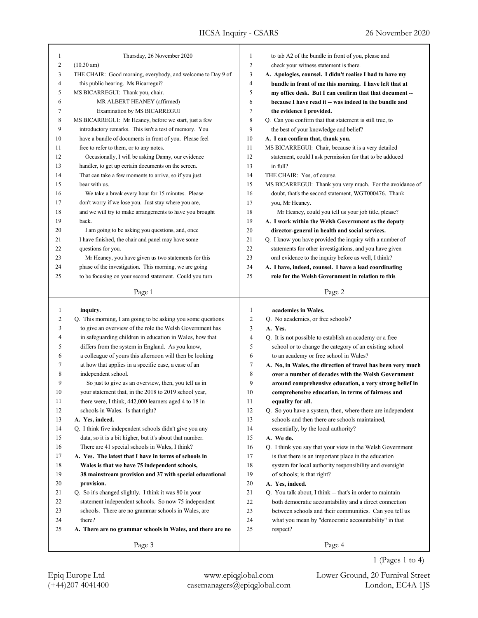| 1  | Thursday, 26 November 2020                                  | 1              | to tab A2 of the bundle in front of you, please and         |
|----|-------------------------------------------------------------|----------------|-------------------------------------------------------------|
| 2  | $(10.30 \text{ am})$                                        | $\overline{c}$ | check your witness statement is there.                      |
| 3  | THE CHAIR: Good morning, everybody, and welcome to Day 9 of | 3              | A. Apologies, counsel. I didn't realise I had to have my    |
| 4  | this public hearing. Ms Bicarregui?                         | 4              | bundle in front of me this morning. I have left that at     |
| 5  | MS BICARREGUI: Thank you, chair.                            | 5              | my office desk. But I can confirm that that document --     |
| 6  | MR ALBERT HEANEY (affirmed)                                 | 6              | because I have read it -- was indeed in the bundle and      |
| 7  | Examination by MS BICARREGUI                                | 7              | the evidence I provided.                                    |
| 8  | MS BICARREGUI: Mr Heaney, before we start, just a few       | 8              | Q. Can you confirm that that statement is still true, to    |
| 9  | introductory remarks. This isn't a test of memory. You      | 9              | the best of your knowledge and belief?                      |
| 10 | have a bundle of documents in front of you. Please feel     | 10             | A. I can confirm that, thank you.                           |
| 11 | free to refer to them, or to any notes.                     | 11             | MS BICARREGUI: Chair, because it is a very detailed         |
| 12 | Occasionally, I will be asking Danny, our evidence          | 12             | statement, could I ask permission for that to be adduced    |
| 13 | handler, to get up certain documents on the screen.         | 13             | in full?                                                    |
| 14 | That can take a few moments to arrive, so if you just       | 14             | THE CHAIR: Yes, of course.                                  |
| 15 | bear with us.                                               | 15             | MS BICARREGUI: Thank you very much. For the avoidance of    |
| 16 | We take a break every hour for 15 minutes. Please           | 16             | doubt, that's the second statement, WGT000476. Thank        |
| 17 | don't worry if we lose you. Just stay where you are,        | 17             | you, Mr Heaney.                                             |
| 18 | and we will try to make arrangements to have you brought    | 18             | Mr Heaney, could you tell us your job title, please?        |
| 19 | back.                                                       | 19             | A. I work within the Welsh Government as the deputy         |
| 20 | I am going to be asking you questions, and, once            | 20             | director-general in health and social services.             |
| 21 | I have finished, the chair and panel may have some          | 21             | Q. I know you have provided the inquiry with a number of    |
| 22 | questions for you.                                          | 22             | statements for other investigations, and you have given     |
| 23 | Mr Heaney, you have given us two statements for this        | 23             | oral evidence to the inquiry before as well, I think?       |
| 24 | phase of the investigation. This morning, we are going      | 24             | A. I have, indeed, counsel. I have a lead coordinating      |
| 25 | to be focusing on your second statement. Could you turn     | 25             | role for the Welsh Government in relation to this           |
|    |                                                             |                |                                                             |
|    | Page 1                                                      |                | Page 2                                                      |
|    |                                                             |                |                                                             |
|    |                                                             |                |                                                             |
| 1  | inquiry.                                                    | 1              | academies in Wales.                                         |
| 2  | Q. This morning, I am going to be asking you some questions | 2              | Q. No academies, or free schools?                           |
| 3  | to give an overview of the role the Welsh Government has    | 3              | A. Yes.                                                     |
| 4  | in safeguarding children in education in Wales, how that    | 4              | Q. It is not possible to establish an academy or a free     |
| 5  | differs from the system in England. As you know,            | 5              | school or to change the category of an existing school      |
| 6  | a colleague of yours this afternoon will then be looking    | 6              | to an academy or free school in Wales?                      |
| 7  | at how that applies in a specific case, a case of an        | 7              | A. No, in Wales, the direction of travel has been very much |
| 8  | independent school.                                         | 8              | over a number of decades with the Welsh Government          |
| 9  | So just to give us an overview, then, you tell us in        | 9              | around comprehensive education, a very strong belief in     |
| 10 | your statement that, in the 2018 to 2019 school year,       | 10             | comprehensive education, in terms of fairness and           |
| 11 | there were, I think, 442,000 learners aged 4 to 18 in       | 11             | equality for all.                                           |
| 12 | schools in Wales. Is that right?                            | 12             | Q. So you have a system, then, where there are independent  |
| 13 | A. Yes, indeed.                                             | 13             | schools and then there are schools maintained,              |
| 14 | Q. I think five independent schools didn't give you any     | 14             | essentially, by the local authority?                        |
| 15 | data, so it is a bit higher, but it's about that number.    | 15             | A. We do.                                                   |
| 16 | There are 41 special schools in Wales, I think?             | 16             | Q. I think you say that your view in the Welsh Government   |
| 17 | A. Yes. The latest that I have in terms of schools in       | 17             | is that there is an important place in the education        |
| 18 | Wales is that we have 75 independent schools,               | 18             | system for local authority responsibility and oversight     |
| 19 | 38 mainstream provision and 37 with special educational     | 19             | of schools; is that right?                                  |
| 20 | provision.                                                  | 20             | A. Yes, indeed.                                             |
| 21 | Q. So it's changed slightly. I think it was 80 in your      | 21             | Q. You talk about, I think -- that's in order to maintain   |
| 22 | statement independent schools. So now 75 independent        | 22             | both democratic accountability and a direct connection      |
| 23 | schools. There are no grammar schools in Wales, are         | 23             | between schools and their communities. Can you tell us      |
| 24 | there?                                                      | 24             | what you mean by "democratic accountability" in that        |
| 25 | A. There are no grammar schools in Wales, and there are no  | 25             | respect?                                                    |
|    | Page 3                                                      |                | Page 4                                                      |

1 (Pages 1 to 4)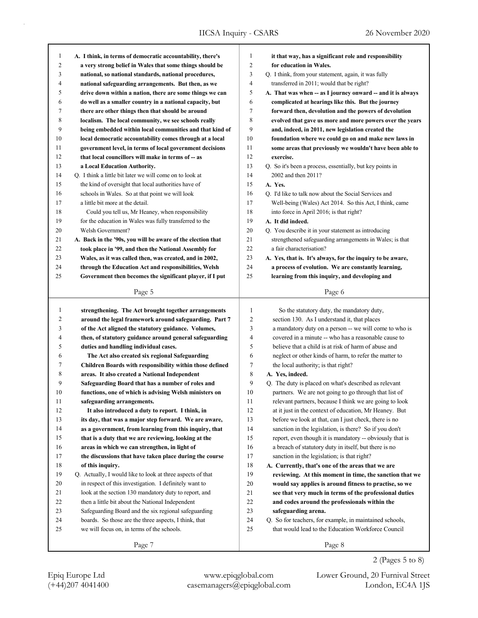| 1      | A. I think, in terms of democratic accountability, there's  | 1  | it that way, has a significant role and responsibility      |
|--------|-------------------------------------------------------------|----|-------------------------------------------------------------|
| 2      | a very strong belief in Wales that some things should be    | 2  | for education in Wales.                                     |
| 3      | national, so national standards, national procedures,       | 3  | Q. I think, from your statement, again, it was fully        |
| 4      | national safeguarding arrangements. But then, as we         | 4  | transferred in 2011; would that be right?                   |
| 5      | drive down within a nation, there are some things we can    | 5  | A. That was when -- as I journey onward -- and it is always |
| 6      | do well as a smaller country in a national capacity, but    | 6  | complicated at hearings like this. But the journey          |
| 7      | there are other things then that should be around           | 7  | forward then, devolution and the powers of devolution       |
| 8      | localism. The local community, we see schools really        | 8  | evolved that gave us more and more powers over the years    |
| 9      | being embedded within local communities and that kind of    | 9  | and, indeed, in 2011, new legislation created the           |
| $10\,$ | local democratic accountability comes through at a local    | 10 | foundation where we could go on and make new laws in        |
| 11     | government level, in terms of local government decisions    | 11 | some areas that previously we wouldn't have been able to    |
| 12     | that local councillors will make in terms of -- as          | 12 | exercise.                                                   |
| 13     | a Local Education Authority.                                | 13 | Q. So it's been a process, essentially, but key points in   |
| 14     | Q. I think a little bit later we will come on to look at    | 14 | 2002 and then 2011?                                         |
| 15     | the kind of oversight that local authorities have of        | 15 | A. Yes.                                                     |
| 16     | schools in Wales. So at that point we will look             | 16 | Q. I'd like to talk now about the Social Services and       |
| 17     | a little bit more at the detail.                            | 17 | Well-being (Wales) Act 2014. So this Act, I think, came     |
| 18     | Could you tell us, Mr Heaney, when responsibility           | 18 | into force in April 2016; is that right?                    |
| 19     | for the education in Wales was fully transferred to the     | 19 | A. It did indeed.                                           |
| 20     | Welsh Government?                                           | 20 | Q. You describe it in your statement as introducing         |
| 21     | A. Back in the '90s, you will be aware of the election that | 21 | strengthened safeguarding arrangements in Wales; is that    |
| 22     | took place in '99, and then the National Assembly for       | 22 | a fair characterisation?                                    |
| 23     | Wales, as it was called then, was created, and in 2002,     | 23 | A. Yes, that is. It's always, for the inquiry to be aware,  |
| 24     | through the Education Act and responsibilities, Welsh       | 24 | a process of evolution. We are constantly learning,         |
| 25     | Government then becomes the significant player, if I put    | 25 | learning from this inquiry, and developing and              |
|        | Page 5                                                      |    | Page 6                                                      |
|        |                                                             |    |                                                             |
|        |                                                             |    |                                                             |
| 1      | strengthening. The Act brought together arrangements        | 1  | So the statutory duty, the mandatory duty,                  |
| 2      | around the legal framework around safeguarding. Part 7      | 2  | section 130. As I understand it, that places                |
| 3      | of the Act aligned the statutory guidance. Volumes,         | 3  | a mandatory duty on a person -- we will come to who is      |
| 4      | then, of statutory guidance around general safeguarding     | 4  | covered in a minute -- who has a reasonable cause to        |
| 5      | duties and handling individual cases.                       | 5  | believe that a child is at risk of harm of abuse and        |
| 6      | The Act also created six regional Safeguarding              | 6  | neglect or other kinds of harm, to refer the matter to      |
| 7      | Children Boards with responsibility within those defined    | 7  | the local authority; is that right?                         |
| 8      | areas. It also created a National Independent               | 8  | A. Yes, indeed.                                             |
| 9      | Safeguarding Board that has a number of roles and           | 9  | Q. The duty is placed on what's described as relevant       |
| 10     | functions, one of which is advising Welsh ministers on      | 10 | partners. We are not going to go through that list of       |
| 11     | safeguarding arrangements.                                  | 11 | relevant partners, because I think we are going to look     |
| 12     | It also introduced a duty to report. I think, in            | 12 | at it just in the context of education, Mr Heaney. But      |
| 13     | its day, that was a major step forward. We are aware,       | 13 | before we look at that, can I just check, there is no       |
| 14     | as a government, from learning from this inquiry, that      | 14 | sanction in the legislation, is there? So if you don't      |
| 15     | that is a duty that we are reviewing, looking at the        | 15 | report, even though it is mandatory -- obviously that is    |
| 16     | areas in which we can strengthen, in light of               | 16 | a breach of statutory duty in itself, but there is no       |
| 17     | the discussions that have taken place during the course     | 17 | sanction in the legislation; is that right?                 |
| 18     | of this inquiry.                                            | 18 | A. Currently, that's one of the areas that we are           |
| 19     | Q. Actually, I would like to look at three aspects of that  | 19 | reviewing. At this moment in time, the sanction that we     |
| 20     | in respect of this investigation. I definitely want to      | 20 | would say applies is around fitness to practise, so we      |
| 21     | look at the section 130 mandatory duty to report, and       | 21 | see that very much in terms of the professional duties      |
| 22     | then a little bit about the National Independent            | 22 | and codes around the professionals within the               |
| 23     | Safeguarding Board and the six regional safeguarding        | 23 | safeguarding arena.                                         |
| 24     | boards. So those are the three aspects, I think, that       | 24 | Q. So for teachers, for example, in maintained schools,     |
| 25     | we will focus on, in terms of the schools.                  | 25 | that would lead to the Education Workforce Council          |
|        | Page 7                                                      |    | Page 8                                                      |

(+44)207 4041400 casemanagers@epiqglobal.com London, EC4A 1JS Epiq Europe Ltd www.epiqglobal.com Lower Ground, 20 Furnival Street

2 (Pages 5 to 8)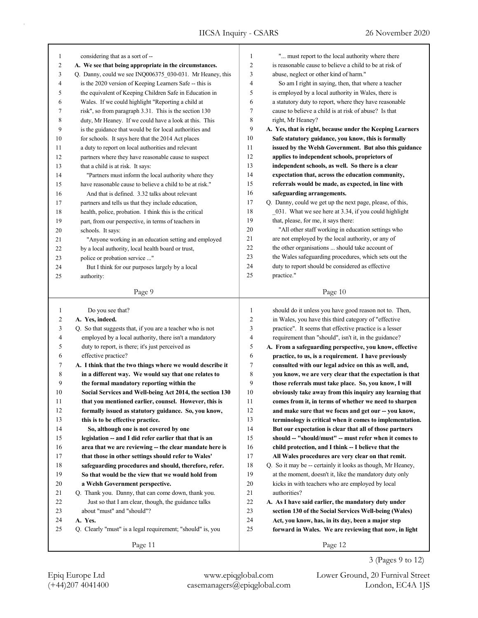| 1            | considering that as a sort of --                                                                               | 1                   | " must report to the local authority where there                                                                       |
|--------------|----------------------------------------------------------------------------------------------------------------|---------------------|------------------------------------------------------------------------------------------------------------------------|
| 2            | A. We see that being appropriate in the circumstances.                                                         | $\overline{c}$      | is reasonable cause to believe a child to be at risk of                                                                |
| 3            | Q. Danny, could we see INQ006375_030-031. Mr Heaney, this                                                      | 3                   | abuse, neglect or other kind of harm."                                                                                 |
| 4            | is the 2020 version of Keeping Learners Safe -- this is                                                        | $\overline{4}$      | So am I right in saying, then, that where a teacher                                                                    |
| 5            | the equivalent of Keeping Children Safe in Education in                                                        | 5                   | is employed by a local authority in Wales, there is                                                                    |
| 6            | Wales. If we could highlight "Reporting a child at                                                             | 6                   | a statutory duty to report, where they have reasonable                                                                 |
| 7            | risk", so from paragraph 3.31. This is the section 130                                                         | $\tau$              | cause to believe a child is at risk of abuse? Is that                                                                  |
| 8            | duty, Mr Heaney. If we could have a look at this. This                                                         | 8                   | right, Mr Heaney?                                                                                                      |
| 9            | is the guidance that would be for local authorities and                                                        | 9                   | A. Yes, that is right, because under the Keeping Learners                                                              |
| 10           | for schools. It says here that the 2014 Act places                                                             | 10                  | Safe statutory guidance, you know, this is formally                                                                    |
| 11           | a duty to report on local authorities and relevant                                                             | 11                  | issued by the Welsh Government. But also this guidance                                                                 |
| 12           | partners where they have reasonable cause to suspect                                                           | 12                  | applies to independent schools, proprietors of                                                                         |
| 13           | that a child is at risk. It says:                                                                              | 13                  | independent schools, as well. So there is a clear                                                                      |
| 14           | "Partners must inform the local authority where they                                                           | 14                  | expectation that, across the education community,                                                                      |
| 15           | have reasonable cause to believe a child to be at risk."                                                       | 15                  | referrals would be made, as expected, in line with                                                                     |
| 16           | And that is defined. 3.32 talks about relevant                                                                 | 16                  | safeguarding arrangements.                                                                                             |
| 17           | partners and tells us that they include education,                                                             | 17                  | Q. Danny, could we get up the next page, please, of this,                                                              |
| 18           | health, police, probation. I think this is the critical                                                        | 18                  | 031. What we see here at 3.34, if you could highlight                                                                  |
| 19           | part, from our perspective, in terms of teachers in                                                            | 19                  | that, please, for me, it says there:                                                                                   |
| 20           | schools. It says:                                                                                              | 20                  | "All other staff working in education settings who                                                                     |
| 21           | "Anyone working in an education setting and employed                                                           | 21                  | are not employed by the local authority, or any of                                                                     |
| 22           | by a local authority, local health board or trust,                                                             | 22                  | the other organisations  should take account of                                                                        |
| 23           | police or probation service "                                                                                  | 23                  | the Wales safeguarding procedures, which sets out the                                                                  |
| 24           | But I think for our purposes largely by a local                                                                | 24                  | duty to report should be considered as effective                                                                       |
| 25           | authority:                                                                                                     | 25                  | practice."                                                                                                             |
|              | Page 9                                                                                                         |                     | Page 10                                                                                                                |
|              |                                                                                                                |                     |                                                                                                                        |
|              |                                                                                                                |                     |                                                                                                                        |
|              |                                                                                                                | $\mathbf{1}$        |                                                                                                                        |
| $\mathbf{1}$ | Do you see that?                                                                                               |                     | should do it unless you have good reason not to. Then,                                                                 |
| 2<br>3       | A. Yes, indeed.                                                                                                | $\overline{2}$<br>3 | in Wales, you have this third category of "effective                                                                   |
| 4            | Q. So that suggests that, if you are a teacher who is not                                                      | 4                   | practice". It seems that effective practice is a lesser                                                                |
| 5            | employed by a local authority, there isn't a mandatory                                                         | 5                   | requirement than "should", isn't it, in the guidance?                                                                  |
| 6            | duty to report, is there; it's just perceived as                                                               | 6                   | A. From a safeguarding perspective, you know, effective                                                                |
| 7            | effective practice?                                                                                            | $\tau$              | practice, to us, is a requirement. I have previously                                                                   |
| 8            | A. I think that the two things where we would describe it                                                      | 8                   | consulted with our legal advice on this as well, and,                                                                  |
| 9            | in a different way. We would say that one relates to<br>the formal mandatory reporting within the              | 9                   | you know, we are very clear that the expectation is that<br>those referrals must take place. So, you know, I will      |
| 10           | Social Services and Well-being Act 2014, the section 130                                                       | 10                  | obviously take away from this inquiry any learning that                                                                |
| 11           |                                                                                                                | 11                  |                                                                                                                        |
| 12           | that you mentioned earlier, counsel. However, this is<br>formally issued as statutory guidance. So, you know,  | 12                  | comes from it, in terms of whether we need to sharpen                                                                  |
|              |                                                                                                                | 13                  | and make sure that we focus and get our -- you know,                                                                   |
| 13           | this is to be effective practice.                                                                              | 14                  | terminology is critical when it comes to implementation.                                                               |
| 14           | So, although one is not covered by one                                                                         | 15                  | But our expectation is clear that all of those partners                                                                |
| 15<br>16     | legislation -- and I did refer earlier that that is an                                                         | 16                  | should -- "should/must" -- must refer when it comes to                                                                 |
|              | area that we are reviewing -- the clear mandate here is<br>that those in other settings should refer to Wales' | 17                  | child protection, and I think -- I believe that the                                                                    |
| 17           |                                                                                                                |                     | All Wales procedures are very clear on that remit.                                                                     |
| 18<br>19     | safeguarding procedures and should, therefore, refer.<br>So that would be the view that we would hold from     | $18\,$<br>19        | Q. So it may be -- certainly it looks as though, Mr Heaney,<br>at the moment, doesn't it, like the mandatory duty only |
|              |                                                                                                                | 20                  | kicks in with teachers who are employed by local                                                                       |
| 20<br>21     | a Welsh Government perspective.<br>Q. Thank you. Danny, that can come down, thank you.                         | 21                  | authorities?                                                                                                           |
| 22           | Just so that I am clear, though, the guidance talks                                                            | 22                  |                                                                                                                        |
| 23           | about "must" and "should"?                                                                                     | 23                  | A. As I have said earlier, the mandatory duty under<br>section 130 of the Social Services Well-being (Wales)           |
| 24           | A. Yes.                                                                                                        | 24                  | Act, you know, has, in its day, been a major step                                                                      |
| 25           | Q. Clearly "must" is a legal requirement; "should" is, you                                                     | 25                  | forward in Wales. We are reviewing that now, in light                                                                  |
|              | Page 11                                                                                                        |                     | Page 12                                                                                                                |

(+44)207 4041400 casemanagers@epiqglobal.com London, EC4A 1JS Epiq Europe Ltd www.epiqglobal.com Lower Ground, 20 Furnival Street

3 (Pages 9 to 12)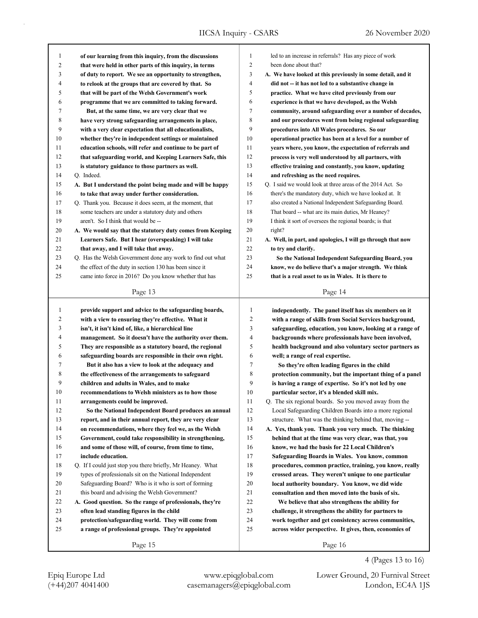| 1              | of our learning from this inquiry, from the discussions    | 1              | led to an increase in referrals? Has any piece of work      |
|----------------|------------------------------------------------------------|----------------|-------------------------------------------------------------|
| $\overline{c}$ | that were held in other parts of this inquiry, in terms    | 2              | been done about that?                                       |
| 3              | of duty to report. We see an opportunity to strengthen,    | 3              | A. We have looked at this previously in some detail, and it |
| 4              | to relook at the groups that are covered by that. So       | 4              | did not -- it has not led to a substantive change in        |
| 5              | that will be part of the Welsh Government's work           | 5              | practice. What we have cited previously from our            |
| 6              | programme that we are committed to taking forward.         | 6              | experience is that we have developed, as the Welsh          |
| 7              | But, at the same time, we are very clear that we           | 7              | community, around safeguarding over a number of decades,    |
| 8              | have very strong safeguarding arrangements in place,       | 8              | and our procedures went from being regional safeguarding    |
| 9              | with a very clear expectation that all educationalists,    | 9              | procedures into All Wales procedures. So our                |
| 10             | whether they're in independent settings or maintained      | 10             | operational practice has been at a level for a number of    |
| 11             | education schools, will refer and continue to be part of   | 11             | years where, you know, the expectation of referrals and     |
| 12             | that safeguarding world, and Keeping Learners Safe, this   | 12             | process is very well understood by all partners, with       |
| 13             | is statutory guidance to those partners as well.           | 13             | effective training and constantly, you know, updating       |
| 14             | Q. Indeed.                                                 | 14             | and refreshing as the need requires.                        |
| 15             | A. But I understand the point being made and will be happy | 15             | Q. I said we would look at three areas of the 2014 Act. So  |
| 16             | to take that away under further consideration.             | 16             | there's the mandatory duty, which we have looked at. It     |
| 17             | Q. Thank you. Because it does seem, at the moment, that    | 17             | also created a National Independent Safeguarding Board.     |
| 18             | some teachers are under a statutory duty and others        | 18             | That board -- what are its main duties, Mr Heaney?          |
| 19             | aren't. So I think that would be --                        | 19             | I think it sort of oversees the regional boards; is that    |
| 20             | A. We would say that the statutory duty comes from Keeping | 20             | right?                                                      |
| 21             | Learners Safe. But I hear (overspeaking) I will take       | 21             | A. Well, in part, and apologies, I will go through that now |
| 22             | that away, and I will take that away.                      | 22             | to try and clarify.                                         |
| 23             | Q. Has the Welsh Government done any work to find out what | 23             | So the National Independent Safeguarding Board, you         |
| 24             | the effect of the duty in section 130 has been since it    | 24             | know, we do believe that's a major strength. We think       |
| 25             | came into force in 2016? Do you know whether that has      | 25             | that is a real asset to us in Wales. It is there to         |
|                |                                                            |                |                                                             |
|                | Page 13                                                    |                | Page 14                                                     |
|                |                                                            |                |                                                             |
|                |                                                            |                |                                                             |
| 1              | provide support and advice to the safeguarding boards,     | 1              | independently. The panel itself has six members on it       |
| 2              | with a view to ensuring they're effective. What it         | $\overline{2}$ | with a range of skills from Social Services background,     |
| 3              | isn't, it isn't kind of, like, a hierarchical line         | 3              | safeguarding, education, you know, looking at a range of    |
| 4              | management. So it doesn't have the authority over them.    | 4              | backgrounds where professionals have been involved,         |
| 5              | They are responsible as a statutory board, the regional    | 5              | health background and also voluntary sector partners as     |
| 6              | safeguarding boards are responsible in their own right.    | 6              | well; a range of real expertise.                            |
| 7              | But it also has a view to look at the adequacy and         | 7              | So they're often leading figures in the child               |
| 8              | the effectiveness of the arrangements to safeguard         | 8              | protection community, but the important thing of a panel    |
| 9              | children and adults in Wales, and to make                  | 9              | is having a range of expertise. So it's not led by one      |
| 10             | recommendations to Welsh ministers as to how those         | 10             | particular sector, it's a blended skill mix.                |
| 11             | arrangements could be improved.                            | 11             | Q. The six regional boards. So you moved away from the      |
| 12             | So the National Independent Board produces an annual       | 12             | Local Safeguarding Children Boards into a more regional     |
| 13             | report, and in their annual report, they are very clear    | 13             | structure. What was the thinking behind that, moving --     |
| 14             | on recommendations, where they feel we, as the Welsh       | 14             | A. Yes, thank you. Thank you very much. The thinking        |
| 15             | Government, could take responsibility in strengthening,    | 15             | behind that at the time was very clear, was that, you       |
| 16             | and some of those will, of course, from time to time,      | 16             | know, we had the basis for 22 Local Children's              |
| 17             | include education.                                         | 17             | Safeguarding Boards in Wales. You know, common              |
| 18             | Q. If I could just stop you there briefly, Mr Heaney. What | 18             | procedures, common practice, training, you know, really     |
| 19             | types of professionals sit on the National Independent     | 19             | crossed areas. They weren't unique to one particular        |
| 20             | Safeguarding Board? Who is it who is sort of forming       | 20             | local authority boundary. You know, we did wide             |
| 21             | this board and advising the Welsh Government?              | 21             | consultation and then moved into the basis of six.          |
| 22             | A. Good question. So the range of professionals, they're   | 22             | We believe that also strengthens the ability for            |
| 23             | often lead standing figures in the child                   | 23             | challenge, it strengthens the ability for partners to       |
| 24             | protection/safeguarding world. They will come from         | 24             | work together and get consistency across communities,       |
| 25             | a range of professional groups. They're appointed          | 25             | across wider perspective. It gives, then, economies of      |
|                | Page 15                                                    |                | Page 16                                                     |

4 (Pages 13 to 16)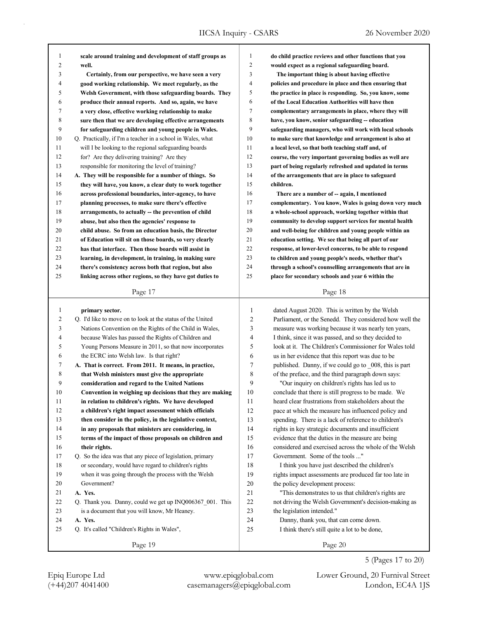| $\mathbf{1}$   | scale around training and development of staff groups as    | $\mathbf{1}$ | do child practice reviews and other functions that you                                 |
|----------------|-------------------------------------------------------------|--------------|----------------------------------------------------------------------------------------|
| $\overline{c}$ | well.                                                       | 2            | would expect as a regional safeguarding board.                                         |
| 3              | Certainly, from our perspective, we have seen a very        | 3            | The important thing is about having effective                                          |
| 4              | good working relationship. We meet regularly, as the        | 4            | policies and procedure in place and then ensuring that                                 |
| 5              | Welsh Government, with those safeguarding boards. They      | 5            | the practice in place is responding. So, you know, some                                |
| 6              | produce their annual reports. And so, again, we have        | 6            | of the Local Education Authorities will have then                                      |
| 7              | a very close, effective working relationship to make        | 7            | complementary arrangements in place, where they will                                   |
| 8              | sure then that we are developing effective arrangements     | 8            | have, you know, senior safeguarding -- education                                       |
| 9              | for safeguarding children and young people in Wales.        | 9            | safeguarding managers, who will work with local schools                                |
| $10\,$         | Q. Practically, if I'm a teacher in a school in Wales, what | 10           | to make sure that knowledge and arrangement is also at                                 |
| 11             | will I be looking to the regional safeguarding boards       | 11           | a local level, so that both teaching staff and, of                                     |
| 12             | for? Are they delivering training? Are they                 | 12           | course, the very important governing bodies as well are                                |
| 13             | responsible for monitoring the level of training?           | 13           | part of being regularly refreshed and updated in terms                                 |
| 14             | A. They will be responsible for a number of things. So      | 14           | of the arrangements that are in place to safeguard                                     |
| 15             | they will have, you know, a clear duty to work together     | 15           | children.                                                                              |
| 16             | across professional boundaries, inter-agency, to have       | 16           | There are a number of -- again, I mentioned                                            |
| 17             | planning processes, to make sure there's effective          | 17           | complementary. You know, Wales is going down very much                                 |
| 18             | arrangements, to actually -- the prevention of child        | 18           | a whole-school approach, working together within that                                  |
| 19             | abuse, but also then the agencies' response to              | 19           | community to develop support services for mental health                                |
| 20             | child abuse. So from an education basis, the Director       | 20           | and well-being for children and young people within an                                 |
| 21             | of Education will sit on those boards, so very clearly      | 21           | education setting. We see that being all part of our                                   |
| 22             | has that interface. Then those boards will assist in        | 22           | response, at lower-level concerns, to be able to respond                               |
| 23             | learning, in development, in training, in making sure       | 23           | to children and young people's needs, whether that's                                   |
| 24             | there's consistency across both that region, but also       | 24           | through a school's counselling arrangements that are in                                |
| 25             | linking across other regions, so they have got duties to    | 25           | place for secondary schools and year 6 within the                                      |
|                |                                                             |              |                                                                                        |
|                |                                                             |              |                                                                                        |
|                | Page 17                                                     |              | Page 18                                                                                |
|                |                                                             |              |                                                                                        |
| $\mathbf{1}$   | primary sector.                                             | $\mathbf{1}$ | dated August 2020. This is written by the Welsh                                        |
| $\overline{c}$ | Q. I'd like to move on to look at the status of the United  | 2            | Parliament, or the Senedd. They considered how well the                                |
| 3              | Nations Convention on the Rights of the Child in Wales,     | 3            | measure was working because it was nearly ten years,                                   |
| $\overline{4}$ | because Wales has passed the Rights of Children and         | 4            | I think, since it was passed, and so they decided to                                   |
| 5              | Young Persons Measure in 2011, so that now incorporates     | 5            | look at it. The Children's Commissioner for Wales told                                 |
| 6              | the ECRC into Welsh law. Is that right?                     | 6            | us in her evidence that this report was due to be                                      |
| 7              | A. That is correct. From 2011. It means, in practice,       | 7            | published. Danny, if we could go to 008, this is part                                  |
| $\,$ 8 $\,$    | that Welsh ministers must give the appropriate              | 8            | of the preface, and the third paragraph down says:                                     |
| 9              | consideration and regard to the United Nations              | 9            | "Our inquiry on children's rights has led us to                                        |
| 10             | Convention in weighing up decisions that they are making    | 10           | conclude that there is still progress to be made. We                                   |
| 11             | in relation to children's rights. We have developed         | 11           | heard clear frustrations from stakeholders about the                                   |
| 12             | a children's right impact assessment which officials        | 12           | pace at which the measure has influenced policy and                                    |
| 13             | then consider in the policy, in the legislative context,    | 13           | spending. There is a lack of reference to children's                                   |
| 14             | in any proposals that ministers are considering, in         | 14           | rights in key strategic documents and insufficient                                     |
| 15             | terms of the impact of those proposals on children and      | 15           | evidence that the duties in the measure are being                                      |
| $16\,$         | their rights.                                               | 16           | considered and exercised across the whole of the Welsh                                 |
| 17             | Q. So the idea was that any piece of legislation, primary   | 17           | Government. Some of the tools "                                                        |
| $18\,$         | or secondary, would have regard to children's rights        | $18\,$       | I think you have just described the children's                                         |
| 19             | when it was going through the process with the Welsh        | 19           | rights impact assessments are produced far too late in                                 |
| 20             | Government?                                                 | $20\,$       | the policy development process:                                                        |
| 21             | A. Yes.                                                     | $21\,$       | "This demonstrates to us that children's rights are                                    |
| 22             | Q. Thank you. Danny, could we get up INQ006367_001. This    | 22           | not driving the Welsh Government's decision-making as                                  |
| 23             | is a document that you will know, Mr Heaney.                | 23           | the legislation intended."                                                             |
| 24<br>25       | A. Yes.<br>Q. It's called "Children's Rights in Wales",     | 24<br>25     | Danny, thank you, that can come down.<br>I think there's still quite a lot to be done, |

Page 19

(+44)207 4041400 casemanagers@epiqglobal.com London, EC4A 1JS Epiq Europe Ltd www.epiqglobal.com Lower Ground, 20 Furnival Street

5 (Pages 17 to 20)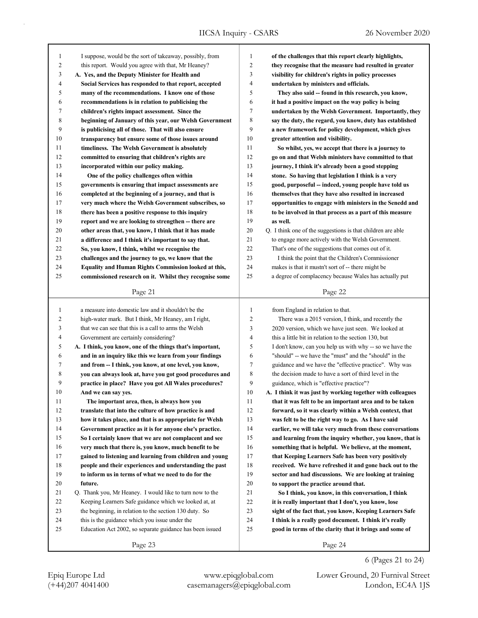| $\mathbf{1}$   | I suppose, would be the sort of takeaway, possibly, from  | $\mathbf{1}$   | of the challenges that this report clearly highlights,      |
|----------------|-----------------------------------------------------------|----------------|-------------------------------------------------------------|
| $\overline{c}$ | this report. Would you agree with that, Mr Heaney?        | $\overline{c}$ | they recognise that the measure had resulted in greater     |
| 3              | A. Yes, and the Deputy Minister for Health and            | 3              | visibility for children's rights in policy processes        |
| $\overline{4}$ | Social Services has responded to that report, accepted    | 4              | undertaken by ministers and officials.                      |
| 5              | many of the recommendations. I know one of those          | 5              | They also said -- found in this research, you know,         |
| 6              | recommendations is in relation to publicising the         | 6              | it had a positive impact on the way policy is being         |
| 7              | children's rights impact assessment. Since the            | 7              | undertaken by the Welsh Government. Importantly, they       |
| 8              | beginning of January of this year, our Welsh Government   | 8              | say the duty, the regard, you know, duty has established    |
| 9              | is publicising all of those. That will also ensure        | 9              | a new framework for policy development, which gives         |
| 10             | transparency but ensure some of those issues around       | 10             | greater attention and visibility.                           |
| 11             | timeliness. The Welsh Government is absolutely            | 11             | So whilst, yes, we accept that there is a journey to        |
| 12             | committed to ensuring that children's rights are          | 12             | go on and that Welsh ministers have committed to that       |
| 13             | incorporated within our policy making.                    | 13             | journey, I think it's already been a good stepping          |
| 14             | One of the policy challenges often within                 | 14             | stone. So having that legislation I think is a very         |
| 15             | governments is ensuring that impact assessments are       | 15             | good, purposeful -- indeed, young people have told us       |
| 16             | completed at the beginning of a journey, and that is      | 16             | themselves that they have also resulted in increased        |
| 17             | very much where the Welsh Government subscribes, so       | 17             | opportunities to engage with ministers in the Senedd and    |
| 18             | there has been a positive response to this inquiry        | 18             | to be involved in that process as a part of this measure    |
| 19             | report and we are looking to strengthen -- there are      | 19             | as well.                                                    |
| 20             | other areas that, you know, I think that it has made      | 20             | Q. I think one of the suggestions is that children are able |
| 21             | a difference and I think it's important to say that.      | 21             | to engage more actively with the Welsh Government.          |
| 22             | So, you know, I think, whilst we recognise the            | 22             | That's one of the suggestions that comes out of it.         |
| 23             | challenges and the journey to go, we know that the        | 23             | I think the point that the Children's Commissioner          |
| 24             | Equality and Human Rights Commission looked at this,      | 24             | makes is that it mustn't sort of -- there might be          |
| 25             | commissioned research on it. Whilst they recognise some   | 25             | a degree of complacency because Wales has actually put      |
|                |                                                           |                |                                                             |
|                | Page 21                                                   |                | Page 22                                                     |
|                |                                                           |                |                                                             |
|                |                                                           |                |                                                             |
| $\mathbf{1}$   | a measure into domestic law and it shouldn't be the       | 1              | from England in relation to that.                           |
| $\overline{c}$ | high-water mark. But I think, Mr Heaney, am I right,      | $\overline{c}$ | There was a 2015 version, I think, and recently the         |
| 3              | that we can see that this is a call to arms the Welsh     | 3              | 2020 version, which we have just seen. We looked at         |
| $\overline{4}$ | Government are certainly considering?                     | $\overline{4}$ | this a little bit in relation to the section 130, but       |
| 5              | A. I think, you know, one of the things that's important, | 5              | I don't know, can you help us with why -- so we have the    |
| 6              | and in an inquiry like this we learn from your findings   | 6              | "should" -- we have the "must" and the "should" in the      |
| 7              | and from -- I think, you know, at one level, you know,    | 7              | guidance and we have the "effective practice". Why was      |
| 8              | you can always look at, have you got good procedures and  | 8              | the decision made to have a sort of third level in the      |
| 9              | practice in place? Have you got All Wales procedures?     | 9              | guidance, which is "effective practice"?                    |
| 10             | And we can say yes.                                       | 10             | A. I think it was just by working together with colleagues  |
| 11             | The important area, then, is always how you               | 11             | that it was felt to be an important area and to be taken    |
| 12             | translate that into the culture of how practice is and    | 12             | forward, so it was clearly within a Welsh context, that     |
| 13             | how it takes place, and that is as appropriate for Welsh  | 13             | was felt to be the right way to go. As I have said          |
| 14             | Government practice as it is for anyone else's practice.  | 14             | earlier, we will take very much from these conversations    |
| 15             | So I certainly know that we are not complacent and see    | 15             | and learning from the inquiry whether, you know, that is    |
| 16             | very much that there is, you know, much benefit to be     | 16             | something that is helpful. We believe, at the moment,       |
| 17             | gained to listening and learning from children and young  | 17             | that Keeping Learners Safe has been very positively         |
| 18             | people and their experiences and understanding the past   | 18             | received. We have refreshed it and gone back out to the     |
| 19             | to inform us in terms of what we need to do for the       | 19             | sector and had discussions. We are looking at training      |
| 20             | future.                                                   | 20             | to support the practice around that.                        |
| 21             | Q. Thank you, Mr Heaney. I would like to turn now to the  | 21             | So I think, you know, in this conversation, I think         |
| 22             | Keeping Learners Safe guidance which we looked at, at     | $22\,$         | it is really important that I don't, you know, lose         |
| 23             | the beginning, in relation to the section 130 duty. So    | 23             | sight of the fact that, you know, Keeping Learners Safe     |
| 24             | this is the guidance which you issue under the            | 24             | I think is a really good document. I think it's really      |
| 25             | Education Act 2002, so separate guidance has been issued  | 25             | good in terms of the clarity that it brings and some of     |
|                | Page 23                                                   |                | Page 24                                                     |

(+44)207 4041400 casemanagers@epiqglobal.com London, EC4A 1JS Epiq Europe Ltd www.epiqglobal.com Lower Ground, 20 Furnival Street

6 (Pages 21 to 24)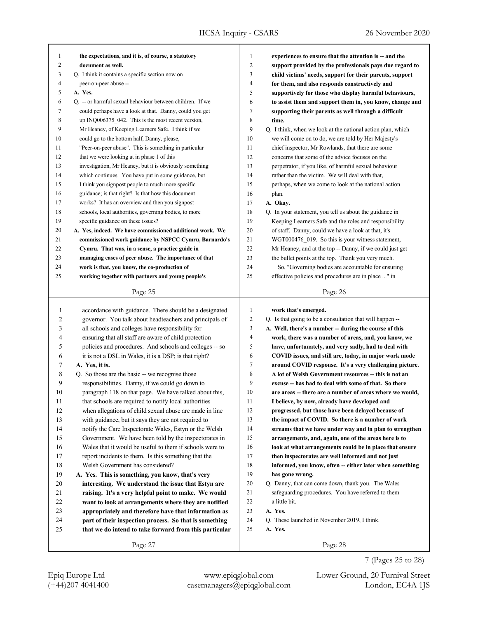٦

| 1              | the expectations, and it is, of course, a statutory                                                               | $\mathbf{1}$   | experiences to ensure that the attention is -- and the                                              |
|----------------|-------------------------------------------------------------------------------------------------------------------|----------------|-----------------------------------------------------------------------------------------------------|
| 2              | document as well.                                                                                                 | $\overline{c}$ | support provided by the professionals pays due regard to                                            |
| 3              | Q. I think it contains a specific section now on                                                                  | 3              | child victims' needs, support for their parents, support                                            |
| 4              | peer-on-peer abuse --                                                                                             | 4              | for them, and also responds constructively and                                                      |
| 5              | A. Yes.                                                                                                           | 5              | supportively for those who display harmful behaviours,                                              |
| 6              | Q. -- or harmful sexual behaviour between children. If we                                                         | 6              | to assist them and support them in, you know, change and                                            |
| 7              | could perhaps have a look at that. Danny, could you get                                                           | 7              | supporting their parents as well through a difficult                                                |
| 8              | up INQ006375_042. This is the most recent version,                                                                | 8              | time.                                                                                               |
| 9              | Mr Heaney, of Keeping Learners Safe. I think if we                                                                | 9              | Q. I think, when we look at the national action plan, which                                         |
| 10             | could go to the bottom half, Danny, please,                                                                       | 10             | we will come on to do, we are told by Her Majesty's                                                 |
| 11             | "Peer-on-peer abuse". This is something in particular                                                             | 11             | chief inspector, Mr Rowlands, that there are some                                                   |
| 12             | that we were looking at in phase 1 of this                                                                        | 12             | concerns that some of the advice focuses on the                                                     |
| 13             | investigation, Mr Heaney, but it is obviously something                                                           | 13             | perpetrator, if you like, of harmful sexual behaviour                                               |
| 14             | which continues. You have put in some guidance, but                                                               | 14             | rather than the victim. We will deal with that,                                                     |
| 15             | I think you signpost people to much more specific                                                                 | 15             | perhaps, when we come to look at the national action                                                |
| 16             | guidance; is that right? Is that how this document                                                                | 16             | plan.                                                                                               |
| 17             | works? It has an overview and then you signpost                                                                   | 17             | A. Okay.                                                                                            |
| 18             | schools, local authorities, governing bodies, to more                                                             | 18             | Q. In your statement, you tell us about the guidance in                                             |
| 19             | specific guidance on these issues?                                                                                | 19             | Keeping Learners Safe and the roles and responsibility                                              |
| 20             | A. Yes, indeed. We have commissioned additional work. We                                                          | 20             | of staff. Danny, could we have a look at that, it's                                                 |
| 21             | commissioned work guidance by NSPCC Cymru, Barnardo's                                                             | 21             | WGT000476_019. So this is your witness statement,                                                   |
| 22             | Cymru. That was, in a sense, a practice guide in                                                                  | 22             | Mr Heaney, and at the top -- Danny, if we could just get                                            |
| 23             | managing cases of peer abuse. The importance of that                                                              | 23             | the bullet points at the top. Thank you very much.                                                  |
| 24             | work is that, you know, the co-production of                                                                      | 24             | So, "Governing bodies are accountable for ensuring                                                  |
| 25             | working together with partners and young people's                                                                 | 25             | effective policies and procedures are in place " in                                                 |
|                | Page 25                                                                                                           |                | Page 26                                                                                             |
|                |                                                                                                                   |                |                                                                                                     |
|                |                                                                                                                   |                |                                                                                                     |
| $\mathbf{1}$   | accordance with guidance. There should be a designated                                                            | $\mathbf{1}$   | work that's emerged.                                                                                |
| $\overline{c}$ | governor. You talk about headteachers and principals of                                                           | $\overline{c}$ | Q. Is that going to be a consultation that will happen --                                           |
| 3              | all schools and colleges have responsibility for                                                                  | 3              | A. Well, there's a number -- during the course of this                                              |
| 4              | ensuring that all staff are aware of child protection                                                             | $\overline{4}$ | work, there was a number of areas, and, you know, we                                                |
| 5              | policies and procedures. And schools and colleges -- so                                                           | 5              | have, unfortunately, and very sadly, had to deal with                                               |
| 6              | it is not a DSL in Wales, it is a DSP; is that right?                                                             | 6              | COVID issues, and still are, today, in major work mode                                              |
| 7              | A. Yes, it is.                                                                                                    | 7              | around COVID response. It's a very challenging picture.                                             |
| 8              | Q. So those are the basic -- we recognise those                                                                   | 8<br>9         | A lot of Welsh Government resources -- this is not an                                               |
| 9<br>10        | responsibilities. Danny, if we could go down to                                                                   | 10             | excuse -- has had to deal with some of that. So there                                               |
|                | paragraph 118 on that page. We have talked about this,                                                            | 11             | are areas -- there are a number of areas where we would,                                            |
| $11\,$<br>12   | that schools are required to notify local authorities                                                             | 12             | I believe, by now, already have developed and<br>progressed, but those have been delayed because of |
| 13             | when allegations of child sexual abuse are made in line<br>with guidance, but it says they are not required to    | 13             | the impact of COVID. So there is a number of work                                                   |
| 14             |                                                                                                                   | 14             | streams that we have under way and in plan to strengthen                                            |
| 15             | notify the Care Inspectorate Wales, Estyn or the Welsh                                                            | 15             | arrangements, and, again, one of the areas here is to                                               |
| 16             | Government. We have been told by the inspectorates in<br>Wales that it would be useful to them if schools were to | 16             | look at what arrangements could be in place that ensure                                             |
| 17             |                                                                                                                   | 17             | then inspectorates are well informed and not just                                                   |
| 18             | report incidents to them. Is this something that the<br>Welsh Government has considered?                          | 18             | informed, you know, often -- either later when something                                            |
| 19             | A. Yes. This is something, you know, that's very                                                                  | 19             | has gone wrong.                                                                                     |
| $20\,$         | interesting. We understand the issue that Estyn are                                                               | 20             | Q. Danny, that can come down, thank you. The Wales                                                  |
| 21             | raising. It's a very helpful point to make. We would                                                              | 21             | safeguarding procedures. You have referred to them                                                  |
| 22             | want to look at arrangements where they are notified                                                              | 22             | a little bit.                                                                                       |
| 23             | appropriately and therefore have that information as                                                              | 23             | A. Yes.                                                                                             |
| 24             | part of their inspection process. So that is something                                                            | 24             | Q. These launched in November 2019, I think.                                                        |
| 25             | that we do intend to take forward from this particular                                                            | 25             | A. Yes.                                                                                             |

7 (Pages 25 to 28)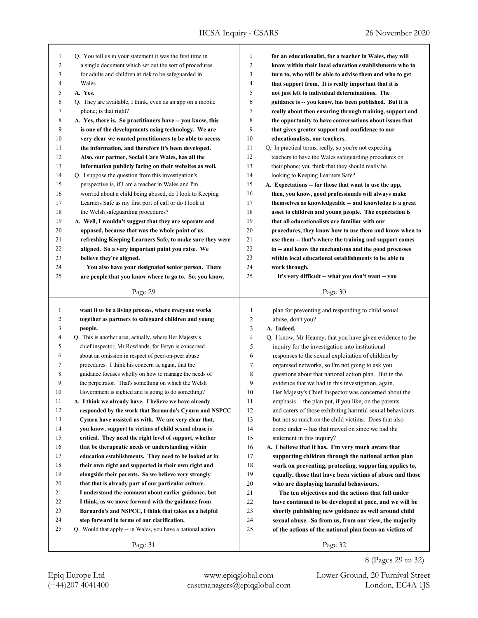| 1              | Q. You tell us in your statement it was the first time in   | $\mathbf{1}$   | for an educationalist, for a teacher in Wales, they will  |
|----------------|-------------------------------------------------------------|----------------|-----------------------------------------------------------|
| $\overline{2}$ | a single document which set out the sort of procedures      | $\overline{2}$ | know within their local education establishments who to   |
| 3              | for adults and children at risk to be safeguarded in        | 3              | turn to, who will be able to advise them and who to get   |
| 4              | Wales.                                                      | $\overline{4}$ | that support from. It is really important that it is      |
| 5              | A. Yes.                                                     | 5              | not just left to individual determinations. The           |
| 6              | Q. They are available, I think, even as an app on a mobile  | 6              | guidance is -- you know, has been published. But it is    |
| $\tau$         | phone; is that right?                                       | 7              | really about then ensuring through training, support and  |
| 8              | A. Yes, there is. So practitioners have -- you know, this   | 8              | the opportunity to have conversations about issues that   |
| 9              | is one of the developments using technology. We are         | 9              | that gives greater support and confidence to our          |
| 10             | very clear we wanted practitioners to be able to access     | 10             | educationalists, our teachers.                            |
| 11             | the information, and therefore it's been developed.         | 11             | Q. In practical terms, really, so you're not expecting    |
| 12             | Also, our partner, Social Care Wales, has all the           | 12             | teachers to have the Wales safeguarding procedures on     |
| 13             | information publicly facing on their websites as well.      | 13             | their phone; you think that they should really be         |
| 14             | Q. I suppose the question from this investigation's         | 14             | looking to Keeping Learners Safe?                         |
| 15             | perspective is, if I am a teacher in Wales and I'm          | 15             | A. Expectations -- for those that want to use the app,    |
| 16             | worried about a child being abused, do I look to Keeping    | 16             | then, you know, good professionals will always make       |
| 17             | Learners Safe as my first port of call or do I look at      | 17             | themselves as knowledgeable -- and knowledge is a great   |
| 18             | the Welsh safeguarding procedures?                          | 18             | asset to children and young people. The expectation is    |
| 19             | A. Well, I wouldn't suggest that they are separate and      | 19             | that all educationalists are familiar with our            |
| 20             | opposed, because that was the whole point of us             | 20             | procedures, they know how to use them and know when to    |
| 21             | refreshing Keeping Learners Safe, to make sure they were    | 21             | use them -- that's where the training and support comes   |
| 22             | aligned. So a very important point you raise. We            | 22             | in -- and know the mechanisms and the good processes      |
| 23             | believe they're aligned.                                    | 23             | within local educational establishments to be able to     |
| 24             | You also have your designated senior person. There          | 24             | work through.                                             |
| 25             | are people that you know where to go to. So, you know,      | 25             | It's very difficult -- what you don't want -- you         |
|                |                                                             |                |                                                           |
|                | Page 29                                                     |                | Page 30                                                   |
|                |                                                             |                |                                                           |
|                |                                                             |                |                                                           |
| $\mathbf{1}$   | want it to be a living process, where everyone works        | 1              | plan for preventing and responding to child sexual        |
| 2              | together as partners to safeguard children and young        | $\overline{2}$ | abuse, don't you?                                         |
| 3              | people.                                                     | 3              | A. Indeed.                                                |
| $\overline{4}$ | Q. This is another area, actually, where Her Majesty's      | $\overline{4}$ | Q. I know, Mr Heaney, that you have given evidence to the |
| 5              | chief inspector, Mr Rowlands, for Estyn is concerned        | 5              | inquiry for the investigation into institutional          |
| 6              | about an omission in respect of peer-on-peer abuse          | 6              | responses to the sexual exploitation of children by       |
| 7              | procedures. I think his concern is, again, that the         | 7              | organised networks, so I'm not going to ask you           |
| 8              | guidance focuses wholly on how to manage the needs of       | 8              | questions about that national action plan. But in the     |
| 9              | the perpetrator. That's something on which the Welsh        | 9              | evidence that we had in this investigation, again,        |
| 10             | Government is sighted and is going to do something?         | 10             | Her Majesty's Chief Inspector was concerned about the     |
| 11             | A. I think we already have. I believe we have already       | 11             | emphasis -- the plan put, if you like, on the parents     |
| 12             | responded by the work that Barnardo's Cymru and NSPCC       | 12             | and carers of those exhibiting harmful sexual behaviours  |
| 13             | Cymru have assisted us with. We are very clear that,        | 13             | but not so much on the child victims. Does that also      |
| 14             | you know, support to victims of child sexual abuse is       | 14             | come under -- has that moved on since we had the          |
| 15             | critical. They need the right level of support, whether     | 15             | statement in this inquiry?                                |
| 16             | that be therapeutic needs or understanding within           | 16             | A. I believe that it has. I'm very much aware that        |
| 17             | education establishments. They need to be looked at in      | 17             | supporting children through the national action plan      |
| 18             | their own right and supported in their own right and        | 18             | work on preventing, protecting, supporting applies to,    |
| 19             | alongside their parents. So we believe very strongly        | 19             | equally, those that have been victims of abuse and those  |
| 20             | that that is already part of our particular culture.        | 20             | who are displaying harmful behaviours.                    |
| 21             | I understand the comment about earlier guidance, but        | 21             | The ten objectives and the actions that fall under        |
| 22             | I think, as we move forward with the guidance from          | 22             | have continued to be developed at pace, and we will be    |
| 23             | Barnardo's and NSPCC, I think that takes us a helpful       | 23             | shortly publishing new guidance as well around child      |
| 24             | step forward in terms of our clarification.                 | 24             | sexual abuse. So from us, from our view, the majority     |
| 25             | Q. Would that apply -- in Wales, you have a national action | 25             | of the actions of the national plan focus on victims of   |
|                | Page 31                                                     |                | Page 32                                                   |

(+44)207 4041400 casemanagers@epiqglobal.com London, EC4A 1JS Epiq Europe Ltd www.epiqglobal.com Lower Ground, 20 Furnival Street

8 (Pages 29 to 32)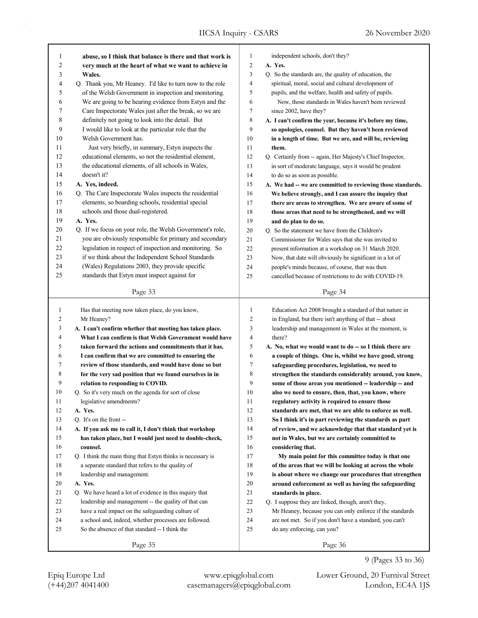| 1              | abuse, so I think that balance is there and that work is    | 1              | independent schools, don't they?                            |
|----------------|-------------------------------------------------------------|----------------|-------------------------------------------------------------|
| $\mathfrak{2}$ | very much at the heart of what we want to achieve in        | $\overline{c}$ | A. Yes.                                                     |
| 3              | Wales.                                                      | 3              | Q. So the standards are, the quality of education, the      |
| 4              | Q. Thank you, Mr Heaney. I'd like to turn now to the role   | $\overline{4}$ | spiritual, moral, social and cultural development of        |
| 5              | of the Welsh Government in inspection and monitoring.       | 5              | pupils, and the welfare, health and safety of pupils.       |
| 6              | We are going to be hearing evidence from Estyn and the      | 6              | Now, those standards in Wales haven't been reviewed         |
| 7              | Care Inspectorate Wales just after the break, so we are     | $\tau$         | since 2002, have they?                                      |
| 8              | definitely not going to look into the detail. But           | $\,$ 8 $\,$    | A. I can't confirm the year, because it's before my time,   |
| 9              | I would like to look at the particular role that the        | 9              | so apologies, counsel. But they haven't been reviewed       |
| 10             | Welsh Government has.                                       | 10             | in a length of time. But we are, and will be, reviewing     |
|                |                                                             |                |                                                             |
| 11             | Just very briefly, in summary, Estyn inspects the           | 11             | them.                                                       |
| 12             | educational elements, so not the residential element,       | 12             | Q. Certainly from -- again, Her Majesty's Chief Inspector,  |
| 13             | the educational elements, of all schools in Wales,          | 13             | in sort of moderate language, says it would be prudent      |
| 14             | doesn't it?                                                 | 14             | to do so as soon as possible.                               |
| 15             | A. Yes, indeed.                                             | 15             | A. We had -- we are committed to reviewing those standards. |
| 16             | Q. The Care Inspectorate Wales inspects the residential     | 16             | We believe strongly, and I can assure the inquiry that      |
| 17             | elements, so boarding schools, residential special          | 17             | there are areas to strengthen. We are aware of some of      |
| 18             | schools and those dual-registered.                          | 18             | those areas that need to be strengthened, and we will       |
| 19             | A. Yes.                                                     | 19             | and do plan to do so.                                       |
| 20             | Q. If we focus on your role, the Welsh Government's role,   | 20             | Q. So the statement we have from the Children's             |
| 21             | you are obviously responsible for primary and secondary     | 21             | Commissioner for Wales says that she was invited to         |
| 22             | legislation in respect of inspection and monitoring. So     | 22             | present information at a workshop on 31 March 2020.         |
| 23             | if we think about the Independent School Standards          | 23             | Now, that date will obviously be significant in a lot of    |
| 24             | (Wales) Regulations 2003, they provide specific             | 24             | people's minds because, of course, that was then            |
| 25             | standards that Estyn must inspect against for               | 25             | cancelled because of restrictions to do with COVID-19.      |
|                |                                                             |                |                                                             |
|                | Page 33                                                     |                | Page 34                                                     |
|                |                                                             |                |                                                             |
| 1              | Has that meeting now taken place, do you know,              | $\mathbf{1}$   | Education Act 2008 brought a standard of that nature in     |
| 2              | Mr Heaney?                                                  | $\sqrt{2}$     | in England, but there isn't anything of that -- about       |
| 3              | A. I can't confirm whether that meeting has taken place.    | 3              | leadership and management in Wales at the moment, is        |
| 4              | What I can confirm is that Welsh Government would have      | 4              | there?                                                      |
| 5              | taken forward the actions and commitments that it has.      | 5              |                                                             |
| 6              |                                                             | 6              | A. No, what we would want to do -- so I think there are     |
|                | I can confirm that we are committed to ensuring the         | 7              | a couple of things. One is, whilst we have good, strong     |
| 7              | review of those standards, and would have done so but       |                | safeguarding procedures, legislation, we need to            |
| 8              | for the very sad position that we found ourselves in in     | 8              | strengthen the standards considerably around, you know,     |
| 9              | relation to responding to COVID.                            | 9              | some of those areas you mentioned -- leadership -- and      |
| 10             | Q. So it's very much on the agenda for sort of close        | 10             | also we need to ensure, then, that, you know, where         |
| 11             | legislative amendments?                                     | $1\,1$         | regulatory activity is required to ensure those             |
| 12             | A. Yes.                                                     | 12             | standards are met, that we are able to enforce as well.     |
| 13             | O. It's on the front --                                     | 13             | So I think it's in part reviewing the standards as part     |
| 14             | A. If you ask me to call it, I don't think that workshop    | 14             | of review, and we acknowledge that that standard yet is     |
| 15             | has taken place, but I would just need to double-check,     | 15             | not in Wales, but we are certainly committed to             |
| 16             | counsel.                                                    | 16             | considering that.                                           |
| 17             | Q. I think the main thing that Estyn thinks is necessary is | 17             | My main point for this committee today is that one          |
| 18             | a separate standard that refers to the quality of           | 18             | of the areas that we will be looking at across the whole    |
| 19             | leadership and management.                                  | 19             | is about where we change our procedures that strengthen     |
| 20             | A. Yes.                                                     | 20             | around enforcement as well as having the safeguarding       |
| 21             | Q. We have heard a lot of evidence in this inquiry that     | 21             | standards in place.                                         |
| 22             | leadership and management -- the quality of that can        | 22             | Q. I suppose they are linked, though, aren't they,          |
| 23             | have a real impact on the safeguarding culture of           | 23             | Mr Heaney, because you can only enforce if the standards    |
| 24             | a school and, indeed, whether processes are followed.       | 24             | are not met. So if you don't have a standard, you can't     |
| 25             | So the absence of that standard -- I think the              | 25             | do any enforcing, can you?                                  |

9 (Pages 33 to 36)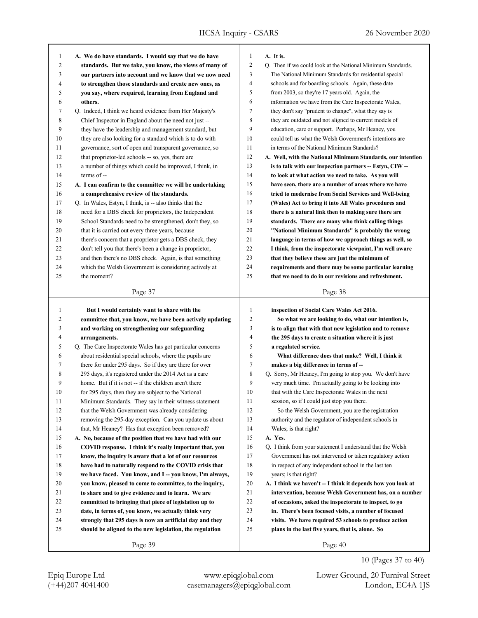| $\mathbf{1}$   | A. We do have standards. I would say that we do have     | $\mathbf{1}$   |
|----------------|----------------------------------------------------------|----------------|
| 2              | standards. But we take, you know, the views of many of   | $\overline{c}$ |
| 3              | our partners into account and we know that we now need   | 3              |
| $\overline{4}$ | to strengthen those standards and create new ones, as    | 4              |
| 5              | you say, where required, learning from England and       | 5              |
| 6              | others.                                                  | 6              |
| 7              | O. Indeed, I think we heard evidence from Her Majesty's  | 7              |
| 8              | Chief Inspector in England about the need not just --    | 8              |
| 9              | they have the leadership and management standard, but    | 9              |
| 10             | they are also looking for a standard which is to do with | 10             |
| 11             | governance, sort of open and transparent governance, so  | 11             |
| 12             | that proprietor-led schools -- so, yes, there are        | 12             |
| 13             | a number of things which could be improved, I think, in  | 13             |
| 14             | $terms of -$                                             | 14             |
| 15             | A. I can confirm to the committee we will be undertaking | 15             |
| 16             | a comprehensive review of the standards.                 | 16             |
| 17             | Q. In Wales, Estyn, I think, is -- also thinks that the  | 17             |
| 18             | need for a DBS check for proprietors, the Independent    | 18             |
| 19             | School Standards need to be strengthened, don't they, so | 19             |
| 20             | that it is carried out every three years, because        | 20             |
| 21             | there's concern that a proprietor gets a DBS check, they | 21             |
| 22             | don't tell you that there's been a change in proprietor, | 22             |
| 23             | and then there's no DBS check. Again, is that something  | 23             |
| 24             | which the Welsh Government is considering actively at    | 24             |
| 25             | the moment?                                              | 25             |
|                |                                                          |                |

## A. It is.

| 2  | O. Then if we could look at the National Minimum Standards. |
|----|-------------------------------------------------------------|
| 3  | The National Minimum Standards for residential special      |
| 4  | schools and for boarding schools. Again, these date         |
| 5  | from 2003, so they're 17 years old. Again, the              |
| 6  | information we have from the Care Inspectorate Wales,       |
| 7  | they don't say "prudent to change", what they say is        |
| 8  | they are outdated and not aligned to current models of      |
| 9  | education, care or support. Perhaps, Mr Heaney, you         |
| 10 | could tell us what the Welsh Government's intentions are    |
| 11 | in terms of the National Minimum Standards?                 |
| 12 | A. Well, with the National Minimum Standards, our intention |
| 13 | is to talk with our inspection partners -- Estyn, CIW --    |
| 14 | to look at what action we need to take. As you will         |
| 15 | have seen, there are a number of areas where we have        |
| 16 | tried to modernise from Social Services and Well-being      |
| 17 | (Wales) Act to bring it into All Wales procedures and       |
| 18 | there is a natural link then to making sure there are       |
| 19 | standards. There are many who think calling things          |
| 20 | "National Minimum Standards" is probably the wrong          |
| 21 | language in terms of how we approach things as well, so     |
| 22 | I think, from the inspectorate viewpoint, I'm well aware    |
| 23 | that they believe these are just the minimum of             |
| 24 | requirements and there may be some particular learning      |
| 25 | that we need to do in our revisions and refreshment.        |

## Page 38

| 1  | But I would certainly want to share with the               | 1  | inspection of Social Care Wales Act 2016.                   |
|----|------------------------------------------------------------|----|-------------------------------------------------------------|
| 2  | committee that, you know, we have been actively updating   | 2  | So what we are looking to do, what our intention is,        |
| 3  | and working on strengthening our safeguarding              | 3  | is to align that with that new legislation and to remove    |
| 4  | arrangements.                                              | 4  | the 295 days to create a situation where it is just         |
| 5  | Q. The Care Inspectorate Wales has got particular concerns | 5  | a regulated service.                                        |
| 6  | about residential special schools, where the pupils are    | 6  | What difference does that make? Well, I think it            |
| 7  | there for under 295 days. So if they are there for over    | 7  | makes a big difference in terms of --                       |
| 8  | 295 days, it's registered under the 2014 Act as a care     | 8  | Q. Sorry, Mr Heaney, I'm going to stop you. We don't have   |
| 9  | home. But if it is not -- if the children aren't there     | 9  | very much time. I'm actually going to be looking into       |
| 10 | for 295 days, then they are subject to the National        | 10 | that with the Care Inspectorate Wales in the next           |
| 11 | Minimum Standards. They say in their witness statement     | 11 | session, so if I could just stop you there.                 |
| 12 | that the Welsh Government was already considering          | 12 | So the Welsh Government, you are the registration           |
| 13 | removing the 295-day exception. Can you update us about    | 13 | authority and the regulator of independent schools in       |
| 14 | that, Mr Heaney? Has that exception been removed?          | 14 | Wales; is that right?                                       |
| 15 | A. No, because of the position that we have had with our   | 15 | A. Yes.                                                     |
| 16 | COVID response. I think it's really important that, you    | 16 | Q. I think from your statement I understand that the Welsh  |
| 17 | know, the inquiry is aware that a lot of our resources     | 17 | Government has not intervened or taken regulatory action    |
| 18 | have had to naturally respond to the COVID crisis that     | 18 | in respect of any independent school in the last ten        |
| 19 | we have faced. You know, and I -- you know, I'm always,    | 19 | years; is that right?                                       |
| 20 | you know, pleased to come to committee, to the inquiry,    | 20 | A. I think we haven't -- I think it depends how you look at |
| 21 | to share and to give evidence and to learn. We are         | 21 | intervention, because Welsh Government has, on a number     |
| 22 | committed to bringing that piece of legislation up to      | 22 | of occasions, asked the inspectorate to inspect, to go      |
| 23 | date, in terms of, you know, we actually think very        | 23 | in. There's been focused visits, a number of focused        |
| 24 | strongly that 295 days is now an artificial day and they   | 24 | visits. We have required 53 schools to produce action       |
| 25 | should be aligned to the new legislation, the regulation   | 25 | plans in the last five years, that is, alone. So            |
|    |                                                            |    |                                                             |

Page 39

Page 40

(+44)207 4041400 casemanagers@epiqglobal.com London, EC4A 1JS Epiq Europe Ltd www.epiqglobal.com Lower Ground, 20 Furnival Street

10 (Pages 37 to 40)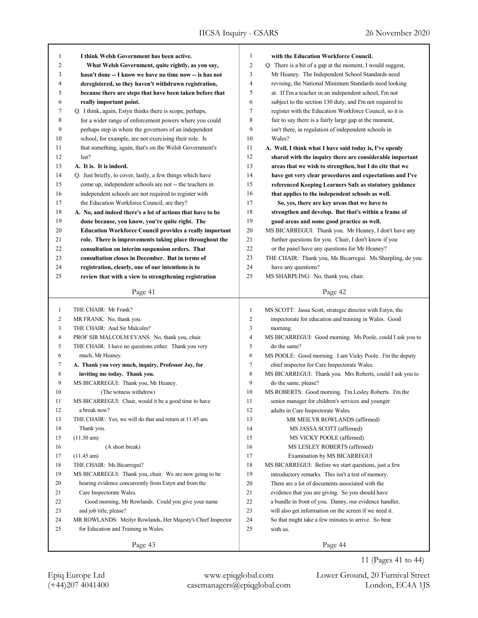| 1              | I think Welsh Government has been active.                      | 1              | with the Education Workforce Council.                      |
|----------------|----------------------------------------------------------------|----------------|------------------------------------------------------------|
| $\overline{c}$ | What Welsh Government, quite rightly, as you say,              | 2              | Q. There is a bit of a gap at the moment, I would suggest, |
| 3              | hasn't done -- I know we have no time now -- is has not        | 3              | Mr Heaney. The Independent School Standards need           |
| 4              | deregistered, so they haven't withdrawn registration,          | 4              | revising, the National Minimum Standards need looking      |
| 5              | because there are steps that have been taken before that       | 5              | at. If I'm a teacher in an independent school, I'm not     |
| 6              | really important point.                                        | 6              | subject to the section 130 duty, and I'm not required to   |
| 7              | Q. I think, again, Estyn thinks there is scope, perhaps,       | 7              | register with the Education Workforce Council, so it is    |
| 8              | for a wider range of enforcement powers where you could        | 8              | fair to say there is a fairly large gap at the moment,     |
| 9              | perhaps step in where the governors of an independent          | 9              | isn't there, in regulation of independent schools in       |
| 10             | school, for example, are not exercising their role. Is         | 10             | Wales?                                                     |
| 11             | that something, again, that's on the Welsh Government's        | 11             | A. Well, I think what I have said today is, I've openly    |
| 12             | list?                                                          | 12             | shared with the inquiry there are considerable important   |
| 13             | A. It is. It is indeed.                                        | 13             | areas that we wish to strengthen, but I do cite that we    |
| 14             | Q. Just briefly, to cover, lastly, a few things which have     | 14             | have got very clear procedures and expectations and I've   |
| 15             | come up, independent schools are not -- the teachers in        | 15             | referenced Keeping Learners Safe as statutory guidance     |
| 16             | independent schools are not required to register with          | 16             | that applies to the independent schools as well.           |
| 17             | the Education Workforce Council, are they?                     | 17             | So, yes, there are key areas that we have to               |
| 18             | A. No, and indeed there's a lot of actions that have to be     | 18             | strengthen and develop. But that's within a frame of       |
| 19             | done because, you know, you're quite right. The                | 19             | good areas and some good practice as well.                 |
| 20             | <b>Education Workforce Council provides a really important</b> | 20             | MS BICARREGUI: Thank you. Mr Heaney, I don't have any      |
| 21             | role. There is improvements taking place throughout the        | 21             | further questions for you. Chair, I don't know if you      |
| 22             | consultation on interim suspension orders. That                | 22             | or the panel have any questions for Mr Heaney?             |
| 23             | consultation closes in December. But in terms of               | 23             | THE CHAIR: Thank you, Ms Bicarregui. Ms Sharpling, do you  |
| 24             | registration, clearly, one of our intentions is to             | 24             | have any questions?                                        |
| 25             | review that with a view to strengthening registration          | 25             | MS SHARPLING: No, thank you, chair.                        |
|                |                                                                |                |                                                            |
|                | Page 41                                                        |                | Page 42                                                    |
|                |                                                                |                |                                                            |
|                |                                                                |                |                                                            |
| $\mathbf{1}$   | THE CHAIR: Mr Frank?                                           | $\mathbf{1}$   | MS SCOTT: Jassa Scott, strategic director with Estyn, the  |
| 2              | MR FRANK: No, thank you.                                       | $\overline{c}$ | inspectorate for education and training in Wales. Good     |
| 3              | THE CHAIR: And Sir Malcolm?                                    | 3              | morning.                                                   |
| 4              | PROF SIR MALCOLM EVANS: No, thank you, chair.                  | $\overline{4}$ | MS BICARREGUI: Good morning. Ms Poole, could I ask you to  |
| 5              | THE CHAIR: I have no questions either. Thank you very          | 5              | do the same?                                               |
| 6              | much, Mr Heaney.                                               | 6              | MS POOLE: Good morning. I am Vicky Poole. I'm the deputy   |
| 7              | A. Thank you very much, inquiry, Professor Jay, for            | 7              | chief inspector for Care Inspectorate Wales.               |
| 8              | inviting me today. Thank you.                                  | 8              | MS BICARREGUI: Thank you. Mrs Roberts, could I ask you to  |
| 9              | MS BICARREGUI: Thank you, Mr Heaney.                           | 9              | do the same, please?                                       |
| 10             | (The witness withdrew)                                         | 10             | MS ROBERTS: Good morning. I'm Lesley Roberts. I'm the      |
| 11             | MS BICARREGUI: Chair, would it be a good time to have          | 11             | senior manager for children's services and younger         |
| 12             | a break now?                                                   | 12             | adults in Care Inspectorate Wales.                         |
| 13             | THE CHAIR: Yes, we will do that and return at 11.45 am.        | 13             | MR MEILYR ROWLANDS (affirmed)                              |
| 14             | Thank you.                                                     | 14             | MS JASSA SCOTT (affirmed)                                  |
| 15             | $(11.30 \text{ am})$                                           | 15             | MS VICKY POOLE (affirmed)                                  |
| 16             | (A short break)                                                | 16             | MS LESLEY ROBERTS (affirmed)                               |
| 17             | $(11.45 \text{ am})$                                           | 17             | Examination by MS BICARREGUI                               |
| 18             | THE CHAIR: Ms Bicarregui?                                      | 18             | MS BICARREGUI: Before we start questions, just a few       |
| 19             | MS BICARREGUI: Thank you, chair. We are now going to be        | 19             | introductory remarks. This isn't a test of memory.         |
| 20             | hearing evidence concurrently from Estyn and from the          | 20             | There are a lot of documents associated with the           |
| 21             | Care Inspectorate Wales.                                       | 21             | evidence that you are giving. So you should have           |
| 22             | Good morning, Mr Rowlands. Could you give your name            | 22             | a bundle in front of you. Danny, our evidence handler,     |
| 23             | and job title, please?                                         | 23             | will also get information on the screen if we need it.     |
| 24             | MR ROWLANDS: Meilyr Rowlands, Her Majesty's Chief Inspector    | 24             | So that might take a few minutes to arrive. So bear        |
| 25             | for Education and Training in Wales.                           | 25             | with us.                                                   |

11 (Pages 41 to 44)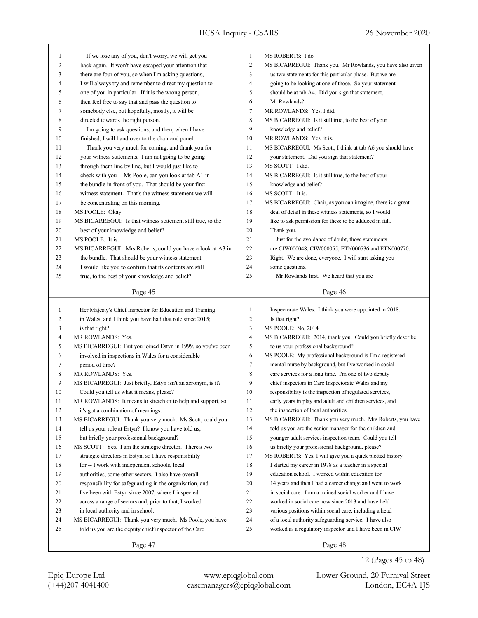| 1            | If we lose any of you, don't worry, we will get you         | $\mathbf{1}$   | MS ROBERTS: I do.                                          |
|--------------|-------------------------------------------------------------|----------------|------------------------------------------------------------|
| 2            | back again. It won't have escaped your attention that       | $\mathfrak{2}$ | MS BICARREGUI: Thank you. Mr Rowlands, you have also given |
| 3            | there are four of you, so when I'm asking questions,        | 3              | us two statements for this particular phase. But we are    |
| 4            | I will always try and remember to direct my question to     | $\overline{4}$ | going to be looking at one of those. So your statement     |
| 5            | one of you in particular. If it is the wrong person,        | 5              | should be at tab A4. Did you sign that statement,          |
| 6            | then feel free to say that and pass the question to         | 6              | Mr Rowlands?                                               |
| 7            | somebody else, but hopefully, mostly, it will be            | $\tau$         | MR ROWLANDS: Yes, I did.                                   |
| 8            | directed towards the right person.                          | 8              | MS BICARREGUI: Is it still true, to the best of your       |
| 9            | I'm going to ask questions, and then, when I have           | 9              | knowledge and belief?                                      |
| 10           | finished, I will hand over to the chair and panel.          | 10             | MR ROWLANDS: Yes, it is.                                   |
| 11           | Thank you very much for coming, and thank you for           | 11             | MS BICARREGUI: Ms Scott, I think at tab A6 you should have |
| 12           | your witness statements. I am not going to be going         | 12             | your statement. Did you sign that statement?               |
| 13           | through them line by line, but I would just like to         | 13             | MS SCOTT: I did.                                           |
| 14           | check with you -- Ms Poole, can you look at tab A1 in       | 14             | MS BICARREGUI: Is it still true, to the best of your       |
| 15           | the bundle in front of you. That should be your first       | 15             | knowledge and belief?                                      |
| 16           | witness statement. That's the witness statement we will     | 16             | MS SCOTT: It is.                                           |
| 17           | be concentrating on this morning.                           | 17             | MS BICARREGUI: Chair, as you can imagine, there is a great |
| 18           | MS POOLE: Okay.                                             | 18             | deal of detail in these witness statements, so I would     |
| 19           | MS BICARREGUI: Is that witness statement still true, to the | 19             | like to ask permission for these to be adduced in full.    |
| 20           | best of your knowledge and belief?                          | 20             | Thank you.                                                 |
| 21           | MS POOLE: It is.                                            | 21             | Just for the avoidance of doubt, those statements          |
| 22           | MS BICARREGUI: Mrs Roberts, could you have a look at A3 in  | 22             | are CIW000048, CIW000055, ETN000736 and ETN000770.         |
| 23           | the bundle. That should be your witness statement.          | 23             | Right. We are done, everyone. I will start asking you      |
| 24           | I would like you to confirm that its contents are still     | 24             | some questions.                                            |
| 25           | true, to the best of your knowledge and belief?             | 25             | Mr Rowlands first. We heard that you are                   |
|              |                                                             |                |                                                            |
|              | Page 45                                                     |                | Page 46                                                    |
|              |                                                             |                |                                                            |
|              |                                                             |                |                                                            |
| $\mathbf{1}$ | Her Majesty's Chief Inspector for Education and Training    | $\mathbf{1}$   | Inspectorate Wales. I think you were appointed in 2018.    |
| 2            | in Wales, and I think you have had that role since 2015;    | $\mathfrak{2}$ | Is that right?                                             |
| 3            | is that right?                                              | 3              | MS POOLE: No, 2014.                                        |
| 4            | MR ROWLANDS: Yes.                                           | 4              | MS BICARREGUI: 2014, thank you. Could you briefly describe |
| 5            | MS BICARREGUI: But you joined Estyn in 1999, so you've been | 5              | to us your professional background?                        |
| 6            | involved in inspections in Wales for a considerable         | 6              | MS POOLE: My professional background is I'm a registered   |
| 7            | period of time?                                             | $\tau$         | mental nurse by background, but I've worked in social      |
| 8            | MR ROWLANDS: Yes.                                           | 8              | care services for a long time. I'm one of two deputy       |
| 9            | MS BICARREGUI: Just briefly, Estyn isn't an acronym, is it? | 9              | chief inspectors in Care Inspectorate Wales and my         |
| 10           | Could you tell us what it means, please?                    | 10             | responsibility is the inspection of regulated services,    |
| 11           | MR ROWLANDS: It means to stretch or to help and support, so | 11             | early years in play and adult and children services, and   |
| 12           | it's got a combination of meanings.                         | 12             | the inspection of local authorities.                       |
| 13           | MS BICARREGUI: Thank you very much. Ms Scott, could you     | 13             | MS BICARREGUI: Thank you very much. Mrs Roberts, you have  |
| 14           | tell us your role at Estyn? I know you have told us,        | 14             | told us you are the senior manager for the children and    |
| 15           | but briefly your professional background?                   | 15             | younger adult services inspection team. Could you tell     |
| 16           | MS SCOTT: Yes. I am the strategic director. There's two     | 16             | us briefly your professional background, please?           |
| 17           | strategic directors in Estyn, so I have responsibility      | 17             | MS ROBERTS: Yes, I will give you a quick plotted history.  |
| 18           | for -- I work with independent schools, local               | 18             | I started my career in 1978 as a teacher in a special      |
| 19           | authorities, some other sectors. I also have overall        | 19             | education school. I worked within education for            |
| 20           | responsibility for safeguarding in the organisation, and    | 20             | 14 years and then I had a career change and went to work   |
| 21           | I've been with Estyn since 2007, where I inspected          | 21             | in social care. I am a trained social worker and I have    |
| 22           | across a range of sectors and, prior to that, I worked      | 22             | worked in social care now since 2013 and have held         |
| 23           | in local authority and in school.                           | 23             | various positions within social care, including a head     |
| 24           | MS BICARREGUI: Thank you very much. Ms Poole, you have      | 24             | of a local authority safeguarding service. I have also     |
| 25           | told us you are the deputy chief inspector of the Care      | 25             | worked as a regulatory inspector and I have been in CIW    |

12 (Pages 45 to 48)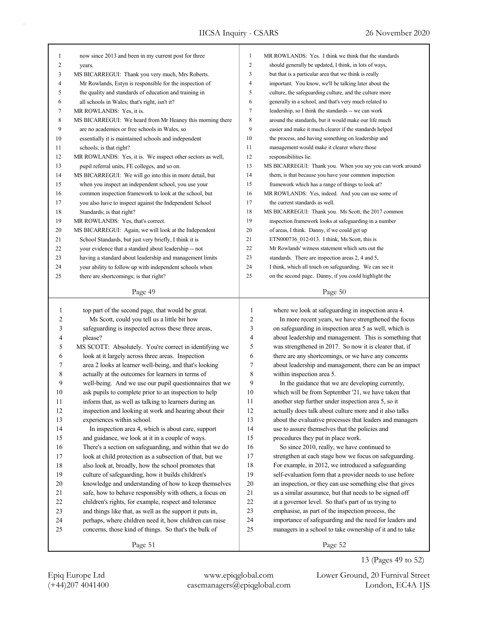| 1              | now since 2013 and been in my current post for three       | 1                | MR ROWLANDS: Yes. I think we think that the standards      |
|----------------|------------------------------------------------------------|------------------|------------------------------------------------------------|
| $\overline{c}$ | years.                                                     | $\boldsymbol{2}$ | should generally be updated, I think, in lots of ways,     |
| 3              | MS BICARREGUI: Thank you very much, Mrs Roberts.           | 3                | but that is a particular area that we think is really      |
| $\overline{4}$ | Mr Rowlands, Estyn is responsible for the inspection of    | 4                | important. You know, we'll be talking later about the      |
| 5              | the quality and standards of education and training in     | 5                | culture, the safeguarding culture, and the culture more    |
| 6              | all schools in Wales; that's right, isn't it?              | 6                | generally in a school, and that's very much related to     |
| 7              | MR ROWLANDS: Yes, it is.                                   | 7                | leadership, so I think the standards -- we can work        |
| 8              | MS BICARREGUI: We heard from Mr Heaney this morning there  | 8                | around the standards, but it would make our life much      |
| 9              | are no academies or free schools in Wales, so              | 9                | easier and make it much clearer if the standards helped    |
| 10             | essentially it is maintained schools and independent       | 10               | the process, and having something on leadership and        |
| 11             | schools; is that right?                                    | 11               | management would make it clearer where those               |
| 12             | MR ROWLANDS: Yes, it is. We inspect other sectors as well, | 12               | responsibilities lie.                                      |
| 13             | pupil referral units, FE colleges, and so on.              | 13               | MS BICARREGUI: Thank you. When you say you can work around |
| 14             | MS BICARREGUI: We will go into this in more detail, but    | 14               | them, is that because you have your common inspection      |
| 15             | when you inspect an independent school, you use your       | 15               | framework which has a range of things to look at?          |
| 16             | common inspection framework to look at the school, but     | 16               | MR ROWLANDS: Yes, indeed. And you can use some of          |
| 17             | you also have to inspect against the Independent School    | 17               | the current standards as well.                             |
| 18             | Standards; is that right?                                  | 18               | MS BICARREGUI: Thank you. Ms Scott, the 2017 common        |
| 19             | MR ROWLANDS: Yes, that's correct.                          | 19               | inspection framework looks at safeguarding in a number     |
| 20             | MS BICARREGUI: Again, we will look at the Independent      | 20               | of areas, I think. Danny, if we could get up               |
| 21             | School Standards, but just very briefly, I think it is     | 21               | ETN000736 012-013. I think, Ms Scott, this is              |
| 22             | your evidence that a standard about leadership -- not      | 22               | Mr Rowlands' witness statement which sets out the          |
| 23             | having a standard about leadership and management limits   | 23               | standards. There are inspection areas 2, 4 and 5,          |
| 24             | your ability to follow up with independent schools when    | 24               | I think, which all touch on safeguarding. We can see it    |
| 25             | there are shortcomings; is that right?                     | 25               | on the second page. Danny, if you could highlight the      |
|                |                                                            |                  |                                                            |
|                | Page 49                                                    |                  | Page 50                                                    |
|                |                                                            |                  |                                                            |
|                |                                                            |                  |                                                            |
| $\mathbf{1}$   | top part of the second page, that would be great.          | 1                | where we look at safeguarding in inspection area 4.        |
| 2              | Ms Scott, could you tell us a little bit how               | 2                | In more recent years, we have strengthened the focus       |
| 3              | safeguarding is inspected across these three areas,        | 3                | on safeguarding in inspection area 5 as well, which is     |
| 4              | please?                                                    | 4                | about leadership and management. This is something that    |
| 5              | MS SCOTT: Absolutely. You're correct in identifying we     | 5                | was strengthened in 2017. So now it is clearer that, if    |
| 6              | look at it largely across three areas. Inspection          | 6                | there are any shortcomings, or we have any concerns        |
| 7              | area 2 looks at learner well-being, and that's looking     | 7                | about leadership and management, there can be an impact    |
| 8              | actually at the outcomes for learners in terms of          | 8                | within inspection area 5.                                  |
| 9              | well-being. And we use our pupil questionnaires that we    | 9                | In the guidance that we are developing currently,          |
| 10             | ask pupils to complete prior to an inspection to help      | 10               | which will be from September '21, we have taken that       |
| $11\,$         | inform that, as well as talking to learners during an      | 11               | another step further under inspection area 5, so it        |
| 12             | inspection and looking at work and hearing about their     | 12               | actually does talk about culture more and it also talks    |
| 13             | experiences within school.                                 | 13               | about the evaluative processes that leaders and managers   |
| 14             | In inspection area 4, which is about care, support         | 14               | use to assure themselves that the policies and             |
| 15             | and guidance, we look at it in a couple of ways.           | 15               | procedures they put in place work.                         |
| 16             | There's a section on safeguarding, and within that we do   | 16               | So since 2010, really, we have continued to                |
| 17             | look at child protection as a subsection of that, but we   | 17               | strengthen at each stage how we focus on safeguarding.     |
| $18\,$         | also look at, broadly, how the school promotes that        | $18\,$           | For example, in 2012, we introduced a safeguarding         |
| 19             | culture of safeguarding, how it builds children's          | 19               | self-evaluation form that a provider needs to use before   |
| $20\,$         | knowledge and understanding of how to keep themselves      | $20\,$           | an inspection, or they can use something else that gives   |
| 21             | safe, how to behave responsibly with others, a focus on    | 21               | us a similar assurance, but that needs to be signed off    |
| 22             | children's rights, for example, respect and tolerance      | 22               | at a governor level. So that's part of us trying to        |
| 23             | and things like that, as well as the support it puts in,   | 23               | emphasise, as part of the inspection process, the          |
| 24             | perhaps, where children need it, how children can raise    | 24               | importance of safeguarding and the need for leaders and    |
| 25             | concerns, those kind of things. So that's the bulk of      | 25               | managers in a school to take ownership of it and to take   |

13 (Pages 49 to 52)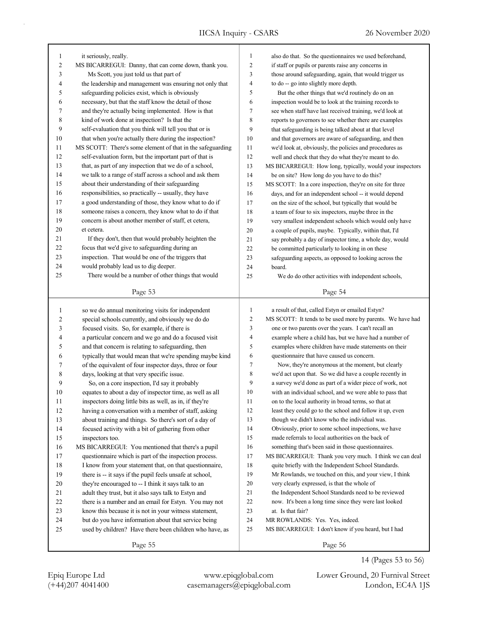| also do that. So the questionnaires we used beforehand,<br>those around safeguarding, again, that would trigger us<br>But the other things that we'd routinely do on an<br>inspection would be to look at the training records to<br>see when staff have last received training, we'd look at<br>reports to governors to see whether there are examples<br>that safeguarding is being talked about at that level<br>and that governors are aware of safeguarding, and then<br>we'd look at, obviously, the policies and procedures as<br>well and check that they do what they're meant to do.<br>MS BICARREGUI: How long, typically, would your inspectors<br>MS SCOTT: In a core inspection, they're on site for three |
|--------------------------------------------------------------------------------------------------------------------------------------------------------------------------------------------------------------------------------------------------------------------------------------------------------------------------------------------------------------------------------------------------------------------------------------------------------------------------------------------------------------------------------------------------------------------------------------------------------------------------------------------------------------------------------------------------------------------------|
|                                                                                                                                                                                                                                                                                                                                                                                                                                                                                                                                                                                                                                                                                                                          |
|                                                                                                                                                                                                                                                                                                                                                                                                                                                                                                                                                                                                                                                                                                                          |
|                                                                                                                                                                                                                                                                                                                                                                                                                                                                                                                                                                                                                                                                                                                          |
|                                                                                                                                                                                                                                                                                                                                                                                                                                                                                                                                                                                                                                                                                                                          |
|                                                                                                                                                                                                                                                                                                                                                                                                                                                                                                                                                                                                                                                                                                                          |
|                                                                                                                                                                                                                                                                                                                                                                                                                                                                                                                                                                                                                                                                                                                          |
|                                                                                                                                                                                                                                                                                                                                                                                                                                                                                                                                                                                                                                                                                                                          |
|                                                                                                                                                                                                                                                                                                                                                                                                                                                                                                                                                                                                                                                                                                                          |
|                                                                                                                                                                                                                                                                                                                                                                                                                                                                                                                                                                                                                                                                                                                          |
|                                                                                                                                                                                                                                                                                                                                                                                                                                                                                                                                                                                                                                                                                                                          |
|                                                                                                                                                                                                                                                                                                                                                                                                                                                                                                                                                                                                                                                                                                                          |
|                                                                                                                                                                                                                                                                                                                                                                                                                                                                                                                                                                                                                                                                                                                          |
|                                                                                                                                                                                                                                                                                                                                                                                                                                                                                                                                                                                                                                                                                                                          |
|                                                                                                                                                                                                                                                                                                                                                                                                                                                                                                                                                                                                                                                                                                                          |
|                                                                                                                                                                                                                                                                                                                                                                                                                                                                                                                                                                                                                                                                                                                          |
| days, and for an independent school -- it would depend                                                                                                                                                                                                                                                                                                                                                                                                                                                                                                                                                                                                                                                                   |
| on the size of the school, but typically that would be                                                                                                                                                                                                                                                                                                                                                                                                                                                                                                                                                                                                                                                                   |
| a team of four to six inspectors, maybe three in the                                                                                                                                                                                                                                                                                                                                                                                                                                                                                                                                                                                                                                                                     |
| very smallest independent schools which would only have                                                                                                                                                                                                                                                                                                                                                                                                                                                                                                                                                                                                                                                                  |
| a couple of pupils, maybe. Typically, within that, I'd                                                                                                                                                                                                                                                                                                                                                                                                                                                                                                                                                                                                                                                                   |
| say probably a day of inspector time, a whole day, would                                                                                                                                                                                                                                                                                                                                                                                                                                                                                                                                                                                                                                                                 |
|                                                                                                                                                                                                                                                                                                                                                                                                                                                                                                                                                                                                                                                                                                                          |
| safeguarding aspects, as opposed to looking across the                                                                                                                                                                                                                                                                                                                                                                                                                                                                                                                                                                                                                                                                   |
|                                                                                                                                                                                                                                                                                                                                                                                                                                                                                                                                                                                                                                                                                                                          |
| We do do other activities with independent schools,                                                                                                                                                                                                                                                                                                                                                                                                                                                                                                                                                                                                                                                                      |
|                                                                                                                                                                                                                                                                                                                                                                                                                                                                                                                                                                                                                                                                                                                          |
|                                                                                                                                                                                                                                                                                                                                                                                                                                                                                                                                                                                                                                                                                                                          |
|                                                                                                                                                                                                                                                                                                                                                                                                                                                                                                                                                                                                                                                                                                                          |
| MS SCOTT: It tends to be used more by parents. We have had                                                                                                                                                                                                                                                                                                                                                                                                                                                                                                                                                                                                                                                               |
|                                                                                                                                                                                                                                                                                                                                                                                                                                                                                                                                                                                                                                                                                                                          |
| example where a child has, but we have had a number of                                                                                                                                                                                                                                                                                                                                                                                                                                                                                                                                                                                                                                                                   |
| examples where children have made statements on their                                                                                                                                                                                                                                                                                                                                                                                                                                                                                                                                                                                                                                                                    |
|                                                                                                                                                                                                                                                                                                                                                                                                                                                                                                                                                                                                                                                                                                                          |
|                                                                                                                                                                                                                                                                                                                                                                                                                                                                                                                                                                                                                                                                                                                          |
|                                                                                                                                                                                                                                                                                                                                                                                                                                                                                                                                                                                                                                                                                                                          |
| Now, they're anonymous at the moment, but clearly                                                                                                                                                                                                                                                                                                                                                                                                                                                                                                                                                                                                                                                                        |
| we'd act upon that. So we did have a couple recently in                                                                                                                                                                                                                                                                                                                                                                                                                                                                                                                                                                                                                                                                  |
| a survey we'd done as part of a wider piece of work, not                                                                                                                                                                                                                                                                                                                                                                                                                                                                                                                                                                                                                                                                 |
| with an individual school, and we were able to pass that                                                                                                                                                                                                                                                                                                                                                                                                                                                                                                                                                                                                                                                                 |
|                                                                                                                                                                                                                                                                                                                                                                                                                                                                                                                                                                                                                                                                                                                          |
| least they could go to the school and follow it up, even                                                                                                                                                                                                                                                                                                                                                                                                                                                                                                                                                                                                                                                                 |
|                                                                                                                                                                                                                                                                                                                                                                                                                                                                                                                                                                                                                                                                                                                          |
| Obviously, prior to some school inspections, we have                                                                                                                                                                                                                                                                                                                                                                                                                                                                                                                                                                                                                                                                     |
|                                                                                                                                                                                                                                                                                                                                                                                                                                                                                                                                                                                                                                                                                                                          |
| something that's been said in those questionnaires.                                                                                                                                                                                                                                                                                                                                                                                                                                                                                                                                                                                                                                                                      |
| MS BICARREGUI: Thank you very much. I think we can deal                                                                                                                                                                                                                                                                                                                                                                                                                                                                                                                                                                                                                                                                  |
| quite briefly with the Independent School Standards.                                                                                                                                                                                                                                                                                                                                                                                                                                                                                                                                                                                                                                                                     |
| Mr Rowlands, we touched on this, and your view, I think                                                                                                                                                                                                                                                                                                                                                                                                                                                                                                                                                                                                                                                                  |
|                                                                                                                                                                                                                                                                                                                                                                                                                                                                                                                                                                                                                                                                                                                          |
| the Independent School Standards need to be reviewed                                                                                                                                                                                                                                                                                                                                                                                                                                                                                                                                                                                                                                                                     |
| now. It's been a long time since they were last looked                                                                                                                                                                                                                                                                                                                                                                                                                                                                                                                                                                                                                                                                   |
|                                                                                                                                                                                                                                                                                                                                                                                                                                                                                                                                                                                                                                                                                                                          |
|                                                                                                                                                                                                                                                                                                                                                                                                                                                                                                                                                                                                                                                                                                                          |
| MS BICARREGUI: I don't know if you heard, but I had                                                                                                                                                                                                                                                                                                                                                                                                                                                                                                                                                                                                                                                                      |
| one or two parents over the years. I can't recall an                                                                                                                                                                                                                                                                                                                                                                                                                                                                                                                                                                                                                                                                     |

(+44)207 4041400 casemanagers@epiqglobal.com London, EC4A 1JS Epiq Europe Ltd www.epiqglobal.com Lower Ground, 20 Furnival Street

14 (Pages 53 to 56)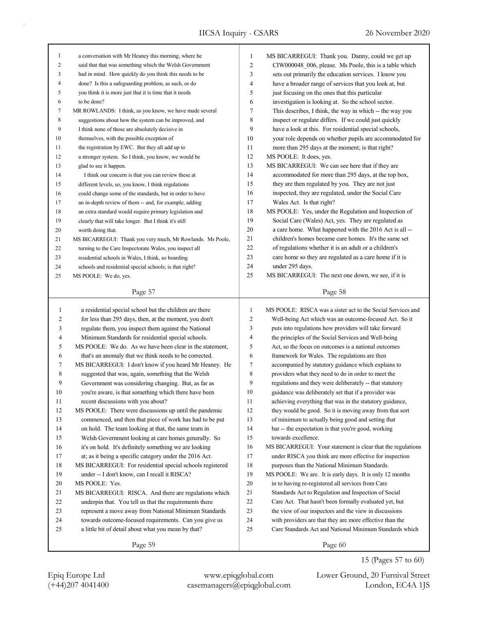| 1              | a conversation with Mr Heaney this morning, where he       | 1              | MS BICARREGUI: Thank you. Danny, could we get up            |
|----------------|------------------------------------------------------------|----------------|-------------------------------------------------------------|
| $\overline{2}$ | said that that was something which the Welsh Government    | $\overline{c}$ | CIW000048 006, please. Ms Poole, this is a table which      |
| 3              | had in mind. How quickly do you think this needs to be     | 3              | sets out primarily the education services. I know you       |
| 4              | done? Is this a safeguarding problem, as such, or do       | 4              | have a broader range of services that you look at, but      |
| 5              | you think it is more just that it is time that it needs    | 5              | just focusing on the ones that this particular              |
| 6              | to be done?                                                | 6              | investigation is looking at. So the school sector.          |
| 7              | MR ROWLANDS: I think, as you know, we have made several    | 7              | This describes, I think, the way in which -- the way you    |
| 8              | suggestions about how the system can be improved, and      | 8              | inspect or regulate differs. If we could just quickly       |
| 9              | I think none of those are absolutely decisive in           | 9              | have a look at this. For residential special schools,       |
| 10             | themselves, with the possible exception of                 | 10             | your role depends on whether pupils are accommodated for    |
| 11             | the registration by EWC. But they all add up to            | 11             | more than 295 days at the moment; is that right?            |
| 12             | a stronger system. So I think, you know, we would be       | 12             | MS POOLE: It does, yes.                                     |
| 13             | glad to see it happen.                                     | 13             | MS BICARREGUI: We can see here that if they are             |
| 14             | I think our concern is that you can review these at        | 14             | accommodated for more than 295 days, at the top box,        |
| 15             | different levels, so, you know, I think regulations        | 15             | they are then regulated by you. They are not just           |
| 16             | could change some of the standards, but in order to have   | 16             | inspected, they are regulated, under the Social Care        |
| 17             | an in-depth review of them -- and, for example, adding     | 17             | Wales Act. Is that right?                                   |
| 18             | an extra standard would require primary legislation and    | 18             | MS POOLE: Yes, under the Regulation and Inspection of       |
| 19             | clearly that will take longer. But I think it's still      | 19             | Social Care (Wales) Act, yes. They are regulated as         |
| 20             | worth doing that.                                          | 20             | a care home. What happened with the 2016 Act is all --      |
| 21             | MS BICARREGUI: Thank you very much, Mr Rowlands. Ms Poole, | 21             | children's homes became care homes. It's the same set       |
| 22             | turning to the Care Inspectorate Wales, you inspect all    | 22             | of regulations whether it is an adult or a children's       |
| 23             | residential schools in Wales, I think, so boarding         | 23             | care home so they are regulated as a care home if it is     |
| 24             | schools and residential special schools; is that right?    | 24             | under 295 days.                                             |
| 25             | MS POOLE: We do, yes.                                      | 25             | MS BICARREGUI: The next one down, we see, if it is          |
|                |                                                            |                |                                                             |
|                | Page 57                                                    |                | Page 58                                                     |
|                |                                                            |                |                                                             |
|                |                                                            |                |                                                             |
| $\mathbf{1}$   | a residential special school but the children are there    | $\mathbf{1}$   | MS POOLE: RISCA was a sister act to the Social Services and |
| 2              | for less than 295 days, then, at the moment, you don't     | $\overline{2}$ | Well-being Act which was an outcome-focused Act. So it      |
| 3              | regulate them, you inspect them against the National       | $\mathfrak{Z}$ | puts into regulations how providers will take forward       |
| 4              | Minimum Standards for residential special schools.         | $\overline{4}$ | the principles of the Social Services and Well-being        |
| 5              | MS POOLE: We do. As we have been clear in the statement,   | 5              | Act, so the focus on outcomes is a national outcomes        |
| 6              | that's an anomaly that we think needs to be corrected.     | 6              | framework for Wales. The regulations are then               |
| 7              | MS BICARREGUI: I don't know if you heard Mr Heaney. He     | $\overline{7}$ | accompanied by statutory guidance which explains to         |
| 8              | suggested that was, again, something that the Welsh        | 8              | providers what they need to do in order to meet the         |
| 9              | Government was considering changing. But, as far as        | 9              | regulations and they were deliberately -- that statutory    |
| 10             | you're aware, is that something which there have been      | 10             | guidance was deliberately set that if a provider was        |
| 11             | recent discussions with you about?                         | 11             | achieving everything that was in the statutory guidance,    |
| 12             | MS POOLE: There were discussions up until the pandemic     | 12             | they would be good. So it is moving away from that sort     |
| 13             | commenced, and then that piece of work has had to be put   | 13             | of minimum to actually being good and setting that          |
| 14             | on hold. The team looking at that, the same team in        | 14             | bar -- the expectation is that you're good, working         |
| 15             | Welsh Government looking at care homes generally. So       | 15             | towards excellence.                                         |
| 16             | it's on hold. It's definitely something we are looking     | 16             | MS BICARREGUI: Your statement is clear that the regulations |
| 17             | at; as it being a specific category under the 2016 Act.    | 17             | under RISCA you think are more effective for inspection     |
| $18\,$         | MS BICARREGUI: For residential special schools registered  | 18             | purposes than the National Minimum Standards.               |
| 19             | under -- I don't know, can I recall it RISCA?              | 19             | MS POOLE: We are. It is early days. It is only 12 months    |
| 20             | MS POOLE: Yes.                                             | 20             | in to having re-registered all services from Care           |
| 21             | MS BICARREGUI: RISCA. And there are regulations which      | 21             | Standards Act to Regulation and Inspection of Social        |
| 22             | underpin that. You tell us that the requirements there     | $22\,$         | Care Act. That hasn't been formally evaluated yet, but      |
| 23             | represent a move away from National Minimum Standards      | 23             | the view of our inspectors and the view in discussions      |
| 24             | towards outcome-focused requirements. Can you give us      | 24             | with providers are that they are more effective than the    |
| 25             | a little bit of detail about what you mean by that?        | 25             | Care Standards Act and National Minimum Standards which     |

15 (Pages 57 to 60)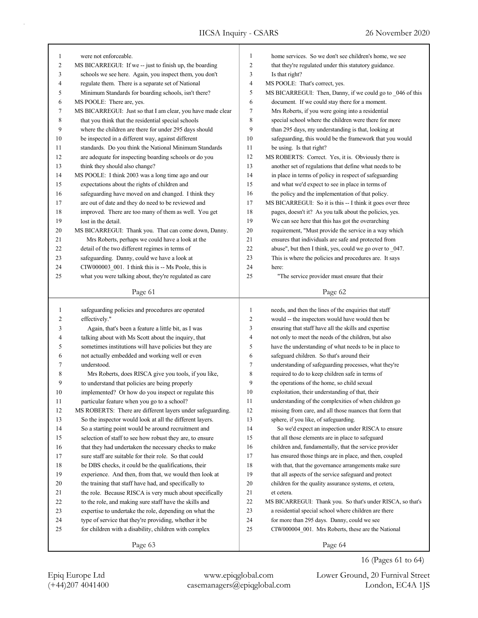| 1            | were not enforceable.                                                        | $\mathbf{1}$   | home services. So we don't see children's home, we see                                                          |
|--------------|------------------------------------------------------------------------------|----------------|-----------------------------------------------------------------------------------------------------------------|
| 2            | MS BICARREGUI: If we -- just to finish up, the boarding                      | $\overline{2}$ | that they're regulated under this statutory guidance.                                                           |
| 3            | schools we see here. Again, you inspect them, you don't                      | 3              | Is that right?                                                                                                  |
| 4            | regulate them. There is a separate set of National                           | $\overline{4}$ | MS POOLE: That's correct, yes.                                                                                  |
| 5            | Minimum Standards for boarding schools, isn't there?                         | 5              | MS BICARREGUI: Then, Danny, if we could go to _046 of this                                                      |
| 6            | MS POOLE: There are, yes.                                                    | 6              | document. If we could stay there for a moment.                                                                  |
| 7            | MS BICARREGUI: Just so that I am clear, you have made clear                  | $\tau$         | Mrs Roberts, if you were going into a residential                                                               |
| 8            | that you think that the residential special schools                          | 8              | special school where the children were there for more                                                           |
| 9            | where the children are there for under 295 days should                       | 9              |                                                                                                                 |
| 10           | be inspected in a different way, against different                           | 10             | than 295 days, my understanding is that, looking at<br>safeguarding, this would be the framework that you would |
| 11           | standards. Do you think the National Minimum Standards                       | 11             | be using. Is that right?                                                                                        |
| 12           | are adequate for inspecting boarding schools or do you                       | 12             | MS ROBERTS: Correct. Yes, it is. Obviously there is                                                             |
| 13           | think they should also change?                                               | 13             |                                                                                                                 |
| 14           |                                                                              | 14             | another set of regulations that define what needs to be                                                         |
| 15           | MS POOLE: I think 2003 was a long time ago and our                           | 15             | in place in terms of policy in respect of safeguarding                                                          |
|              | expectations about the rights of children and                                | 16             | and what we'd expect to see in place in terms of                                                                |
| 16<br>17     | safeguarding have moved on and changed. I think they                         | 17             | the policy and the implementation of that policy.                                                               |
|              | are out of date and they do need to be reviewed and                          |                | MS BICARREGUI: So it is this -- I think it goes over three                                                      |
| 18           | improved. There are too many of them as well. You get<br>lost in the detail. | 18             | pages, doesn't it? As you talk about the policies, yes.                                                         |
| 19<br>20     |                                                                              | 19             | We can see here that this has got the overarching                                                               |
|              | MS BICARREGUI: Thank you. That can come down, Danny.                         | 20             | requirement, "Must provide the service in a way which                                                           |
| 21<br>22     | Mrs Roberts, perhaps we could have a look at the                             | 21<br>22       | ensures that individuals are safe and protected from                                                            |
| 23           | detail of the two different regimes in terms of                              | 23             | abuse", but then I think, yes, could we go over to _047.                                                        |
|              | safeguarding. Danny, could we have a look at                                 | 24             | This is where the policies and procedures are. It says<br>here:                                                 |
| 24<br>25     | CIW000003_001. I think this is -- Ms Poole, this is                          | 25             | "The service provider must ensure that their                                                                    |
|              | what you were talking about, they're regulated as care                       |                |                                                                                                                 |
|              | Page 61                                                                      |                | Page 62                                                                                                         |
|              |                                                                              |                |                                                                                                                 |
| $\mathbf{1}$ |                                                                              | $\mathbf{1}$   |                                                                                                                 |
| 2            | safeguarding policies and procedures are operated<br>effectively."           | $\overline{2}$ | needs, and then the lines of the enquiries that staff<br>would -- the inspectors would have would then be       |
| 3            | Again, that's been a feature a little bit, as I was                          | $\mathfrak{Z}$ | ensuring that staff have all the skills and expertise                                                           |
| 4            | talking about with Ms Scott about the inquiry, that                          | $\overline{4}$ | not only to meet the needs of the children, but also                                                            |
| 5            | sometimes institutions will have policies but they are                       | 5              | have the understanding of what needs to be in place to                                                          |
| 6            | not actually embedded and working well or even                               | 6              | safeguard children. So that's around their                                                                      |
| 7            | understood.                                                                  | 7              | understanding of safeguarding processes, what they're                                                           |
| 8            | Mrs Roberts, does RISCA give you tools, if you like,                         | 8              | required to do to keep children safe in terms of                                                                |
| 9            | to understand that policies are being properly                               | 9              | the operations of the home, so child sexual                                                                     |
| 10           | implemented? Or how do you inspect or regulate this                          | 10             | exploitation, their understanding of that, their                                                                |
| 11           | particular feature when you go to a school?                                  | 11             | understanding of the complexities of when children go                                                           |
| 12           | MS ROBERTS: There are different layers under safeguarding.                   | 12             | missing from care, and all those nuances that form that                                                         |
| 13           | So the inspector would look at all the different layers.                     | 13             | sphere, if you like, of safeguarding.                                                                           |
| 14           | So a starting point would be around recruitment and                          | 14             | So we'd expect an inspection under RISCA to ensure                                                              |
| 15           | selection of staff to see how robust they are, to ensure                     | 15             | that all those elements are in place to safeguard                                                               |
| 16           | that they had undertaken the necessary checks to make                        | 16             | children and, fundamentally, that the service provider                                                          |
| 17           | sure staff are suitable for their role. So that could                        | 17             | has ensured those things are in place, and then, coupled                                                        |
| $18\,$       | be DBS checks, it could be the qualifications, their                         | 18             | with that, that the governance arrangements make sure                                                           |
| 19           | experience. And then, from that, we would then look at                       | 19             | that all aspects of the service safeguard and protect                                                           |
| $20\,$       | the training that staff have had, and specifically to                        | 20             | children for the quality assurance systems, et cetera,                                                          |
| 21           | the role. Because RISCA is very much about specifically                      | 21             | et cetera.                                                                                                      |
| 22           | to the role, and making sure staff have the skills and                       | 22             | MS BICARREGUI: Thank you. So that's under RISCA, so that's                                                      |
| 23           | expertise to undertake the role, depending on what the                       | 23             | a residential special school where children are there                                                           |
| 24           | type of service that they're providing, whether it be                        | 24             | for more than 295 days. Danny, could we see                                                                     |
| 25           | for children with a disability, children with complex                        | 25             | CIW000004_001. Mrs Roberts, these are the National                                                              |

Page 64

16 (Pages 61 to 64)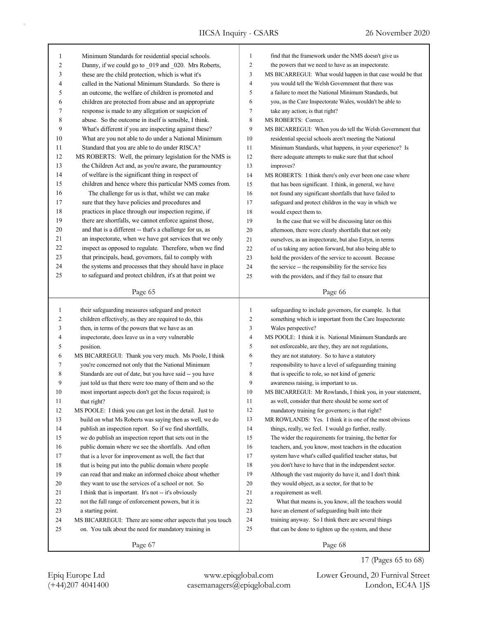| $\mathbf{1}$   | Minimum Standards for residential special schools.         | $\mathbf{1}$   | find that the framework under the NMS doesn't give us       |
|----------------|------------------------------------------------------------|----------------|-------------------------------------------------------------|
| $\overline{2}$ | Danny, if we could go to 019 and 020. Mrs Roberts,         | $\overline{c}$ | the powers that we need to have as an inspectorate.         |
| 3              | these are the child protection, which is what it's         | 3              | MS BICARREGUI: What would happen in that case would be that |
| 4              | called in the National Minimum Standards. So there is      | $\overline{4}$ | you would tell the Welsh Government that there was          |
| 5              | an outcome, the welfare of children is promoted and        | 5              | a failure to meet the National Minimum Standards, but       |
| 6              | children are protected from abuse and an appropriate       | 6              | you, as the Care Inspectorate Wales, wouldn't be able to    |
| 7              | response is made to any allegation or suspicion of         | $\tau$         | take any action; is that right?                             |
| 8              | abuse. So the outcome in itself is sensible, I think.      | 8              | MS ROBERTS: Correct.                                        |
| 9              | What's different if you are inspecting against these?      | 9              | MS BICARREGUI: When you do tell the Welsh Government that   |
| 10             | What are you not able to do under a National Minimum       | 10             | residential special schools aren't meeting the National     |
| 11             | Standard that you are able to do under RISCA?              | 11             | Minimum Standards, what happens, in your experience? Is     |
| 12             | MS ROBERTS: Well, the primary legislation for the NMS is   | 12             | there adequate attempts to make sure that that school       |
| 13             | the Children Act and, as you're aware, the paramountcy     | 13             | improves?                                                   |
| 14             | of welfare is the significant thing in respect of          | 14             | MS ROBERTS: I think there's only ever been one case where   |
| 15             | children and hence where this particular NMS comes from.   | 15             | that has been significant. I think, in general, we have     |
| 16             | The challenge for us is that, whilst we can make           | 16             | not found any significant shortfalls that have failed to    |
| 17             | sure that they have policies and procedures and            | 17             | safeguard and protect children in the way in which we       |
| 18             | practices in place through our inspection regime, if       | 18             | would expect them to.                                       |
| 19             | there are shortfalls, we cannot enforce against those,     | 19             | In the case that we will be discussing later on this        |
| 20             | and that is a different -- that's a challenge for us, as   | 20             | afternoon, there were clearly shortfalls that not only      |
| 21             | an inspectorate, when we have got services that we only    | 21             | ourselves, as an inspectorate, but also Estyn, in terms     |
| 22             | inspect as opposed to regulate. Therefore, when we find    | 22             | of us taking any action forward, but also being able to     |
| 23             | that principals, head, governors, fail to comply with      | 23             | hold the providers of the service to account. Because       |
| 24             | the systems and processes that they should have in place   | 24             | the service -- the responsibility for the service lies      |
| 25             | to safeguard and protect children, it's at that point we   | 25             | with the providers, and if they fail to ensure that         |
|                |                                                            |                |                                                             |
|                | Page 65                                                    |                | Page 66                                                     |
|                |                                                            |                |                                                             |
|                |                                                            |                |                                                             |
| 1              | their safeguarding measures safeguard and protect          | $\mathbf{1}$   | safeguarding to include governors, for example. Is that     |
| 2              | children effectively, as they are required to do, this     | $\overline{c}$ | something which is important from the Care Inspectorate     |
| 3              | then, in terms of the powers that we have as an            | 3              | Wales perspective?                                          |
| 4              | inspectorate, does leave us in a very vulnerable           | $\overline{4}$ | MS POOLE: I think it is. National Minimum Standards are     |
| 5              | position.                                                  | 5              | not enforceable, are they, they are not regulations,        |
| 6              | MS BICARREGUI: Thank you very much. Ms Poole, I think      | 6              | they are not statutory. So to have a statutory              |
| 7              | you're concerned not only that the National Minimum        | $\tau$         | responsibility to have a level of safeguarding training     |
| 8              | Standards are out of date, but you have said -- you have   | 8              | that is specific to role, so not kind of generic            |
| 9              | just told us that there were too many of them and so the   | 9              | awareness raising, is important to us.                      |
| 10             | most important aspects don't get the focus required; is    | 10             | MS BICARREGUI: Mr Rowlands, I think you, in your statement, |
| 11             | that right?                                                | 11             | as well, consider that there should be some sort of         |
| 12             | MS POOLE: I think you can get lost in the detail. Just to  | 12             | mandatory training for governors; is that right?            |
| 13             | build on what Ms Roberts was saying then as well, we do    | 13             | MR ROWLANDS: Yes. I think it is one of the most obvious     |
| 14             | publish an inspection report. So if we find shortfalls,    | 14             | things, really, we feel. I would go further, really.        |
| 15             | we do publish an inspection report that sets out in the    | 15             | The wider the requirements for training, the better for     |
| 16             | public domain where we see the shortfalls. And often       | 16             | teachers, and, you know, most teachers in the education     |
| 17             | that is a lever for improvement as well, the fact that     | 17             | system have what's called qualified teacher status, but     |
| 18             | that is being put into the public domain where people      | 18             | you don't have to have that in the independent sector.      |
| 19             | can read that and make an informed choice about whether    | 19             | Although the vast majority do have it, and I don't think    |
| 20             | they want to use the services of a school or not. So       | 20             | they would object, as a sector, for that to be              |
| 21             | I think that is important. It's not -- it's obviously      | 21             | a requirement as well.                                      |
| 22             | not the full range of enforcement powers, but it is        | 22             | What that means is, you know, all the teachers would        |
| 23             | a starting point.                                          | 23             | have an element of safeguarding built into their            |
| 24             | MS BICARREGUI: There are some other aspects that you touch | 24             | training anyway. So I think there are several things        |
| 25             | on. You talk about the need for mandatory training in      | 25             | that can be done to tighten up the system, and these        |

17 (Pages 65 to 68)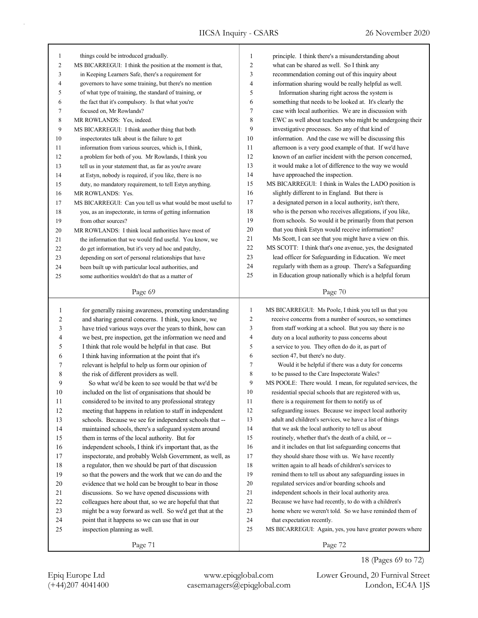| $\mathbf{1}$   | things could be introduced gradually.                       | $\mathbf{1}$   | principle. I think there's a misunderstanding about        |
|----------------|-------------------------------------------------------------|----------------|------------------------------------------------------------|
| $\overline{c}$ | MS BICARREGUI: I think the position at the moment is that,  | $\overline{c}$ | what can be shared as well. So I think any                 |
| 3              | in Keeping Learners Safe, there's a requirement for         | 3              | recommendation coming out of this inquiry about            |
| 4              | governors to have some training, but there's no mention     | $\overline{4}$ | information sharing would be really helpful as well.       |
| 5              | of what type of training, the standard of training, or      | 5              | Information sharing right across the system is             |
| 6              | the fact that it's compulsory. Is that what you're          | 6              | something that needs to be looked at. It's clearly the     |
| 7              | focused on, Mr Rowlands?                                    | $\tau$         | case with local authorities. We are in discussion with     |
| $\,$ 8 $\,$    | MR ROWLANDS: Yes, indeed.                                   | $\,$ 8 $\,$    | EWC as well about teachers who might be undergoing their   |
| 9              | MS BICARREGUI: I think another thing that both              | 9              | investigative processes. So any of that kind of            |
| 10             | inspectorates talk about is the failure to get              | 10             | information. And the case we will be discussing this       |
| 11             | information from various sources, which is, I think,        | 11             | afternoon is a very good example of that. If we'd have     |
| 12             | a problem for both of you. Mr Rowlands, I think you         | 12             | known of an earlier incident with the person concerned,    |
| 13             | tell us in your statement that, as far as you're aware      | 13             | it would make a lot of difference to the way we would      |
| 14             | at Estyn, nobody is required, if you like, there is no      | 14             | have approached the inspection.                            |
| 15             | duty, no mandatory requirement, to tell Estyn anything.     | 15             | MS BICARREGUI: I think in Wales the LADO position is       |
| 16             | MR ROWLANDS: Yes.                                           | 16             | slightly different to in England. But there is             |
| 17             | MS BICARREGUI: Can you tell us what would be most useful to | 17             | a designated person in a local authority, isn't there,     |
| 18             | you, as an inspectorate, in terms of getting information    | 18             | who is the person who receives allegations, if you like,   |
| 19             | from other sources?                                         | 19             | from schools. So would it be primarily from that person    |
| 20             | MR ROWLANDS: I think local authorities have most of         | 20             | that you think Estyn would receive information?            |
| 21             | the information that we would find useful. You know, we     | 21             | Ms Scott, I can see that you might have a view on this.    |
| 22             | do get information, but it's very ad hoc and patchy,        | 22             | MS SCOTT: I think that's one avenue, yes, the designated   |
| 23             | depending on sort of personal relationships that have       | 23             | lead officer for Safeguarding in Education. We meet        |
| 24             | been built up with particular local authorities, and        | 24             | regularly with them as a group. There's a Safeguarding     |
| 25             | some authorities wouldn't do that as a matter of            | 25             | in Education group nationally which is a helpful forum     |
|                |                                                             |                |                                                            |
|                | Page 69                                                     |                | Page 70                                                    |
|                |                                                             |                |                                                            |
|                |                                                             |                |                                                            |
| $\mathbf{1}$   | for generally raising awareness, promoting understanding    | $\mathbf{1}$   | MS BICARREGUI: Ms Poole, I think you tell us that you      |
| 2              | and sharing general concerns. I think, you know, we         | $\overline{c}$ | receive concerns from a number of sources, so sometimes    |
| 3              | have tried various ways over the years to think, how can    | 3              | from staff working at a school. But you say there is no    |
| 4              | we best, pre inspection, get the information we need and    | 4              | duty on a local authority to pass concerns about           |
| 5              | I think that role would be helpful in that case. But        | 5              | a service to you. They often do do it, as part of          |
| 6              | I think having information at the point that it's           | 6              | section 47, but there's no duty.                           |
| 7              | relevant is helpful to help us form our opinion of          | 7              | Would it be helpful if there was a duty for concerns       |
| 8              | the risk of different providers as well.                    | 8              | to be passed to the Care Inspectorate Wales?               |
| 9              | So what we'd be keen to see would be that we'd be           | 9              | MS POOLE: There would. I mean, for regulated services, the |
| 10             | included on the list of organisations that should be        | 10             | residential special schools that are registered with us,   |
| 11             | considered to be invited to any professional strategy       | $11\,$         | there is a requirement for them to notify us of            |
| 12             | meeting that happens in relation to staff in independent    | $12\,$         | safeguarding issues. Because we inspect local authority    |
| 13             | schools. Because we see for independent schools that --     | 13             | adult and children's services, we have a list of things    |
| 14             | maintained schools, there's a safeguard system around       | 14             | that we ask the local authority to tell us about           |
| 15             | them in terms of the local authority. But for               | 15             | routinely, whether that's the death of a child, or --      |
| 16             | independent schools, I think it's important that, as the    | 16             | and it includes on that list safeguarding concerns that    |
| 17             | inspectorate, and probably Welsh Government, as well, as    | 17             | they should share those with us. We have recently          |
| 18             | a regulator, then we should be part of that discussion      | $18\,$         | written again to all heads of children's services to       |
| 19             | so that the powers and the work that we can do and the      | 19             | remind them to tell us about any safeguarding issues in    |
| 20             | evidence that we hold can be brought to bear in those       | $20\,$         | regulated services and/or boarding schools and             |
| 21             | discussions. So we have opened discussions with             | 21             | independent schools in their local authority area.         |
| 22             | colleagues here about that, so we are hopeful that that     | $22\,$         | Because we have had recently, to do with a children's      |
| $23\,$         | might be a way forward as well. So we'd get that at the     | 23             | home where we weren't told. So we have reminded them of    |
| 24             | point that it happens so we can use that in our             | 24             | that expectation recently.                                 |
| 25             | inspection planning as well.                                | $25\,$         | MS BICARREGUI: Again, yes, you have greater powers where   |
|                | Page 71                                                     |                | Page 72                                                    |

(+44)207 4041400 casemanagers@epiqglobal.com London, EC4A 1JS Epiq Europe Ltd www.epiqglobal.com Lower Ground, 20 Furnival Street

18 (Pages 69 to 72)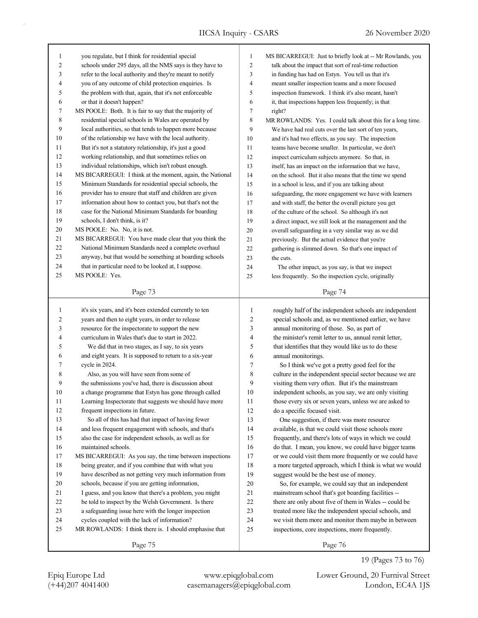| 1            |                                                           |                     |                                                            |
|--------------|-----------------------------------------------------------|---------------------|------------------------------------------------------------|
|              | you regulate, but I think for residential special         | $\mathbf{1}$        | MS BICARREGUI: Just to briefly look at -- Mr Rowlands, you |
| 2            | schools under 295 days, all the NMS says is they have to  | $\overline{c}$      | talk about the impact that sort of real-time reduction     |
| 3            | refer to the local authority and they're meant to notify  | 3                   | in funding has had on Estyn. You tell us that it's         |
| 4            | you of any outcome of child protection enquiries. Is      | $\overline{4}$      | meant smaller inspection teams and a more focused          |
| 5            | the problem with that, again, that it's not enforceable   | 5                   | inspection framework. I think it's also meant, hasn't      |
| 6            | or that it doesn't happen?                                | 6                   | it, that inspections happen less frequently; is that       |
| 7            | MS POOLE: Both. It is fair to say that the majority of    | 7                   | right?                                                     |
| 8            | residential special schools in Wales are operated by      | $\,$ 8 $\,$         | MR ROWLANDS: Yes. I could talk about this for a long time. |
| 9            | local authorities, so that tends to happen more because   | 9                   | We have had real cuts over the last sort of ten years,     |
| 10           | of the relationship we have with the local authority.     | 10                  | and it's had two effects, as you say. The inspection       |
| 11           | But it's not a statutory relationship, it's just a good   | 11                  | teams have become smaller. In particular, we don't         |
| 12           | working relationship, and that sometimes relies on        | 12                  | inspect curriculum subjects anymore. So that, in           |
| 13           | individual relationships, which isn't robust enough.      | 13                  | itself, has an impact on the information that we have,     |
| 14           | MS BICARREGUI: I think at the moment, again, the National | 14                  | on the school. But it also means that the time we spend    |
| 15           | Minimum Standards for residential special schools, the    | 15                  | in a school is less, and if you are talking about          |
| 16           | provider has to ensure that staff and children are given  | 16                  | safeguarding, the more engagement we have with learners    |
| 17           | information about how to contact you, but that's not the  | 17                  | and with staff, the better the overall picture you get     |
| 18           | case for the National Minimum Standards for boarding      | 18                  | of the culture of the school. So although it's not         |
| 19           | schools, I don't think, is it?                            | 19                  | a direct impact, we still look at the management and the   |
| 20           | MS POOLE: No. No, it is not.                              | 20                  | overall safeguarding in a very similar way as we did       |
| 21           | MS BICARREGUI: You have made clear that you think the     | 21                  | previously. But the actual evidence that you're            |
| 22           | National Minimum Standards need a complete overhaul       | 22                  | gathering is slimmed down. So that's one impact of         |
| 23           | anyway, but that would be something at boarding schools   | 23                  | the cuts.                                                  |
| 24           | that in particular need to be looked at, I suppose.       | 24                  | The other impact, as you say, is that we inspect           |
| 25           | MS POOLE: Yes.                                            | 25                  | less frequently. So the inspection cycle, originally       |
|              |                                                           |                     |                                                            |
|              | Page 73                                                   |                     | Page 74                                                    |
|              |                                                           |                     |                                                            |
| $\mathbf{1}$ | it's six years, and it's been extended currently to ten   | $\mathbf{1}$        | roughly half of the independent schools are independent    |
| 2            | years and then to eight years, in order to release        | $\overline{2}$<br>3 | special schools and, as we mentioned earlier, we have      |
| 3            | resource for the inspectorate to support the new          |                     |                                                            |
|              |                                                           |                     | annual monitoring of those. So, as part of                 |
| 4            | curriculum in Wales that's due to start in 2022.          | $\overline{4}$      | the minister's remit letter to us, annual remit letter,    |
| 5            | We did that in two stages, as I say, to six years         | 5                   | that identifies that they would like us to do these        |
| 6            | and eight years. It is supposed to return to a six-year   | 6                   | annual monitorings.                                        |
| 7            | cycle in 2024.                                            | 7                   | So I think we've got a pretty good feel for the            |
| 8            | Also, as you will have seen from some of                  | 8                   | culture in the independent special sector because we are   |
| 9            | the submissions you've had, there is discussion about     | 9                   | visiting them very often. But it's the mainstream          |
| 10           | a change programme that Estyn has gone through called     | 10                  | independent schools, as you say, we are only visiting      |
| $11\,$       | Learning Inspectorate that suggests we should have more   | 11                  | those every six or seven years, unless we are asked to     |
| 12           | frequent inspections in future.                           | 12                  | do a specific focused visit.                               |
| 13           | So all of this has had that impact of having fewer        | 13                  | One suggestion, if there was more resource                 |
| 14           | and less frequent engagement with schools, and that's     | 14                  | available, is that we could visit those schools more       |
| 15           | also the case for independent schools, as well as for     | 15                  | frequently, and there's lots of ways in which we could     |
| 16           | maintained schools.                                       | 16                  | do that. I mean, you know, we could have bigger teams      |
| 17           | MS BICARREGUI: As you say, the time between inspections   | 17                  | or we could visit them more frequently or we could have    |
| 18           | being greater, and if you combine that with what you      | $18\,$              | a more targeted approach, which I think is what we would   |
| 19           | have described as not getting very much information from  | 19                  | suggest would be the best use of money.                    |
| 20           | schools, because if you are getting information,          | 20                  | So, for example, we could say that an independent          |
| 21           | I guess, and you know that there's a problem, you might   | 21                  | mainstream school that's got boarding facilities --        |
| $22\,$       | be told to inspect by the Welsh Government. Is there      | 22                  | there are only about five of them in Wales -- could be     |
| 23           | a safeguarding issue here with the longer inspection      | 23                  | treated more like the independent special schools, and     |
| 24           | cycles coupled with the lack of information?              | 24                  | we visit them more and monitor them maybe in between       |
| 25           | MR ROWLANDS: I think there is. I should emphasise that    | 25                  | inspections, core inspections, more frequently.            |

(+44)207 4041400 casemanagers@epiqglobal.com London, EC4A 1JS Epiq Europe Ltd www.epiqglobal.com Lower Ground, 20 Furnival Street

19 (Pages 73 to 76)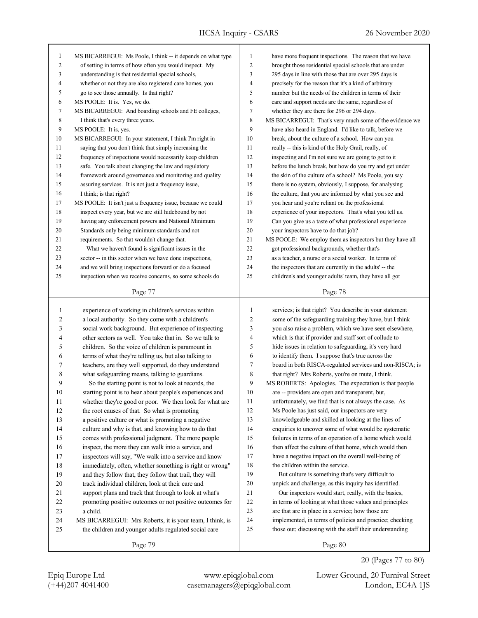| 1              | MS BICARREGUI: Ms Poole, I think -- it depends on what type | 1              | have more frequent inspections. The reason that we have                                 |
|----------------|-------------------------------------------------------------|----------------|-----------------------------------------------------------------------------------------|
| $\overline{c}$ | of setting in terms of how often you would inspect. My      | $\overline{c}$ | brought those residential special schools that are under                                |
| 3              | understanding is that residential special schools,          | 3              | 295 days in line with those that are over 295 days is                                   |
| 4              | whether or not they are also registered care homes, you     | $\overline{4}$ | precisely for the reason that it's a kind of arbitrary                                  |
| 5              | go to see those annually. Is that right?                    | 5              | number but the needs of the children in terms of their                                  |
| 6              | MS POOLE: It is. Yes, we do.                                | 6              | care and support needs are the same, regardless of                                      |
| 7              | MS BICARREGUI: And boarding schools and FE colleges,        | 7              | whether they are there for 296 or 294 days.                                             |
| 8              | I think that's every three years.                           | 8              | MS BICARREGUI: That's very much some of the evidence we                                 |
| 9              | MS POOLE: It is, yes.                                       | 9              | have also heard in England. I'd like to talk, before we                                 |
| 10             | MS BICARREGUI: In your statement, I think I'm right in      | 10             | break, about the culture of a school. How can you                                       |
| 11             | saying that you don't think that simply increasing the      | 11             | really -- this is kind of the Holy Grail, really, of                                    |
| 12             | frequency of inspections would necessarily keep children    | 12             | inspecting and I'm not sure we are going to get to it                                   |
| 13             | safe. You talk about changing the law and regulatory        | 13             | before the lunch break, but how do you try and get under                                |
| 14             | framework around governance and monitoring and quality      | 14             | the skin of the culture of a school? Ms Poole, you say                                  |
| 15             | assuring services. It is not just a frequency issue,        | 15             | there is no system, obviously, I suppose, for analysing                                 |
| 16             | I think; is that right?                                     | 16             | the culture, that you are informed by what you see and                                  |
| 17             | MS POOLE: It isn't just a frequency issue, because we could | 17             | you hear and you're reliant on the professional                                         |
| 18             | inspect every year, but we are still hidebound by not       | 18             | experience of your inspectors. That's what you tell us.                                 |
| 19             | having any enforcement powers and National Minimum          | 19             | Can you give us a taste of what professional experience                                 |
| 20             |                                                             | 20             |                                                                                         |
|                | Standards only being minimum standards and not              | 21             | your inspectors have to do that job?                                                    |
| 21             | requirements. So that wouldn't change that.                 |                | MS POOLE: We employ them as inspectors but they have all                                |
| 22             | What we haven't found is significant issues in the          | 22             | got professional backgrounds, whether that's                                            |
| 23             | sector -- in this sector when we have done inspections,     | 23             | as a teacher, a nurse or a social worker. In terms of                                   |
| 24             | and we will bring inspections forward or do a focused       | 24             | the inspectors that are currently in the adults' -- the                                 |
| 25             | inspection when we receive concerns, so some schools do     | 25             | children's and younger adults' team, they have all got                                  |
|                | Page 77                                                     |                | Page 78                                                                                 |
|                |                                                             |                |                                                                                         |
|                |                                                             |                |                                                                                         |
| $\mathbf{1}$   | experience of working in children's services within         | $\mathbf{1}$   | services; is that right? You describe in your statement                                 |
| 2              | a local authority. So they come with a children's           | 2              | some of the safeguarding training they have, but I think                                |
| 3              | social work background. But experience of inspecting        | 3              | you also raise a problem, which we have seen elsewhere,                                 |
| 4              | other sectors as well. You take that in. So we talk to      | 4              | which is that if provider and staff sort of collude to                                  |
| 5              | children. So the voice of children is paramount in          | 5              | hide issues in relation to safeguarding, it's very hard                                 |
| 6              | terms of what they're telling us, but also talking to       | 6              | to identify them. I suppose that's true across the                                      |
| 7              | teachers, are they well supported, do they understand       | 7              | board in both RISCA-regulated services and non-RISCA; is                                |
| 8              | what safeguarding means, talking to guardians.              | 8              | that right? Mrs Roberts, you're on mute, I think.                                       |
| 9              | So the starting point is not to look at records, the        | 9              | MS ROBERTS: Apologies. The expectation is that people                                   |
| 10             | starting point is to hear about people's experiences and    | 10             | are -- providers are open and transparent, but,                                         |
| 11             | whether they're good or poor. We then look for what are     | 11             | unfortunately, we find that is not always the case. As                                  |
| 12             | the root causes of that. So what is promoting               | 12             | Ms Poole has just said, our inspectors are very                                         |
| 13             | a positive culture or what is promoting a negative          | 13             | knowledgeable and skilled at looking at the lines of                                    |
| 14             | culture and why is that, and knowing how to do that         | 14             | enquiries to uncover some of what would be systematic                                   |
| 15             |                                                             | 15             | failures in terms of an operation of a home which would                                 |
|                | comes with professional judgment. The more people           | 16             | then affect the culture of that home, which would then                                  |
| 16             | inspect, the more they can walk into a service, and         | 17             |                                                                                         |
| $17\,$         | inspectors will say, "We walk into a service and know       |                | have a negative impact on the overall well-being of<br>the children within the service. |
| $18\,$         | immediately, often, whether something is right or wrong"    | 18             |                                                                                         |
| 19             | and they follow that, they follow that trail, they will     | 19             | But culture is something that's very difficult to                                       |
| $20\,$         | track individual children, look at their care and           | 20             | unpick and challenge, as this inquiry has identified.                                   |
| 21             | support plans and track that through to look at what's      | 21             | Our inspectors would start, really, with the basics,                                    |
| 22             | promoting positive outcomes or not positive outcomes for    | 22             | in terms of looking at what those values and principles                                 |
| 23             | a child.                                                    | 23             | are that are in place in a service; how those are                                       |
| 24             | MS BICARREGUI: Mrs Roberts, it is your team, I think, is    | 24             | implemented, in terms of policies and practice; checking                                |
| 25             | the children and younger adults regulated social care       | 25             | those out; discussing with the staff their understanding                                |

20 (Pages 77 to 80)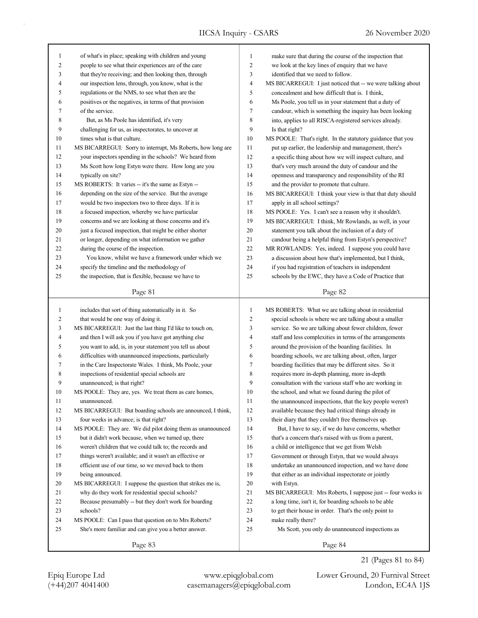| 1              | of what's in place; speaking with children and young        | $\mathbf{1}$   | make sure that during the course of the inspection that     |
|----------------|-------------------------------------------------------------|----------------|-------------------------------------------------------------|
| 2              | people to see what their experiences are of the care        | $\overline{c}$ | we look at the key lines of enquiry that we have            |
| 3              | that they're receiving; and then looking then, through      | 3              | identified that we need to follow.                          |
| 4              | our inspection lens, through, you know, what is the         | 4              | MS BICARREGUI: I just noticed that -- we were talking about |
| 5              | regulations or the NMS, to see what then are the            | 5              | concealment and how difficult that is. I think,             |
| 6              | positives or the negatives, in terms of that provision      | 6              | Ms Poole, you tell us in your statement that a duty of      |
| 7              | of the service.                                             | 7              | candour, which is something the inquiry has been looking    |
| 8              | But, as Ms Poole has identified, it's very                  | 8              | into, applies to all RISCA-registered services already.     |
| 9              | challenging for us, as inspectorates, to uncover at         | 9              | Is that right?                                              |
| 10             | times what is that culture.                                 | 10             | MS POOLE: That's right. In the statutory guidance that you  |
| 11             | MS BICARREGUI: Sorry to interrupt, Ms Roberts, how long are | 11             | put up earlier, the leadership and management, there's      |
| 12             | your inspectors spending in the schools? We heard from      | 12             | a specific thing about how we will inspect culture, and     |
| 13             | Ms Scott how long Estyn were there. How long are you        | 13             | that's very much around the duty of candour and the         |
| 14             | typically on site?                                          | 14             | openness and transparency and responsibility of the RI      |
| 15             | MS ROBERTS: It varies -- it's the same as Estyn --          | 15             | and the provider to promote that culture.                   |
| 16             | depending on the size of the service. But the average       | 16             | MS BICARREGUI: I think your view is that that duty should   |
| 17             | would be two inspectors two to three days. If it is         | 17             | apply in all school settings?                               |
| 18             | a focused inspection, whereby we have particular            | 18             | MS POOLE: Yes. I can't see a reason why it shouldn't.       |
| 19             | concerns and we are looking at those concerns and it's      | 19             | MS BICARREGUI: I think, Mr Rowlands, as well, in your       |
| 20             | just a focused inspection, that might be either shorter     | 20             | statement you talk about the inclusion of a duty of         |
| 21             | or longer, depending on what information we gather          | 21             | candour being a helpful thing from Estyn's perspective?     |
| 22             | during the course of the inspection.                        | $22\,$         | MR ROWLANDS: Yes, indeed. I suppose you could have          |
| 23             | You know, whilst we have a framework under which we         | 23             | a discussion about how that's implemented, but I think,     |
| 24             | specify the timeline and the methodology of                 | 24             | if you had registration of teachers in independent          |
| 25             | the inspection, that is flexible, because we have to        | 25             | schools by the EWC, they have a Code of Practice that       |
|                |                                                             |                |                                                             |
|                | Page 81                                                     |                | Page 82                                                     |
|                |                                                             |                |                                                             |
|                |                                                             |                |                                                             |
| $\mathbf{1}$   | includes that sort of thing automatically in it. So         | $\mathbf{1}$   | MS ROBERTS: What we are talking about in residential        |
| 2              | that would be one way of doing it.                          | $\overline{c}$ | special schools is where we are talking about a smaller     |
| 3              | MS BICARREGUI: Just the last thing I'd like to touch on,    | 3              | service. So we are talking about fewer children, fewer      |
| $\overline{4}$ | and then I will ask you if you have got anything else       | 4              | staff and less complexities in terms of the arrangements    |
| 5              | you want to add, is, in your statement you tell us about    | 5              | around the provision of the boarding facilities. In         |
| 6              | difficulties with unannounced inspections, particularly     | 6              | boarding schools, we are talking about, often, larger       |
| 7              | in the Care Inspectorate Wales. I think, Ms Poole, your     | 7              | boarding facilities that may be different sites. So it      |
| 8              | inspections of residential special schools are              | $\,$ 8 $\,$    | requires more in-depth planning, more in-depth              |
| 9              | unannounced; is that right?                                 | 9              | consultation with the various staff who are working in      |
| 10             | MS POOLE: They are, yes. We treat them as care homes,       | 10             | the school, and what we found during the pilot of           |
| 11             | unannounced.                                                | 11             | the unannounced inspections, that the key people weren't    |
| 12             | MS BICARREGUI: But boarding schools are announced, I think, | 12             | available because they had critical things already in       |
| 13             | four weeks in advance; is that right?                       | 13             | their diary that they couldn't free themselves up.          |
| 14             | MS POOLE: They are. We did pilot doing them as unannounced  | 14             | But, I have to say, if we do have concerns, whether         |
| 15             | but it didn't work because, when we turned up, there        | 15             | that's a concern that's raised with us from a parent,       |
| 16             | weren't children that we could talk to; the records and     | 16             | a child or intelligence that we get from Welsh              |
| 17             | things weren't available; and it wasn't an effective or     | 17             | Government or through Estyn, that we would always           |
| 18             | efficient use of our time, so we moved back to them         | 18             | undertake an unannounced inspection, and we have done       |
| 19             | being announced.                                            | 19             | that either as an individual inspectorate or jointly        |
| $20\,$         | MS BICARREGUI: I suppose the question that strikes me is,   | 20             | with Estyn.                                                 |
| 21             | why do they work for residential special schools?           | 21             | MS BICARREGUI: Mrs Roberts, I suppose just -- four weeks is |
| 22             | Because presumably -- but they don't work for boarding      | 22             | a long time, isn't it, for boarding schools to be able      |
| 23             | schools?                                                    | 23             | to get their house in order. That's the only point to       |
| 24             | MS POOLE: Can I pass that question on to Mrs Roberts?       | 24             | make really there?                                          |
| 25             | She's more familiar and can give you a better answer.       | 25             | Ms Scott, you only do unannounced inspections as            |

(+44)207 4041400 casemanagers@epiqglobal.com London, EC4A 1JS Epiq Europe Ltd www.epiqglobal.com Lower Ground, 20 Furnival Street

21 (Pages 81 to 84)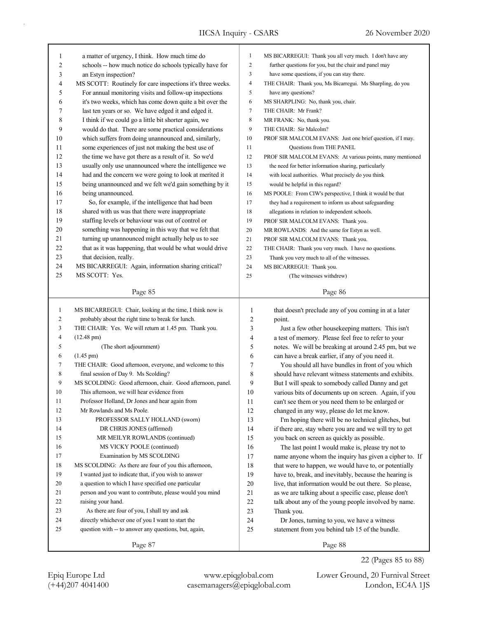|              |                                                            | $\mathbf{1}$        | MS BICARREGUI: Thank you all very much. I don't have any   |
|--------------|------------------------------------------------------------|---------------------|------------------------------------------------------------|
| 1            | a matter of urgency, I think. How much time do             | $\overline{c}$      |                                                            |
| 2            | schools -- how much notice do schools typically have for   |                     | further questions for you, but the chair and panel may     |
| 3            | an Estyn inspection?                                       | 3<br>$\overline{4}$ | have some questions, if you can stay there.                |
| 4            | MS SCOTT: Routinely for care inspections it's three weeks. |                     | THE CHAIR: Thank you, Ms Bicarregui. Ms Sharpling, do you  |
| 5            | For annual monitoring visits and follow-up inspections     | 5                   | have any questions?                                        |
| 6            | it's two weeks, which has come down quite a bit over the   | 6                   | MS SHARPLING: No, thank you, chair.                        |
| 7            | last ten years or so. We have edged it and edged it.       | 7                   | THE CHAIR: Mr Frank?                                       |
| 8            | I think if we could go a little bit shorter again, we      | 8                   | MR FRANK: No, thank you.                                   |
| 9            | would do that. There are some practical considerations     | 9                   | THE CHAIR: Sir Malcolm?                                    |
| 10           | which suffers from doing unannounced and, similarly,       | 10                  | PROF SIR MALCOLM EVANS: Just one brief question, if I may. |
| 11           | some experiences of just not making the best use of        | 11                  | Questions from THE PANEL                                   |
| 12           | the time we have got there as a result of it. So we'd      | 12                  | PROF SIR MALCOLM EVANS: At various points, many mentioned  |
| 13           | usually only use unannounced where the intelligence we     | 13                  | the need for better information sharing, particularly      |
| 14           | had and the concern we were going to look at merited it    | 14                  | with local authorities. What precisely do you think        |
| 15           | being unannounced and we felt we'd gain something by it    | 15                  | would be helpful in this regard?                           |
| 16           | being unannounced.                                         | 16                  | MS POOLE: From CIW's perspective, I think it would be that |
| 17           | So, for example, if the intelligence that had been         | 17                  | they had a requirement to inform us about safeguarding     |
| 18           | shared with us was that there were inappropriate           | 18                  | allegations in relation to independent schools.            |
| 19           | staffing levels or behaviour was out of control or         | 19                  | PROF SIR MALCOLM EVANS: Thank you.                         |
| 20           | something was happening in this way that we felt that      | 20                  | MR ROWLANDS: And the same for Estyn as well.               |
| 21           | turning up unannounced might actually help us to see       | 21                  | PROF SIR MALCOLM EVANS: Thank you.                         |
| 22           | that as it was happening, that would be what would drive   | 22                  | THE CHAIR: Thank you very much. I have no questions.       |
| 23           | that decision, really.                                     | 23                  | Thank you very much to all of the witnesses.               |
| 24           | MS BICARREGUI: Again, information sharing critical?        | 24                  | MS BICARREGUI: Thank you.                                  |
| 25           | MS SCOTT: Yes.                                             | 25                  | (The witnesses withdrew)                                   |
|              |                                                            |                     |                                                            |
|              | Page 85                                                    |                     | Page 86                                                    |
|              |                                                            |                     |                                                            |
|              |                                                            |                     |                                                            |
| $\mathbf{1}$ | MS BICARREGUI: Chair, looking at the time, I think now is  | $\mathbf{1}$        | that doesn't preclude any of you coming in at a later      |
| 2            | probably about the right time to break for lunch.          | $\overline{c}$      | point.                                                     |
| 3            | THE CHAIR: Yes. We will return at 1.45 pm. Thank you.      | 3                   | Just a few other housekeeping matters. This isn't          |
| 4            | $(12.48 \text{ pm})$                                       | 4                   | a test of memory. Please feel free to refer to your        |
| 5            | (The short adjournment)                                    | 5                   | notes. We will be breaking at around 2.45 pm, but we       |
| 6            | $(1.45 \text{ pm})$                                        | 6                   | can have a break earlier, if any of you need it.           |
| 7            | THE CHAIR: Good afternoon, everyone, and welcome to this   | 7                   | You should all have bundles in front of you which          |
| 8            | final session of Day 9. Ms Scolding?                       | 8                   | should have relevant witness statements and exhibits.      |
| 9            | MS SCOLDING: Good afternoon, chair. Good afternoon, panel. | 9                   | But I will speak to somebody called Danny and get          |
| 10           | This afternoon, we will hear evidence from                 | 10                  | various bits of documents up on screen. Again, if you      |
| 11           | Professor Holland, Dr Jones and hear again from            | 11                  | can't see them or you need them to be enlarged or          |
| 12           | Mr Rowlands and Ms Poole.                                  | 12                  | changed in any way, please do let me know.                 |
| 13           | PROFESSOR SALLY HOLLAND (sworn)                            | 13                  | I'm hoping there will be no technical glitches, but        |
| 14           | DR CHRIS JONES (affirmed)                                  | 14                  | if there are, stay where you are and we will try to get    |
| 15           | MR MEILYR ROWLANDS (continued)                             | 15                  | you back on screen as quickly as possible.                 |
| 16           | MS VICKY POOLE (continued)                                 | 16                  | The last point I would make is, please try not to          |
| 17           | Examination by MS SCOLDING                                 | 17                  | name anyone whom the inquiry has given a cipher to. If     |
| 18           | MS SCOLDING: As there are four of you this afternoon,      | 18                  | that were to happen, we would have to, or potentially      |
| 19           | I wanted just to indicate that, if you wish to answer      | 19                  | have to, break, and inevitably, because the hearing is     |
| 20           | a question to which I have specified one particular        | 20                  | live, that information would be out there. So please,      |
| 21           | person and you want to contribute, please would you mind   | $21\,$              | as we are talking about a specific case, please don't      |
| 22           | raising your hand.                                         | 22                  | talk about any of the young people involved by name.       |
| 23           | As there are four of you, I shall try and ask              | 23                  | Thank you.                                                 |
| 24           | directly whichever one of you I want to start the          | 24                  | Dr Jones, turning to you, we have a witness                |
| 25           | question with -- to answer any questions, but, again,      | 25                  | statement from you behind tab 15 of the bundle.            |
|              | Page 87                                                    |                     | Page 88                                                    |

(+44)207 4041400 casemanagers@epiqglobal.com London, EC4A 1JS Epiq Europe Ltd www.epiqglobal.com Lower Ground, 20 Furnival Street

22 (Pages 85 to 88)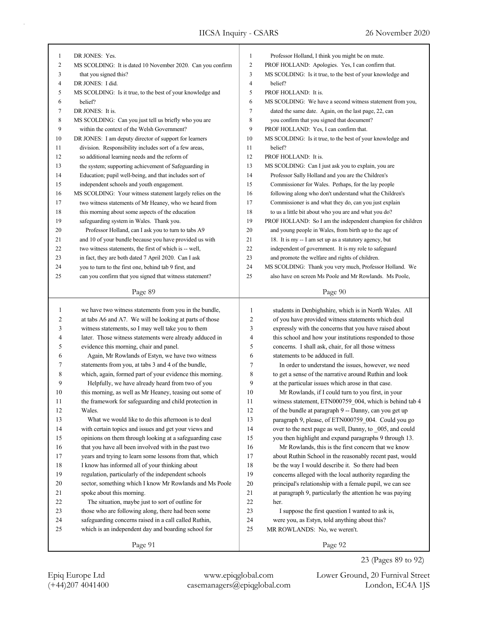| 1  | DR JONES: Yes.                                             | 1      | Professor Holland, I think you might be on mute.            |
|----|------------------------------------------------------------|--------|-------------------------------------------------------------|
| 2  | MS SCOLDING: It is dated 10 November 2020. Can you confirm | 2      | PROF HOLLAND: Apologies. Yes, I can confirm that.           |
| 3  | that you signed this?                                      | 3      | MS SCOLDING: Is it true, to the best of your knowledge and  |
| 4  | DR JONES: I did.                                           | 4      | belief?                                                     |
| 5  | MS SCOLDING: Is it true, to the best of your knowledge and | 5      | PROF HOLLAND: It is.                                        |
| 6  | belief?                                                    | 6      | MS SCOLDING: We have a second witness statement from you,   |
| 7  | DR JONES: It is.                                           | 7      | dated the same date. Again, on the last page, 22, can       |
| 8  | MS SCOLDING: Can you just tell us briefly who you are      | 8      | you confirm that you signed that document?                  |
| 9  | within the context of the Welsh Government?                | 9      | PROF HOLLAND: Yes, I can confirm that.                      |
| 10 | DR JONES: I am deputy director of support for learners     | 10     | MS SCOLDING: Is it true, to the best of your knowledge and  |
| 11 | division. Responsibility includes sort of a few areas,     | 11     | belief?                                                     |
| 12 | so additional learning needs and the reform of             | 12     | PROF HOLLAND: It is.                                        |
| 13 | the system; supporting achievement of Safeguarding in      | 13     | MS SCOLDING: Can I just ask you to explain, you are         |
| 14 | Education; pupil well-being, and that includes sort of     | 14     | Professor Sally Holland and you are the Children's          |
| 15 | independent schools and youth engagement.                  | 15     | Commissioner for Wales. Perhaps, for the lay people         |
| 16 | MS SCOLDING: Your witness statement largely relies on the  | 16     | following along who don't understand what the Children's    |
| 17 | two witness statements of Mr Heaney, who we heard from     | 17     | Commissioner is and what they do, can you just explain      |
| 18 | this morning about some aspects of the education           | 18     | to us a little bit about who you are and what you do?       |
| 19 | safeguarding system in Wales. Thank you.                   | 19     | PROF HOLLAND: So I am the independent champion for children |
| 20 | Professor Holland, can I ask you to turn to tabs A9        | 20     | and young people in Wales, from birth up to the age of      |
| 21 | and 10 of your bundle because you have provided us with    | 21     | 18. It is my -- I am set up as a statutory agency, but      |
| 22 | two witness statements, the first of which is -- well,     | 22     | independent of government. It is my role to safeguard       |
| 23 | in fact, they are both dated 7 April 2020. Can I ask       | 23     | and promote the welfare and rights of children.             |
| 24 | you to turn to the first one, behind tab 9 first, and      | 24     | MS SCOLDING: Thank you very much, Professor Holland. We     |
| 25 | can you confirm that you signed that witness statement?    | 25     | also have on screen Ms Poole and Mr Rowlands. Ms Poole,     |
|    |                                                            |        |                                                             |
|    | Page 89                                                    |        | Page 90                                                     |
|    |                                                            |        |                                                             |
|    |                                                            |        |                                                             |
| 1  | we have two witness statements from you in the bundle,     | 1      | students in Denbighshire, which is in North Wales. All      |
| 2  | at tabs A6 and A7. We will be looking at parts of those    | 2      | of you have provided witness statements which deal          |
| 3  | witness statements, so I may well take you to them         | 3      | expressly with the concerns that you have raised about      |
| 4  | later. Those witness statements were already adduced in    | 4      | this school and how your institutions responded to those    |
| 5  | evidence this morning, chair and panel.                    | 5      | concerns. I shall ask, chair, for all those witness         |
| 6  | Again, Mr Rowlands of Estyn, we have two witness           | 6      | statements to be adduced in full.                           |
| 7  | statements from you, at tabs 3 and 4 of the bundle,        | 7      | In order to understand the issues, however, we need         |
| 8  | which, again, formed part of your evidence this morning.   | 8      | to get a sense of the narrative around Ruthin and look      |
| 9  | Helpfully, we have already heard from two of you           | 9      | at the particular issues which arose in that case.          |
| 10 | this morning, as well as Mr Heaney, teasing out some of    | 10     | Mr Rowlands, if I could turn to you first, in your          |
| 11 | the framework for safeguarding and child protection in     | 11     | witness statement, ETN000759 004, which is behind tab 4     |
| 12 | Wales.                                                     | 12     | of the bundle at paragraph 9 -- Danny, can you get up       |
| 13 | What we would like to do this afternoon is to deal         | 13     | paragraph 9, please, of ETN000759 004. Could you go         |
| 14 | with certain topics and issues and get your views and      | 14     | over to the next page as well, Danny, to 005, and could     |
| 15 | opinions on them through looking at a safeguarding case    | 15     | you then highlight and expand paragraphs 9 through 13.      |
| 16 | that you have all been involved with in the past two       | 16     | Mr Rowlands, this is the first concern that we know         |
| 17 | years and trying to learn some lessons from that, which    | 17     | about Ruthin School in the reasonably recent past, would    |
| 18 | I know has informed all of your thinking about             | 18     | be the way I would describe it. So there had been           |
| 19 | regulation, particularly of the independent schools        | 19     | concerns alleged with the local authority regarding the     |
| 20 | sector, something which I know Mr Rowlands and Ms Poole    | 20     | principal's relationship with a female pupil, we can see    |
| 21 | spoke about this morning.                                  | 21     | at paragraph 9, particularly the attention he was paying    |
| 22 | The situation, maybe just to sort of outline for           | $22\,$ | her.                                                        |
| 23 | those who are following along, there had been some         | 23     | I suppose the first question I wanted to ask is,            |
| 24 | safeguarding concerns raised in a call called Ruthin,      | 24     | were you, as Estyn, told anything about this?               |
| 25 | which is an independent day and boarding school for        | 25     | MR ROWLANDS: No, we weren't.                                |

Page 92

(+44)207 4041400 casemanagers@epiqglobal.com London, EC4A 1JS Epiq Europe Ltd www.epiqglobal.com Lower Ground, 20 Furnival Street

23 (Pages 89 to 92)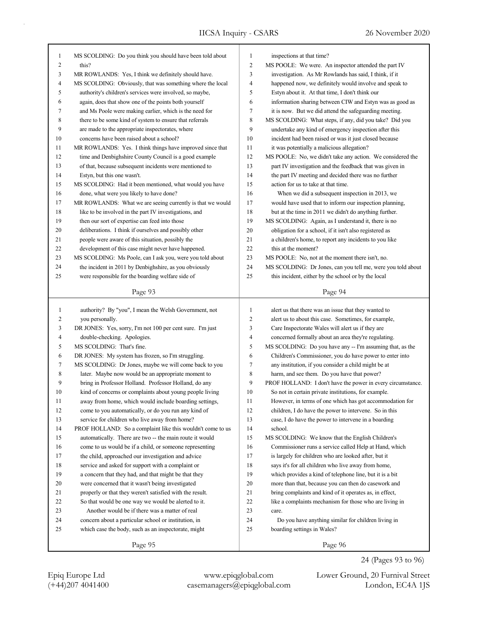٦

| 1  | MS SCOLDING: Do you think you should have been told about  | $\mathbf{1}$   | inspections at that time?                                   |
|----|------------------------------------------------------------|----------------|-------------------------------------------------------------|
| 2  | this?                                                      | $\mathbf{2}$   | MS POOLE: We were. An inspector attended the part IV        |
| 3  | MR ROWLANDS: Yes, I think we definitely should have.       | 3              | investigation. As Mr Rowlands has said, I think, if it      |
| 4  | MS SCOLDING: Obviously, that was something where the local | 4              | happened now, we definitely would involve and speak to      |
| 5  | authority's children's services were involved, so maybe,   | 5              | Estyn about it. At that time, I don't think our             |
| 6  | again, does that show one of the points both yourself      | 6              | information sharing between CIW and Estyn was as good as    |
| 7  | and Ms Poole were making earlier, which is the need for    | $\tau$         | it is now. But we did attend the safeguarding meeting.      |
| 8  | there to be some kind of system to ensure that referrals   | $\,$ 8 $\,$    | MS SCOLDING: What steps, if any, did you take? Did you      |
| 9  | are made to the appropriate inspectorates, where           | 9              | undertake any kind of emergency inspection after this       |
| 10 | concerns have been raised about a school?                  | 10             | incident had been raised or was it just closed because      |
| 11 | MR ROWLANDS: Yes. I think things have improved since that  | 11             | it was potentially a malicious allegation?                  |
| 12 | time and Denbighshire County Council is a good example     | 12             | MS POOLE: No, we didn't take any action. We considered the  |
| 13 | of that, because subsequent incidents were mentioned to    | 13             | part IV investigation and the feedback that was given in    |
| 14 | Estyn, but this one wasn't.                                | 14             | the part IV meeting and decided there was no further        |
| 15 | MS SCOLDING: Had it been mentioned, what would you have    | 15             | action for us to take at that time.                         |
| 16 | done, what were you likely to have done?                   | 16             | When we did a subsequent inspection in 2013, we             |
| 17 | MR ROWLANDS: What we are seeing currently is that we would | 17             | would have used that to inform our inspection planning,     |
| 18 | like to be involved in the part IV investigations, and     | 18             | but at the time in 2011 we didn't do anything further.      |
| 19 | then our sort of expertise can feed into those             | 19             | MS SCOLDING: Again, as I understand it, there is no         |
| 20 | deliberations. I think if ourselves and possibly other     | 20             | obligation for a school, if it isn't also registered as     |
| 21 | people were aware of this situation, possibly the          | 21             | a children's home, to report any incidents to you like      |
| 22 | development of this case might never have happened.        | 22             | this at the moment?                                         |
| 23 | MS SCOLDING: Ms Poole, can I ask you, were you told about  | 23             | MS POOLE: No, not at the moment there isn't, no.            |
| 24 | the incident in 2011 by Denbighshire, as you obviously     | 24             | MS SCOLDING: Dr Jones, can you tell me, were you told about |
| 25 | were responsible for the boarding welfare side of          | 25             | this incident, either by the school or by the local         |
|    | Page 93                                                    |                | Page 94                                                     |
|    |                                                            |                |                                                             |
| 1  | authority? By "you", I mean the Welsh Government, not      | $\mathbf{1}$   | alert us that there was an issue that they wanted to        |
| 2  | you personally.                                            | $\overline{c}$ | alert us to about this case. Sometimes, for example,        |
| 3  | DR JONES: Yes, sorry, I'm not 100 per cent sure. I'm just  | 3              | Care Inspectorate Wales will alert us if they are           |
| 4  | double-checking. Apologies.                                | $\overline{4}$ | concerned formally about an area they're regulating.        |
| 5  | MS SCOLDING: That's fine.                                  | 5              | MS SCOLDING: Do you have any -- I'm assuming that, as the   |
| 6  | DR JONES: My system has frozen, so I'm struggling.         | 6              | Children's Commissioner, you do have power to enter into    |
| 7  | MS SCOLDING: Dr Jones, maybe we will come back to you      | 7              | any institution, if you consider a child might be at        |
| 8  | later. Maybe now would be an appropriate moment to         | 8              | harm, and see them. Do you have that power?                 |
| 9  | bring in Professor Holland. Professor Holland, do any      | 9              | PROF HOLLAND: I don't have the power in every circumstance. |
| 10 | kind of concerns or complaints about young people living   | 10             | So not in certain private institutions, for example.        |
| 11 | away from home, which would include boarding settings,     | 11             | However, in terms of one which has got accommodation for    |
| 12 | come to you automatically, or do you run any kind of       | 12             | children, I do have the power to intervene. So in this      |
| 13 | service for children who live away from home?              | 13             | case, I do have the power to intervene in a boarding        |
| 14 | PROF HOLLAND: So a complaint like this wouldn't come to us | 14             | school.                                                     |
| 15 | automatically. There are two -- the main route it would    | 15             | MS SCOLDING: We know that the English Children's            |
| 16 | come to us would be if a child, or someone representing    | 16             | Commissioner runs a service called Help at Hand, which      |
| 17 | the child, approached our investigation and advice         | 17             | is largely for children who are looked after, but it        |
| 18 | service and asked for support with a complaint or          | 18             | says it's for all children who live away from home,         |
| 19 | a concern that they had, and that might be that they       | 19             | which provides a kind of telephone line, but it is a bit    |
| 20 | were concerned that it wasn't being investigated           | 20             | more than that, because you can then do casework and        |
| 21 | properly or that they weren't satisfied with the result.   | 21             | bring complaints and kind of it operates as, in effect,     |
| 22 | So that would be one way we would be alerted to it.        | 22             | like a complaints mechanism for those who are living in     |
| 23 | Another would be if there was a matter of real             | 23             | care.                                                       |
| 24 | concern about a particular school or institution, in       | 24             | Do you have anything similar for children living in         |
| 25 | which case the body, such as an inspectorate, might        | 25             | boarding settings in Wales?                                 |

(+44)207 4041400 casemanagers@epiqglobal.com London, EC4A 1JS Epiq Europe Ltd www.epiqglobal.com Lower Ground, 20 Furnival Street

24 (Pages 93 to 96)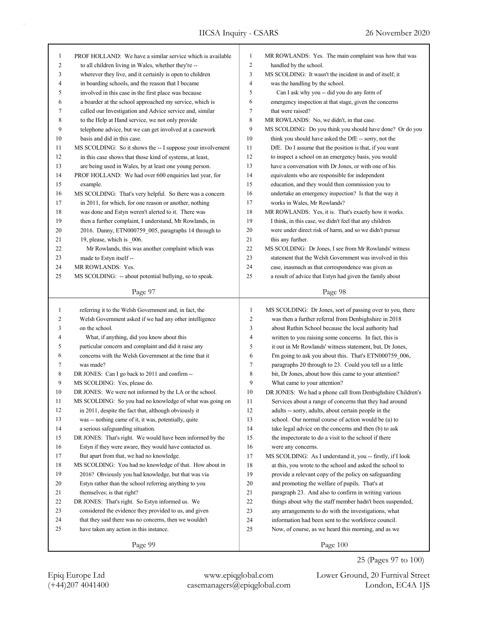| 1            | PROF HOLLAND: We have a similar service which is available | 1              | MR ROWLANDS: Yes. The main complaint was how that was      |
|--------------|------------------------------------------------------------|----------------|------------------------------------------------------------|
| 2            | to all children living in Wales, whether they're --        | $\overline{c}$ | handled by the school.                                     |
| 3            | wherever they live, and it certainly is open to children   | 3              | MS SCOLDING: It wasn't the incident in and of itself; it   |
| 4            | in boarding schools, and the reason that I became          | 4              | was the handling by the school.                            |
| 5            | involved in this case in the first place was because       | 5              | Can I ask why you -- did you do any form of                |
| 6            | a boarder at the school approached my service, which is    | 6              | emergency inspection at that stage, given the concerns     |
| 7            | called our Investigation and Advice service and, similar   | $\tau$         | that were raised?                                          |
| 8            | to the Help at Hand service, we not only provide           | 8              | MR ROWLANDS: No, we didn't, in that case.                  |
| 9            | telephone advice, but we can get involved at a casework    | 9              | MS SCOLDING: Do you think you should have done? Or do you  |
| 10           | basis and did in this case.                                | 10             | think you should have asked the DfE -- sorry, not the      |
| 11           | MS SCOLDING: So it shows the -- I suppose your involvement | 11             | DfE. Do I assume that the position is that, if you want    |
| 12           | in this case shows that those kind of systems, at least,   | 12             | to inspect a school on an emergency basis, you would       |
| 13           | are being used in Wales, by at least one young person.     | 13             | have a conversation with Dr Jones, or with one of his      |
| 14           | PROF HOLLAND: We had over 600 enquiries last year, for     | 14             | equivalents who are responsible for independent            |
| 15           | example.                                                   | 15             | education, and they would then commission you to           |
| 16           | MS SCOLDING: That's very helpful. So there was a concern   | 16             | undertake an emergency inspection? Is that the way it      |
| 17           | in 2011, for which, for one reason or another, nothing     | 17             | works in Wales, Mr Rowlands?                               |
| 18           | was done and Estyn weren't alerted to it. There was        | 18             | MR ROWLANDS: Yes, it is. That's exactly how it works.      |
| 19           | then a further complaint, I understand, Mr Rowlands, in    | 19             | I think, in this case, we didn't feel that any children    |
| 20           | 2016. Danny, ETN000759_005, paragraphs 14 through to       | 20             | were under direct risk of harm, and so we didn't pursue    |
| 21           | 19, please, which is 006.                                  | 21             | this any further.                                          |
| 22           | Mr Rowlands, this was another complaint which was          | 22             | MS SCOLDING: Dr Jones, I see from Mr Rowlands' witness     |
| 23           | made to Estyn itself --                                    | 23             | statement that the Welsh Government was involved in this   |
| 24           | MR ROWLANDS: Yes.                                          | 24             | case, inasmuch as that correspondence was given as         |
| 25           | MS SCOLDING: -- about potential bullying, so to speak.     | 25             | a result of advice that Estyn had given the family about   |
|              |                                                            |                |                                                            |
|              | Page 97                                                    |                | Page 98                                                    |
|              |                                                            |                |                                                            |
|              |                                                            |                |                                                            |
| $\mathbf{1}$ | referring it to the Welsh Government and, in fact, the     | $\mathbf{1}$   | MS SCOLDING: Dr Jones, sort of passing over to you, there  |
| 2            | Welsh Government asked if we had any other intelligence    | $\overline{c}$ | was then a further referral from Denbighshire in 2018      |
| 3            | on the school.                                             | 3              | about Ruthin School because the local authority had        |
| 4            | What, if anything, did you know about this                 | $\overline{4}$ | written to you raising some concerns. In fact, this is     |
| 5            | particular concern and complaint and did it raise any      | 5              | it out in Mr Rowlands' witness statement, but, Dr Jones,   |
| 6            | concerns with the Welsh Government at the time that it     | 6              | I'm going to ask you about this. That's ETN000759 006,     |
| 7            | was made?                                                  | $\tau$         | paragraphs 20 through to 23. Could you tell us a little    |
| 8            | DR JONES: Can I go back to 2011 and confirm --             | 8              | bit, Dr Jones, about how this came to your attention?      |
| 9            | MS SCOLDING: Yes, please do.                               | 9              | What came to your attention?                               |
| 10           | DR JONES: We were not informed by the LA or the school.    | 10             | DR JONES: We had a phone call from Denbighshire Children's |
| 11           | MS SCOLDING: So you had no knowledge of what was going on  | 11             | Services about a range of concerns that they had around    |
| 12           | in 2011, despite the fact that, although obviously it      | 12             | adults -- sorry, adults, about certain people in the       |
| 13           | was -- nothing came of it, it was, potentially, quite      | 13             | school. Our normal course of action would be (a) to        |
| 14           | a serious safeguarding situation.                          | 14             | take legal advice on the concerns and then (b) to ask      |
| 15           | DR JONES: That's right. We would have been informed by the | 15             | the inspectorate to do a visit to the school if there      |
| 16           | Estyn if they were aware, they would have contacted us.    | 16             | were any concerns.                                         |
| 17           | But apart from that, we had no knowledge.                  | $17\,$         | MS SCOLDING: As I understand it, you -- firstly, if I look |
| 18           | MS SCOLDING: You had no knowledge of that. How about in    | 18             | at this, you wrote to the school and asked the school to   |
| 19           | 2016? Obviously you had knowledge, but that was via        | 19             | provide a relevant copy of the policy on safeguarding      |
| 20           | Estyn rather than the school referring anything to you     | 20             | and promoting the welfare of pupils. That's at             |
| 21           | themselves; is that right?                                 | 21             | paragraph 23. And also to confirm in writing various       |
| $22\,$       | DR JONES: That's right. So Estyn informed us. We           | 22             | things about why the staff member hadn't been suspended,   |
| 23           | considered the evidence they provided to us, and given     | $23\,$         | any arrangements to do with the investigations, what       |
| 24           | that they said there was no concerns, then we wouldn't     | $24\,$         | information had been sent to the workforce council.        |
| 25           | have taken any action in this instance.                    | 25             | Now, of course, as we heard this morning, and as we        |
|              | Page 99                                                    |                | Page 100                                                   |

(+44)207 4041400 casemanagers@epiqglobal.com London, EC4A 1JS

Epiq Europe Ltd www.epiqglobal.com Lower Ground, 20 Furnival Street

25 (Pages 97 to 100)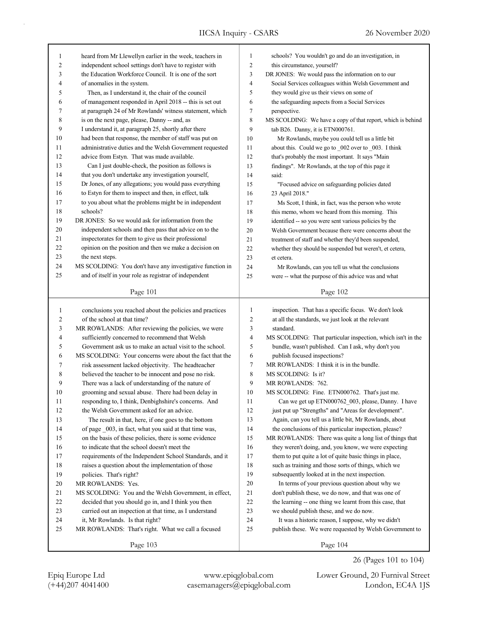٦

| 1            | heard from Mr Llewellyn earlier in the week, teachers in                                                   | $\mathbf{1}$   | schools? You wouldn't go and do an investigation, in                                                       |
|--------------|------------------------------------------------------------------------------------------------------------|----------------|------------------------------------------------------------------------------------------------------------|
| 2            | independent school settings don't have to register with                                                    | 2              | this circumstance, yourself?                                                                               |
| 3            | the Education Workforce Council. It is one of the sort                                                     | 3              | DR JONES: We would pass the information on to our                                                          |
| 4            | of anomalies in the system.                                                                                | 4              | Social Services colleagues within Welsh Government and                                                     |
| 5            | Then, as I understand it, the chair of the council                                                         | 5              | they would give us their views on some of                                                                  |
| 6            | of management responded in April 2018 -- this is set out                                                   | 6              | the safeguarding aspects from a Social Services                                                            |
| 7            | at paragraph 24 of Mr Rowlands' witness statement, which                                                   | 7              | perspective.                                                                                               |
| 8            | is on the next page, please, Danny -- and, as                                                              | 8              | MS SCOLDING: We have a copy of that report, which is behind                                                |
| 9            | I understand it, at paragraph 25, shortly after there                                                      | 9              | tab B26. Danny, it is ETN000761.                                                                           |
| 10           | had been that response, the member of staff was put on                                                     | 10             | Mr Rowlands, maybe you could tell us a little bit                                                          |
| 11           | administrative duties and the Welsh Government requested                                                   | 11             | about this. Could we go to _002 over to _003. I think                                                      |
| 12           | advice from Estyn. That was made available.                                                                | 12             |                                                                                                            |
| 13           | Can I just double-check, the position as follows is                                                        | 13             | that's probably the most important. It says "Main                                                          |
| 14           |                                                                                                            |                | findings". Mr Rowlands, at the top of this page it                                                         |
|              | that you don't undertake any investigation yourself,                                                       | 14             | said:                                                                                                      |
| 15           | Dr Jones, of any allegations; you would pass everything                                                    | 15             | "Focused advice on safeguarding policies dated                                                             |
| 16           | to Estyn for them to inspect and then, in effect, talk                                                     | 16             | 23 April 2018."                                                                                            |
| 17           | to you about what the problems might be in independent                                                     | 17             | Ms Scott, I think, in fact, was the person who wrote                                                       |
| 18           | schools?                                                                                                   | 18             | this memo, whom we heard from this morning. This                                                           |
| 19           | DR JONES: So we would ask for information from the                                                         | 19             | identified -- so you were sent various policies by the                                                     |
| 20           | independent schools and then pass that advice on to the                                                    | 20             | Welsh Government because there were concerns about the                                                     |
| 21           | inspectorates for them to give us their professional                                                       | 21             | treatment of staff and whether they'd been suspended,                                                      |
| 22           | opinion on the position and then we make a decision on                                                     | 22             | whether they should be suspended but weren't, et cetera,                                                   |
| 23           | the next steps.                                                                                            | 23             | et cetera.                                                                                                 |
| 24           | MS SCOLDING: You don't have any investigative function in                                                  | 24             | Mr Rowlands, can you tell us what the conclusions                                                          |
| 25           | and of itself in your role as registrar of independent                                                     | 25             | were -- what the purpose of this advice was and what                                                       |
|              | Page 101                                                                                                   |                | Page 102                                                                                                   |
|              |                                                                                                            |                |                                                                                                            |
|              |                                                                                                            |                |                                                                                                            |
| $\mathbf{1}$ |                                                                                                            | $\mathbf{1}$   |                                                                                                            |
|              | conclusions you reached about the policies and practices<br>of the school at that time?                    | 2              | inspection. That has a specific focus. We don't look<br>at all the standards, we just look at the relevant |
| 2<br>3       |                                                                                                            | 3              | standard.                                                                                                  |
| 4            | MR ROWLANDS: After reviewing the policies, we were                                                         | $\overline{4}$ |                                                                                                            |
| 5            | sufficiently concerned to recommend that Welsh<br>Government ask us to make an actual visit to the school. | 5              | MS SCOLDING: That particular inspection, which isn't in the                                                |
| 6            | MS SCOLDING: Your concerns were about the fact that the                                                    | 6              | bundle, wasn't published. Can I ask, why don't you<br>publish focused inspections?                         |
| 7            |                                                                                                            | 7              | MR ROWLANDS: I think it is in the bundle.                                                                  |
|              | risk assessment lacked objectivity. The headteacher                                                        |                | MS SCOLDING: Is it?                                                                                        |
| 8<br>9       | believed the teacher to be innocent and pose no risk.                                                      | 8<br>9         | MR ROWLANDS: 762.                                                                                          |
| 10           | There was a lack of understanding of the nature of                                                         | 10             |                                                                                                            |
|              | grooming and sexual abuse. There had been delay in                                                         |                | MS SCOLDING: Fine. ETN000762. That's just me.                                                              |
| 11           | responding to, I think, Denbighshire's concerns. And                                                       | 11             | Can we get up ETN000762_003, please, Danny. I have                                                         |
| 12           | the Welsh Government asked for an advice.                                                                  | 12             | just put up "Strengths" and "Areas for development".                                                       |
| 13           | The result in that, here, if one goes to the bottom                                                        | 13             | Again, can you tell us a little bit, Mr Rowlands, about                                                    |
| 14           | of page _003, in fact, what you said at that time was,                                                     | 14             | the conclusions of this particular inspection, please?                                                     |
| 15           | on the basis of these policies, there is some evidence                                                     | 15             | MR ROWLANDS: There was quite a long list of things that                                                    |
| 16           | to indicate that the school doesn't meet the                                                               | 16             | they weren't doing, and, you know, we were expecting                                                       |
| 17           | requirements of the Independent School Standards, and it                                                   | 17             | them to put quite a lot of quite basic things in place,                                                    |
| 18           | raises a question about the implementation of those                                                        | 18             | such as training and those sorts of things, which we                                                       |
| 19           | policies. That's right?                                                                                    | 19             | subsequently looked at in the next inspection.                                                             |
| 20           | MR ROWLANDS: Yes.                                                                                          | 20             | In terms of your previous question about why we                                                            |
| 21           | MS SCOLDING: You and the Welsh Government, in effect,                                                      | 21             | don't publish these, we do now, and that was one of                                                        |
| $22\,$       | decided that you should go in, and I think you then                                                        | 22             | the learning -- one thing we learnt from this case, that                                                   |
| 23           | carried out an inspection at that time, as I understand                                                    | 23             | we should publish these, and we do now.                                                                    |
| 24           | it, Mr Rowlands. Is that right?                                                                            | 24             | It was a historic reason, I suppose, why we didn't                                                         |
| 25           | MR ROWLANDS: That's right. What we call a focused                                                          | 25             | publish these. We were requested by Welsh Government to                                                    |

Page 104

(+44)207 4041400 casemanagers@epiqglobal.com London, EC4A 1JS Epiq Europe Ltd www.epiqglobal.com Lower Ground, 20 Furnival Street

26 (Pages 101 to 104)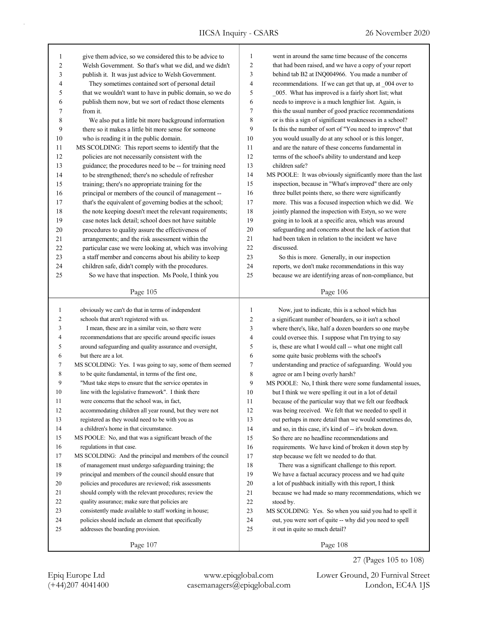IICSA Inquiry - CSARS 26 November 2020

| went in around the same time because of the concerns<br>give them advice, so we considered this to be advice to<br>1<br>1<br>$\overline{c}$<br>$\overline{2}$<br>Welsh Government. So that's what we did, and we didn't<br>that had been raised, and we have a copy of your report<br>3<br>3<br>publish it. It was just advice to Welsh Government.<br>behind tab B2 at INQ004966. You made a number of<br>They sometimes contained sort of personal detail<br>4<br>recommendations. If we can get that up, at _004 over to<br>4<br>5<br>that we wouldn't want to have in public domain, so we do<br>005. What has improved is a fairly short list; what<br>5<br>6<br>needs to improve is a much lengthier list. Again, is<br>publish them now, but we sort of redact those elements<br>6<br>$\tau$<br>this the usual number of good practice recommendations<br>7<br>from it.<br>8<br>8<br>or is this a sign of significant weaknesses in a school?<br>We also put a little bit more background information |  |
|--------------------------------------------------------------------------------------------------------------------------------------------------------------------------------------------------------------------------------------------------------------------------------------------------------------------------------------------------------------------------------------------------------------------------------------------------------------------------------------------------------------------------------------------------------------------------------------------------------------------------------------------------------------------------------------------------------------------------------------------------------------------------------------------------------------------------------------------------------------------------------------------------------------------------------------------------------------------------------------------------------------|--|
|                                                                                                                                                                                                                                                                                                                                                                                                                                                                                                                                                                                                                                                                                                                                                                                                                                                                                                                                                                                                              |  |
|                                                                                                                                                                                                                                                                                                                                                                                                                                                                                                                                                                                                                                                                                                                                                                                                                                                                                                                                                                                                              |  |
|                                                                                                                                                                                                                                                                                                                                                                                                                                                                                                                                                                                                                                                                                                                                                                                                                                                                                                                                                                                                              |  |
|                                                                                                                                                                                                                                                                                                                                                                                                                                                                                                                                                                                                                                                                                                                                                                                                                                                                                                                                                                                                              |  |
|                                                                                                                                                                                                                                                                                                                                                                                                                                                                                                                                                                                                                                                                                                                                                                                                                                                                                                                                                                                                              |  |
|                                                                                                                                                                                                                                                                                                                                                                                                                                                                                                                                                                                                                                                                                                                                                                                                                                                                                                                                                                                                              |  |
|                                                                                                                                                                                                                                                                                                                                                                                                                                                                                                                                                                                                                                                                                                                                                                                                                                                                                                                                                                                                              |  |
|                                                                                                                                                                                                                                                                                                                                                                                                                                                                                                                                                                                                                                                                                                                                                                                                                                                                                                                                                                                                              |  |
| 9<br>there so it makes a little bit more sense for someone<br>Is this the number of sort of "You need to improve" that<br>9                                                                                                                                                                                                                                                                                                                                                                                                                                                                                                                                                                                                                                                                                                                                                                                                                                                                                  |  |
| 10<br>you would usually do at any school or is this longer,<br>10<br>who is reading it in the public domain.                                                                                                                                                                                                                                                                                                                                                                                                                                                                                                                                                                                                                                                                                                                                                                                                                                                                                                 |  |
| MS SCOLDING: This report seems to identify that the<br>11<br>and are the nature of these concerns fundamental in<br>11                                                                                                                                                                                                                                                                                                                                                                                                                                                                                                                                                                                                                                                                                                                                                                                                                                                                                       |  |
| 12<br>policies are not necessarily consistent with the<br>12<br>terms of the school's ability to understand and keep                                                                                                                                                                                                                                                                                                                                                                                                                                                                                                                                                                                                                                                                                                                                                                                                                                                                                         |  |
| 13<br>guidance; the procedures need to be -- for training need<br>children safe?<br>13                                                                                                                                                                                                                                                                                                                                                                                                                                                                                                                                                                                                                                                                                                                                                                                                                                                                                                                       |  |
| 14<br>14<br>to be strengthened; there's no schedule of refresher<br>MS POOLE: It was obviously significantly more than the last                                                                                                                                                                                                                                                                                                                                                                                                                                                                                                                                                                                                                                                                                                                                                                                                                                                                              |  |
| 15<br>15<br>training; there's no appropriate training for the<br>inspection, because in "What's improved" there are only                                                                                                                                                                                                                                                                                                                                                                                                                                                                                                                                                                                                                                                                                                                                                                                                                                                                                     |  |
| 16<br>16<br>principal or members of the council of management --<br>three bullet points there, so there were significantly                                                                                                                                                                                                                                                                                                                                                                                                                                                                                                                                                                                                                                                                                                                                                                                                                                                                                   |  |
| 17<br>17<br>more. This was a focused inspection which we did. We<br>that's the equivalent of governing bodies at the school;                                                                                                                                                                                                                                                                                                                                                                                                                                                                                                                                                                                                                                                                                                                                                                                                                                                                                 |  |
| 18<br>18<br>jointly planned the inspection with Estyn, so we were<br>the note keeping doesn't meet the relevant requirements;                                                                                                                                                                                                                                                                                                                                                                                                                                                                                                                                                                                                                                                                                                                                                                                                                                                                                |  |
| 19<br>case notes lack detail; school does not have suitable<br>19<br>going in to look at a specific area, which was around                                                                                                                                                                                                                                                                                                                                                                                                                                                                                                                                                                                                                                                                                                                                                                                                                                                                                   |  |
| 20<br>safeguarding and concerns about the lack of action that<br>20<br>procedures to quality assure the effectiveness of                                                                                                                                                                                                                                                                                                                                                                                                                                                                                                                                                                                                                                                                                                                                                                                                                                                                                     |  |
| 21<br>had been taken in relation to the incident we have<br>21<br>arrangements; and the risk assessment within the                                                                                                                                                                                                                                                                                                                                                                                                                                                                                                                                                                                                                                                                                                                                                                                                                                                                                           |  |
| 22<br>22<br>particular case we were looking at, which was involving<br>discussed.                                                                                                                                                                                                                                                                                                                                                                                                                                                                                                                                                                                                                                                                                                                                                                                                                                                                                                                            |  |
| 23<br>23<br>a staff member and concerns about his ability to keep<br>So this is more. Generally, in our inspection                                                                                                                                                                                                                                                                                                                                                                                                                                                                                                                                                                                                                                                                                                                                                                                                                                                                                           |  |
| 24<br>reports, we don't make recommendations in this way<br>children safe, didn't comply with the procedures.<br>24                                                                                                                                                                                                                                                                                                                                                                                                                                                                                                                                                                                                                                                                                                                                                                                                                                                                                          |  |
| So we have that inspection. Ms Poole, I think you<br>25<br>because we are identifying areas of non-compliance, but<br>25                                                                                                                                                                                                                                                                                                                                                                                                                                                                                                                                                                                                                                                                                                                                                                                                                                                                                     |  |
|                                                                                                                                                                                                                                                                                                                                                                                                                                                                                                                                                                                                                                                                                                                                                                                                                                                                                                                                                                                                              |  |
| Page 105<br>Page 106                                                                                                                                                                                                                                                                                                                                                                                                                                                                                                                                                                                                                                                                                                                                                                                                                                                                                                                                                                                         |  |
| obviously we can't do that in terms of independent<br>$\mathbf{1}$<br>$\mathbf{1}$<br>Now, just to indicate, this is a school which has                                                                                                                                                                                                                                                                                                                                                                                                                                                                                                                                                                                                                                                                                                                                                                                                                                                                      |  |
| $\overline{c}$<br>schools that aren't registered with us.<br>2<br>a significant number of boarders, so it isn't a school                                                                                                                                                                                                                                                                                                                                                                                                                                                                                                                                                                                                                                                                                                                                                                                                                                                                                     |  |
| 3<br>I mean, these are in a similar vein, so there were<br>3<br>where there's, like, half a dozen boarders so one maybe                                                                                                                                                                                                                                                                                                                                                                                                                                                                                                                                                                                                                                                                                                                                                                                                                                                                                      |  |
| $\overline{4}$<br>4<br>recommendations that are specific around specific issues<br>could oversee this. I suppose what I'm trying to say                                                                                                                                                                                                                                                                                                                                                                                                                                                                                                                                                                                                                                                                                                                                                                                                                                                                      |  |
| 5<br>5<br>around safeguarding and quality assurance and oversight,<br>is, these are what I would call -- what one might call                                                                                                                                                                                                                                                                                                                                                                                                                                                                                                                                                                                                                                                                                                                                                                                                                                                                                 |  |
| but there are a lot.<br>6<br>6<br>some quite basic problems with the school's                                                                                                                                                                                                                                                                                                                                                                                                                                                                                                                                                                                                                                                                                                                                                                                                                                                                                                                                |  |
|                                                                                                                                                                                                                                                                                                                                                                                                                                                                                                                                                                                                                                                                                                                                                                                                                                                                                                                                                                                                              |  |
|                                                                                                                                                                                                                                                                                                                                                                                                                                                                                                                                                                                                                                                                                                                                                                                                                                                                                                                                                                                                              |  |
| MS SCOLDING: Yes. I was going to say, some of them seemed<br>7<br>understanding and practice of safeguarding. Would you<br>7                                                                                                                                                                                                                                                                                                                                                                                                                                                                                                                                                                                                                                                                                                                                                                                                                                                                                 |  |
| to be quite fundamental, in terms of the first one,<br>8<br>8<br>agree or am I being overly harsh?                                                                                                                                                                                                                                                                                                                                                                                                                                                                                                                                                                                                                                                                                                                                                                                                                                                                                                           |  |
| 9<br>"Must take steps to ensure that the service operates in<br>9<br>MS POOLE: No, I think there were some fundamental issues,                                                                                                                                                                                                                                                                                                                                                                                                                                                                                                                                                                                                                                                                                                                                                                                                                                                                               |  |
| line with the legislative framework". I think there<br>but I think we were spelling it out in a lot of detail<br>10<br>10                                                                                                                                                                                                                                                                                                                                                                                                                                                                                                                                                                                                                                                                                                                                                                                                                                                                                    |  |
| 11<br>were concerns that the school was, in fact,<br>because of the particular way that we felt our feedback<br>11                                                                                                                                                                                                                                                                                                                                                                                                                                                                                                                                                                                                                                                                                                                                                                                                                                                                                           |  |
| 12<br>was being received. We felt that we needed to spell it<br>12<br>accommodating children all year round, but they were not                                                                                                                                                                                                                                                                                                                                                                                                                                                                                                                                                                                                                                                                                                                                                                                                                                                                               |  |
| 13<br>registered as they would need to be with you as<br>13<br>out perhaps in more detail than we would sometimes do,                                                                                                                                                                                                                                                                                                                                                                                                                                                                                                                                                                                                                                                                                                                                                                                                                                                                                        |  |
| 14<br>a children's home in that circumstance.<br>14<br>and so, in this case, it's kind of -- it's broken down.                                                                                                                                                                                                                                                                                                                                                                                                                                                                                                                                                                                                                                                                                                                                                                                                                                                                                               |  |
| 15<br>MS POOLE: No, and that was a significant breach of the<br>15<br>So there are no headline recommendations and                                                                                                                                                                                                                                                                                                                                                                                                                                                                                                                                                                                                                                                                                                                                                                                                                                                                                           |  |
| 16<br>16<br>regulations in that case.<br>requirements. We have kind of broken it down step by                                                                                                                                                                                                                                                                                                                                                                                                                                                                                                                                                                                                                                                                                                                                                                                                                                                                                                                |  |
| 17<br>17<br>MS SCOLDING: And the principal and members of the council<br>step because we felt we needed to do that.                                                                                                                                                                                                                                                                                                                                                                                                                                                                                                                                                                                                                                                                                                                                                                                                                                                                                          |  |
| 18<br>of management must undergo safeguarding training; the<br>18<br>There was a significant challenge to this report.                                                                                                                                                                                                                                                                                                                                                                                                                                                                                                                                                                                                                                                                                                                                                                                                                                                                                       |  |
| 19<br>19<br>principal and members of the council should ensure that<br>We have a factual accuracy process and we had quite                                                                                                                                                                                                                                                                                                                                                                                                                                                                                                                                                                                                                                                                                                                                                                                                                                                                                   |  |
| 20<br>policies and procedures are reviewed; risk assessments<br>20<br>a lot of pushback initially with this report, I think                                                                                                                                                                                                                                                                                                                                                                                                                                                                                                                                                                                                                                                                                                                                                                                                                                                                                  |  |
| 21<br>21<br>should comply with the relevant procedures; review the<br>because we had made so many recommendations, which we                                                                                                                                                                                                                                                                                                                                                                                                                                                                                                                                                                                                                                                                                                                                                                                                                                                                                  |  |
| 22<br>22<br>quality assurance; make sure that policies are<br>stood by.                                                                                                                                                                                                                                                                                                                                                                                                                                                                                                                                                                                                                                                                                                                                                                                                                                                                                                                                      |  |
| 23<br>23<br>consistently made available to staff working in house;<br>MS SCOLDING: Yes. So when you said you had to spell it                                                                                                                                                                                                                                                                                                                                                                                                                                                                                                                                                                                                                                                                                                                                                                                                                                                                                 |  |
| 24<br>policies should include an element that specifically<br>24<br>out, you were sort of quite -- why did you need to spell                                                                                                                                                                                                                                                                                                                                                                                                                                                                                                                                                                                                                                                                                                                                                                                                                                                                                 |  |
| 25<br>addresses the boarding provision.<br>25<br>it out in quite so much detail?                                                                                                                                                                                                                                                                                                                                                                                                                                                                                                                                                                                                                                                                                                                                                                                                                                                                                                                             |  |

(+44)207 4041400 casemanagers@epiqglobal.com London, EC4A 1JS Epiq Europe Ltd www.epiqglobal.com Lower Ground, 20 Furnival Street

27 (Pages 105 to 108)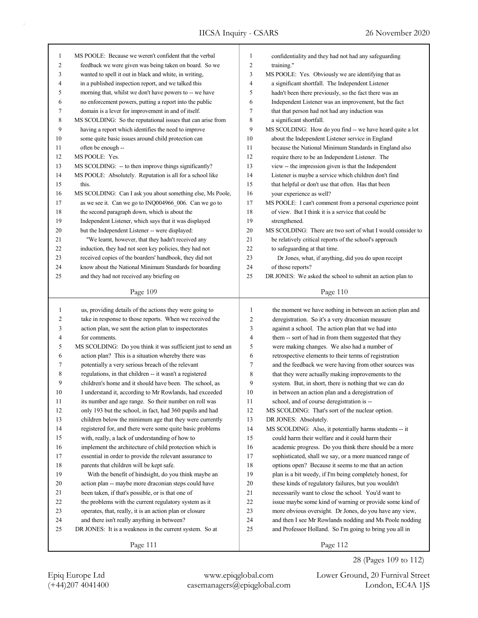| MS POOLE: Because we weren't confident that the verbal                                                       | 1                                                                                                                                                                                                                                                                                                                                                                                                                                                                                                                                                                                                                                                                                            | confidentiality and they had not had any safeguarding                                                              |
|--------------------------------------------------------------------------------------------------------------|----------------------------------------------------------------------------------------------------------------------------------------------------------------------------------------------------------------------------------------------------------------------------------------------------------------------------------------------------------------------------------------------------------------------------------------------------------------------------------------------------------------------------------------------------------------------------------------------------------------------------------------------------------------------------------------------|--------------------------------------------------------------------------------------------------------------------|
| feedback we were given was being taken on board. So we                                                       | $\overline{c}$                                                                                                                                                                                                                                                                                                                                                                                                                                                                                                                                                                                                                                                                               | training."                                                                                                         |
|                                                                                                              |                                                                                                                                                                                                                                                                                                                                                                                                                                                                                                                                                                                                                                                                                              | MS POOLE: Yes. Obviously we are identifying that as                                                                |
| in a published inspection report, and we talked this                                                         | $\overline{4}$                                                                                                                                                                                                                                                                                                                                                                                                                                                                                                                                                                                                                                                                               | a significant shortfall. The Independent Listener                                                                  |
| morning that, whilst we don't have powers to -- we have                                                      | 5                                                                                                                                                                                                                                                                                                                                                                                                                                                                                                                                                                                                                                                                                            | hadn't been there previously, so the fact there was an                                                             |
| no enforcement powers, putting a report into the public                                                      | 6                                                                                                                                                                                                                                                                                                                                                                                                                                                                                                                                                                                                                                                                                            | Independent Listener was an improvement, but the fact                                                              |
| domain is a lever for improvement in and of itself.                                                          | 7                                                                                                                                                                                                                                                                                                                                                                                                                                                                                                                                                                                                                                                                                            | that that person had not had any induction was                                                                     |
| MS SCOLDING: So the reputational issues that can arise from                                                  | 8                                                                                                                                                                                                                                                                                                                                                                                                                                                                                                                                                                                                                                                                                            | a significant shortfall.                                                                                           |
| having a report which identifies the need to improve                                                         | 9                                                                                                                                                                                                                                                                                                                                                                                                                                                                                                                                                                                                                                                                                            | MS SCOLDING: How do you find -- we have heard quite a lot                                                          |
| some quite basic issues around child protection can                                                          | 10                                                                                                                                                                                                                                                                                                                                                                                                                                                                                                                                                                                                                                                                                           | about the Independent Listener service in England                                                                  |
| often be enough --                                                                                           | 11                                                                                                                                                                                                                                                                                                                                                                                                                                                                                                                                                                                                                                                                                           | because the National Minimum Standards in England also                                                             |
| MS POOLE: Yes.                                                                                               | 12                                                                                                                                                                                                                                                                                                                                                                                                                                                                                                                                                                                                                                                                                           | require there to be an Independent Listener. The                                                                   |
| MS SCOLDING: -- to then improve things significantly?                                                        | 13                                                                                                                                                                                                                                                                                                                                                                                                                                                                                                                                                                                                                                                                                           | view -- the impression given is that the Independent                                                               |
|                                                                                                              | 14                                                                                                                                                                                                                                                                                                                                                                                                                                                                                                                                                                                                                                                                                           | Listener is maybe a service which children don't find                                                              |
| this.                                                                                                        | 15                                                                                                                                                                                                                                                                                                                                                                                                                                                                                                                                                                                                                                                                                           | that helpful or don't use that often. Has that been                                                                |
|                                                                                                              | 16                                                                                                                                                                                                                                                                                                                                                                                                                                                                                                                                                                                                                                                                                           | your experience as well?                                                                                           |
|                                                                                                              | 17                                                                                                                                                                                                                                                                                                                                                                                                                                                                                                                                                                                                                                                                                           | MS POOLE: I can't comment from a personal experience point                                                         |
|                                                                                                              |                                                                                                                                                                                                                                                                                                                                                                                                                                                                                                                                                                                                                                                                                              | of view. But I think it is a service that could be                                                                 |
|                                                                                                              |                                                                                                                                                                                                                                                                                                                                                                                                                                                                                                                                                                                                                                                                                              | strengthened.                                                                                                      |
|                                                                                                              |                                                                                                                                                                                                                                                                                                                                                                                                                                                                                                                                                                                                                                                                                              | MS SCOLDING: There are two sort of what I would consider to                                                        |
|                                                                                                              |                                                                                                                                                                                                                                                                                                                                                                                                                                                                                                                                                                                                                                                                                              | be relatively critical reports of the school's approach                                                            |
|                                                                                                              |                                                                                                                                                                                                                                                                                                                                                                                                                                                                                                                                                                                                                                                                                              | to safeguarding at that time.                                                                                      |
|                                                                                                              |                                                                                                                                                                                                                                                                                                                                                                                                                                                                                                                                                                                                                                                                                              | Dr Jones, what, if anything, did you do upon receipt                                                               |
|                                                                                                              |                                                                                                                                                                                                                                                                                                                                                                                                                                                                                                                                                                                                                                                                                              | of those reports?                                                                                                  |
|                                                                                                              |                                                                                                                                                                                                                                                                                                                                                                                                                                                                                                                                                                                                                                                                                              | DR JONES: We asked the school to submit an action plan to                                                          |
|                                                                                                              |                                                                                                                                                                                                                                                                                                                                                                                                                                                                                                                                                                                                                                                                                              |                                                                                                                    |
|                                                                                                              |                                                                                                                                                                                                                                                                                                                                                                                                                                                                                                                                                                                                                                                                                              |                                                                                                                    |
| Page 109                                                                                                     |                                                                                                                                                                                                                                                                                                                                                                                                                                                                                                                                                                                                                                                                                              | Page 110                                                                                                           |
|                                                                                                              |                                                                                                                                                                                                                                                                                                                                                                                                                                                                                                                                                                                                                                                                                              |                                                                                                                    |
| us, providing details of the actions they were going to                                                      | 1                                                                                                                                                                                                                                                                                                                                                                                                                                                                                                                                                                                                                                                                                            | the moment we have nothing in between an action plan and                                                           |
| take in response to those reports. When we received the                                                      | 2                                                                                                                                                                                                                                                                                                                                                                                                                                                                                                                                                                                                                                                                                            | deregistration. So it's a very draconian measure                                                                   |
| action plan, we sent the action plan to inspectorates                                                        | 3                                                                                                                                                                                                                                                                                                                                                                                                                                                                                                                                                                                                                                                                                            | against a school. The action plan that we had into                                                                 |
| for comments.                                                                                                | 4                                                                                                                                                                                                                                                                                                                                                                                                                                                                                                                                                                                                                                                                                            | them -- sort of had in from them suggested that they                                                               |
| MS SCOLDING: Do you think it was sufficient just to send an                                                  | 5                                                                                                                                                                                                                                                                                                                                                                                                                                                                                                                                                                                                                                                                                            | were making changes. We also had a number of                                                                       |
| action plan? This is a situation whereby there was                                                           | 6                                                                                                                                                                                                                                                                                                                                                                                                                                                                                                                                                                                                                                                                                            | retrospective elements to their terms of registration                                                              |
| potentially a very serious breach of the relevant                                                            | 7                                                                                                                                                                                                                                                                                                                                                                                                                                                                                                                                                                                                                                                                                            | and the feedback we were having from other sources was                                                             |
| regulations, in that children -- it wasn't a registered                                                      | 8                                                                                                                                                                                                                                                                                                                                                                                                                                                                                                                                                                                                                                                                                            | that they were actually making improvements to the                                                                 |
| children's home and it should have been. The school, as                                                      | 9                                                                                                                                                                                                                                                                                                                                                                                                                                                                                                                                                                                                                                                                                            | system. But, in short, there is nothing that we can do                                                             |
| I understand it, according to Mr Rowlands, had exceeded                                                      | 10                                                                                                                                                                                                                                                                                                                                                                                                                                                                                                                                                                                                                                                                                           | in between an action plan and a deregistration of                                                                  |
| its number and age range. So their number on roll was                                                        | 11                                                                                                                                                                                                                                                                                                                                                                                                                                                                                                                                                                                                                                                                                           | school, and of course deregistration is --                                                                         |
| only 193 but the school, in fact, had 360 pupils and had                                                     | 12                                                                                                                                                                                                                                                                                                                                                                                                                                                                                                                                                                                                                                                                                           | MS SCOLDING: That's sort of the nuclear option.                                                                    |
| children below the minimum age that they were currently                                                      | 13                                                                                                                                                                                                                                                                                                                                                                                                                                                                                                                                                                                                                                                                                           | DR JONES: Absolutely.                                                                                              |
| registered for, and there were some quite basic problems                                                     | 14                                                                                                                                                                                                                                                                                                                                                                                                                                                                                                                                                                                                                                                                                           | MS SCOLDING: Also, it potentially harms students -- it                                                             |
| with, really, a lack of understanding of how to                                                              | 15                                                                                                                                                                                                                                                                                                                                                                                                                                                                                                                                                                                                                                                                                           | could harm their welfare and it could harm their                                                                   |
| implement the architecture of child protection which is                                                      | 16                                                                                                                                                                                                                                                                                                                                                                                                                                                                                                                                                                                                                                                                                           | academic progress. Do you think there should be a more                                                             |
| essential in order to provide the relevant assurance to                                                      | 17                                                                                                                                                                                                                                                                                                                                                                                                                                                                                                                                                                                                                                                                                           | sophisticated, shall we say, or a more nuanced range of                                                            |
|                                                                                                              | 18                                                                                                                                                                                                                                                                                                                                                                                                                                                                                                                                                                                                                                                                                           | options open? Because it seems to me that an action                                                                |
| parents that children will be kept safe.                                                                     | 19                                                                                                                                                                                                                                                                                                                                                                                                                                                                                                                                                                                                                                                                                           | plan is a bit weedy, if I'm being completely honest, for                                                           |
| With the benefit of hindsight, do you think maybe an<br>action plan -- maybe more draconian steps could have | $20\,$                                                                                                                                                                                                                                                                                                                                                                                                                                                                                                                                                                                                                                                                                       |                                                                                                                    |
|                                                                                                              | 21                                                                                                                                                                                                                                                                                                                                                                                                                                                                                                                                                                                                                                                                                           | these kinds of regulatory failures, but you wouldn't                                                               |
| been taken, if that's possible, or is that one of                                                            | 22                                                                                                                                                                                                                                                                                                                                                                                                                                                                                                                                                                                                                                                                                           | necessarily want to close the school. You'd want to                                                                |
| the problems with the current regulatory system as it                                                        |                                                                                                                                                                                                                                                                                                                                                                                                                                                                                                                                                                                                                                                                                              | issue maybe some kind of warning or provide some kind of                                                           |
| operates, that, really, it is an action plan or closure                                                      | 23<br>24                                                                                                                                                                                                                                                                                                                                                                                                                                                                                                                                                                                                                                                                                     | more obvious oversight. Dr Jones, do you have any view,                                                            |
| and there isn't really anything in between?<br>DR JONES: It is a weakness in the current system. So at       | 25                                                                                                                                                                                                                                                                                                                                                                                                                                                                                                                                                                                                                                                                                           | and then I see Mr Rowlands nodding and Ms Poole nodding<br>and Professor Holland. So I'm going to bring you all in |
|                                                                                                              | wanted to spell it out in black and white, in writing,<br>MS POOLE: Absolutely. Reputation is all for a school like<br>MS SCOLDING: Can I ask you about something else, Ms Poole,<br>as we see it. Can we go to INQ004966_006. Can we go to<br>the second paragraph down, which is about the<br>Independent Listener, which says that it was displayed<br>but the Independent Listener -- were displayed:<br>"We learnt, however, that they hadn't received any<br>induction, they had not seen key policies, they had not<br>received copies of the boarders' handbook, they did not<br>know about the National Minimum Standards for boarding<br>and they had not received any briefing on | 3<br>18<br>19<br>20<br>21<br>22<br>23<br>24<br>25                                                                  |

Page 112

28 (Pages 109 to 112)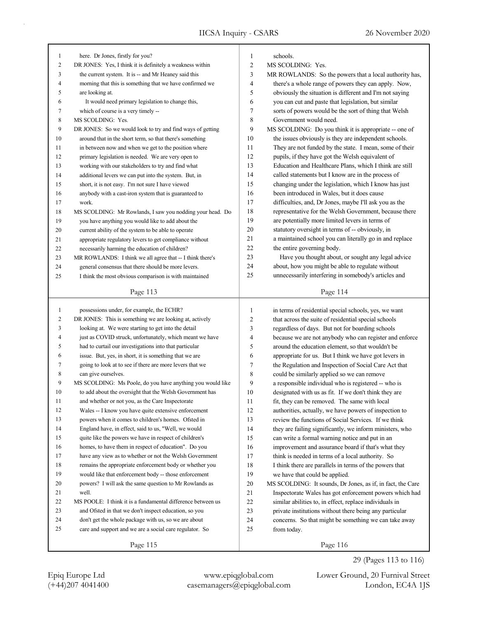| here. Dr Jones, firstly for you?                           | 1                                                                                                                                                                                                                                                                                                                                                                                                                                                                                                                                                                                                                                                                                                                                                                                                                                                                                                                                                                                                                                                                                                                                                                                       | schools.                                                                                                                            |
|------------------------------------------------------------|-----------------------------------------------------------------------------------------------------------------------------------------------------------------------------------------------------------------------------------------------------------------------------------------------------------------------------------------------------------------------------------------------------------------------------------------------------------------------------------------------------------------------------------------------------------------------------------------------------------------------------------------------------------------------------------------------------------------------------------------------------------------------------------------------------------------------------------------------------------------------------------------------------------------------------------------------------------------------------------------------------------------------------------------------------------------------------------------------------------------------------------------------------------------------------------------|-------------------------------------------------------------------------------------------------------------------------------------|
|                                                            |                                                                                                                                                                                                                                                                                                                                                                                                                                                                                                                                                                                                                                                                                                                                                                                                                                                                                                                                                                                                                                                                                                                                                                                         | MS SCOLDING: Yes.                                                                                                                   |
|                                                            |                                                                                                                                                                                                                                                                                                                                                                                                                                                                                                                                                                                                                                                                                                                                                                                                                                                                                                                                                                                                                                                                                                                                                                                         | MR ROWLANDS: So the powers that a local authority has,                                                                              |
|                                                            |                                                                                                                                                                                                                                                                                                                                                                                                                                                                                                                                                                                                                                                                                                                                                                                                                                                                                                                                                                                                                                                                                                                                                                                         | there's a whole range of powers they can apply. Now,                                                                                |
|                                                            |                                                                                                                                                                                                                                                                                                                                                                                                                                                                                                                                                                                                                                                                                                                                                                                                                                                                                                                                                                                                                                                                                                                                                                                         | obviously the situation is different and I'm not saying                                                                             |
|                                                            |                                                                                                                                                                                                                                                                                                                                                                                                                                                                                                                                                                                                                                                                                                                                                                                                                                                                                                                                                                                                                                                                                                                                                                                         | you can cut and paste that legislation, but similar                                                                                 |
|                                                            |                                                                                                                                                                                                                                                                                                                                                                                                                                                                                                                                                                                                                                                                                                                                                                                                                                                                                                                                                                                                                                                                                                                                                                                         | sorts of powers would be the sort of thing that Welsh                                                                               |
|                                                            |                                                                                                                                                                                                                                                                                                                                                                                                                                                                                                                                                                                                                                                                                                                                                                                                                                                                                                                                                                                                                                                                                                                                                                                         | Government would need.                                                                                                              |
|                                                            |                                                                                                                                                                                                                                                                                                                                                                                                                                                                                                                                                                                                                                                                                                                                                                                                                                                                                                                                                                                                                                                                                                                                                                                         | MS SCOLDING: Do you think it is appropriate -- one of                                                                               |
|                                                            |                                                                                                                                                                                                                                                                                                                                                                                                                                                                                                                                                                                                                                                                                                                                                                                                                                                                                                                                                                                                                                                                                                                                                                                         | the issues obviously is they are independent schools.                                                                               |
|                                                            |                                                                                                                                                                                                                                                                                                                                                                                                                                                                                                                                                                                                                                                                                                                                                                                                                                                                                                                                                                                                                                                                                                                                                                                         | They are not funded by the state. I mean, some of their                                                                             |
|                                                            |                                                                                                                                                                                                                                                                                                                                                                                                                                                                                                                                                                                                                                                                                                                                                                                                                                                                                                                                                                                                                                                                                                                                                                                         | pupils, if they have got the Welsh equivalent of                                                                                    |
| working with our stakeholders to try and find what         | 13                                                                                                                                                                                                                                                                                                                                                                                                                                                                                                                                                                                                                                                                                                                                                                                                                                                                                                                                                                                                                                                                                                                                                                                      | Education and Healthcare Plans, which I think are still                                                                             |
| additional levers we can put into the system. But, in      | 14                                                                                                                                                                                                                                                                                                                                                                                                                                                                                                                                                                                                                                                                                                                                                                                                                                                                                                                                                                                                                                                                                                                                                                                      | called statements but I know are in the process of                                                                                  |
| short, it is not easy. I'm not sure I have viewed          | 15                                                                                                                                                                                                                                                                                                                                                                                                                                                                                                                                                                                                                                                                                                                                                                                                                                                                                                                                                                                                                                                                                                                                                                                      | changing under the legislation, which I know has just                                                                               |
| anybody with a cast-iron system that is guaranteed to      | 16                                                                                                                                                                                                                                                                                                                                                                                                                                                                                                                                                                                                                                                                                                                                                                                                                                                                                                                                                                                                                                                                                                                                                                                      | been introduced in Wales, but it does cause                                                                                         |
| work.                                                      | 17                                                                                                                                                                                                                                                                                                                                                                                                                                                                                                                                                                                                                                                                                                                                                                                                                                                                                                                                                                                                                                                                                                                                                                                      | difficulties, and, Dr Jones, maybe I'll ask you as the                                                                              |
| MS SCOLDING: Mr Rowlands, I saw you nodding your head. Do  | 18                                                                                                                                                                                                                                                                                                                                                                                                                                                                                                                                                                                                                                                                                                                                                                                                                                                                                                                                                                                                                                                                                                                                                                                      | representative for the Welsh Government, because there                                                                              |
| you have anything you would like to add about the          | 19                                                                                                                                                                                                                                                                                                                                                                                                                                                                                                                                                                                                                                                                                                                                                                                                                                                                                                                                                                                                                                                                                                                                                                                      | are potentially more limited levers in terms of                                                                                     |
| current ability of the system to be able to operate        | 20                                                                                                                                                                                                                                                                                                                                                                                                                                                                                                                                                                                                                                                                                                                                                                                                                                                                                                                                                                                                                                                                                                                                                                                      | statutory oversight in terms of -- obviously, in                                                                                    |
| appropriate regulatory levers to get compliance without    | 21                                                                                                                                                                                                                                                                                                                                                                                                                                                                                                                                                                                                                                                                                                                                                                                                                                                                                                                                                                                                                                                                                                                                                                                      | a maintained school you can literally go in and replace                                                                             |
| necessarily harming the education of children?             | 22                                                                                                                                                                                                                                                                                                                                                                                                                                                                                                                                                                                                                                                                                                                                                                                                                                                                                                                                                                                                                                                                                                                                                                                      | the entire governing body.                                                                                                          |
|                                                            | 23                                                                                                                                                                                                                                                                                                                                                                                                                                                                                                                                                                                                                                                                                                                                                                                                                                                                                                                                                                                                                                                                                                                                                                                      | Have you thought about, or sought any legal advice                                                                                  |
| general consensus that there should be more levers.        | 24                                                                                                                                                                                                                                                                                                                                                                                                                                                                                                                                                                                                                                                                                                                                                                                                                                                                                                                                                                                                                                                                                                                                                                                      | about, how you might be able to regulate without                                                                                    |
|                                                            | 25                                                                                                                                                                                                                                                                                                                                                                                                                                                                                                                                                                                                                                                                                                                                                                                                                                                                                                                                                                                                                                                                                                                                                                                      | unnecessarily interfering in somebody's articles and                                                                                |
|                                                            |                                                                                                                                                                                                                                                                                                                                                                                                                                                                                                                                                                                                                                                                                                                                                                                                                                                                                                                                                                                                                                                                                                                                                                                         | Page 114                                                                                                                            |
|                                                            |                                                                                                                                                                                                                                                                                                                                                                                                                                                                                                                                                                                                                                                                                                                                                                                                                                                                                                                                                                                                                                                                                                                                                                                         |                                                                                                                                     |
| possessions under, for example, the ECHR?                  | 1                                                                                                                                                                                                                                                                                                                                                                                                                                                                                                                                                                                                                                                                                                                                                                                                                                                                                                                                                                                                                                                                                                                                                                                       | in terms of residential special schools, yes, we want                                                                               |
| DR JONES: This is something we are looking at, actively    | 2                                                                                                                                                                                                                                                                                                                                                                                                                                                                                                                                                                                                                                                                                                                                                                                                                                                                                                                                                                                                                                                                                                                                                                                       | that across the suite of residential special schools                                                                                |
| looking at. We were starting to get into the detail        | 3                                                                                                                                                                                                                                                                                                                                                                                                                                                                                                                                                                                                                                                                                                                                                                                                                                                                                                                                                                                                                                                                                                                                                                                       | regardless of days. But not for boarding schools                                                                                    |
| just as COVID struck, unfortunately, which meant we have   | 4                                                                                                                                                                                                                                                                                                                                                                                                                                                                                                                                                                                                                                                                                                                                                                                                                                                                                                                                                                                                                                                                                                                                                                                       | because we are not anybody who can register and enforce                                                                             |
| had to curtail our investigations into that particular     | 5                                                                                                                                                                                                                                                                                                                                                                                                                                                                                                                                                                                                                                                                                                                                                                                                                                                                                                                                                                                                                                                                                                                                                                                       | around the education element, so that wouldn't be                                                                                   |
| issue. But, yes, in short, it is something that we are     | 6                                                                                                                                                                                                                                                                                                                                                                                                                                                                                                                                                                                                                                                                                                                                                                                                                                                                                                                                                                                                                                                                                                                                                                                       | appropriate for us. But I think we have got levers in                                                                               |
| going to look at to see if there are more levers that we   | 7                                                                                                                                                                                                                                                                                                                                                                                                                                                                                                                                                                                                                                                                                                                                                                                                                                                                                                                                                                                                                                                                                                                                                                                       | the Regulation and Inspection of Social Care Act that                                                                               |
| can give ourselves.                                        | 8                                                                                                                                                                                                                                                                                                                                                                                                                                                                                                                                                                                                                                                                                                                                                                                                                                                                                                                                                                                                                                                                                                                                                                                       | could be similarly applied so we can remove                                                                                         |
| MS SCOLDING: Ms Poole, do you have anything you would like | 9                                                                                                                                                                                                                                                                                                                                                                                                                                                                                                                                                                                                                                                                                                                                                                                                                                                                                                                                                                                                                                                                                                                                                                                       | a responsible individual who is registered -- who is                                                                                |
| to add about the oversight that the Welsh Government has   | 10                                                                                                                                                                                                                                                                                                                                                                                                                                                                                                                                                                                                                                                                                                                                                                                                                                                                                                                                                                                                                                                                                                                                                                                      | designated with us as fit. If we don't think they are                                                                               |
| and whether or not you, as the Care Inspectorate           | 11                                                                                                                                                                                                                                                                                                                                                                                                                                                                                                                                                                                                                                                                                                                                                                                                                                                                                                                                                                                                                                                                                                                                                                                      | fit, they can be removed. The same with local                                                                                       |
| Wales -- I know you have quite extensive enforcement       | 12                                                                                                                                                                                                                                                                                                                                                                                                                                                                                                                                                                                                                                                                                                                                                                                                                                                                                                                                                                                                                                                                                                                                                                                      | authorities, actually, we have powers of inspection to                                                                              |
| powers when it comes to children's homes. Ofsted in        |                                                                                                                                                                                                                                                                                                                                                                                                                                                                                                                                                                                                                                                                                                                                                                                                                                                                                                                                                                                                                                                                                                                                                                                         | review the functions of Social Services. If we think                                                                                |
|                                                            |                                                                                                                                                                                                                                                                                                                                                                                                                                                                                                                                                                                                                                                                                                                                                                                                                                                                                                                                                                                                                                                                                                                                                                                         | they are failing significantly, we inform ministers, who                                                                            |
|                                                            |                                                                                                                                                                                                                                                                                                                                                                                                                                                                                                                                                                                                                                                                                                                                                                                                                                                                                                                                                                                                                                                                                                                                                                                         | can write a formal warning notice and put in an                                                                                     |
|                                                            |                                                                                                                                                                                                                                                                                                                                                                                                                                                                                                                                                                                                                                                                                                                                                                                                                                                                                                                                                                                                                                                                                                                                                                                         | improvement and assurance board if that's what they                                                                                 |
|                                                            |                                                                                                                                                                                                                                                                                                                                                                                                                                                                                                                                                                                                                                                                                                                                                                                                                                                                                                                                                                                                                                                                                                                                                                                         | think is needed in terms of a local authority. So                                                                                   |
|                                                            |                                                                                                                                                                                                                                                                                                                                                                                                                                                                                                                                                                                                                                                                                                                                                                                                                                                                                                                                                                                                                                                                                                                                                                                         | I think there are parallels in terms of the powers that                                                                             |
|                                                            |                                                                                                                                                                                                                                                                                                                                                                                                                                                                                                                                                                                                                                                                                                                                                                                                                                                                                                                                                                                                                                                                                                                                                                                         | we have that could be applied.                                                                                                      |
|                                                            |                                                                                                                                                                                                                                                                                                                                                                                                                                                                                                                                                                                                                                                                                                                                                                                                                                                                                                                                                                                                                                                                                                                                                                                         | MS SCOLDING: It sounds, Dr Jones, as if, in fact, the Care                                                                          |
|                                                            |                                                                                                                                                                                                                                                                                                                                                                                                                                                                                                                                                                                                                                                                                                                                                                                                                                                                                                                                                                                                                                                                                                                                                                                         | Inspectorate Wales has got enforcement powers which had                                                                             |
|                                                            |                                                                                                                                                                                                                                                                                                                                                                                                                                                                                                                                                                                                                                                                                                                                                                                                                                                                                                                                                                                                                                                                                                                                                                                         |                                                                                                                                     |
|                                                            |                                                                                                                                                                                                                                                                                                                                                                                                                                                                                                                                                                                                                                                                                                                                                                                                                                                                                                                                                                                                                                                                                                                                                                                         | similar abilities to, in effect, replace individuals in                                                                             |
|                                                            |                                                                                                                                                                                                                                                                                                                                                                                                                                                                                                                                                                                                                                                                                                                                                                                                                                                                                                                                                                                                                                                                                                                                                                                         |                                                                                                                                     |
| and Ofsted in that we don't inspect education, so you      | 23                                                                                                                                                                                                                                                                                                                                                                                                                                                                                                                                                                                                                                                                                                                                                                                                                                                                                                                                                                                                                                                                                                                                                                                      | private institutions without there being any particular                                                                             |
| don't get the whole package with us, so we are about       | 24                                                                                                                                                                                                                                                                                                                                                                                                                                                                                                                                                                                                                                                                                                                                                                                                                                                                                                                                                                                                                                                                                                                                                                                      | concerns. So that might be something we can take away                                                                               |
| care and support and we are a social care regulator. So    | 25                                                                                                                                                                                                                                                                                                                                                                                                                                                                                                                                                                                                                                                                                                                                                                                                                                                                                                                                                                                                                                                                                                                                                                                      | from today.                                                                                                                         |
|                                                            | DR JONES: Yes, I think it is definitely a weakness within<br>the current system. It is -- and Mr Heaney said this<br>morning that this is something that we have confirmed we<br>are looking at.<br>It would need primary legislation to change this,<br>which of course is a very timely --<br>MS SCOLDING: Yes.<br>DR JONES: So we would look to try and find ways of getting<br>around that in the short term, so that there's something<br>in between now and when we get to the position where<br>primary legislation is needed. We are very open to<br>MR ROWLANDS: I think we all agree that -- I think there's<br>I think the most obvious comparison is with maintained<br>Page 113<br>England have, in effect, said to us, "Well, we would<br>quite like the powers we have in respect of children's<br>homes, to have them in respect of education". Do you<br>have any view as to whether or not the Welsh Government<br>remains the appropriate enforcement body or whether you<br>would like that enforcement body -- those enforcement<br>powers? I will ask the same question to Mr Rowlands as<br>well.<br>MS POOLE: I think it is a fundamental difference between us | $\overline{c}$<br>3<br>4<br>5<br>6<br>7<br>8<br>9<br>10<br>11<br>12<br>13<br>14<br>15<br>16<br>17<br>18<br>19<br>20<br>21<br>$22\,$ |

29 (Pages 113 to 116)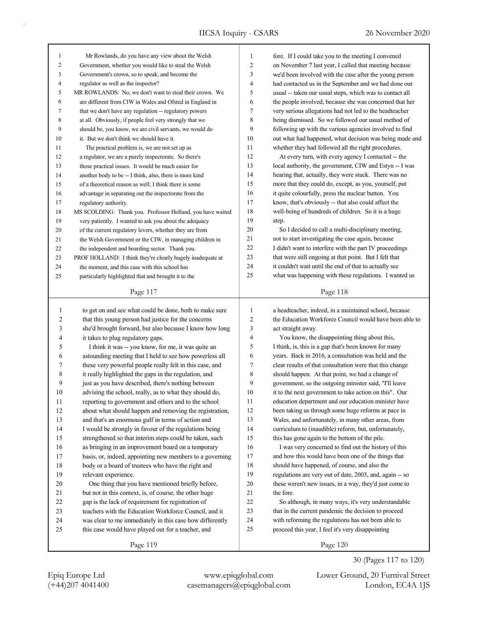| 1            | Mr Rowlands, do you have any view about the Welsh                                                              | 1              | fore. If I could take you to the meeting I convened                                                                 |
|--------------|----------------------------------------------------------------------------------------------------------------|----------------|---------------------------------------------------------------------------------------------------------------------|
| $\mathbf{2}$ | Government, whether you would like to steal the Welsh                                                          | $\overline{c}$ | on November 7 last year, I called that meeting because                                                              |
| 3            | Government's crown, so to speak, and become the                                                                | 3              | we'd been involved with the case after the young person                                                             |
| 4            | regulator as well as the inspector?                                                                            | 4              | had contacted us in the September and we had done our                                                               |
| 5            | MR ROWLANDS: No, we don't want to steal their crown. We                                                        | 5              | usual -- taken our usual steps, which was to contact all                                                            |
| 6            | are different from CIW in Wales and Ofsted in England in                                                       | 6              | the people involved, because she was concerned that her                                                             |
| 7            | that we don't have any regulation -- regulatory powers                                                         | 7              | very serious allegations had not led to the headteacher                                                             |
| 8            | at all. Obviously, if people feel very strongly that we                                                        | 8              | being dismissed. So we followed our usual method of                                                                 |
| 9            | should be, you know, we are civil servants, we would do                                                        | 9              | following up with the various agencies involved to find                                                             |
| 10           | it. But we don't think we should have it.                                                                      | 10             | out what had happened, what decision was being made and                                                             |
| 11           | The practical problem is, we are not set up as                                                                 | 11             | whether they had followed all the right procedures.                                                                 |
| 12           | a regulator, we are a purely inspectorate. So there's                                                          | 12             | At every turn, with every agency I contacted -- the                                                                 |
| 13           | those practical issues. It would be much easier for                                                            | 13             | local authority, the government, CIW and Estyn -- I was                                                             |
| 14           | another body to be -- I think, also, there is more kind                                                        | 14             | hearing that, actually, they were stuck. There was no                                                               |
| 15           | of a theoretical reason as well; I think there is some                                                         | 15             | more that they could do, except, as you, yourself, put                                                              |
| 16           | advantage in separating out the inspectorate from the                                                          | 16             | it quite colourfully, press the nuclear button. You                                                                 |
| 17           | regulatory authority.                                                                                          | 17             | know, that's obviously -- that also could affect the                                                                |
| 18           | MS SCOLDING: Thank you. Professor Holland, you have waited                                                     | 18             | well-being of hundreds of children. So it is a huge                                                                 |
| 19           | very patiently. I wanted to ask you about the adequacy                                                         | 19             | step.                                                                                                               |
| 20           | of the current regulatory levers, whether they are from                                                        | 20             | So I decided to call a multi-disciplinary meeting,                                                                  |
| 21           | the Welsh Government or the CIW, in managing children in                                                       | 21             | not to start investigating the case again, because                                                                  |
| 22           | the independent and boarding sector. Thank you.                                                                | 22             | I didn't want to interfere with the part IV proceedings                                                             |
| 23           | PROF HOLLAND: I think they're clearly hugely inadequate at                                                     | 23             | that were still ongoing at that point. But I felt that                                                              |
| 24           |                                                                                                                | 24             | it couldn't wait until the end of that to actually see                                                              |
|              | the moment, and this case with this school has                                                                 | 25             | what was happening with these regulations. I wanted us                                                              |
| 25           | particularly highlighted that and brought it to the                                                            |                |                                                                                                                     |
|              | Page 117                                                                                                       |                | Page 118                                                                                                            |
|              |                                                                                                                |                |                                                                                                                     |
|              |                                                                                                                |                |                                                                                                                     |
| $\mathbf{1}$ | to get on and see what could be done, both to make sure                                                        | $\mathbf{1}$   | a headteacher, indeed, in a maintained school, because                                                              |
| 2            | that this young person had justice for the concerns                                                            | $\overline{c}$ | the Education Workforce Council would have been able to                                                             |
| 3            | she'd brought forward, but also because I know how long                                                        | 3              | act straight away.                                                                                                  |
| 4            | it takes to plug regulatory gaps.                                                                              | 4              | You know, the disappointing thing about this,                                                                       |
| 5            | I think it was -- you know, for me, it was quite an                                                            | 5              | I think, is, this is a gap that's been known for many                                                               |
| 6            | astounding meeting that I held to see how powerless all                                                        | 6              | years. Back in 2016, a consultation was held and the                                                                |
| 7            | these very powerful people really felt in this case, and                                                       | 7              | clear results of that consultation were that this change                                                            |
| 8            | it really highlighted the gaps in the regulation, and                                                          | 8              | should happen. At that point, we had a change of                                                                    |
| 9            | just as you have described, there's nothing between                                                            | 9              | government, so the outgoing minister said, "I'll leave                                                              |
| 10           | advising the school, really, as to what they should do,                                                        | 10             | it to the next government to take action on this". Our                                                              |
| 11           | reporting to government and others and to the school                                                           | 11             | education department and our education minister have                                                                |
| 12           | about what should happen and removing the registration,                                                        | 12             | been taking us through some huge reforms at pace in                                                                 |
| 13           | and that's an enormous gulf in terms of action and                                                             | 13             | Wales, and unfortunately, in many other areas, from                                                                 |
| 14           | I would be strongly in favour of the regulations being                                                         | 14             | curriculum to (inaudible) reform, but, unfortunately,                                                               |
| 15           | strengthened so that interim steps could be taken, such                                                        | 15             | this has gone again to the bottom of the pile.                                                                      |
| 16           | as bringing in an improvement board on a temporary                                                             | 16             | I was very concerned to find out the history of this                                                                |
| 17           | basis, or, indeed, appointing new members to a governing                                                       | 17             | and how this would have been one of the things that                                                                 |
| 18           | body or a board of trustees who have the right and                                                             | 18             | should have happened, of course, and also the                                                                       |
| 19           |                                                                                                                | 19             |                                                                                                                     |
| 20           | relevant experience.                                                                                           | 20             | regulations are very out of date, 2003, and, again -- so<br>these weren't new issues, in a way, they'd just come to |
| 21           | One thing that you have mentioned briefly before,<br>but not in this context, is, of course, the other huge    | 21             | the fore.                                                                                                           |
| 22           |                                                                                                                | 22             |                                                                                                                     |
| 23           | gap is the lack of requirement for registration of<br>teachers with the Education Workforce Council, and it    | 23             | So although, in many ways, it's very understandable<br>that in the current pandemic the decision to proceed         |
|              |                                                                                                                | 24             |                                                                                                                     |
| 24<br>25     | was clear to me immediately in this case how differently<br>this case would have played out for a teacher, and | 25             | with reforming the regulations has not been able to<br>proceed this year, I feel it's very disappointing            |

Page 120

30 (Pages 117 to 120)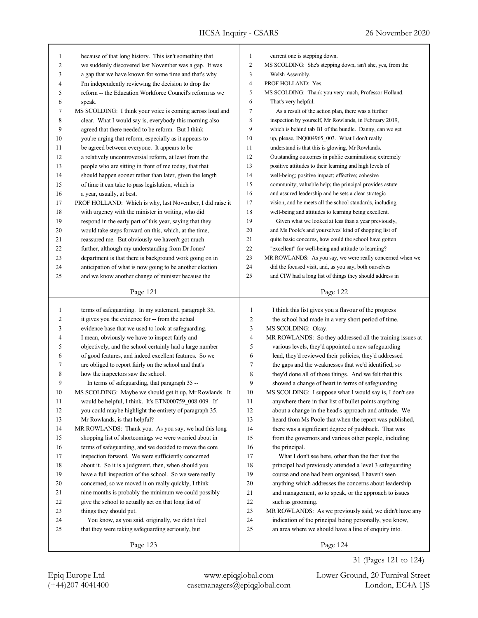| $\mathbf{1}$   | because of that long history. This isn't something that   | 1                        | current one is stepping down.                              |
|----------------|-----------------------------------------------------------|--------------------------|------------------------------------------------------------|
| $\overline{2}$ | we suddenly discovered last November was a gap. It was    | $\mathfrak{2}$           | MS SCOLDING: She's stepping down, isn't she, yes, from the |
| 3              | a gap that we have known for some time and that's why     | 3                        | Welsh Assembly.                                            |
| 4              | I'm independently reviewing the decision to drop the      | $\overline{\mathcal{A}}$ | PROF HOLLAND: Yes.                                         |
| 5              | reform -- the Education Workforce Council's reform as we  | 5                        | MS SCOLDING: Thank you very much, Professor Holland.       |
| 6              | speak.                                                    | 6                        | That's very helpful.                                       |
| 7              | MS SCOLDING: I think your voice is coming across loud and | 7                        | As a result of the action plan, there was a further        |
| 8              | clear. What I would say is, everybody this morning also   | 8                        | inspection by yourself, Mr Rowlands, in February 2019,     |
| 9              | agreed that there needed to be reform. But I think        | 9                        | which is behind tab B1 of the bundle. Danny, can we get    |
| 10             | you're urging that reform, especially as it appears to    | 10                       | up, please, INQ004965 003. What I don't really             |
| 11             | be agreed between everyone. It appears to be              | 11                       | understand is that this is glowing, Mr Rowlands.           |
| 12             | a relatively uncontroversial reform, at least from the    | 12                       | Outstanding outcomes in public examinations; extremely     |
| 13             | people who are sitting in front of me today, that that    | 13                       | positive attitudes to their learning and high levels of    |
| 14             | should happen sooner rather than later, given the length  | 14                       | well-being; positive impact; effective; cohesive           |
| 15             | of time it can take to pass legislation, which is         | 15                       | community; valuable help; the principal provides astute    |
| 16             | a year, usually, at best.                                 | 16                       | and assured leadership and he sets a clear strategic       |
| 17             | PROF HOLLAND: Which is why, last November, I did raise it | 17                       | vision, and he meets all the school standards, including   |
| $18\,$         | with urgency with the minister in writing, who did        | 18                       | well-being and attitudes to learning being excellent.      |
| 19             | respond in the early part of this year, saying that they  | 19                       | Given what we looked at less than a year previously,       |
| 20             | would take steps forward on this, which, at the time,     | 20                       | and Ms Poole's and yourselves' kind of shopping list of    |
| 21             | reassured me. But obviously we haven't got much           | 21                       | quite basic concerns, how could the school have gotten     |
| 22             | further, although my understanding from Dr Jones'         | 22                       | "excellent" for well-being and attitude to learning?       |
| 23             | department is that there is background work going on in   | 23                       | MR ROWLANDS: As you say, we were really concerned when we  |
| 24             | anticipation of what is now going to be another election  | 24                       | did the focused visit, and, as you say, both ourselves     |
| 25             | and we know another change of minister because the        | 25                       | and CIW had a long list of things they should address in   |
|                |                                                           |                          |                                                            |
|                | Page 121                                                  |                          | Page 122                                                   |
|                |                                                           |                          |                                                            |
|                |                                                           |                          |                                                            |
| $\mathbf{1}$   | terms of safeguarding. In my statement, paragraph 35,     | $\mathbf{1}$             | I think this list gives you a flavour of the progress      |
| $\overline{c}$ | it gives you the evidence for -- from the actual          | $\overline{c}$           | the school had made in a very short period of time.        |
| 3              | evidence base that we used to look at safeguarding.       | $\mathfrak{Z}$           | MS SCOLDING: Okay.                                         |
| 4              | I mean, obviously we have to inspect fairly and           | $\overline{4}$           | MR ROWLANDS: So they addressed all the training issues at  |
| 5              | objectively, and the school certainly had a large number  | 5                        | various levels, they'd appointed a new safeguarding        |
| 6              | of good features, and indeed excellent features. So we    | 6                        | lead, they'd reviewed their policies, they'd addressed     |
| 7              | are obliged to report fairly on the school and that's     | $\tau$                   | the gaps and the weaknesses that we'd identified, so       |
| 8              | how the inspectors saw the school.                        | 8                        | they'd done all of those things. And we felt that this     |
| 9              | In terms of safeguarding, that paragraph 35 --            | 9                        | showed a change of heart in terms of safeguarding.         |
| 10             | MS SCOLDING: Maybe we should get it up, Mr Rowlands. It   | 10                       | MS SCOLDING: I suppose what I would say is, I don't see    |
| 11             | would be helpful, I think. It's ETN000759_008-009. If     | 11                       | anywhere there in that list of bullet points anything      |
| 12             | you could maybe highlight the entirety of paragraph 35.   | 12                       | about a change in the head's approach and attitude. We     |
| 13             | Mr Rowlands, is that helpful?                             | 13                       | heard from Ms Poole that when the report was published,    |
| 14             | MR ROWLANDS: Thank you. As you say, we had this long      | 14                       | there was a significant degree of pushback. That was       |
| 15             | shopping list of shortcomings we were worried about in    | 15                       | from the governors and various other people, including     |
| 16             | terms of safeguarding, and we decided to move the core    | 16                       | the principal.                                             |
| 17             | inspection forward. We were sufficiently concerned        | 17                       | What I don't see here, other than the fact that the        |
| $18\,$         | about it. So it is a judgment, then, when should you      | 18                       | principal had previously attended a level 3 safeguarding   |
| 19             | have a full inspection of the school. So we were really   | 19                       | course and one had been organised, I haven't seen          |
| 20             | concerned, so we moved it on really quickly, I think      | $20\,$                   | anything which addresses the concerns about leadership     |
| 21             | nine months is probably the minimum we could possibly     | 21                       | and management, so to speak, or the approach to issues     |
| 22             | give the school to actually act on that long list of      | 22                       | such as grooming.                                          |
| 23             | things they should put.                                   | 23                       | MR ROWLANDS: As we previously said, we didn't have any     |
| 24             | You know, as you said, originally, we didn't feel         | 24                       | indication of the principal being personally, you know,    |
| 25             | that they were taking safeguarding seriously, but         | 25                       | an area where we should have a line of enquiry into.       |

(+44)207 4041400 casemanagers@epiqglobal.com London, EC4A 1JS Epiq Europe Ltd www.epiqglobal.com Lower Ground, 20 Furnival Street

31 (Pages 121 to 124)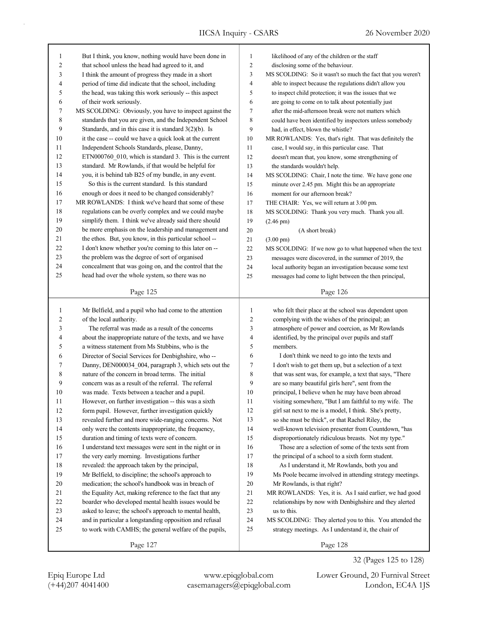| 1              | But I think, you know, nothing would have been done in                                                     | $\mathbf{1}$                     | likelihood of any of the children or the staff                 |
|----------------|------------------------------------------------------------------------------------------------------------|----------------------------------|----------------------------------------------------------------|
| $\overline{c}$ | that school unless the head had agreed to it, and                                                          | $\mathbf{2}$                     | disclosing some of the behaviour.                              |
| 3              | I think the amount of progress they made in a short                                                        | 3                                | MS SCOLDING: So it wasn't so much the fact that you weren't    |
| 4              | period of time did indicate that the school, including                                                     | 4                                | able to inspect because the regulations didn't allow you       |
| 5              | the head, was taking this work seriously -- this aspect                                                    | 5                                | to inspect child protection; it was the issues that we         |
| 6              | of their work seriously.                                                                                   | 6                                | are going to come on to talk about potentially just            |
| 7              | MS SCOLDING: Obviously, you have to inspect against the                                                    | $\tau$                           | after the mid-afternoon break were not matters which           |
| 8              | standards that you are given, and the Independent School                                                   | $\,$ 8 $\,$                      | could have been identified by inspectors unless somebody       |
| 9              | Standards, and in this case it is standard $3(2)(b)$ . Is                                                  | 9                                | had, in effect, blown the whistle?                             |
| 10             | it the case -- could we have a quick look at the current                                                   | 10                               | MR ROWLANDS: Yes, that's right. That was definitely the        |
| 11             | Independent Schools Standards, please, Danny,                                                              | 11                               | case, I would say, in this particular case. That               |
| 12             | ETN000760 010, which is standard 3. This is the current                                                    | 12                               | doesn't mean that, you know, some strengthening of             |
| 13             | standard. Mr Rowlands, if that would be helpful for                                                        | 13                               | the standards wouldn't help.                                   |
| 14             | you, it is behind tab B25 of my bundle, in any event.                                                      | 14                               | MS SCOLDING: Chair, I note the time. We have gone one          |
| 15             | So this is the current standard. Is this standard                                                          | 15                               | minute over 2.45 pm. Might this be an appropriate              |
| 16             | enough or does it need to be changed considerably?                                                         | 16                               | moment for our afternoon break?                                |
| 17             | MR ROWLANDS: I think we've heard that some of these                                                        | 17                               | THE CHAIR: Yes, we will return at 3.00 pm.                     |
| $18\,$         | regulations can be overly complex and we could maybe                                                       | 18                               | MS SCOLDING: Thank you very much. Thank you all.               |
| 19             | simplify them. I think we've already said there should                                                     | 19                               | $(2.46 \text{ pm})$                                            |
| 20             | be more emphasis on the leadership and management and                                                      | 20                               |                                                                |
| 21             | the ethos. But, you know, in this particular school --                                                     | 21                               | (A short break)                                                |
| 22             | I don't know whether you're coming to this later on --                                                     | 22                               | $(3.00 \text{ pm})$                                            |
| 23             |                                                                                                            |                                  | MS SCOLDING: If we now go to what happened when the text       |
| 24             | the problem was the degree of sort of organised<br>concealment that was going on, and the control that the | 23                               | messages were discovered, in the summer of 2019, the           |
|                |                                                                                                            | 24                               | local authority began an investigation because some text       |
| 25             | head had over the whole system, so there was no                                                            | 25                               | messages had come to light between the then principal,         |
|                | Page 125                                                                                                   |                                  | Page 126                                                       |
|                |                                                                                                            |                                  |                                                                |
|                |                                                                                                            |                                  |                                                                |
| 1              |                                                                                                            | 1                                |                                                                |
| 2              | Mr Belfield, and a pupil who had come to the attention                                                     | $\overline{2}$                   | who felt their place at the school was dependent upon          |
| 3              | of the local authority.<br>The referral was made as a result of the concerns                               |                                  | complying with the wishes of the principal; an                 |
| 4              |                                                                                                            | $\mathfrak{Z}$<br>$\overline{4}$ | atmosphere of power and coercion, as Mr Rowlands               |
|                | about the inappropriate nature of the texts, and we have                                                   | 5                                | identified, by the principal over pupils and staff<br>members. |
| 5              | a witness statement from Ms Stubbins, who is the                                                           |                                  |                                                                |
| 6              | Director of Social Services for Denbighshire, who --                                                       | 6                                | I don't think we need to go into the texts and                 |
| 7              | Danny, DEN000034 004, paragraph 3, which sets out the                                                      | 7                                | I don't wish to get them up, but a selection of a text         |
| 8              | nature of the concern in broad terms. The initial                                                          | 8                                | that was sent was, for example, a text that says, "There       |
| 9              | concern was as a result of the referral. The referral                                                      | 9                                | are so many beautiful girls here", sent from the               |
| 10             | was made. Texts between a teacher and a pupil.                                                             | 10                               | principal, I believe when he may have been abroad              |
| 11             | However, on further investigation -- this was a sixth                                                      | 11                               | visiting somewhere, "But I am faithful to my wife. The         |
| 12             | form pupil. However, further investigation quickly                                                         | 12                               | girl sat next to me is a model, I think. She's pretty,         |
| 13             | revealed further and more wide-ranging concerns. Not                                                       | 13                               | so she must be thick", or that Rachel Riley, the               |
| 14             | only were the contents inappropriate, the frequency,                                                       | 14                               | well-known television presenter from Countdown, "has           |
| 15             | duration and timing of texts were of concern.                                                              | 15                               | disproportionately ridiculous breasts. Not my type."           |
| 16             | I understand text messages were sent in the night or in                                                    | 16                               | Those are a selection of some of the texts sent from           |
| 17             | the very early morning. Investigations further                                                             | 17                               | the principal of a school to a sixth form student.             |
| 18             | revealed: the approach taken by the principal,                                                             | 18                               | As I understand it, Mr Rowlands, both you and                  |
| 19             | Mr Belfield, to discipline; the school's approach to                                                       | 19                               | Ms Poole became involved in attending strategy meetings.       |
| 20             | medication; the school's handbook was in breach of                                                         | 20                               | Mr Rowlands, is that right?                                    |
| 21             | the Equality Act, making reference to the fact that any                                                    | 21                               | MR ROWLANDS: Yes, it is. As I said earlier, we had good        |
| $22\,$         | boarder who developed mental health issues would be                                                        | $22\,$                           | relationships by now with Denbighshire and they alerted        |
| 23             | asked to leave; the school's approach to mental health,                                                    | 23                               | us to this.                                                    |
| 24             | and in particular a longstanding opposition and refusal                                                    | 24                               | MS SCOLDING: They alerted you to this. You attended the        |
| 25             | to work with CAMHS; the general welfare of the pupils,                                                     | 25                               | strategy meetings. As I understand it, the chair of            |

Page 127

(+44)207 4041400 casemanagers@epiqglobal.com London, EC4A 1JS Epiq Europe Ltd www.epiqglobal.com Lower Ground, 20 Furnival Street

32 (Pages 125 to 128)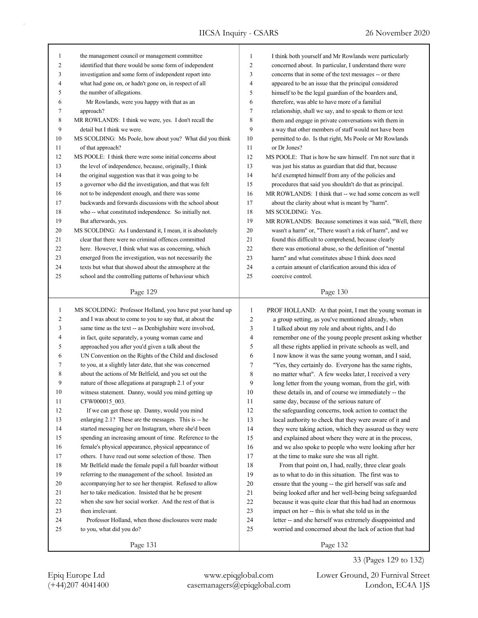| 1              | the management council or management committee            | $\mathbf{1}$   | I think both yourself and Mr Rowlands were particularly    |
|----------------|-----------------------------------------------------------|----------------|------------------------------------------------------------|
| 2              | identified that there would be some form of independent   | $\overline{c}$ | concerned about. In particular, I understand there were    |
| 3              | investigation and some form of independent report into    | 3              | concerns that in some of the text messages -- or there     |
| $\overline{4}$ | what had gone on, or hadn't gone on, in respect of all    | 4              | appeared to be an issue that the principal considered      |
| 5              | the number of allegations.                                | 5              | himself to be the legal guardian of the boarders and,      |
| 6              | Mr Rowlands, were you happy with that as an               | 6              | therefore, was able to have more of a familial             |
| 7              | approach?                                                 | 7              | relationship, shall we say, and to speak to them or text   |
| 8              | MR ROWLANDS: I think we were, yes. I don't recall the     | 8              | them and engage in private conversations with them in      |
| 9              | detail but I think we were.                               | 9              | a way that other members of staff would not have been      |
| 10             | MS SCOLDING: Ms Poole, how about you? What did you think  | 10             | permitted to do. Is that right, Ms Poole or Mr Rowlands    |
| 11             | of that approach?                                         | 11             | or Dr Jones?                                               |
| 12             | MS POOLE: I think there were some initial concerns about  | 12             | MS POOLE: That is how he saw himself. I'm not sure that it |
| 13             | the level of independence, because, originally, I think   | 13             | was just his status as guardian that did that, because     |
| 14             | the original suggestion was that it was going to be       | 14             | he'd exempted himself from any of the policies and         |
| 15             | a governor who did the investigation, and that was felt   | 15             | procedures that said you shouldn't do that as principal.   |
| 16             | not to be independent enough, and there was some          | 16             | MR ROWLANDS: I think that -- we had some concern as well   |
| 17             | backwards and forwards discussions with the school about  | 17             | about the clarity about what is meant by "harm".           |
| 18             | who -- what constituted independence. So initially not.   | 18             | MS SCOLDING: Yes.                                          |
| 19             | But afterwards, yes.                                      | 19             | MR ROWLANDS: Because sometimes it was said, "Well, there   |
| 20             | MS SCOLDING: As I understand it, I mean, it is absolutely | 20             | wasn't a harm" or, "There wasn't a risk of harm", and we   |
| 21             | clear that there were no criminal offences committed      | 21             | found this difficult to comprehend, because clearly        |
| 22             | here. However, I think what was as concerning, which      | 22             | there was emotional abuse, so the definition of "mental    |
| 23             | emerged from the investigation, was not necessarily the   | 23             | harm" and what constitutes abuse I think does need         |
| 24             | texts but what that showed about the atmosphere at the    | 24             | a certain amount of clarification around this idea of      |
| 25             | school and the controlling patterns of behaviour which    | 25             | coercive control.                                          |
|                |                                                           |                |                                                            |
|                | Page 129                                                  |                | Page 130                                                   |
|                |                                                           |                |                                                            |
|                |                                                           |                |                                                            |
| $\mathbf{1}$   | MS SCOLDING: Professor Holland, you have put your hand up | $\mathbf{1}$   | PROF HOLLAND: At that point, I met the young woman in      |
| $\overline{c}$ | and I was about to come to you to say that, at about the  | $\overline{c}$ | a group setting, as you've mentioned already, when         |
| 3              | same time as the text -- as Denbighshire were involved,   | 3              | I talked about my role and about rights, and I do          |
| 4              | in fact, quite separately, a young woman came and         | $\overline{4}$ | remember one of the young people present asking whether    |
| 5              | approached you after you'd given a talk about the         | 5              | all these rights applied in private schools as well, and   |
| 6              | UN Convention on the Rights of the Child and disclosed    | 6              | I now know it was the same young woman, and I said,        |
| 7              | to you, at a slightly later date, that she was concerned  | 7              | "Yes, they certainly do. Everyone has the same rights,     |
| 8              | about the actions of Mr Belfield, and you set out the     | 8              | no matter what". A few weeks later, I received a very      |
| 9              | nature of those allegations at paragraph 2.1 of your      | 9              | long letter from the young woman, from the girl, with      |
| 10             | witness statement. Danny, would you mind getting up       | 10             | these details in, and of course we immediately -- the      |
| 11             | CFW000015_003.                                            | 11             | same day, because of the serious nature of                 |
| 12             | If we can get those up. Danny, would you mind             | 12             | the safeguarding concerns, took action to contact the      |
| 13             | enlarging 2.1? These are the messages. This is -- he      | 13             | local authority to check that they were aware of it and    |
| 14             | started messaging her on Instagram, where she'd been      | 14             | they were taking action, which they assured us they were   |
| 15             | spending an increasing amount of time. Reference to the   | 15             | and explained about where they were at in the process,     |
| 16             | female's physical appearance, physical appearance of      | 16             | and we also spoke to people who were looking after her     |
| 17             | others. I have read out some selection of those. Then     | 17             | at the time to make sure she was all right.                |
| 18             | Mr Belfield made the female pupil a full boarder without  | 18             | From that point on, I had, really, three clear goals       |
| 19             | referring to the management of the school. Insisted an    | 19             | as to what to do in this situation. The first was to       |
| 20             | accompanying her to see her therapist. Refused to allow   | 20             | ensure that the young -- the girl herself was safe and     |
| 21             | her to take medication. Insisted that he be present       | 21             | being looked after and her well-being being safeguarded    |
| 22             | when she saw her social worker. And the rest of that is   | 22             | because it was quite clear that this had had an enormous   |
| 23             | then irrelevant.                                          | 23             | impact on her -- this is what she told us in the           |
| 24             | Professor Holland, when those disclosures were made       | 24             | letter -- and she herself was extremely disappointed and   |
| 25             | to you, what did you do?                                  | 25             | worried and concerned about the lack of action that had    |

(+44)207 4041400 casemanagers@epiqglobal.com London, EC4A 1JS Epiq Europe Ltd www.epiqglobal.com Lower Ground, 20 Furnival Street

33 (Pages 129 to 132)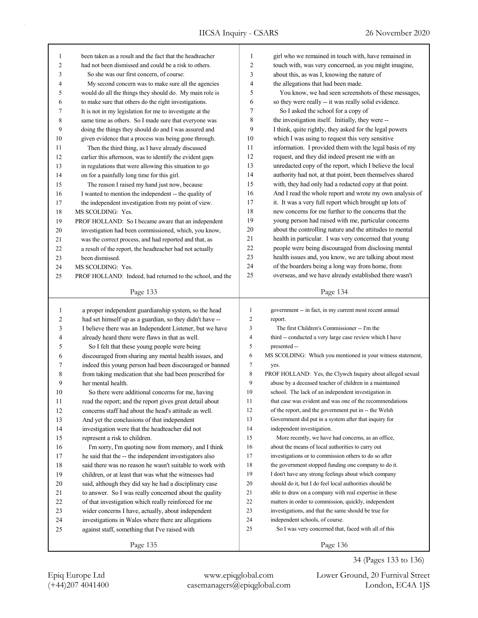| 1            | been taken as a result and the fact that the headteacher  | $\mathbf{1}$   | girl who we remained in touch with, have remained in        |
|--------------|-----------------------------------------------------------|----------------|-------------------------------------------------------------|
| 2            | had not been dismissed and could be a risk to others.     | $\overline{c}$ | touch with, was very concerned, as you might imagine,       |
| 3            | So she was our first concern, of course:                  | 3              | about this, as was I, knowing the nature of                 |
| 4            | My second concern was to make sure all the agencies       | 4              | the allegations that had been made.                         |
| 5            | would do all the things they should do. My main role is   | 5              | You know, we had seen screenshots of these messages,        |
| 6            | to make sure that others do the right investigations.     | 6              | so they were really -- it was really solid evidence.        |
| 7            | It is not in my legislation for me to investigate at the  | 7              | So I asked the school for a copy of                         |
| 8            | same time as others. So I made sure that everyone was     | 8              | the investigation itself. Initially, they were --           |
| 9            | doing the things they should do and I was assured and     | 9              | I think, quite rightly, they asked for the legal powers     |
| 10           | given evidence that a process was being gone through.     | 10             | which I was using to request this very sensitive            |
| 11           | Then the third thing, as I have already discussed         | 11             | information. I provided them with the legal basis of my     |
| 12           | earlier this afternoon, was to identify the evident gaps  | 12             | request, and they did indeed present me with an             |
| 13           | in regulations that were allowing this situation to go    | 13             | unredacted copy of the report, which I believe the local    |
| 14           | on for a painfully long time for this girl.               | 14             | authority had not, at that point, been themselves shared    |
| 15           | The reason I raised my hand just now, because             | 15             | with, they had only had a redacted copy at that point.      |
| 16           | I wanted to mention the independent -- the quality of     | 16             | And I read the whole report and wrote my own analysis of    |
| 17           | the independent investigation from my point of view.      | 17             | it. It was a very full report which brought up lots of      |
| 18           | MS SCOLDING: Yes.                                         | 18             | new concerns for me further to the concerns that the        |
| 19           | PROF HOLLAND: So I became aware that an independent       | 19             | young person had raised with me, particular concerns        |
| 20           | investigation had been commissioned, which, you know,     | 20             | about the controlling nature and the attitudes to mental    |
| 21           | was the correct process, and had reported and that, as    | 21             | health in particular. I was very concerned that young       |
| 22           | a result of the report, the headteacher had not actually  | 22             | people were being discouraged from disclosing mental        |
| 23           | been dismissed.                                           | 23             | health issues and, you know, we are talking about most      |
| 24           | MS SCOLDING: Yes.                                         | 24             | of the boarders being a long way from home, from            |
| 25           | PROF HOLLAND: Indeed, had returned to the school, and the | 25             | overseas, and we have already established there wasn't      |
|              |                                                           |                |                                                             |
|              | Page 133                                                  |                | Page 134                                                    |
|              |                                                           |                |                                                             |
|              |                                                           |                |                                                             |
| $\mathbf{1}$ | a proper independent guardianship system, so the head     | $\mathbf{1}$   | government -- in fact, in my current most recent annual     |
| 2            | had set himself up as a guardian, so they didn't have --  | $\sqrt{2}$     | report.                                                     |
| 3            | I believe there was an Independent Listener, but we have  | 3              | The first Children's Commissioner -- I'm the                |
| 4            | already heard there were flaws in that as well.           | 4              | third -- conducted a very large case review which I have    |
| 5            | So I felt that these young people were being              | 5              | presented --                                                |
| 6            | discouraged from sharing any mental health issues, and    | 6              | MS SCOLDING: Which you mentioned in your witness statement, |
| 7            | indeed this young person had been discouraged or banned   | 7              | yes.                                                        |
| 8            | from taking medication that she had been prescribed for   | 8              | PROF HOLLAND: Yes, the Clywch Inquiry about alleged sexual  |
| 9            | her mental health.                                        | 9              | abuse by a deceased teacher of children in a maintained     |
| 10           | So there were additional concerns for me, having          | 10             | school. The lack of an independent investigation in         |
| 11           | read the report; and the report gives great detail about  | 11             | that case was evident and was one of the recommendations    |
| 12           | concerns staff had about the head's attitude as well.     | 12             | of the report, and the government put in -- the Welsh       |
| 13           | And yet the conclusions of that independent               | 13             | Government did put in a system after that inquiry for       |
| 14           | investigation were that the headteacher did not           | 14             | independent investigation.                                  |
| 15           | represent a risk to children.                             | 15             | More recently, we have had concerns, as an office,          |
| 16           | I'm sorry, I'm quoting now from memory, and I think       | 16             | about the means of local authorities to carry out           |
| 17           | he said that the -- the independent investigators also    | 17             | investigations or to commission others to do so after       |
| $18\,$       | said there was no reason he wasn't suitable to work with  | 18             | the government stopped funding one company to do it.        |
| 19           | children, or at least that was what the witnesses had     | 19             | I don't have any strong feelings about which company        |
| $20\,$       | said, although they did say he had a disciplinary case    | 20             | should do it, but I do feel local authorities should be     |
| 21           | to answer. So I was really concerned about the quality    | 21             | able to draw on a company with real expertise in these      |
| 22           | of that investigation which really reinforced for me      | 22             | matters in order to commission, quickly, independent        |
| 23           | wider concerns I have, actually, about independent        | 23             | investigations, and that the same should be true for        |
| 24           | investigations in Wales where there are allegations       | 24             | independent schools, of course.                             |
| 25           | against staff, something that I've raised with            | $25\,$         | So I was very concerned that, faced with all of this        |
|              | Page 135                                                  |                | Page 136                                                    |

34 (Pages 133 to 136)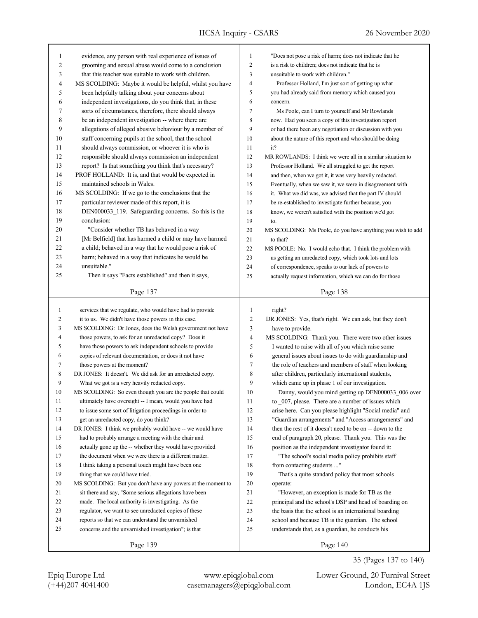| 1              | evidence, any person with real experience of issues of      | $\mathbf{1}$   | "Does not pose a risk of harm; does not indicate that he    |
|----------------|-------------------------------------------------------------|----------------|-------------------------------------------------------------|
| 2              | grooming and sexual abuse would come to a conclusion        | 2              | is a risk to children; does not indicate that he is         |
| 3              | that this teacher was suitable to work with children.       | 3              | unsuitable to work with children."                          |
| 4              | MS SCOLDING: Maybe it would be helpful, whilst you have     | 4              | Professor Holland, I'm just sort of getting up what         |
| 5              | been helpfully talking about your concerns about            | 5              | you had already said from memory which caused you           |
| 6              | independent investigations, do you think that, in these     | 6              | concern.                                                    |
| 7              | sorts of circumstances, therefore, there should always      | 7              | Ms Poole, can I turn to yourself and Mr Rowlands            |
| 8              | be an independent investigation -- where there are          | 8              | now. Had you seen a copy of this investigation report       |
| 9              | allegations of alleged abusive behaviour by a member of     | 9              | or had there been any negotiation or discussion with you    |
| 10             | staff concerning pupils at the school, that the school      | 10             | about the nature of this report and who should be doing     |
| 11             | should always commission, or whoever it is who is           | 11             | it?                                                         |
| 12             | responsible should always commission an independent         | 12             | MR ROWLANDS: I think we were all in a similar situation to  |
| 13             | report? Is that something you think that's necessary?       | 13             | Professor Holland. We all struggled to get the report       |
| 14             | PROF HOLLAND: It is, and that would be expected in          | 14             | and then, when we got it, it was very heavily redacted.     |
| 15             | maintained schools in Wales.                                | 15             | Eventually, when we saw it, we were in disagreement with    |
| 16             | MS SCOLDING: If we go to the conclusions that the           | 16             | it. What we did was, we advised that the part IV should     |
| 17             | particular reviewer made of this report, it is              | 17             | be re-established to investigate further because, you       |
| 18             | DEN000033_119. Safeguarding concerns. So this is the        | 18             | know, we weren't satisfied with the position we'd got       |
| 19             | conclusion:                                                 | 19             | to.                                                         |
| 20             | "Consider whether TB has behaved in a way                   | 20             | MS SCOLDING: Ms Poole, do you have anything you wish to add |
| 21             | [Mr Belfield] that has harmed a child or may have harmed    | 21             | to that?                                                    |
| 22             | a child; behaved in a way that he would pose a risk of      | 22             | MS POOLE: No. I would echo that. I think the problem with   |
| 23             | harm; behaved in a way that indicates he would be           |                |                                                             |
| 24             | unsuitable."                                                | 23             | us getting an unredacted copy, which took lots and lots     |
|                |                                                             | 24             | of correspondence, speaks to our lack of powers to          |
| 25             | Then it says "Facts established" and then it says,          | 25             | actually request information, which we can do for those     |
|                | Page 137                                                    |                | Page 138                                                    |
|                |                                                             |                |                                                             |
|                |                                                             |                |                                                             |
| $\mathbf{1}$   | services that we regulate, who would have had to provide    | 1              | right?                                                      |
| $\overline{c}$ | it to us. We didn't have those powers in this case.         | $\overline{c}$ | DR JONES: Yes, that's right. We can ask, but they don't     |
| 3              | MS SCOLDING: Dr Jones, does the Welsh government not have   | $\mathfrak{Z}$ | have to provide.                                            |
| $\overline{4}$ | those powers, to ask for an unredacted copy? Does it        | $\overline{4}$ | MS SCOLDING: Thank you. There were two other issues         |
| 5              | have those powers to ask independent schools to provide     | 5              | I wanted to raise with all of you which raise some          |
| 6              | copies of relevant documentation, or does it not have       | 6              | general issues about issues to do with guardianship and     |
| 7              | those powers at the moment?                                 | 7              | the role of teachers and members of staff when looking      |
| 8              | DR JONES: It doesn't. We did ask for an unredacted copy.    | 8              | after children, particularly international students,        |
| 9              | What we got is a very heavily redacted copy.                | 9              | which came up in phase 1 of our investigation.              |
| 10             | MS SCOLDING: So even though you are the people that could   | 10             | Danny, would you mind getting up DEN000033 006 over         |
| 11             | ultimately have oversight -- I mean, would you have had     | 11             | to 007, please. There are a number of issues which          |
| 12             | to issue some sort of litigation proceedings in order to    | 12             | arise here. Can you please highlight "Social media" and     |
| 13             | get an unredacted copy, do you think?                       | 13             | "Guardian arrangements" and "Access arrangements" and       |
| 14             | DR JONES: I think we probably would have -- we would have   | 14             | then the rest of it doesn't need to be on -- down to the    |
| 15             | had to probably arrange a meeting with the chair and        | 15             | end of paragraph 20, please. Thank you. This was the        |
| 16             | actually gone up the -- whether they would have provided    | 16             | position as the independent investigator found it:          |
| 17             | the document when we were there is a different matter.      | 17             | "The school's social media policy prohibits staff           |
| 18             | I think taking a personal touch might have been one         | 18             | from contacting students "                                  |
| 19             | thing that we could have tried.                             | 19             | That's a quite standard policy that most schools            |
| 20             | MS SCOLDING: But you don't have any powers at the moment to | 20             | operate:                                                    |
| 21             | sit there and say, "Some serious allegations have been      | 21             | "However, an exception is made for TB as the                |
| 22             | made. The local authority is investigating. As the          | 22             | principal and the school's DSP and head of boarding on      |
| 23             | regulator, we want to see unredacted copies of these        | 23             | the basis that the school is an international boarding      |
| 24             | reports so that we can understand the unvarnished           | 24             | school and because TB is the guardian. The school           |
| 25             | concerns and the unvarnished investigation"; is that        | 25             | understands that, as a guardian, he conducts his            |
|                | Page 139                                                    |                | Page 140                                                    |

(+44)207 4041400 casemanagers@epiqglobal.com London, EC4A 1JS Epiq Europe Ltd www.epiqglobal.com Lower Ground, 20 Furnival Street

35 (Pages 137 to 140)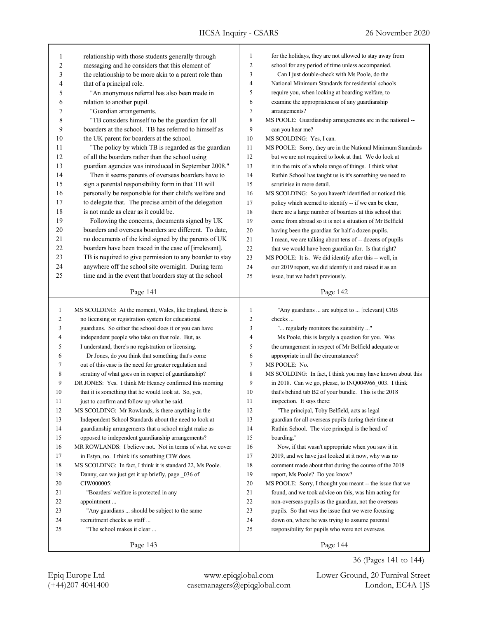| 1                              | relationship with those students generally through                                                               | $\mathbf{1}$   | for the holidays, they are not allowed to stay away from                                              |
|--------------------------------|------------------------------------------------------------------------------------------------------------------|----------------|-------------------------------------------------------------------------------------------------------|
| 2                              | messaging and he considers that this element of                                                                  | $\overline{c}$ | school for any period of time unless accompanied.                                                     |
| 3                              | the relationship to be more akin to a parent role than                                                           | 3              | Can I just double-check with Ms Poole, do the                                                         |
| 4                              | that of a principal role.                                                                                        | 4              | National Minimum Standards for residential schools                                                    |
| 5                              | "An anonymous referral has also been made in                                                                     | 5              | require you, when looking at boarding welfare, to                                                     |
| 6                              | relation to another pupil.                                                                                       | 6              | examine the appropriateness of any guardianship                                                       |
| 7                              | "Guardian arrangements.                                                                                          | 7              | arrangements?                                                                                         |
| 8                              | "TB considers himself to be the guardian for all                                                                 | $\,$ 8 $\,$    | MS POOLE: Guardianship arrangements are in the national --                                            |
| 9                              | boarders at the school. TB has referred to himself as                                                            | 9              | can you hear me?                                                                                      |
| 10                             | the UK parent for boarders at the school.                                                                        | 10             | MS SCOLDING: Yes, I can.                                                                              |
| 11                             | "The policy by which TB is regarded as the guardian                                                              | 11             | MS POOLE: Sorry, they are in the National Minimum Standards                                           |
| 12                             | of all the boarders rather than the school using                                                                 | 12             | but we are not required to look at that. We do look at                                                |
| 13                             | guardian agencies was introduced in September 2008."                                                             | 13             | it in the mix of a whole range of things. I think what                                                |
| 14                             | Then it seems parents of overseas boarders have to                                                               | 14             | Ruthin School has taught us is it's something we need to                                              |
| 15                             | sign a parental responsibility form in that TB will                                                              | 15             | scrutinise in more detail.                                                                            |
| 16                             | personally be responsible for their child's welfare and                                                          | 16             | MS SCOLDING: So you haven't identified or noticed this                                                |
| 17                             | to delegate that. The precise ambit of the delegation                                                            | 17             | policy which seemed to identify -- if we can be clear,                                                |
| 18                             | is not made as clear as it could be.                                                                             | 18             | there are a large number of boarders at this school that                                              |
| 19                             | Following the concerns, documents signed by UK                                                                   | 19             | come from abroad so it is not a situation of Mr Belfield                                              |
| 20                             | boarders and overseas boarders are different. To date,                                                           | 20             | having been the guardian for half a dozen pupils.                                                     |
| 21                             | no documents of the kind signed by the parents of UK                                                             | 21             | I mean, we are talking about tens of -- dozens of pupils                                              |
| 22                             | boarders have been traced in the case of [irrelevant].                                                           | 22             | that we would have been guardian for. Is that right?                                                  |
| 23                             | TB is required to give permission to any boarder to stay                                                         | 23             | MS POOLE: It is. We did identify after this -- well, in                                               |
| 24                             | anywhere off the school site overnight. During term                                                              | 24             | our 2019 report, we did identify it and raised it as an                                               |
| 25                             | time and in the event that boarders stay at the school                                                           | 25             | issue, but we hadn't previously.                                                                      |
|                                | Page 141                                                                                                         |                | Page 142                                                                                              |
|                                |                                                                                                                  |                |                                                                                                       |
| $\mathbf{1}$<br>$\overline{c}$ | MS SCOLDING: At the moment, Wales, like England, there is<br>no licensing or registration system for educational | $\mathbf{1}$   | "Any guardians  are subject to  [relevant] CRB                                                        |
|                                |                                                                                                                  |                |                                                                                                       |
|                                |                                                                                                                  | $\overline{c}$ | checks                                                                                                |
| 3                              | guardians. So either the school does it or you can have                                                          | 3              | " regularly monitors the suitability "                                                                |
| 4                              | independent people who take on that role. But, as                                                                | 4              | Ms Poole, this is largely a question for you. Was                                                     |
| 5                              | I understand, there's no registration or licensing.                                                              | 5              | the arrangement in respect of Mr Belfield adequate or                                                 |
| 6                              | Dr Jones, do you think that something that's come                                                                | 6              | appropriate in all the circumstances?                                                                 |
| 7                              | out of this case is the need for greater regulation and                                                          | 7              | MS POOLE: No.                                                                                         |
| 8                              | scrutiny of what goes on in respect of guardianship?                                                             | 8              | MS SCOLDING: In fact, I think you may have known about this                                           |
| 9                              | DR JONES: Yes. I think Mr Heaney confirmed this morning                                                          | 9              | in 2018. Can we go, please, to INQ004966 003. I think                                                 |
| 10                             | that it is something that he would look at. So, yes,                                                             | 10             | that's behind tab B2 of your bundle. This is the 2018                                                 |
| 11<br>12                       | just to confirm and follow up what he said.                                                                      | 11<br>12       | inspection. It says there:                                                                            |
| 13                             | MS SCOLDING: Mr Rowlands, is there anything in the<br>Independent School Standards about the need to look at     | 13             | "The principal, Toby Belfield, acts as legal<br>guardian for all overseas pupils during their time at |
| 14                             | guardianship arrangements that a school might make as                                                            | 14             | Ruthin School. The vice principal is the head of                                                      |
| 15                             | opposed to independent guardianship arrangements?                                                                | 15             | boarding."                                                                                            |
| 16                             | MR ROWLANDS: I believe not. Not in terms of what we cover                                                        | 16             | Now, if that wasn't appropriate when you saw it in                                                    |
| 17                             | in Estyn, no. I think it's something CIW does.                                                                   | 17             | 2019, and we have just looked at it now, why was no                                                   |
| 18                             | MS SCOLDING: In fact, I think it is standard 22, Ms Poole.                                                       | 18             | comment made about that during the course of the 2018                                                 |
| 19                             | Danny, can we just get it up briefly, page 036 of                                                                | 19             | report, Ms Poole? Do you know?                                                                        |
| 20                             | CIW000005:                                                                                                       | $20\,$         | MS POOLE: Sorry, I thought you meant -- the issue that we                                             |
| 21                             | "Boarders' welfare is protected in any                                                                           | 21             | found, and we took advice on this, was him acting for                                                 |
| 22                             | appointment                                                                                                      | 22             | non-overseas pupils as the guardian, not the overseas                                                 |
| 23                             | "Any guardians  should be subject to the same                                                                    | 23             | pupils. So that was the issue that we were focusing                                                   |
| 24                             | recruitment checks as staff                                                                                      | 24             | down on, where he was trying to assume parental                                                       |
| 25                             | "The school makes it clear                                                                                       | 25             | responsibility for pupils who were not overseas.                                                      |

36 (Pages 141 to 144)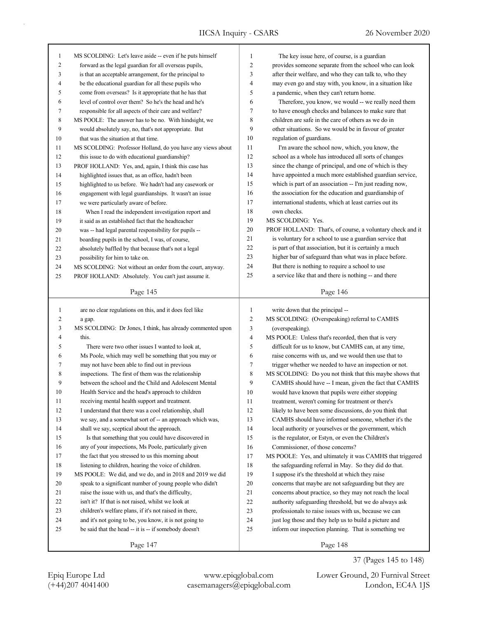| 1      | MS SCOLDING: Let's leave aside -- even if he puts himself   | $\mathbf{1}$   | The key issue here, of course, is a guardian              |
|--------|-------------------------------------------------------------|----------------|-----------------------------------------------------------|
| 2      | forward as the legal guardian for all overseas pupils,      | $\overline{2}$ | provides someone separate from the school who can look    |
| 3      | is that an acceptable arrangement, for the principal to     | 3              | after their welfare, and who they can talk to, who they   |
| 4      | be the educational guardian for all these pupils who        | $\overline{4}$ | may even go and stay with, you know, in a situation like  |
| 5      | come from overseas? Is it appropriate that he has that      | 5              | a pandemic, when they can't return home.                  |
| 6      | level of control over them? So he's the head and he's       | 6              | Therefore, you know, we would -- we really need them      |
| 7      | responsible for all aspects of their care and welfare?      | 7              | to have enough checks and balances to make sure that      |
| 8      | MS POOLE: The answer has to be no. With hindsight, we       | 8              | children are safe in the care of others as we do in       |
| 9      | would absolutely say, no, that's not appropriate. But       | 9              | other situations. So we would be in favour of greater     |
| 10     | that was the situation at that time.                        | 10             | regulation of guardians.                                  |
| 11     | MS SCOLDING: Professor Holland, do you have any views about | 11             | I'm aware the school now, which, you know, the            |
| 12     | this issue to do with educational guardianship?             | 12             | school as a whole has introduced all sorts of changes     |
| 13     | PROF HOLLAND: Yes, and, again, I think this case has        | 13             | since the change of principal, and one of which is they   |
| 14     | highlighted issues that, as an office, hadn't been          | 14             | have appointed a much more established guardian service,  |
| 15     | highlighted to us before. We hadn't had any casework or     | 15             | which is part of an association -- I'm just reading now,  |
| 16     | engagement with legal guardianships. It wasn't an issue     | 16             | the association for the education and guardianship of     |
| 17     | we were particularly aware of before.                       | 17             | international students, which at least carries out its    |
| 18     | When I read the independent investigation report and        | 18             | own checks.                                               |
| 19     | it said as an established fact that the headteacher         | 19             | MS SCOLDING: Yes.                                         |
| 20     | was -- had legal parental responsibility for pupils --      | 20             | PROF HOLLAND: That's, of course, a voluntary check and it |
| 21     | boarding pupils in the school, I was, of course,            | 21             | is voluntary for a school to use a guardian service that  |
| 22     | absolutely baffled by that because that's not a legal       | 22             | is part of that association, but it is certainly a much   |
| 23     | possibility for him to take on.                             | 23             | higher bar of safeguard than what was in place before.    |
| 24     | MS SCOLDING: Not without an order from the court, anyway.   | 24             | But there is nothing to require a school to use           |
| 25     | PROF HOLLAND: Absolutely. You can't just assume it.         | 25             | a service like that and there is nothing -- and there     |
|        |                                                             |                |                                                           |
|        | Page 145                                                    |                | Page 146                                                  |
|        |                                                             |                |                                                           |
|        |                                                             |                |                                                           |
| 1      | are no clear regulations on this, and it does feel like     | $\mathbf{1}$   | write down that the principal --                          |
| 2      | a gap.                                                      | $\sqrt{2}$     | MS SCOLDING: (Overspeaking) referral to CAMHS             |
| 3      | MS SCOLDING: Dr Jones, I think, has already commented upon  | $\mathfrak{Z}$ | (overspeaking).                                           |
| 4      | this.                                                       | $\overline{4}$ | MS POOLE: Unless that's recorded, then that is very       |
| 5      | There were two other issues I wanted to look at,            | 5              | difficult for us to know, but CAMHS can, at any time,     |
| 6      | Ms Poole, which may well be something that you may or       | 6              | raise concerns with us, and we would then use that to     |
| 7      | may not have been able to find out in previous              | $\tau$         | trigger whether we needed to have an inspection or not.   |
| 8      | inspections. The first of them was the relationship         | 8              | MS SCOLDING: Do you not think that this maybe shows that  |
| 9      | between the school and the Child and Adolescent Mental      | 9              | CAMHS should have -- I mean, given the fact that CAMHS    |
| 10     | Health Service and the head's approach to children          | 10             | would have known that pupils were either stopping         |
| 11     | receiving mental health support and treatment.              | 11             | treatment, weren't coming for treatment or there's        |
| 12     | I understand that there was a cool relationship, shall      | 12             | likely to have been some discussions, do you think that   |
| 13     | we say, and a somewhat sort of -- an approach which was,    | 13             | CAMHS should have informed someone, whether it's the      |
| 14     | shall we say, sceptical about the approach.                 | 14             | local authority or yourselves or the government, which    |
| 15     | Is that something that you could have discovered in         | 15             | is the regulator, or Estyn, or even the Children's        |
| 16     | any of your inspections, Ms Poole, particularly given       | 16             | Commissioner, of those concerns?                          |
| 17     | the fact that you stressed to us this morning about         | 17             | MS POOLE: Yes, and ultimately it was CAMHS that triggered |
| 18     | listening to children, hearing the voice of children.       | 18             | the safeguarding referral in May. So they did do that.    |
| 19     | MS POOLE: We did, and we do, and in 2018 and 2019 we did    | 19             | I suppose it's the threshold at which they raise          |
| $20\,$ | speak to a significant number of young people who didn't    | 20             | concerns that maybe are not safeguarding but they are     |
| 21     | raise the issue with us, and that's the difficulty,         | 21             | concerns about practice, so they may not reach the local  |
| 22     | isn't it? If that is not raised, whilst we look at          | 22             | authority safeguarding threshold, but we do always ask    |
| 23     | children's welfare plans, if it's not raised in there,      | 23             | professionals to raise issues with us, because we can     |
| 24     | and it's not going to be, you know, it is not going to      | 24             | just log those and they help us to build a picture and    |
| 25     | be said that the head -- it is -- if somebody doesn't       | 25             | inform our inspection planning. That is something we      |

(+44)207 4041400 casemanagers@epiqglobal.com London, EC4A 1JS Epiq Europe Ltd www.epiqglobal.com Lower Ground, 20 Furnival Street

37 (Pages 145 to 148)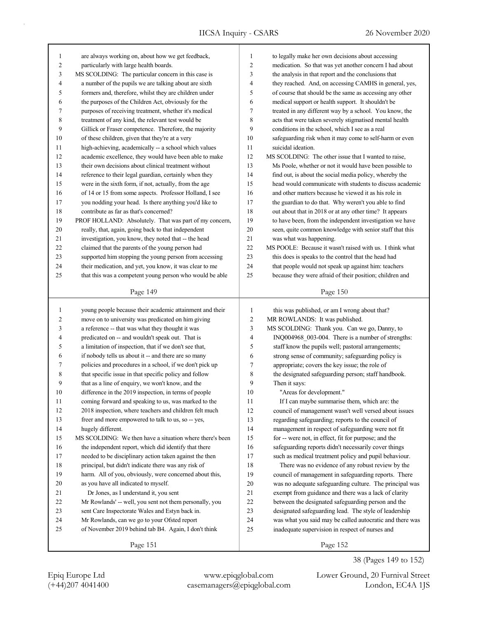| $\mathbf{1}$             | are always working on, about how we get feedback,        | $\mathbf{1}$   | to legally make her own decisions about accessing        |
|--------------------------|----------------------------------------------------------|----------------|----------------------------------------------------------|
| $\overline{c}$           | particularly with large health boards.                   |                | medication. So that was yet another concern I had about  |
| 3                        | MS SCOLDING: The particular concern in this case is      | 3              | the analysis in that report and the conclusions that     |
| $\overline{\mathcal{L}}$ | a number of the pupils we are talking about are sixth    | 4              | they reached. And, on accessing CAMHS in general, yes,   |
| 5                        | formers and, therefore, whilst they are children under   | 5              | of course that should be the same as accessing any other |
| 6                        | the purposes of the Children Act, obviously for the      | 6              | medical support or health support. It shouldn't be       |
| 7                        | purposes of receiving treatment, whether it's medical    | 7              | treated in any different way by a school. You know, the  |
| 8                        | treatment of any kind, the relevant test would be        | 8              | acts that were taken severely stigmatised mental health  |
| 9                        | Gillick or Fraser competence. Therefore, the majority    | 9              | conditions in the school, which I see as a real          |
| 10                       | of these children, given that they're at a very          | 10             | safeguarding risk when it may come to self-harm or even  |
| 11                       | high-achieving, academically -- a school which values    | 11             | suicidal ideation.                                       |
| 12                       | academic excellence, they would have been able to make   | 12             | MS SCOLDING: The other issue that I wanted to raise,     |
| 13                       | their own decisions about clinical treatment without     | 13             | Ms Poole, whether or not it would have been possible to  |
| 14                       | reference to their legal guardian, certainly when they   | 14             | find out, is about the social media policy, whereby the  |
| 15                       | were in the sixth form, if not, actually, from the age   | 15             | head would communicate with students to discuss academic |
| 16                       | of 14 or 15 from some aspects. Professor Holland, I see  | 16             | and other matters because he viewed it as his role in    |
| 17                       | you nodding your head. Is there anything you'd like to   | 17             | the guardian to do that. Why weren't you able to find    |
| 18                       | contribute as far as that's concerned?                   | 18             | out about that in 2018 or at any other time? It appears  |
| 19                       | PROF HOLLAND: Absolutely. That was part of my concern,   | 19             | to have been, from the independent investigation we have |
| 20                       | really, that, again, going back to that independent      | 20             | seen, quite common knowledge with senior staff that this |
| 21                       | investigation, you know, they noted that -- the head     | 21             | was what was happening.                                  |
| 22                       | claimed that the parents of the young person had         | 22             | MS POOLE: Because it wasn't raised with us. I think what |
| 23                       | supported him stopping the young person from accessing   | 23             | this does is speaks to the control that the head had     |
| 24                       | their medication, and yet, you know, it was clear to me  | 24             | that people would not speak up against him: teachers     |
| 25                       | that this was a competent young person who would be able | 25             | because they were afraid of their position; children and |
|                          |                                                          |                |                                                          |
|                          | Page 149                                                 |                | Page 150                                                 |
|                          |                                                          |                |                                                          |
|                          |                                                          |                |                                                          |
| $\mathbf{1}$             | young people because their academic attainment and their | $\mathbf{1}$   | this was published, or am I wrong about that?            |
| $\boldsymbol{2}$         | move on to university was predicated on him giving       | $\sqrt{2}$     | MR ROWLANDS: It was published.                           |
| $\mathfrak{Z}$           | a reference -- that was what they thought it was         | 3              | MS SCOLDING: Thank you. Can we go, Danny, to             |
| $\overline{\mathcal{L}}$ | predicated on -- and wouldn't speak out. That is         | $\overline{4}$ | INQ004968_003-004. There is a number of strengths:       |
| 5                        | a limitation of inspection, that if we don't see that,   | 5              | staff know the pupils well; pastoral arrangements;       |
| 6                        | if nobody tells us about it -- and there are so many     | 6              | strong sense of community; safeguarding policy is        |
| 7                        | policies and procedures in a school, if we don't pick up | 7              | appropriate; covers the key issue; the role of           |
| 8                        | that specific issue in that specific policy and follow   | 8              | the designated safeguarding person; staff handbook.      |
| 9                        | that as a line of enquiry, we won't know, and the        | 9              | Then it says:                                            |
| 10                       | difference in the 2019 inspection, in terms of people    | 10             | "Areas for development."                                 |
| 11                       | coming forward and speaking to us, was marked to the     | 11             | If I can maybe summarise them, which are: the            |
| 12                       | 2018 inspection, where teachers and children felt much   | 12             | council of management wasn't well versed about issues    |
| 13                       | freer and more empowered to talk to us, so -- yes,       | 13             | regarding safeguarding; reports to the council of        |
| 14                       | hugely different.                                        | 14             | management in respect of safeguarding were not fit       |
| 15                       | MS SCOLDING: We then have a situation where there's been | 15             | for -- were not, in effect, fit for purpose; and the     |
| 16                       | the independent report, which did identify that there    | 16             | safeguarding reports didn't necessarily cover things     |
| 17                       | needed to be disciplinary action taken against the then  | 17             | such as medical treatment policy and pupil behaviour.    |
| 18                       | principal, but didn't indicate there was any risk of     | 18             | There was no evidence of any robust review by the        |
| 19                       | harm. All of you, obviously, were concerned about this,  | 19             | council of management in safeguarding reports. There     |
| 20                       | as you have all indicated to myself.                     | 20             | was no adequate safeguarding culture. The principal was  |
| 21                       | Dr Jones, as I understand it, you sent                   | 21             | exempt from guidance and there was a lack of clarity     |
| $22\,$                   | Mr Rowlands' -- well, you sent not them personally, you  | 22             | between the designated safeguarding person and the       |
| 23                       | sent Care Inspectorate Wales and Estyn back in.          | 23             | designated safeguarding lead. The style of leadership    |
| 24                       | Mr Rowlands, can we go to your Ofsted report             | 24             | was what you said may be called autocratic and there was |
| 25                       | of November 2019 behind tab B4. Again, I don't think     | 25             | inadequate supervision in respect of nurses and          |

(+44)207 4041400 casemanagers@epiqglobal.com London, EC4A 1JS Epiq Europe Ltd www.epiqglobal.com Lower Ground, 20 Furnival Street

38 (Pages 149 to 152)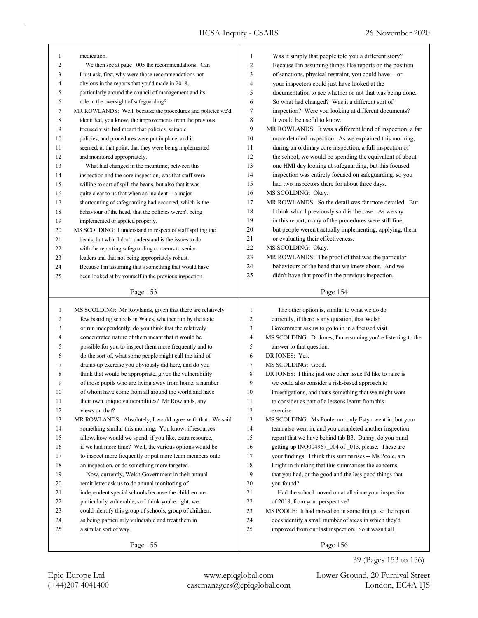| 1            | medication.                                                 | $\mathbf{1}$   | Was it simply that people told you a different story?       |  |
|--------------|-------------------------------------------------------------|----------------|-------------------------------------------------------------|--|
| 2            | We then see at page 005 the recommendations. Can            | 2              | Because I'm assuming things like reports on the position    |  |
| 3            | I just ask, first, why were those recommendations not       | 3              | of sanctions, physical restraint, you could have -- or      |  |
| 4            | obvious in the reports that you'd made in 2018,             | 4              | your inspectors could just have looked at the               |  |
| 5            | particularly around the council of management and its       | 5              | documentation to see whether or not that was being done.    |  |
| 6            | role in the oversight of safeguarding?                      | 6              | So what had changed? Was it a different sort of             |  |
| 7            | MR ROWLANDS: Well, because the procedures and policies we'd | 7              | inspection? Were you looking at different documents?        |  |
| 8            | identified, you know, the improvements from the previous    | 8              | It would be useful to know.                                 |  |
| 9            | focused visit, had meant that policies, suitable            | 9              | MR ROWLANDS: It was a different kind of inspection, a far   |  |
| 10           | policies, and procedures were put in place, and it          | 10             | more detailed inspection. As we explained this morning,     |  |
| 11           | seemed, at that point, that they were being implemented     | 11             | during an ordinary core inspection, a full inspection of    |  |
| 12           | and monitored appropriately.                                | 12             | the school, we would be spending the equivalent of about    |  |
| 13           | What had changed in the meantime, between this              | 13             | one HMI day looking at safeguarding, but this focused       |  |
| 14           | inspection and the core inspection, was that staff were     | 14             | inspection was entirely focused on safeguarding, so you     |  |
| 15           | willing to sort of spill the beans, but also that it was    | 15             | had two inspectors there for about three days.              |  |
| 16           | quite clear to us that when an incident -- a major          | 16             | MS SCOLDING: Okay.                                          |  |
| 17           | shortcoming of safeguarding had occurred, which is the      | 17             | MR ROWLANDS: So the detail was far more detailed. But       |  |
| 18           | behaviour of the head, that the policies weren't being      | 18             | I think what I previously said is the case. As we say       |  |
| 19           | implemented or applied properly.                            | 19             | in this report, many of the procedures were still fine,     |  |
| 20           | MS SCOLDING: I understand in respect of staff spilling the  | 20             | but people weren't actually implementing, applying, them    |  |
| 21           | beans, but what I don't understand is the issues to do      | 21             | or evaluating their effectiveness.                          |  |
| 22           | with the reporting safeguarding concerns to senior          | 22             | MS SCOLDING: Okay.                                          |  |
| 23           | leaders and that not being appropriately robust.            | 23             | MR ROWLANDS: The proof of that was the particular           |  |
| 24           | Because I'm assuming that's something that would have       | 24             | behaviours of the head that we knew about. And we           |  |
| 25           | been looked at by yourself in the previous inspection.      | 25             | didn't have that proof in the previous inspection.          |  |
|              |                                                             |                |                                                             |  |
|              | Page 153                                                    |                | Page 154                                                    |  |
|              |                                                             |                |                                                             |  |
|              |                                                             |                |                                                             |  |
| $\mathbf{1}$ | MS SCOLDING: Mr Rowlands, given that there are relatively   | 1              | The other option is, similar to what we do do               |  |
| 2            | few boarding schools in Wales, whether run by the state     | $\overline{c}$ | currently, if there is any question, that Welsh             |  |
| 3            | or run independently, do you think that the relatively      | 3              | Government ask us to go to in in a focused visit.           |  |
| 4            | concentrated nature of them meant that it would be          | $\overline{4}$ | MS SCOLDING: Dr Jones, I'm assuming you're listening to the |  |
| 5            | possible for you to inspect them more frequently and to     | 5              | answer to that question.                                    |  |
| 6            | do the sort of, what some people might call the kind of     | 6              | DR JONES: Yes.                                              |  |
| 7            | drains-up exercise you obviously did here, and do you       | $\tau$         | MS SCOLDING: Good.                                          |  |
| 8            | think that would be appropriate, given the vulnerability    | 8              | DR JONES: I think just one other issue I'd like to raise is |  |
| 9            | of those pupils who are living away from home, a number     | 9              | we could also consider a risk-based approach to             |  |
| 10           | of whom have come from all around the world and have        | 10             | investigations, and that's something that we might want     |  |
| 11           | their own unique vulnerabilities? Mr Rowlands, any          | 11             | to consider as part of a lessons learnt from this           |  |
| 12           | views on that?                                              | 12             | exercise.                                                   |  |
| 13           | MR ROWLANDS: Absolutely, I would agree with that. We said   | 13             | MS SCOLDING: Ms Poole, not only Estyn went in, but your     |  |
| 14           | something similar this morning. You know, if resources      | 14             | team also went in, and you completed another inspection     |  |
| 15           | allow, how would we spend, if you like, extra resource,     | 15             | report that we have behind tab B3. Danny, do you mind       |  |
| 16           | if we had more time? Well, the various options would be     | 16             | getting up INQ004967_004 of _013, please. These are         |  |
| 17           | to inspect more frequently or put more team members onto    | 17             | your findings. I think this summarises -- Ms Poole, am      |  |
| 18           | an inspection, or do something more targeted.               | 18             | I right in thinking that this summarises the concerns       |  |
| 19           | Now, currently, Welsh Government in their annual            | 19             | that you had, or the good and the less good things that     |  |
| $20\,$       | remit letter ask us to do annual monitoring of              | 20             | you found?                                                  |  |
| 21           | independent special schools because the children are        | 21             | Had the school moved on at all since your inspection        |  |
| 22           | particularly vulnerable, so I think you're right, we        | 22             | of 2018, from your perspective?                             |  |
| 23           | could identify this group of schools, group of children,    | 23             | MS POOLE: It had moved on in some things, so the report     |  |
| 24           | as being particularly vulnerable and treat them in          | 24             | does identify a small number of areas in which they'd       |  |
| 25           | a similar sort of way.                                      | 25             | improved from our last inspection. So it wasn't all         |  |
|              | Page 155                                                    |                | Page 156                                                    |  |

39 (Pages 153 to 156)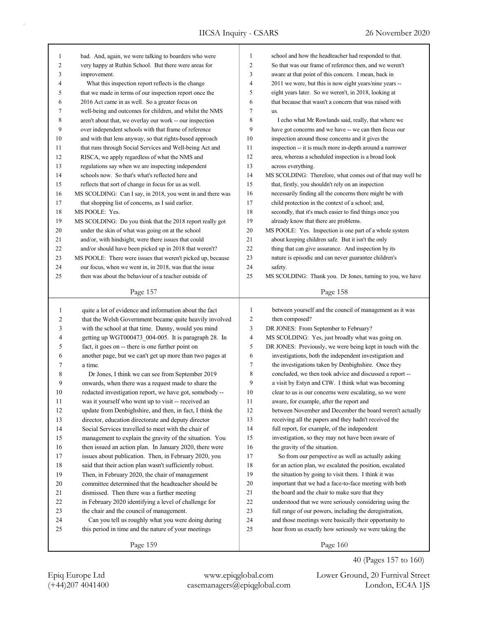| 1            | bad. And, again, we were talking to boarders who were       | $\mathbf{1}$   | school and how the headteacher had responded to that.      |  |  |
|--------------|-------------------------------------------------------------|----------------|------------------------------------------------------------|--|--|
| 2            | very happy at Ruthin School. But there were areas for       |                | So that was our frame of reference then, and we weren't    |  |  |
| 3            | improvement.                                                |                | aware at that point of this concern. I mean, back in       |  |  |
| 4            | What this inspection report reflects is the change          | 4              | 2011 we were, but this is now eight years/nine years --    |  |  |
| 5            | that we made in terms of our inspection report once the     | 5              | eight years later. So we weren't, in 2018, looking at      |  |  |
| 6            | 2016 Act came in as well. So a greater focus on             | 6              | that because that wasn't a concern that was raised with    |  |  |
| 7            | well-being and outcomes for children, and whilst the NMS    | 7              | us.                                                        |  |  |
| 8            | aren't about that, we overlay our work -- our inspection    | 8              | I echo what Mr Rowlands said, really, that where we        |  |  |
| 9            | over independent schools with that frame of reference       | 9              | have got concerns and we have -- we can then focus our     |  |  |
| 10           | and with that lens anyway, so that rights-based approach    | 10             | inspection around those concerns and it gives the          |  |  |
| 11           | that runs through Social Services and Well-being Act and    | 11             | inspection -- it is much more in-depth around a narrower   |  |  |
| 12           | RISCA, we apply regardless of what the NMS and              | 12             | area, whereas a scheduled inspection is a broad look       |  |  |
| 13           | regulations say when we are inspecting independent          | 13             | across everything.                                         |  |  |
| 14           | schools now. So that's what's reflected here and            | 14             | MS SCOLDING: Therefore, what comes out of that may well be |  |  |
| 15           | reflects that sort of change in focus for us as well.       | 15             | that, firstly, you shouldn't rely on an inspection         |  |  |
| 16           | MS SCOLDING: Can I say, in 2018, you went in and there was  | 16             | necessarily finding all the concerns there might be with   |  |  |
| 17           | that shopping list of concerns, as I said earlier.          | 17             | child protection in the context of a school; and,          |  |  |
| 18           | MS POOLE: Yes.                                              | 18             | secondly, that it's much easier to find things once you    |  |  |
| 19           | MS SCOLDING: Do you think that the 2018 report really got   | 19             | already know that there are problems.                      |  |  |
| 20           | under the skin of what was going on at the school           | 20             | MS POOLE: Yes. Inspection is one part of a whole system    |  |  |
| 21           | and/or, with hindsight, were there issues that could        | 21             | about keeping children safe. But it isn't the only         |  |  |
| 22           | and/or should have been picked up in 2018 that weren't?     | 22             | thing that can give assurance. And inspection by its       |  |  |
| 23           | MS POOLE: There were issues that weren't picked up, because | 23             | nature is episodic and can never guarantee children's      |  |  |
| 24           | our focus, when we went in, in 2018, was that the issue     | 24             | safety.                                                    |  |  |
| 25           | then was about the behaviour of a teacher outside of        | 25             | MS SCOLDING: Thank you. Dr Jones, turning to you, we have  |  |  |
|              |                                                             |                |                                                            |  |  |
|              | Page 157                                                    |                | Page 158                                                   |  |  |
|              |                                                             |                |                                                            |  |  |
|              |                                                             |                |                                                            |  |  |
| $\mathbf{1}$ | quite a lot of evidence and information about the fact      | $\mathbf{1}$   | between yourself and the council of management as it was   |  |  |
| 2            | that the Welsh Government became quite heavily involved     | $\mathfrak{2}$ | then composed?                                             |  |  |
| 3            | with the school at that time. Danny, would you mind         | 3              | DR JONES: From September to February?                      |  |  |
| 4            | getting up WGT000473_004-005. It is paragraph 28. In        | 4              | MS SCOLDING: Yes, just broadly what was going on.          |  |  |
| 5            | fact, it goes on -- there is one further point on           | 5              | DR JONES: Previously, we were being kept in touch with the |  |  |
| 6            | another page, but we can't get up more than two pages at    | 6              | investigations, both the independent investigation and     |  |  |
| 7            | a time.                                                     | 7              | the investigations taken by Denbighshire. Once they        |  |  |
| 8            | Dr Jones, I think we can see from September 2019            | 8              | concluded, we then took advice and discussed a report --   |  |  |
| 9            | onwards, when there was a request made to share the         | 9              | a visit by Estyn and CIW. I think what was becoming        |  |  |
| 10           | redacted investigation report, we have got, somebody --     | 10             | clear to us is our concerns were escalating, so we were    |  |  |
| 11           | was it yourself who went up to visit -- received an         | 11             | aware, for example, after the report and                   |  |  |
| 12           | update from Denbighshire, and then, in fact, I think the    | 12             | between November and December the board weren't actually   |  |  |
| 13           | director, education directorate and deputy director         | 13             | receiving all the papers and they hadn't received the      |  |  |
| 14           | Social Services travelled to meet with the chair of         | 14             | full report, for example, of the independent               |  |  |
| 15           | management to explain the gravity of the situation. You     | 15             | investigation, so they may not have been aware of          |  |  |
| 16           | then issued an action plan. In January 2020, there were     | 16             | the gravity of the situation.                              |  |  |
| 17           | issues about publication. Then, in February 2020, you       | 17             | So from our perspective as well as actually asking         |  |  |
| 18           | said that their action plan wasn't sufficiently robust.     | 18             | for an action plan, we escalated the position, escalated   |  |  |
| 19           | Then, in February 2020, the chair of management             | 19             | the situation by going to visit them. I think it was       |  |  |
| $20\,$       | committee determined that the headteacher should be         | 20             | important that we had a face-to-face meeting with both     |  |  |
| 21           | dismissed. Then there was a further meeting                 | 21             | the board and the chair to make sure that they             |  |  |
| $22\,$       | in February 2020 identifying a level of challenge for       | $22\,$         | understood that we were seriously considering using the    |  |  |
| 23           | the chair and the council of management.                    | 23             | full range of our powers, including the deregistration,    |  |  |
| 24           | Can you tell us roughly what you were doing during          | 24             | and those meetings were basically their opportunity to     |  |  |
| 25           | this period in time and the nature of your meetings         | 25             | hear from us exactly how seriously we were taking the      |  |  |

40 (Pages 157 to 160)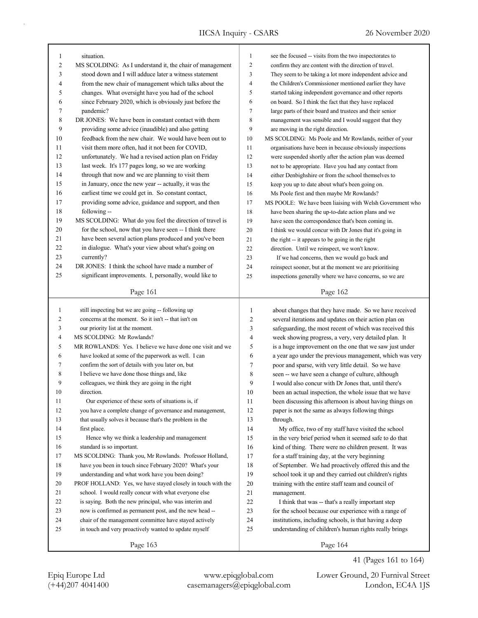| $\mathbf{1}$   | situation.                                                  | $\mathbf{1}$   | see the focused -- visits from the two inspectorates to   |
|----------------|-------------------------------------------------------------|----------------|-----------------------------------------------------------|
| $\overline{c}$ | MS SCOLDING: As I understand it, the chair of management    | $\sqrt{2}$     | confirm they are content with the direction of travel.    |
| 3              | stood down and I will adduce later a witness statement      | 3              | They seem to be taking a lot more independent advice and  |
| 4              | from the new chair of management which talks about the      | $\overline{4}$ | the Children's Commissioner mentioned earlier they have   |
| 5              | changes. What oversight have you had of the school          | 5              | started taking independent governance and other reports   |
| 6              | since February 2020, which is obviously just before the     | 6              | on board. So I think the fact that they have replaced     |
| 7              | pandemic?                                                   | $\tau$         | large parts of their board and trustees and their senior  |
| 8              | DR JONES: We have been in constant contact with them        | 8              | management was sensible and I would suggest that they     |
| 9              | providing some advice (inaudible) and also getting          | 9              | are moving in the right direction.                        |
| 10             | feedback from the new chair. We would have been out to      | 10             | MS SCOLDING: Ms Poole and Mr Rowlands, neither of your    |
| 11             | visit them more often, had it not been for COVID,           | 11             | organisations have been in because obviously inspections  |
| 12             | unfortunately. We had a revised action plan on Friday       | 12             | were suspended shortly after the action plan was deemed   |
| 13             | last week. It's 177 pages long, so we are working           | 13             | not to be appropriate. Have you had any contact from      |
| 14             | through that now and we are planning to visit them          | 14             | either Denbighshire or from the school themselves to      |
| 15             | in January, once the new year -- actually, it was the       | 15             | keep you up to date about what's been going on.           |
| 16             | earliest time we could get in. So constant contact,         | 16             | Ms Poole first and then maybe Mr Rowlands?                |
| 17             | providing some advice, guidance and support, and then       | 17             | MS POOLE: We have been liaising with Welsh Government who |
| 18             | following --                                                | 18             | have been sharing the up-to-date action plans and we      |
| 19             | MS SCOLDING: What do you feel the direction of travel is    | 19             | have seen the correspondence that's been coming in.       |
| 20             | for the school, now that you have seen -- I think there     | 20             | I think we would concur with Dr Jones that it's going in  |
| 21             | have been several action plans produced and you've been     | 21             | the right -- it appears to be going in the right          |
| 22             | in dialogue. What's your view about what's going on         | 22             | direction. Until we reinspect, we won't know.             |
| 23             | currently?                                                  | 23             | If we had concerns, then we would go back and             |
| 24             | DR JONES: I think the school have made a number of          | 24             | reinspect sooner, but at the moment we are prioritising   |
| 25             | significant improvements. I, personally, would like to      | 25             | inspections generally where we have concerns, so we are   |
|                |                                                             |                |                                                           |
|                | Page 161                                                    |                | Page 162                                                  |
| $\mathbf{1}$   | still inspecting but we are going -- following up           | $\mathbf{1}$   | about changes that they have made. So we have received    |
| 2              | concerns at the moment. So it isn't -- that isn't on        | 2              | several iterations and updates on their action plan on    |
| 3              | our priority list at the moment.                            | 3              | safeguarding, the most recent of which was received this  |
| 4              | MS SCOLDING: Mr Rowlands?                                   | 4              | week showing progress, a very, very detailed plan. It     |
| 5              | MR ROWLANDS: Yes. I believe we have done one visit and we   | 5              | is a huge improvement on the one that we saw just under   |
| 6              | have looked at some of the paperwork as well. I can         | 6              | a year ago under the previous management, which was very  |
| 7              | confirm the sort of details with you later on, but          | 7              | poor and sparse, with very little detail. So we have      |
| 8              | I believe we have done those things and, like               | 8              | seen -- we have seen a change of culture, although        |
| 9              |                                                             | 9              |                                                           |
|                | colleagues, we think they are going in the right            | 10             | I would also concur with Dr Jones that, until there's     |
| 10             | direction.                                                  |                | been an actual inspection, the whole issue that we have   |
| 11             | Our experience of these sorts of situations is, if          | 11             | been discussing this afternoon is about having things on  |
| 12             | you have a complete change of governance and management,    | 12             | paper is not the same as always following things          |
| 13             | that usually solves it because that's the problem in the    | 13             | through.                                                  |
| 14             | first place.                                                | 14             | My office, two of my staff have visited the school        |
| 15             | Hence why we think a leadership and management              | 15             | in the very brief period when it seemed safe to do that   |
| 16             | standard is so important.                                   | 16             | kind of thing. There were no children present. It was     |
| 17             | MS SCOLDING: Thank you, Mr Rowlands. Professor Holland,     | 17             | for a staff training day, at the very beginning           |
| 18             | have you been in touch since February 2020? What's your     | 18             | of September. We had proactively offered this and the     |
| 19             | understanding and what work have you been doing?            | 19             | school took it up and they carried out children's rights  |
| 20             | PROF HOLLAND: Yes, we have stayed closely in touch with the | 20             | training with the entire staff team and council of        |
| 21             | school. I would really concur with what everyone else       | 21             | management.                                               |
| 22             | is saying. Both the new principal, who was interim and      | $22\,$         | I think that was -- that's a really important step        |
| 23             | now is confirmed as permanent post, and the new head --     | 23             | for the school because our experience with a range of     |
| 24             | chair of the management committee have stayed actively      | 24             | institutions, including schools, is that having a deep    |
| 25             | in touch and very proactively wanted to update myself       | 25             | understanding of children's human rights really brings    |
|                |                                                             |                |                                                           |

41 (Pages 161 to 164)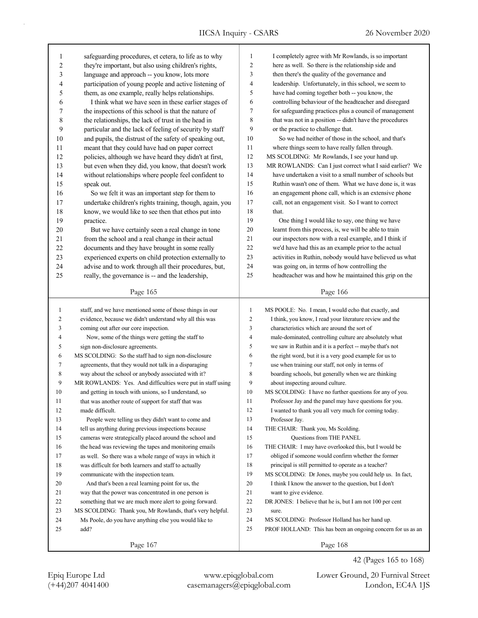| $\mathbf{1}$ | safeguarding procedures, et cetera, to life as to why      | $\mathbf{1}$   | I completely agree with Mr Rowlands, is so important                  |  |  |
|--------------|------------------------------------------------------------|----------------|-----------------------------------------------------------------------|--|--|
| $\sqrt{2}$   | they're important, but also using children's rights,       |                | $\overline{c}$<br>here as well. So there is the relationship side and |  |  |
| 3            | language and approach -- you know, lots more               | 3              | then there's the quality of the governance and                        |  |  |
| 4            | participation of young people and active listening of      | 4              | leadership. Unfortunately, in this school, we seem to                 |  |  |
| 5            | them, as one example, really helps relationships.          |                | have had coming together both -- you know, the                        |  |  |
| 6            | I think what we have seen in these earlier stages of       | 6              | controlling behaviour of the headteacher and disregard                |  |  |
| 7            | the inspections of this school is that the nature of       | $\tau$         | for safeguarding practices plus a council of management               |  |  |
| 8            | the relationships, the lack of trust in the head in        | 8              | that was not in a position -- didn't have the procedures              |  |  |
| 9            | particular and the lack of feeling of security by staff    | 9              | or the practice to challenge that.                                    |  |  |
| 10           | and pupils, the distrust of the safety of speaking out,    | 10             | So we had neither of those in the school, and that's                  |  |  |
| 11           | meant that they could have had on paper correct            | 11             | where things seem to have really fallen through.                      |  |  |
| 12           | policies, although we have heard they didn't at first,     | 12             | MS SCOLDING: Mr Rowlands, I see your hand up.                         |  |  |
| 13           | but even when they did, you know, that doesn't work        | 13             | MR ROWLANDS: Can I just correct what I said earlier? We               |  |  |
| 14           | without relationships where people feel confident to       | 14             | have undertaken a visit to a small number of schools but              |  |  |
| 15           | speak out.                                                 | 15             | Ruthin wasn't one of them. What we have done is, it was               |  |  |
| 16           | So we felt it was an important step for them to            | 16             | an engagement phone call, which is an extensive phone                 |  |  |
| 17           | undertake children's rights training, though, again, you   | 17             | call, not an engagement visit. So I want to correct                   |  |  |
| 18           | know, we would like to see then that ethos put into        | 18             | that.                                                                 |  |  |
| 19           | practice.                                                  | 19             | One thing I would like to say, one thing we have                      |  |  |
| 20           | But we have certainly seen a real change in tone           | 20             | learnt from this process, is, we will be able to train                |  |  |
| 21           | from the school and a real change in their actual          | 21             | our inspectors now with a real example, and I think if                |  |  |
| 22           | documents and they have brought in some really             | 22             | we'd have had this as an example prior to the actual                  |  |  |
| 23           | experienced experts on child protection externally to      | 23             | activities in Ruthin, nobody would have believed us what              |  |  |
| 24           | advise and to work through all their procedures, but,      | 24             | was going on, in terms of how controlling the                         |  |  |
| 25           | really, the governance is -- and the leadership,           | 25             | headteacher was and how he maintained this grip on the                |  |  |
|              |                                                            |                |                                                                       |  |  |
|              | Page 165                                                   |                | Page 166                                                              |  |  |
|              |                                                            |                |                                                                       |  |  |
|              |                                                            |                |                                                                       |  |  |
| 1            | staff, and we have mentioned some of those things in our   | $\mathbf{1}$   | MS POOLE: No. I mean, I would echo that exactly, and                  |  |  |
| 2            | evidence, because we didn't understand why all this was    | $\overline{2}$ | I think, you know, I read your literature review and the              |  |  |
| 3            | coming out after our core inspection.                      | 3              | characteristics which are around the sort of                          |  |  |
| 4            | Now, some of the things were getting the staff to          | $\overline{4}$ | male-dominated, controlling culture are absolutely what               |  |  |
| 5            | sign non-disclosure agreements.                            | 5              | we saw in Ruthin and it is a perfect -- maybe that's not              |  |  |
| 6            | MS SCOLDING: So the staff had to sign non-disclosure       | 6              | the right word, but it is a very good example for us to               |  |  |
| 7            | agreements, that they would not talk in a disparaging      | $\tau$         | use when training our staff, not only in terms of                     |  |  |
| 8            | way about the school or anybody associated with it?        | 8              | boarding schools, but generally when we are thinking                  |  |  |
| 9            | MR ROWLANDS: Yes. And difficulties were put in staff using | 9              | about inspecting around culture.                                      |  |  |
| 10           | and getting in touch with unions, so I understand, so      | 10             | MS SCOLDING: I have no further questions for any of you.              |  |  |
| 11           | that was another route of support for staff that was       | 11             | Professor Jay and the panel may have questions for you.               |  |  |
| 12           | made difficult.                                            | 12             | I wanted to thank you all very much for coming today.                 |  |  |
| 13           | People were telling us they didn't want to come and        | 13             | Professor Jay.                                                        |  |  |
| 14           | tell us anything during previous inspections because       | 14             | THE CHAIR: Thank you, Ms Scolding.                                    |  |  |
| 15           | cameras were strategically placed around the school and    | 15             | Questions from THE PANEL                                              |  |  |
| 16           | the head was reviewing the tapes and monitoring emails     | 16             | THE CHAIR: I may have overlooked this, but I would be                 |  |  |
| 17           | as well. So there was a whole range of ways in which it    | 17             | obliged if someone would confirm whether the former                   |  |  |
| 18           | was difficult for both learners and staff to actually      | 18             | principal is still permitted to operate as a teacher?                 |  |  |
| 19           | communicate with the inspection team.                      | 19             | MS SCOLDING: Dr Jones, maybe you could help us. In fact,              |  |  |
| 20           | And that's been a real learning point for us, the          | 20             | I think I know the answer to the question, but I don't                |  |  |
| 21           | way that the power was concentrated in one person is       | 21             | want to give evidence.                                                |  |  |
| 22           | something that we are much more alert to going forward.    | 22             | DR JONES: I believe that he is, but I am not 100 per cent             |  |  |
| 23           | MS SCOLDING: Thank you, Mr Rowlands, that's very helpful.  | 23             | sure.                                                                 |  |  |
| 24           | Ms Poole, do you have anything else you would like to      | 24             | MS SCOLDING: Professor Holland has her hand up.                       |  |  |
| 25           | add?                                                       | 25             | PROF HOLLAND: This has been an ongoing concern for us as an           |  |  |

(+44)207 4041400 casemanagers@epiqglobal.com London, EC4A 1JS Epiq Europe Ltd www.epiqglobal.com Lower Ground, 20 Furnival Street

42 (Pages 165 to 168)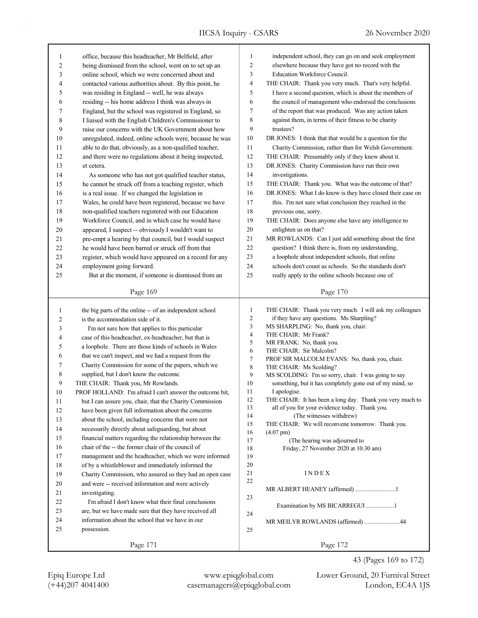| 1              | office, because this headteacher, Mr Belfield, after     | 1              | independent school, they can go on and seek employment                                                      |  |
|----------------|----------------------------------------------------------|----------------|-------------------------------------------------------------------------------------------------------------|--|
| $\overline{2}$ | being dismissed from the school, went on to set up an    | $\overline{2}$ | elsewhere because they have got no record with the                                                          |  |
| 3              | online school, which we were concerned about and         | 3              | Education Workforce Council.                                                                                |  |
| 4              | contacted various authorities about. By this point, he   | $\overline{4}$ | THE CHAIR: Thank you very much. That's very helpful.                                                        |  |
| 5              | was residing in England -- well, he was always           | 5              | I have a second question, which is about the members of                                                     |  |
| 6              | residing -- his home address I think was always in       | 6              | the council of management who endorsed the conclusions                                                      |  |
| 7              | England, but the school was registered in England, so    | 7              | of the report that was produced. Was any action taken                                                       |  |
| 8              | I liaised with the English Children's Commissioner to    | 8              | against them, in terms of their fitness to be charity                                                       |  |
| 9              | raise our concerns with the UK Government about how      | 9              | trustees?                                                                                                   |  |
| 10             | unregulated, indeed, online schools were, because he was | 10             | DR JONES: I think that that would be a question for the                                                     |  |
| 11             | able to do that, obviously, as a non-qualified teacher,  | 11             | Charity Commission, rather than for Welsh Government.                                                       |  |
| 12             | and there were no regulations about it being inspected,  | 12             | THE CHAIR: Presumably only if they knew about it.                                                           |  |
| 13             | et cetera.                                               | 13             | DR JONES: Charity Commission have run their own                                                             |  |
| 14             |                                                          | 14             |                                                                                                             |  |
|                | As someone who has not got qualified teacher status,     | 15             | investigations.                                                                                             |  |
| 15             | he cannot be struck off from a teaching register, which  |                | THE CHAIR: Thank you. What was the outcome of that?                                                         |  |
| 16             | is a real issue. If we changed the legislation in        | 16             | DR JONES: What I do know is they have closed their case on                                                  |  |
| 17             | Wales, he could have been registered, because we have    | 17             | this. I'm not sure what conclusion they reached in the                                                      |  |
| 18             | non-qualified teachers registered with our Education     | 18             | previous one, sorry.                                                                                        |  |
| 19             | Workforce Council, and in which case he would have       | 19             | THE CHAIR: Does anyone else have any intelligence to                                                        |  |
| 20             | appeared, I suspect -- obviously I wouldn't want to      | 20             | enlighten us on that?                                                                                       |  |
| 21             | pre-empt a hearing by that council, but I would suspect  | 21             | MR ROWLANDS: Can I just add something about the first                                                       |  |
| 22             | he would have been barred or struck off from that        | 22             | question? I think there is, from my understanding,                                                          |  |
| 23             | register, which would have appeared on a record for any  | 23             | a loophole about independent schools, that online                                                           |  |
| 24             | employment going forward.                                | 24             | schools don't count as schools. So the standards don't                                                      |  |
| 25             | But at the moment, if someone is dismissed from an       | 25             | really apply to the online schools because one of                                                           |  |
|                | Page 169                                                 |                | Page 170                                                                                                    |  |
|                |                                                          |                |                                                                                                             |  |
|                |                                                          |                |                                                                                                             |  |
| $\mathbf{1}$   | the big parts of the online -- of an independent school  | $\mathbf{1}$   | THE CHAIR: Thank you very much. I will ask my colleagues                                                    |  |
| 2              | is the accommodation side of it.                         | $\sqrt{2}$     | if they have any questions. Ms Sharpling?                                                                   |  |
| 3              | I'm not sure how that applies to this particular         | 3              | MS SHARPLING: No, thank you, chair.                                                                         |  |
| 4              | case of this headteacher, ex-headteacher, but that is    | 4              | THE CHAIR: Mr Frank?                                                                                        |  |
| 5              | a loophole. There are those kinds of schools in Wales    | $\sqrt{5}$     | MR FRANK: No, thank you.                                                                                    |  |
| 6              |                                                          | 6              | THE CHAIR: Sir Malcolm?                                                                                     |  |
| 7              | that we can't inspect, and we had a request from the     | $\tau$         | PROF SIR MALCOLM EVANS: No, thank you, chair.                                                               |  |
|                | Charity Commission for some of the papers, which we      | $\,$ $\,$      | THE CHAIR: Ms Scolding?                                                                                     |  |
| 8              | supplied, but I don't know the outcome.                  | 9              | MS SCOLDING: I'm so sorry, chair. I was going to say                                                        |  |
| 9              | THE CHAIR: Thank you, Mr Rowlands.                       | 10             | something, but it has completely gone out of my mind, so                                                    |  |
| 10             | PROF HOLLAND: I'm afraid I can't answer the outcome bit, | 11             | I apologise.                                                                                                |  |
| $11\,$         | but I can assure you, chair, that the Charity Commission | 12<br>13       | THE CHAIR: It has been a long day. Thank you very much to<br>all of you for your evidence today. Thank you. |  |
| 12             | have been given full information about the concerns      | 14             | (The witnesses withdrew)                                                                                    |  |
| 13             | about the school, including concerns that were not       | 15             | THE CHAIR: We will reconvene tomorrow. Thank you.                                                           |  |
| 14             | necessarily directly about safeguarding, but about       | 16             | $(4.07 \text{ pm})$                                                                                         |  |
| 15             | financial matters regarding the relationship between the | 17             | (The hearing was adjourned to                                                                               |  |
| 16             | chair of the -- the former chair of the council of       | 18             | Friday, 27 November 2020 at 10.30 am)                                                                       |  |
| 17             | management and the headteacher, which we were informed   | 19             |                                                                                                             |  |
| 18             | of by a whistleblower and immediately informed the       | 20             |                                                                                                             |  |
| 19             | Charity Commission, who assured us they had an open case | 21             | INDEX                                                                                                       |  |
| 20             | and were -- received information and were actively       | 22             |                                                                                                             |  |
| 21             | investigating.                                           |                | MR ALBERT HEANEY (affirmed) 1                                                                               |  |
| 22             | I'm afraid I don't know what their final conclusions     | 23             |                                                                                                             |  |
| 23             | are, but we have made sure that they have received all   | 24             | Examination by MS BICARREGUI 1                                                                              |  |
| 24             | information about the school that we have in our         |                | MR MEILYR ROWLANDS (affirmed) 44                                                                            |  |
| 25             | possession.                                              | 25             |                                                                                                             |  |
|                | Page 171                                                 |                | Page 172                                                                                                    |  |

43 (Pages 169 to 172)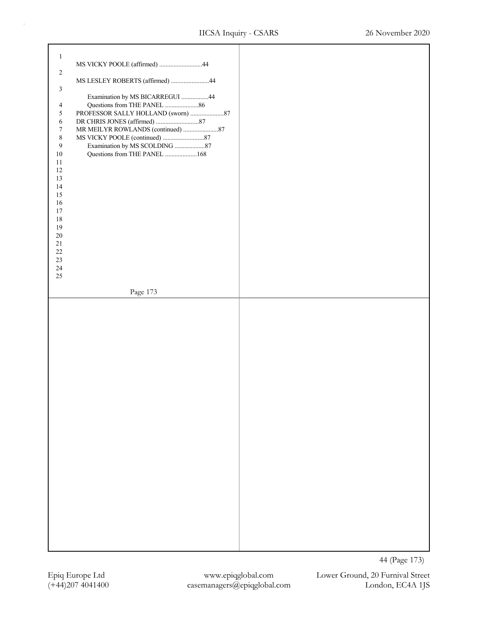| $\mathbf{1}$   |                                 |               |
|----------------|---------------------------------|---------------|
|                | MS VICKY POOLE (affirmed) 44    |               |
| $\sqrt{2}$     |                                 |               |
|                | MS LESLEY ROBERTS (affirmed) 44 |               |
|                |                                 |               |
| 3              |                                 |               |
|                | Examination by MS BICARREGUI 44 |               |
| 4              | Questions from THE PANEL  86    |               |
| 5              |                                 |               |
|                |                                 |               |
| 6              |                                 |               |
| $\tau$         |                                 |               |
| 8              |                                 |               |
| $\overline{9}$ | Examination by MS SCOLDING 87   |               |
|                |                                 |               |
| $10\,$         | Questions from THE PANEL 168    |               |
| $11\,$         |                                 |               |
| 12             |                                 |               |
|                |                                 |               |
| 13             |                                 |               |
| 14             |                                 |               |
| 15             |                                 |               |
| 16             |                                 |               |
| 17             |                                 |               |
|                |                                 |               |
| 18             |                                 |               |
| 19             |                                 |               |
| $20\,$         |                                 |               |
| $21\,$         |                                 |               |
|                |                                 |               |
| $22\,$         |                                 |               |
| 23             |                                 |               |
| $24\,$         |                                 |               |
| $25\,$         |                                 |               |
|                |                                 |               |
|                |                                 |               |
|                | Page 173                        |               |
|                |                                 |               |
|                |                                 |               |
|                |                                 |               |
|                |                                 |               |
|                |                                 |               |
|                |                                 |               |
|                |                                 |               |
|                |                                 |               |
|                |                                 |               |
|                |                                 |               |
|                |                                 |               |
|                |                                 |               |
|                |                                 |               |
|                |                                 |               |
|                |                                 |               |
|                |                                 |               |
|                |                                 |               |
|                |                                 |               |
|                |                                 |               |
|                |                                 |               |
|                |                                 |               |
|                |                                 |               |
|                |                                 |               |
|                |                                 |               |
|                |                                 |               |
|                |                                 |               |
|                |                                 |               |
|                |                                 |               |
|                |                                 |               |
|                |                                 |               |
|                |                                 |               |
|                |                                 |               |
|                |                                 |               |
|                |                                 |               |
|                |                                 |               |
|                |                                 |               |
|                |                                 |               |
|                |                                 |               |
|                |                                 |               |
|                |                                 | 44 (Page 173) |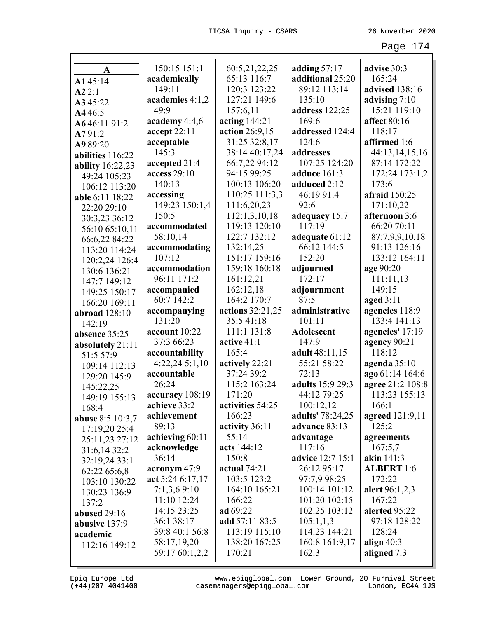| A                             | 150:15 151:1     | 60:5,21,22,25    | adding $57:17$    | advise 30:3       |
|-------------------------------|------------------|------------------|-------------------|-------------------|
| A145:14                       | academically     | 65:13 116:7      | additional 25:20  | 165:24            |
| A22:1                         | 149:11           | 120:3 123:22     | 89:12 113:14      | advised 138:16    |
| A345:22                       | academies 4:1,2  | 127:21 149:6     | 135:10            | advising $7:10$   |
| A446:5                        | 49:9             | 157:6,11         | address 122:25    | 15:21 119:10      |
| A646:1191:2                   | academy 4:4,6    | acting 144:21    | 169:6             | affect 80:16      |
| A791:2                        | accept 22:11     | action 26:9,15   | addressed 124:4   | 118:17            |
| A989:20                       | acceptable       | 31:25 32:8,17    | 124:6             | affirmed 1:6      |
| abilities 116:22              | 145:3            | 38:14 40:17,24   | addresses         | 44:13,14,15,16    |
| ability 16:22,23              | accepted 21:4    | 66:7,22 94:12    | 107:25 124:20     | 87:14 172:22      |
| 49:24 105:23                  | access 29:10     | 94:15 99:25      | adduce 161:3      | 172:24 173:1,2    |
| 106:12 113:20                 | 140:13           | 100:13 106:20    | adduced 2:12      | 173:6             |
| able 6:11 18:22               | accessing        | 110:25 111:3,3   | 46:19 91:4        | afraid 150:25     |
| 22:20 29:10                   | 149:23 150:1,4   | 111:6,20,23      | 92:6              | 171:10,22         |
| 30:3,23 36:12                 | 150:5            | 112:1,3,10,18    | adequacy 15:7     | afternoon 3:6     |
| 56:10 65:10,11                | accommodated     | 119:13 120:10    | 117:19            | 66:20 70:11       |
| 66:6,22 84:22                 | 58:10,14         | 122:7 132:12     | adequate 61:12    | 87:7,9,9,10,18    |
| 113:20 114:24                 | accommodating    | 132:14,25        | 66:12 144:5       | 91:13 126:16      |
| 120:2,24 126:4                | 107:12           | 151:17 159:16    | 152:20            | 133:12 164:11     |
| 130:6 136:21                  | accommodation    | 159:18 160:18    | adjourned         | age 90:20         |
| 147:7 149:12                  | 96:11 171:2      | 161:12,21        | 172:17            | 111:11,13         |
| 149:25 150:17                 | accompanied      | 162:12,18        | adjournment       | 149:15            |
| 166:20 169:11                 | 60:7 142:2       | 164:2 170:7      | 87:5              | aged $3:11$       |
| abroad $128:10$               | accompanying     | actions 32:21,25 | administrative    | agencies 118:9    |
| 142:19                        | 131:20           | 35:541:18        | 101:11            | 133:4 141:13      |
| absence 35:25                 | account 10:22    | 111:1 131:8      | <b>Adolescent</b> | agencies' 17:19   |
| absolutely 21:11              | 37:3 66:23       | active 41:1      | 147:9             | agency 90:21      |
| 51:5 57:9                     | accountability   | 165:4            | adult 48:11,15    | 118:12            |
| 109:14 112:13                 | 4:22,24 5:1,10   | actively 22:21   | 55:21 58:22       | agenda $35:10$    |
| 129:20 145:9                  | accountable      | 37:24 39:2       | 72:13             | ago 61:14 164:6   |
| 145:22,25                     | 26:24            | 115:2 163:24     | adults 15:9 29:3  | agree 21:2 108:8  |
| 149:19 155:13                 | accuracy 108:19  | 171:20           | 44:12 79:25       | 113:23 155:13     |
| 168:4                         | achieve 33:2     | activities 54:25 | 100:12,12         | 166:1             |
| <b>abuse</b> 8:5 10:3,7       | achievement      | 166:23           | adults' 78:24,25  | agreed 121:9,11   |
| 17:19,20 25:4                 | 89:13            | activity 36:11   | advance 83:13     | 125:2             |
| 25:11,23 27:12                | achieving 60:11  | 55:14            | advantage         | agreements        |
| 31:6,14 32:2                  | acknowledge      | acts 144:12      | 117:16            | 167:5,7           |
| 32:19,24 33:1                 | 36:14            | 150:8            | advice 12:7 15:1  | akin 141:3        |
| 62:22 65:6,8                  | acronym 47:9     | actual $74:21$   | 26:12 95:17       | <b>ALBERT</b> 1:6 |
|                               | act 5:24 6:17,17 | 103:5 123:2      | 97:7,9 98:25      | 172:22            |
| 103:10 130:22<br>130:23 136:9 | 7:1,3,6 9:10     | 164:10 165:21    | 100:14 101:12     | alert 96:1,2,3    |
| 137:2                         | 11:10 12:24      | 166:22           | 101:20 102:15     | 167:22            |
| abused 29:16                  | 14:15 23:25      | ad 69:22         | 102:25 103:12     | alerted 95:22     |
|                               | 36:1 38:17       | add $57:1183:5$  | 105:1,1,3         | 97:18 128:22      |
| abusive 137:9                 | 39:8 40:1 56:8   | 113:19 115:10    | 114:23 144:21     | 128:24            |
| academic                      | 58:17,19,20      | 138:20 167:25    | 160:8 161:9,17    | align $40:3$      |
| 112:16 149:12                 | 59:17 60:1,2,2   | 170:21           | 162:3             | aligned 7:3       |
|                               |                  |                  |                   |                   |

Epiq Europe Ltd www.epiqglobal.com Lower Ground, 20 Furnival Street<br>(+44)207 4041400 casemanagers@epiqglobal.com London, EC4A 1JS www.epiqglobal.com Lower Ground, 20 Furnival Street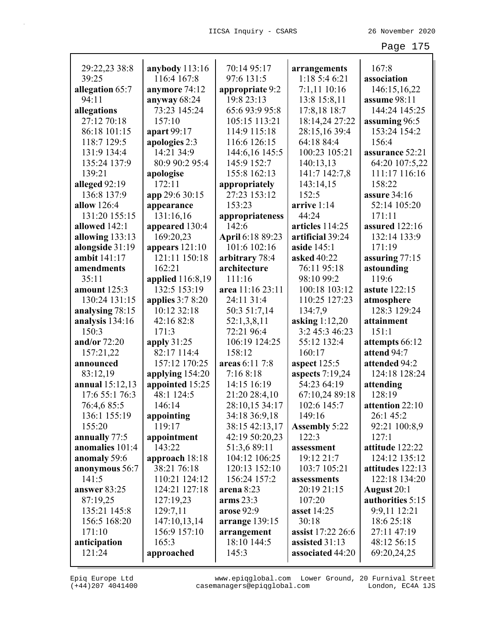| 29:22,23 38:8<br>39:25 | anybody 113:16    | 70:14 95:17      | arrangements<br>1:185:46:21 | 167:8                |
|------------------------|-------------------|------------------|-----------------------------|----------------------|
|                        | 116:4 167:8       | 97:6 131:5       |                             | association          |
| allegation 65:7        | anymore 74:12     | appropriate 9:2  | $7:1,11$ 10:16              | 146:15,16,22         |
| 94:11                  | anyway 68:24      | 19:8 23:13       | 13:8 15:8,11                | assume 98:11         |
| allegations            | 73:23 145:24      | 65:6 93:9 95:8   | 17:8,18 18:7                | 144:24 145:25        |
| 27:12 70:18            | 157:10            | 105:15 113:21    | 18:14,24 27:22              | assuming 96:5        |
| 86:18 101:15           | apart 99:17       | 114:9 115:18     | 28:15,16 39:4               | 153:24 154:2         |
| 118:7 129:5            | apologies 2:3     | 116:6 126:15     | 64:18 84:4                  | 156:4                |
| 131:9 134:4            | 14:21 34:9        | 144:6,16 145:5   | 100:23 105:21               | assurance 52:21      |
| 135:24 137:9           | 80:9 90:2 95:4    | 145:9 152:7      | 140:13,13                   | 64:20 107:5,22       |
| 139:21                 | apologise         | 155:8 162:13     | 141:7 142:7,8               | 111:17 116:16        |
| alleged 92:19          | 172:11            | appropriately    | 143:14,15                   | 158:22               |
| 136:8 137:9            | app 29:6 30:15    | 27:23 153:12     | 152:5                       | assure $34:16$       |
| allow 126:4            | appearance        | 153:23           | arrive 1:14                 | 52:14 105:20         |
| 131:20 155:15          | 131:16,16         | appropriateness  | 44:24                       | 171:11               |
| allowed 142:1          | appeared 130:4    | 142:6            | articles 114:25             | assured 122:16       |
| allowing $133:13$      | 169:20,23         | April 6:18 89:23 | artificial 39:24            | 132:14 133:9         |
| alongside 31:19        | appears $121:10$  | 101:6 102:16     | aside $145:1$               | 171:19               |
| ambit 141:17           | 121:11 150:18     | arbitrary 78:4   | asked 40:22                 | assuring 77:15       |
| amendments             | 162:21            | architecture     | 76:11 95:18                 | astounding           |
| 35:11                  | applied 116:8,19  | 111:16           | 98:10 99:2                  | 119:6                |
| amount 125:3           | 132:5 153:19      | area 11:16 23:11 | 100:18 103:12               | <b>astute</b> 122:15 |
| 130:24 131:15          | applies $3:78:20$ | 24:11 31:4       | 110:25 127:23               | atmosphere           |
| analysing 78:15        | 10:12 32:18       | 50:3 51:7,14     | 134:7,9                     | 128:3 129:24         |
| analysis 134:16        | 42:16 82:8        | 52:1,3,8,11      | asking $1:12,20$            | attainment           |
| 150:3                  | 171:3             | 72:21 96:4       | 3:2 45:3 46:23              | 151:1                |
| and/or $72:20$         | apply $31:25$     | 106:19 124:25    | 55:12 132:4                 | attempts 66:12       |
| 157:21,22              | 82:17 114:4       | 158:12           | 160:17                      | attend 94:7          |
| announced              | 157:12 170:25     | areas 6:11 7:8   | aspect $125:5$              | attended 94:2        |
| 83:12,19               | applying 154:20   | 7:168:18         | aspects 7:19,24             | 124:18 128:24        |
| annual 15:12,13        | appointed 15:25   | 14:15 16:19      | 54:23 64:19                 | attending            |
| 17:6 55:1 76:3         | 48:1 124:5        | 21:20 28:4,10    | 67:10,24 89:18              | 128:19               |
| 76:4,6 85:5            | 146:14            | 28:10,15 34:17   | 102:6 145:7                 | attention 22:10      |
| 136:1 155:19           | appointing        | 34:18 36:9,18    | 149:16                      | 26:1 45:2            |
| 155:20                 | 119:17            | 38:15 42:13,17   | <b>Assembly 5:22</b>        | 92:21 100:8,9        |
| annually 77:5          | appointment       | 42:19 50:20,23   | 122:3                       | 127:1                |
| anomalies 101:4        | 143:22            | 51:3,6 89:11     | assessment                  | attitude 122:22      |
| anomaly 59:6           | approach 18:18    | 104:12 106:25    | 19:12 21:7                  | 124:12 135:12        |
| anonymous 56:7         | 38:21 76:18       | 120:13 152:10    | 103:7 105:21                | attitudes 122:13     |
| 141:5                  | 110:21 124:12     | 156:24 157:2     | assessments                 | 122:18 134:20        |
| answer 83:25           | 124:21 127:18     | arena 8:23       | 20:19 21:15                 | August 20:1          |
| 87:19,25               | 127:19,23         | arms $23:3$      | 107:20                      | authorities 5:15     |
| 135:21 145:8           | 129:7,11          | arose 92:9       | asset 14:25                 | 9:9,11 12:21         |
| 156:5 168:20           | 147:10,13,14      | arrange 139:15   | 30:18                       | 18:6 25:18           |
| 171:10                 | 156:9 157:10      | arrangement      | <b>assist</b> 17:22 26:6    | 27:11 47:19          |
| anticipation           | 165:3             | 18:10 144:5      | assisted 31:13              | 48:12 56:15          |
| 121:24                 | approached        | 145:3            | associated 44:20            | 69:20,24,25          |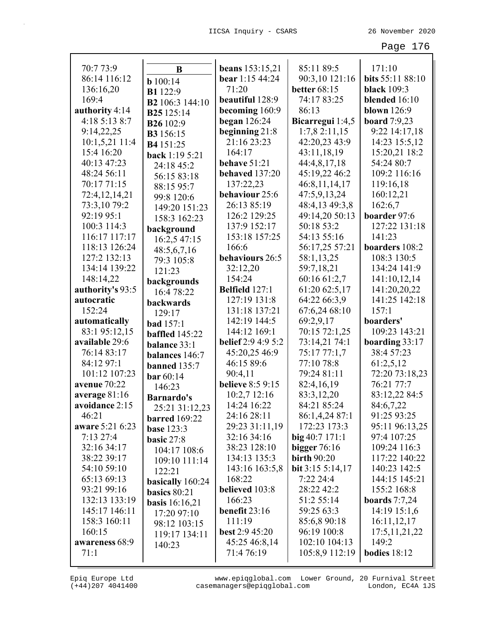| 70:7 73:9        | B                       | <b>beans</b> 153:15,21    | 85:11 89:5          | 171:10              |
|------------------|-------------------------|---------------------------|---------------------|---------------------|
| 86:14 116:12     | b100:14                 | bear 1:15 44:24           | 90:3,10 121:16      | bits 55:11 88:10    |
| 136:16,20        | <b>B1</b> 122:9         | 71:20                     | <b>better</b> 68:15 | <b>black</b> 109:3  |
| 169:4            | B2 106:3 144:10         | beautiful 128:9           | 74:17 83:25         | blended 16:10       |
| authority 4:14   | B <sub>25</sub> 125:14  | becoming 160:9            | 86:13               | <b>blown</b> 126:9  |
| 4:18 5:13 8:7    | <b>B26</b> 102:9        | began $126:24$            | Bicarregui 1:4,5    | <b>board</b> 7:9,23 |
| 9:14,22,25       | <b>B3</b> 156:15        | beginning $21:8$          | 1:7,82:11,15        | 9:22 14:17,18       |
| 10:1,5,21 11:4   | B4 151:25               | 21:16 23:23               | 42:20,23 43:9       | 14:23 15:5,12       |
| 15:4 16:20       | back 1:19 5:21          | 164:17                    | 43:11,18,19         | 15:20,21 18:2       |
| 40:13 47:23      | 24:18 45:2              | behave 51:21              | 44:4,8,17,18        | 54:24 80:7          |
| 48:24 56:11      | 56:15 83:18             | behaved 137:20            | 45:19,22 46:2       | 109:2 116:16        |
| 70:17 71:15      | 88:15 95:7              | 137:22,23                 | 46:8,11,14,17       | 119:16,18           |
| 72:4,12,14,21    | 99:8 120:6              | behaviour 25:6            | 47:5,9,13,24        | 160:12,21           |
| 73:3,10 79:2     | 149:20 151:23           | 26:13 85:19               | 48:4,13 49:3,8      | 162:6,7             |
| 92:19 95:1       | 158:3 162:23            | 126:2 129:25              | 49:14,20 50:13      | boarder 97:6        |
| 100:3 114:3      | background              | 137:9 152:17              | 50:18 53:2          | 127:22 131:18       |
| 116:17 117:17    | 16:2,5 47:15            | 153:18 157:25             | 54:13 55:16         | 141:23              |
| 118:13 126:24    | 48:5,6,7,16             | 166:6                     | 56:17,25 57:21      | boarders 108:2      |
| 127:2 132:13     | 79:3 105:8              | behaviours 26:5           | 58:1,13,25          | 108:3 130:5         |
| 134:14 139:22    | 121:23                  | 32:12,20                  | 59:7,18,21          | 134:24 141:9        |
| 148:14,22        | backgrounds             | 154:24                    | 60:16 61:2,7        | 141:10,12,14        |
| authority's 93:5 | 16:4 78:22              | Belfield 127:1            | 61:20 62:5,17       | 141:20,20,22        |
| autocratic       | backwards               | 127:19 131:8              | 64:22 66:3,9        | 141:25 142:18       |
| 152:24           | 129:17                  | 131:18 137:21             | 67:6,24 68:10       | 157:1               |
| automatically    | <b>bad</b> 157:1        | 142:19 144:5              | 69:2,9,17           | boarders'           |
| 83:1 95:12,15    | <b>baffled</b> 145:22   | 144:12 169:1              | 70:15 72:1,25       | 109:23 143:21       |
| available 29:6   | balance 33:1            | <b>belief</b> 2:9 4:9 5:2 | 73:14,21 74:1       | boarding $33:17$    |
| 76:14 83:17      | balances 146:7          | 45:20,25 46:9             | 75:17 77:1,7        | 38:4 57:23          |
| 84:12 97:1       | banned 135:7            | 46:15 89:6                | 77:10 78:8          | 61:2,5,12           |
| 101:12 107:23    | <b>bar</b> 60:14        | 90:4,11                   | 79:24 81:11         | 72:20 73:18,23      |
| avenue 70:22     | 146:23                  | <b>believe</b> 8:5 9:15   | 82:4,16,19          | 76:21 77:7          |
| average 81:16    | <b>Barnardo's</b>       | 10:2,7 12:16              | 83:3,12,20          | 83:12,22 84:5       |
| avoidance 2:15   | 25:21 31:12,23          | 14:24 16:22               | 84:21 85:24         | 84:6,7,22           |
| 46:21            | <b>barred</b> 169:22    | 24:16 28:11               | 86:1,4,24 87:1      | 91:25 93:25         |
| aware 5:21 6:23  | <b>base</b> 123:3       | 29:23 31:11,19            | 172:23 173:3        | 95:11 96:13,25      |
| 7:1327:4         | basic $27:8$            | 32:16 34:16               | $big\{40:7\,171:1$  | 97:4 107:25         |
| 32:16 34:17      | 104:17 108:6            | 38:23 128:10              | bigger $76:16$      | 109:24 116:3        |
| 38:22 39:17      | 109:10 111:14           | 134:13 135:3              | <b>birth 90:20</b>  | 117:22 140:22       |
| 54:10 59:10      | 122:21                  | 143:16 163:5,8            | bit 3:15 5:14,17    | 140:23 142:5        |
| 65:13 69:13      | basically 160:24        | 168:22                    | 7:22 24:4           | 144:15 145:21       |
| 93:21 99:16      | basics 80:21            | believed 103:8            | 28:22 42:2          | 155:2 168:8         |
| 132:13 133:19    | <b>basis</b> $16:16,21$ | 166:23                    | 51:2 55:14          | boards $7:7,24$     |
| 145:17 146:11    | 17:20 97:10             | benefit $23:16$           | 59:25 63:3          | 14:19 15:1,6        |
| 158:3 160:11     | 98:12 103:15            | 111:19                    | 85:6,8 90:18        | 16:11,12,17         |
| 160:15           | 119:17 134:11           | <b>best 2:9 45:20</b>     | 96:19 100:8         | 17:5, 11, 21, 22    |
| awareness 68:9   | 140:23                  | 45:25 46:8,14             | 102:10 104:13       | 149:2               |
| 71:1             |                         | 71:4 76:19                | 105:8,9 112:19      | bodies $18:12$      |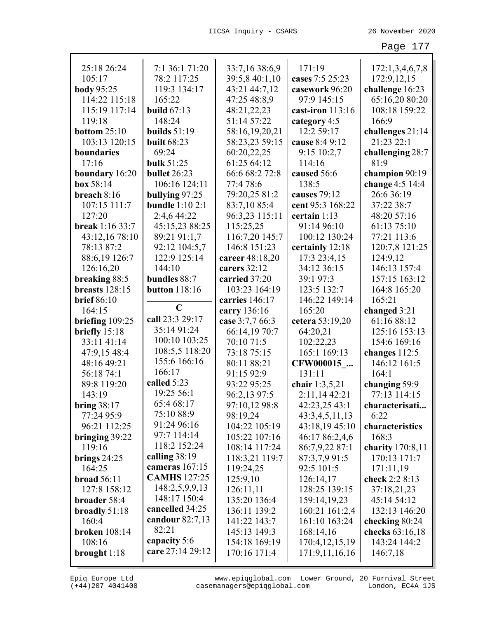| 25:18 26:24            | 7:1 36:1 71:20         | 33:7,16 38:6,9  | 171:19             | 172:1,3,4,6,7,8    |
|------------------------|------------------------|-----------------|--------------------|--------------------|
| 105:17                 | 78:2 117:25            | 39:5,8 40:1,10  | cases 7:5 25:23    | 172:9,12,15        |
| <b>body</b> 95:25      | 119:3 134:17           | 43:21 44:7,12   | casework 96:20     | challenge 16:23    |
| 114:22 115:18          | 165:22                 | 47:25 48:8,9    | 97:9 145:15        | 65:16,20 80:20     |
| 115:19 117:14          | build $67:13$          | 48:21,22,23     | cast-iron $113:16$ | 108:18 159:22      |
| 119:18                 | 148:24                 | 51:14 57:22     | category 4:5       | 166:9              |
| bottom $25:10$         | builds $51:19$         | 58:16,19,20,21  | 12:2 59:17         | challenges 21:14   |
| 103:13 120:15          | <b>built</b> 68:23     | 58:23,23 59:15  | cause 8:4 9:12     | 21:23 22:1         |
| boundaries             | 69:24                  | 60:20,22,25     | 9:15 10:2,7        | challenging 28:7   |
| 17:16                  | bulk 51:25             | 61:25 64:12     | 114:16             | 81:9               |
| boundary 16:20         | bullet 26:23           | 66:6 68:2 72:8  | caused 56:6        | champion 90:19     |
| box 58:14              | 106:16 124:11          | 77:4 78:6       | 138:5              | change 4:5 14:4    |
| breach $8:16$          | bullying 97:25         | 79:20,25 81:2   | causes 79:12       | 26:6 36:19         |
| 107:15 111:7           | <b>bundle</b> 1:10 2:1 | 83:7,10 85:4    | cent 95:3 168:22   | 37:22 38:7         |
| 127:20                 | 2:4,6 44:22            | 96:3,23 115:11  | certain 1:13       | 48:20 57:16        |
| <b>break</b> 1:16 33:7 | 45:15,23 88:25         | 115:25,25       | 91:14 96:10        | 61:13 75:10        |
| 43:12,16 78:10         | 89:21 91:1,7           | 116:7,20 145:7  | 100:12 130:24      | 77:21 113:6        |
| 78:13 87:2             | 92:12 104:5,7          | 146:8 151:23    | certainly 12:18    | 120:7,8 121:25     |
| 88:6,19 126:7          | 122:9 125:14           | career 48:18,20 | 17:3 23:4,15       | 124:9,12           |
| 126:16,20              | 144:10                 | carers 32:12    | 34:12 36:15        | 146:13 157:4       |
| breaking 88:5          | bundles 88:7           | carried 37:20   | 39:1 97:3          | 157:15 163:12      |
| breasts 128:15         | <b>button</b> 118:16   | 103:23 164:19   | 123:5 132:7        | 164:8 165:20       |
| <b>brief</b> 86:10     |                        | carries 146:17  | 146:22 149:14      | 165:21             |
| 164:15                 | $\mathbf C$            | carry 136:16    | 165:20             | changed 3:21       |
| briefing $109:25$      | call 23:3 29:17        | case 3:7,7 66:3 | cetera 53:19,20    | 61:16 88:12        |
| briefly 15:18          | 35:14 91:24            | 66:14,19 70:7   | 64:20,21           | 125:16 153:13      |
| 33:11 41:14            | 100:10 103:25          | 70:10 71:5      | 102:22,23          | 154:6 169:16       |
| 47:9,15 48:4           | 108:5,5 118:20         | 73:18 75:15     | 165:1 169:13       | changes $112:5$    |
| 48:16 49:21            | 155:6 166:16           | 80:11 88:21     | CFW000015          | 146:12 161:5       |
| 56:18 74:1             | 166:17                 | 91:15 92:9      | 131:11             | 164:1              |
| 89:8 119:20            | called 5:23            | 93:22 95:25     | chair 1:3,5,21     | changing 59:9      |
| 143:19                 | 19:25 56:1             | 96:2,13 97:5    | 2:11,1442:21       | 77:13 114:15       |
| <b>bring 38:17</b>     | 65:4 68:17             | 97:10,12 98:8   | 42:23,25 43:1      | characterisati     |
| 77:24 95:9             | 75:10 88:9             | 98:19,24        | 43:3,4,5,11,13     | 6:22               |
| 96:21 112:25           | 91:24 96:16            | 104:22 105:19   | 43:18,19 45:10     | characteristics    |
| bringing 39:22         | 97:7 114:14            | 105:22 107:16   | 46:17 86:2,4,6     | 168:3              |
| 119:16                 | 118:2 152:24           | 108:14 117:24   | 86:7,9,22 87:1     | charity $170:8,11$ |
| brings $24:25$         | calling $38:19$        | 118:3,21 119:7  | 87:3,7,9 91:5      | 170:13 171:7       |
| 164:25                 | cameras 167:15         | 119:24,25       | 92:5 101:5         | 171:11,19          |
| <b>broad</b> 56:11     | <b>CAMHS</b> 127:25    | 125:9,10        | 126:14,17          | check 2:2 8:13     |
| 127:8 158:12           | 148:2,5,9,9,13         | 126:11,11       | 128:25 139:15      | 37:18,21,23        |
| broader 58:4           | 148:17 150:4           | 135:20 136:4    | 159:14,19,23       | 45:14 54:12        |
| broadly $51:18$        | cancelled 34:25        | 136:11 139:2    | 160:21 161:2,4     | 132:13 146:20      |
| 160:4                  | candour $82:7,13$      | 141:22 143:7    | 161:10 163:24      | checking 80:24     |
| <b>broken</b> 108:14   | 82:21                  | 145:13 149:3    | 168:14,16          | checks 63:16,18    |
| 108:16                 | capacity 5:6           | 154:18 169:19   | 170:4, 12, 15, 19  | 143:24 144:2       |
| brought $1:18$         | care 27:14 29:12       | 170:16 171:4    | 171:9,11,16,16     | 146:7,18           |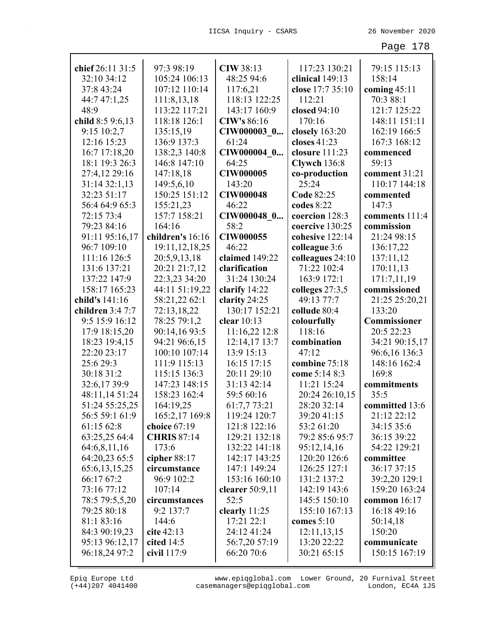| chief 26:11 31:5                | 97:3 98:19                  | <b>CIW 38:13</b>            | 117:23 130:21                | 79:15 115:13                    |
|---------------------------------|-----------------------------|-----------------------------|------------------------------|---------------------------------|
| 32:10 34:12                     | 105:24 106:13               | 48:25 94:6                  | clinical 149:13              | 158:14                          |
| 37:8 43:24                      | 107:12 110:14               | 117:6,21                    | close 17:7 35:10             | coming $45:11$                  |
| 44:7 47:1,25                    | 111:8,13,18                 | 118:13 122:25               | 112:21                       | 70:3 88:1                       |
| 48:9                            | 113:22 117:21               | 143:17 160:9                | closed 94:10                 | 121:7 125:22                    |
| child 8:5 9:6,13                | 118:18 126:1                | <b>CIW's 86:16</b>          | 170:16                       | 148:11 151:11                   |
| 9:15 10:2,7                     | 135:15,19                   | CIW000003 0                 | closely 163:20               | 162:19 166:5                    |
| 12:16 15:23                     | 136:9 137:3                 | 61:24                       | closes 41:23                 | 167:3 168:12                    |
| 16:7 17:18,20                   | 138:2,3 140:8               | CIW000004 0                 | closure 111:23               | commenced                       |
| 18:1 19:3 26:3                  | 146:8 147:10                | 64:25                       | Clywch 136:8                 | 59:13                           |
| 27:4,12 29:16                   | 147:18,18                   | <b>CIW000005</b>            | co-production                | comment 31:21                   |
| 31:14 32:1,13                   | 149:5,6,10                  | 143:20                      | 25:24                        | 110:17 144:18                   |
| 32:23 51:17                     | 150:25 151:12               | <b>CIW000048</b>            | Code 82:25                   | commented                       |
| 56:4 64:9 65:3                  | 155:21,23                   | 46:22                       | codes 8:22                   | 147:3                           |
| 72:15 73:4                      | 157:7 158:21                | CIW000048 0                 | coercion 128:3               | comments 111:4                  |
| 79:23 84:16                     | 164:16                      | 58:2                        | coercive 130:25              | commission                      |
| 91:11 95:16,17                  | children's 16:16            | <b>CIW000055</b>            | cohesive 122:14              | 21:24 98:15                     |
| 96:7 109:10                     | 19:11, 12, 18, 25           | 46:22                       | colleague 3:6                | 136:17,22                       |
| 111:16 126:5                    | 20:5,9,13,18                | claimed 149:22              | colleagues 24:10             | 137:11,12                       |
| 131:6 137:21                    | 20:21 21:7,12               | clarification               | 71:22 102:4                  | 170:11,13                       |
| 137:22 147:9                    | 22:3,23 34:20               | 31:24 130:24                | 163:9 172:1                  | 171:7,11,19                     |
| 158:17 165:23                   | 44:11 51:19,22              | clarify 14:22               | colleges $27:3,5$            | commissioned                    |
| child's 141:16                  | 58:21,22 62:1               | clarity 24:25               | 49:13 77:7                   | 21:25 25:20,21                  |
| children 3:4 7:7                | 72:13,18,22                 | 130:17 152:21               | collude 80:4                 | 133:20                          |
|                                 |                             |                             |                              |                                 |
|                                 |                             |                             |                              |                                 |
| 9:5 15:9 16:12                  | 78:25 79:1,2                | clear $10:13$               | colourfully                  | Commissioner                    |
| 17:9 18:15,20                   | 90:14,16 93:5               | 11:16,22 12:8               | 118:16                       | 20:5 22:23                      |
| 18:23 19:4,15                   | 94:21 96:6,15               | 12:14,17 13:7               | combination                  | 34:21 90:15,17                  |
| 22:20 23:17                     | 100:10 107:14               | 13:9 15:13                  | 47:12                        | 96:6,16 136:3                   |
| 25:6 29:3                       | 111:9 115:13                | 16:15 17:15                 | combine 75:18                | 148:16 162:4                    |
| 30:18 31:2                      | 115:15 136:3                | 20:11 29:10                 | come 5:14 8:3                | 169:8                           |
| 32:6,17 39:9                    | 147:23 148:15               | 31:13 42:14                 | 11:21 15:24                  | commitments                     |
| 48:11,14 51:24                  | 158:23 162:4                | 59:5 60:16                  | 20:24 26:10,15               | 35:5                            |
| 51:24 55:25,25                  | 164:19,25                   | 61:7,7 73:21                | 28:20 32:14                  | committed 13:6                  |
| 56:5 59:1 61:9                  | 165:2,17 169:8              | 119:24 120:7                | 39:20 41:15                  | 21:12 22:12                     |
| 61:15 62:8                      | choice 67:19                | 121:8 122:16                | 53:2 61:20                   | 34:15 35:6                      |
| 63:25,25 64:4                   | <b>CHRIS 87:14</b>          | 129:21 132:18               | 79:2 85:6 95:7               | 36:15 39:22                     |
| 64:6,8,11,16                    | 173:6                       | 132:22 141:18               | 95:12,14,16                  | 54:22 129:21                    |
| 64:20,23 65:5                   | cipher 88:17                | 142:17 143:25               | 120:20 126:6                 | committee                       |
| 65:6, 13, 15, 25                | circumstance                | 147:1 149:24                | 126:25 127:1                 | 36:17 37:15                     |
| 66:17 67:2                      | 96:9 102:2                  | 153:16 160:10               | 131:2 137:2                  | 39:2,20 129:1                   |
| 73:16 77:12                     | 107:14<br>circumstances     | clearer 50:9,11<br>52:5     | 142:19 143:6<br>145:5 150:10 | 159:20 163:24<br>common $16:17$ |
| 78:5 79:5,5,20<br>79:25 80:18   | 9:2 137:7                   |                             | 155:10 167:13                | 16:18 49:16                     |
|                                 | 144:6                       | clearly 11:25<br>17:21 22:1 | comes $5:10$                 |                                 |
| 81:1 83:16                      | cite $42:13$                | 24:12 41:24                 |                              | 50:14,18<br>150:20              |
| 84:3 90:19,23                   |                             |                             | 12:11,13,15<br>13:20 22:22   | communicate                     |
| 95:13 96:12,17<br>96:18,24 97:2 | cited $14:5$<br>civil 117:9 | 56:7,20 57:19<br>66:20 70:6 | 30:21 65:15                  | 150:15 167:19                   |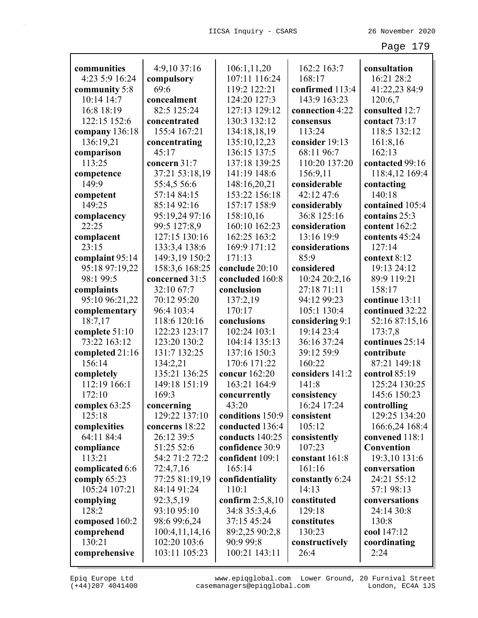| communities                 |                    | 106:1,11,20        | 162:2 163:7     | consultation      |
|-----------------------------|--------------------|--------------------|-----------------|-------------------|
| 4:23 5:9 16:24              | 4:9,10 37:16       | 107:11 116:24      | 168:17          | 16:21 28:2        |
|                             | compulsory<br>69:6 | 119:2 122:21       | confirmed 113:4 | 41:22,23 84:9     |
| community 5:8<br>10:14 14:7 | concealment        | 124:20 127:3       | 143:9 163:23    |                   |
|                             |                    |                    |                 | 120:6,7           |
| 16:8 18:19                  | 82:5 125:24        | 127:13 129:12      | connection 4:22 | consulted 12:7    |
| 122:15 152:6                | concentrated       | 130:3 132:12       | consensus       | contact 73:17     |
| company 136:18              | 155:4 167:21       | 134:18,18,19       | 113:24          | 118:5 132:12      |
| 136:19,21                   | concentrating      | 135:10,12,23       | consider 19:13  | 161:8,16          |
| comparison                  | 45:17              | 136:15 137:5       | 68:11 96:7      | 162:13            |
| 113:25                      | concern 31:7       | 137:18 139:25      | 110:20 137:20   | contacted 99:16   |
| competence                  | 37:21 53:18,19     | 141:19 148:6       | 156:9,11        | 118:4,12 169:4    |
| 149:9                       | 55:4,5 56:6        | 148:16,20,21       | considerable    | contacting        |
| competent                   | 57:14 84:15        | 153:22 156:18      | 42:12 47:6      | 140:18            |
| 149:25                      | 85:14 92:16        | 157:17 158:9       | considerably    | contained 105:4   |
| complacency                 | 95:19,24 97:16     | 158:10,16          | 36:8 125:16     | contains 25:3     |
| 22:25                       | 99:5 127:8,9       | 160:10 162:23      | consideration   | content 162:2     |
| complacent                  | 127:15 130:16      | 162:25 163:2       | 13:16 19:9      | contents 45:24    |
| 23:15                       | 133:3,4 138:6      | 169:9 171:12       | considerations  | 127:14            |
| complaint 95:14             | 149:3,19 150:2     | 171:13             | 85:9            | context 8:12      |
| 95:18 97:19,22              | 158:3,6 168:25     | conclude 20:10     | considered      | 19:13 24:12       |
| 98:1 99:5                   | concerned 31:5     | concluded 160:8    | 10:24 20:2,16   | 89:9 119:21       |
| complaints                  | 32:10 67:7         | conclusion         | 27:18 71:11     | 158:17            |
| 95:10 96:21,22              | 70:12 95:20        | 137:2,19           | 94:12 99:23     | continue 13:11    |
| complementary               | 96:4 103:4         | 170:17             | 105:1 130:4     | continued 32:22   |
| 18:7,17                     | 118:6 120:16       | conclusions        | considering 9:1 | 52:16 87:15,16    |
| complete 51:10              | 122:23 123:17      | 102:24 103:1       | 19:14 23:4      | 173:7,8           |
| 73:22 163:12                | 123:20 130:2       | 104:14 135:13      | 36:16 37:24     | continues 25:14   |
| completed 21:16             | 131:7 132:25       | 137:16 150:3       | 39:12 59:9      | contribute        |
| 156:14                      | 134:2,21           | 170:6 171:22       | 160:22          | 87:21 149:18      |
| completely                  | 135:21 136:25      | concur 162:20      | considers 141:2 | control 85:19     |
| 112:19 166:1                | 149:18 151:19      | 163:21 164:9       | 141:8           | 125:24 130:25     |
| 172:10                      | 169:3              | concurrently       | consistency     | 145:6 150:23      |
| complex 63:25               | concerning         | 43:20              | 16:24 17:24     | controlling       |
| 125:18                      | 129:22 137:10      | conditions 150:9   | consistent      | 129:25 134:20     |
| complexities                | concerns 18:22     | conducted 136:4    | 105:12          | 166:6,24 168:4    |
| 64:11 84:4                  | 26:12 39:5         | conducts 140:25    | consistently    | convened 118:1    |
| compliance                  | 51:25 52:6         | confidence 30:9    | 107:23          | <b>Convention</b> |
| 113:21                      | 54:2 71:2 72:2     | confident 109:1    | constant 161:8  | 19:3,10 131:6     |
| complicated 6:6             | 72:4,7,16          | 165:14             | 161:16          | conversation      |
| comply 65:23                | 77:25 81:19,19     | confidentiality    | constantly 6:24 | 24:21 55:12       |
| 105:24 107:21               | 84:14 91:24        | 110:1              | 14:13           | 57:1 98:13        |
| complying                   | 92:3,5,19          | confirm $2:5,8,10$ | constituted     | conversations     |
| 128:2                       | 93:10 95:10        | 34:8 35:3,4,6      | 129:18          | 24:14 30:8        |
| composed 160:2              | 98:6 99:6,24       | 37:15 45:24        | constitutes     | 130:8             |
| comprehend                  | 100:4,11,14,16     | 89:2,25 90:2,8     | 130:23          | cool 147:12       |
| 130:21                      | 102:20 103:6       | 90:9 99:8          | constructively  | coordinating      |
| comprehensive               | 103:11 105:23      | 100:21 143:11      | 26:4            | 2:24              |
|                             |                    |                    |                 |                   |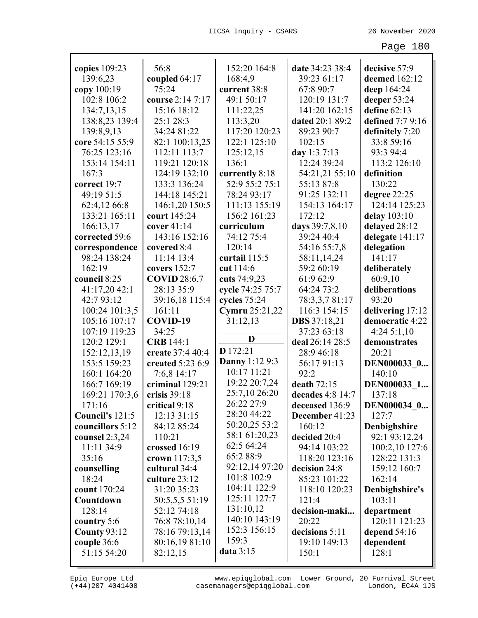|                                | 56:8                              | 152:20 164:8                      | date 34:23 38:4                | decisive 57:9                       |
|--------------------------------|-----------------------------------|-----------------------------------|--------------------------------|-------------------------------------|
| copies 109:23<br>139:6,23      |                                   | 168:4,9                           | 39:23 61:17                    | deemed 162:12                       |
|                                | coupled 64:17<br>75:24            | current 38:8                      | 67:8 90:7                      |                                     |
| copy 100:19<br>102:8 106:2     | course 2:14 7:17                  | 49:1 50:17                        | 120:19 131:7                   | deep 164:24                         |
|                                |                                   |                                   |                                | deeper 53:24                        |
| 134:7,13,15                    | 15:16 18:12                       | 111:22,25                         | 141:20 162:15                  | define $62:13$                      |
| 138:8,23 139:4                 | 25:1 28:3                         | 113:3,20                          | dated 20:1 89:2                | defined 7:7 9:16                    |
| 139:8,9,13                     | 34:24 81:22                       | 117:20 120:23                     | 89:23 90:7                     | definitely 7:20                     |
| core 54:15 55:9                | 82:1 100:13,25                    | 122:1 125:10                      | 102:15                         | 33:8 59:16                          |
| 76:25 123:16                   | 112:11 113:7                      | 125:12,15                         | day 1:3 7:13                   | 93:3 94:4                           |
| 153:14 154:11                  | 119:21 120:18                     | 136:1                             | 12:24 39:24                    | 113:2 126:10                        |
| 167:3                          | 124:19 132:10                     | currently 8:18                    | 54:21,21 55:10                 | definition                          |
| correct 19:7                   | 133:3 136:24                      | 52:9 55:2 75:1                    | 55:13 87:8                     | 130:22                              |
| 49:19 51:5                     | 144:18 145:21                     | 78:24 93:17                       | 91:25 132:11                   | degree 22:25                        |
| 62:4,12 66:8                   | 146:1,20 150:5                    | 111:13 155:19                     | 154:13 164:17<br>172:12        | 124:14 125:23                       |
| 133:21 165:11                  | court 145:24                      | 156:2 161:23                      |                                | delay 103:10                        |
| 166:13,17                      | cover $41:14$<br>143:16 152:16    | curriculum                        | days 39:7,8,10                 | delayed 28:12                       |
| corrected 59:6                 |                                   | 74:12 75:4<br>120:14              | 39:24 40:4                     | delegate 141:17                     |
| correspondence<br>98:24 138:24 | covered 8:4<br>$11:14$ 13:4       |                                   | 54:16 55:7,8                   | delegation                          |
| 162:19                         |                                   | curtail 115:5                     | 58:11,14,24                    | 141:17                              |
| council 8:25                   | covers $152:7$                    | cut 114:6                         | 59:2 60:19                     | deliberately                        |
|                                | <b>COVID 28:6,7</b><br>28:13 35:9 | cuts 74:9,23                      | 61:9 62:9<br>64:24 73:2        | 60:9,10                             |
| 41:17,20 42:1<br>42:793:12     |                                   | cycle 74:25 75:7                  |                                | deliberations<br>93:20              |
| 100:24 101:3,5                 | 39:16,18 115:4<br>161:11          | cycles 75:24                      | 78:3,3,7 81:17<br>116:3 154:15 |                                     |
| 105:16 107:17                  | COVID-19                          | <b>Cymru</b> 25:21,22<br>31:12,13 | <b>DBS</b> 37:18,21            | delivering 17:12<br>democratic 4:22 |
| 107:19 119:23                  | 34:25                             |                                   | 37:23 63:18                    | 4:245:1,10                          |
| 120:2 129:1                    | <b>CRB</b> 144:1                  | D                                 | deal 26:14 28:5                | demonstrates                        |
| 152:12,13,19                   | create 37:4 40:4                  | D 172:21                          | 28:9 46:18                     | 20:21                               |
| 153:5 159:23                   | created 5:23 6:9                  | <b>Danny</b> 1:12 9:3             | 56:1791:13                     | DEN000033 0                         |
| 160:1 164:20                   | 7:6,8 14:17                       | 10:17 11:21                       | 92:2                           | 140:10                              |
| 166:7 169:19                   | criminal 129:21                   | 19:22 20:7,24                     | death 72:15                    | DEN000033 1                         |
| 169:21 170:3,6                 | crisis $39:18$                    | 25:7,10 26:20                     | decades 4:8 14:7               | 137:18                              |
| 171:16                         | critical 9:18                     | 26:22 27:9                        | deceased 136:9                 | DEN000034 0                         |
| Council's 121:5                | 12:13 31:15                       | 28:20 44:22                       | December 41:23                 | 127:7                               |
| councillors 5:12               | 84:12 85:24                       | 50:20,25 53:2                     | 160:12                         | Denbighshire                        |
| counsel $2:3,24$               | 110:21                            | 58:1 61:20,23                     | decided 20:4                   | 92:1 93:12,24                       |
| 11:11 34:9                     | crossed 16:19                     | 62:5 64:24                        | 94:14 103:22                   | 100:2,10 127:6                      |
| 35:16                          | crown 117:3,5                     | 65:2 88:9                         | 118:20 123:16                  | 128:22 131:3                        |
| counselling                    | cultural 34:4                     | 92:12,14 97:20                    | decision 24:8                  | 159:12 160:7                        |
| 18:24                          | culture 23:12                     | 101:8 102:9                       | 85:23 101:22                   | 162:14                              |
| count 170:24                   | 31:20 35:23                       | 104:11 122:9                      | 118:10 120:23                  | Denbighshire's                      |
| Countdown                      | 50:5,5,5 51:19                    | 125:11 127:7                      | 121:4                          | 103:11                              |
| 128:14                         | 52:12 74:18                       | 131:10,12                         | decision-maki                  | department                          |
| country 5:6                    | 76:8 78:10,14                     | 140:10 143:19                     | 20:22                          | 120:11 121:23                       |
| <b>County 93:12</b>            | 78:16 79:13,14                    | 152:3 156:15                      | decisions 5:11                 | depend $54:16$                      |
| couple 36:6                    | 80:16,19 81:10                    | 159:3                             | 19:10 149:13                   | dependent                           |
| 51:15 54:20                    | 82:12,15                          | data 3:15                         | 150:1                          | 128:1                               |
|                                |                                   |                                   |                                |                                     |

(+44)207 4041400 casemanagers@epiqglobal.com London, EC4A 1JS www.epiqglobal.com Lower Ground, 20 Furnival Street

┚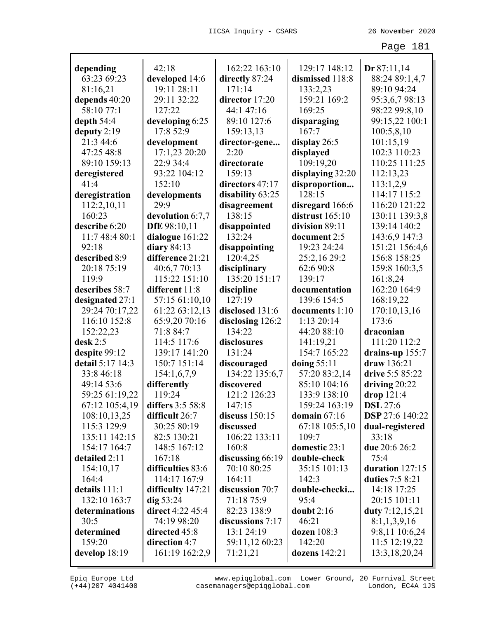| depending                     | 42:18                  | 162:22 163:10          | 129:17 148:12                 | Dr 87:11,14            |
|-------------------------------|------------------------|------------------------|-------------------------------|------------------------|
| 63:23 69:23                   | developed 14:6         | directly 87:24         | dismissed 118:8               | 88:24 89:1,4,7         |
| 81:16,21                      | 19:11 28:11            | 171:14                 | 133:2,23                      | 89:10 94:24            |
| depends 40:20                 | 29:11 32:22            | director 17:20         | 159:21 169:2                  | 95:3,6,7 98:13         |
| 58:10 77:1                    | 127:22                 | 44:1 47:16             | 169:25                        | 98:22 99:8,10          |
| depth $54:4$                  | developing 6:25        | 89:10 127:6            | disparaging                   | 99:15,22 100:1         |
| deputy $2:19$                 | 17:8 52:9              | 159:13,13              | 167:7                         | 100:5,8,10             |
| 21:3 44:6                     | development            | director-gene          | display $26:5$                | 101:15,19              |
| 47:25 48:8                    | 17:1,23 20:20          | 2:20                   | displayed                     | 102:3 110:23           |
| 89:10 159:13                  | 22:9 34:4              | directorate            | 109:19,20                     | 110:25 111:25          |
| deregistered                  | 93:22 104:12           | 159:13                 | displaying 32:20              | 112:13,23              |
| 41:4                          | 152:10                 | directors 47:17        | disproportion                 | 113:1,2,9              |
| deregistration                | developments           | disability 63:25       | 128:15                        | 114:17 115:2           |
| 112:2,10,11                   | 29:9                   | disagreement           | disregard 166:6               | 116:20 121:22          |
| 160:23                        | devolution 6:7,7       | 138:15                 | distrust 165:10               | 130:11 139:3,8         |
| describe 6:20                 | DfE 98:10,11           | disappointed           | division 89:11                | 139:14 140:2           |
| 11:7 48:4 80:1                | dialogue 161:22        | 132:24                 | document 2:5                  | 143:6,9 147:3          |
| 92:18                         | diary 84:13            | disappointing          | 19:23 24:24                   | 151:21 156:4,6         |
| described 8:9                 | difference 21:21       | 120:4,25               | 25:2,16 29:2                  | 156:8 158:25           |
| 20:18 75:19                   | 40:6,7 70:13           | disciplinary           | 62:6 90:8                     | 159:8 160:3,5          |
| 119:9                         | 115:22 151:10          | 135:20 151:17          | 139:17                        | 161:8,24               |
| describes 58:7                | different 11:8         | discipline             | documentation                 | 162:20 164:9           |
| designated 27:1               | 57:15 61:10,10         | 127:19                 | 139:6 154:5                   | 168:19,22              |
| 29:24 70:17,22                | 61:22 63:12,13         | disclosed 131:6        | documents 1:10                | 170:10,13,16           |
| 116:10 152:8                  | 65:9,20 70:16          | disclosing $126:2$     | 1:13 20:14                    | 173:6                  |
| 152:22,23                     | 71:8 84:7              | 134:22                 | 44:20 88:10                   | draconian              |
| $\bf{desk}$ 2:5               | 114:5 117:6            | disclosures            | 141:19,21                     | 111:20 112:2           |
| despite 99:12                 | 139:17 141:20          | 131:24                 | 154:7 165:22                  | drains-up $155:7$      |
| detail 5:17 14:3              | 150:7 151:14           | discouraged            | doing $55:11$                 | draw 136:21            |
| 33:8 46:18                    | 154:1,6,7,9            | 134:22 135:6,7         | 57:20 83:2,14                 | drive 5:5 85:22        |
| 49:14 53:6                    | differently            | discovered             | 85:10 104:16                  | driving $20:22$        |
| 59:25 61:19,22                | 119:24                 | 121:2 126:23           | 133:9 138:10                  | drop 121:4             |
| 67:12 105:4,19                | differs 3:5 58:8       | 147:15                 | 159:24 163:19                 | <b>DSL</b> 27:6        |
| 108:10,13,25                  | difficult 26:7         | discuss $150:15$       | domain $67:16$                | <b>DSP</b> 27:6 140:22 |
| 115:3 129:9                   | 30:25 80:19            | discussed              | 67:18 105:5,10                | dual-registered        |
| 135:11 142:15<br>154:17 164:7 | 82:5 130:21            | 106:22 133:11<br>160:8 | 109:7                         | 33:18<br>due 20:6 26:2 |
| detailed 2:11                 | 148:5 167:12<br>167:18 | discussing 66:19       | domestic 23:1<br>double-check | 75:4                   |
| 154:10,17                     | difficulties 83:6      | 70:10 80:25            | 35:15 101:13                  | duration 127:15        |
| 164:4                         | 114:17 167:9           | 164:11                 | 142:3                         | duties 7:5 8:21        |
| details 111:1                 | difficulty 147:21      | discussion 70:7        | double-checki                 | 14:18 17:25            |
| 132:10 163:7                  | dig~53:24              | 71:18 75:9             | 95:4                          | 20:15 101:11           |
| determinations                | direct 4:22 45:4       | 82:23 138:9            | doubt $2:16$                  | duty 7:12,15,21        |
| 30:5                          | 74:19 98:20            | discussions 7:17       | 46:21                         | 8:1,1,3,9,16           |
| determined                    | directed 45:8          | 13:1 24:19             | dozen 108:3                   | 9:8,11 10:6,24         |
| 159:20                        | direction 4:7          | 59:11,12 60:23         | 142:20                        | 11:5 12:19,22          |
| develop $18:19$               | 161:19 162:2,9         | 71:21,21               | dozens 142:21                 | 13:3, 18, 20, 24       |
|                               |                        |                        |                               |                        |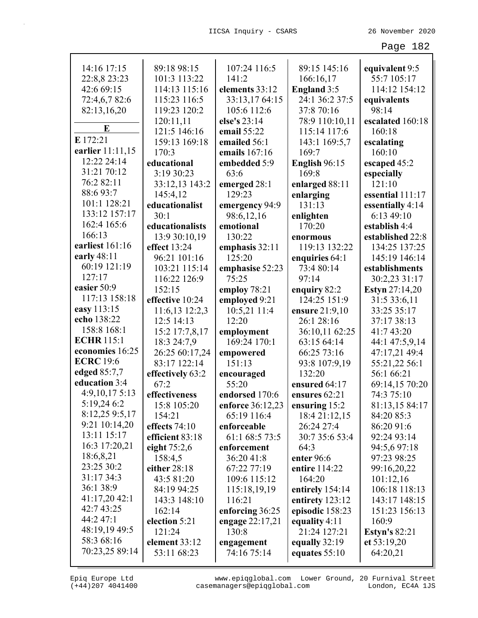| 14:16 17:15       | 89:18 98:15      | 107:24 116:5     | 89:15 145:16       | equivalent 9:5        |
|-------------------|------------------|------------------|--------------------|-----------------------|
| 22:8,8 23:23      | 101:3 113:22     | 141:2            | 166:16,17          | 55:7 105:17           |
| 42:6 69:15        | 114:13 115:16    | elements 33:12   | <b>England</b> 3:5 | 114:12 154:12         |
| 72:4,6,782:6      | 115:23 116:5     | 33:13,17 64:15   | 24:1 36:2 37:5     | equivalents           |
| 82:13,16,20       | 119:23 120:2     | 105:6 112:6      | 37:8 70:16         | 98:14                 |
|                   | 120:11,11        | else's 23:14     | 78:9 110:10,11     | escalated 160:18      |
| E                 | 121:5 146:16     | email 55:22      | 115:14 117:6       | 160:18                |
| E 172:21          | 159:13 169:18    | emailed 56:1     | 143:1 169:5,7      | escalating            |
| earlier 11:11,15  | 170:3            | emails 167:16    | 169:7              | 160:10                |
| 12:22 24:14       | educational      | embedded 5:9     | English 96:15      | escaped 45:2          |
| 31:21 70:12       | 3:19 30:23       | 63:6             | 169:8              | especially            |
| 76:2 82:11        | 33:12,13 143:2   | emerged 28:1     | enlarged 88:11     | 121:10                |
| 88:693:7          | 145:4,12         | 129:23           | enlarging          | essential 111:17      |
| 101:1 128:21      | educationalist   | emergency 94:9   | 131:13             | essentially 4:14      |
| 133:12 157:17     | 30:1             | 98:6,12,16       | enlighten          | 6:13 49:10            |
| 162:4 165:6       | educationalists  | emotional        | 170:20             | establish 4:4         |
| 166:13            | 13:9 30:10,19    | 130:22           | enormous           | established 22:8      |
| earliest 161:16   | effect 13:24     | emphasis $32:11$ | 119:13 132:22      | 134:25 137:25         |
| early $48:11$     | 96:21 101:16     | 125:20           | enquiries 64:1     | 145:19 146:14         |
| 60:19 121:19      | 103:21 115:14    | emphasise 52:23  | 73:4 80:14         | establishments        |
| 127:17            | 116:22 126:9     | 75:25            | 97:14              | 30:2,23 31:17         |
| easier 50:9       | 152:15           | employ 78:21     | enquiry 82:2       | <b>Estyn</b> 27:14,20 |
| 117:13 158:18     | effective 10:24  | employed 9:21    | 124:25 151:9       | 31:5 33:6,11          |
| easy 113:15       | 11:6,13 12:2,3   | 10:5,21 11:4     | ensure 21:9,10     | 33:25 35:17           |
| echo 138:22       | 12:5 14:13       | 12:20            | 26:1 28:16         | 37:17 38:13           |
| 158:8 168:1       | 15:2 17:7,8,17   | employment       | 36:10,11 62:25     | 41:7 43:20            |
| <b>ECHR 115:1</b> | 18:3 24:7,9      | 169:24 170:1     | 63:15 64:14        | 44:1 47:5,9,14        |
| economies 16:25   | 26:25 60:17,24   | empowered        | 66:25 73:16        | 47:17,21 49:4         |
| <b>ECRC</b> 19:6  | 83:17 122:14     | 151:13           | 93:8 107:9,19      | 55:21,22 56:1         |
| edged 85:7,7      | effectively 63:2 | encouraged       | 132:20             | 56:1 66:21            |
| education 3:4     | 67:2             | 55:20            | ensured 64:17      | 69:14,15 70:20        |
| 4:9,10,17 5:13    | effectiveness    | endorsed 170:6   | ensures 62:21      | 74:3 75:10            |
| 5:19,24 6:2       | 15:8 105:20      | enforce 36:12,23 | ensuring 15:2      | 81:13,15 84:17        |
| 8:12,25 9:5,17    | 154:21           | 65:19 116:4      | 18:4 21:12,15      | 84:20 85:3            |
| 9:21 10:14,20     | effects $74:10$  | enforceable      | 26:24 27:4         | 86:20 91:6            |
| 13:11 15:17       | efficient 83:18  | 61:1 68:5 73:5   | 30:7 35:6 53:4     | 92:24 93:14           |
| 16:3 17:20,21     | eight $75:2,6$   | enforcement      | 64:3               | 94:5,6 97:18          |
| 18:6,8,21         | 158:4,5          | 36:20 41:8       | enter 96:6         | 97:23 98:25           |
| 23:25 30:2        | either 28:18     | 67:22 77:19      | entire 114:22      | 99:16,20,22           |
| 31:17 34:3        | 43:5 81:20       | 109:6 115:12     | 164:20             | 101:12,16             |
| 36:1 38:9         | 84:19 94:25      | 115:18,19,19     | entirely 154:14    | 106:18 118:13         |
| 41:17,20 42:1     | 143:3 148:10     | 116:21           | entirety $123:12$  | 143:17 148:15         |
| 42:7 43:25        | 162:14           | enforcing 36:25  | episodic 158:23    | 151:23 156:13         |
| 44:2 47:1         | election 5:21    | engage 22:17,21  | equality 4:11      | 160:9                 |
| 48:19,19 49:5     | 121:24           | 130:8            | 21:24 127:21       | <b>Estyn's 82:21</b>  |
| 58:3 68:16        | element 33:12    | engagement       | equally $32:19$    | et $53:19,20$         |
| 70:23,25 89:14    | 53:11 68:23      | 74:16 75:14      | equates $55:10$    | 64:20,21              |
|                   |                  |                  |                    |                       |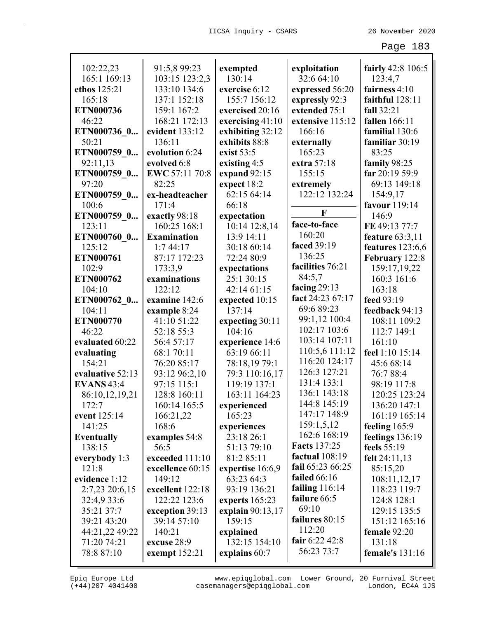| 102:22,23              | 91:5,8 99:23            | exempted                       | exploitation                    | fairly 42:8 106:5        |
|------------------------|-------------------------|--------------------------------|---------------------------------|--------------------------|
| 165:1 169:13           | 103:15 123:2,3          | 130:14                         | 32:6 64:10                      | 123:4,7                  |
| ethos 125:21           | 133:10 134:6            | exercise 6:12                  | expressed 56:20                 | fairness 4:10            |
| 165:18                 | 137:1 152:18            | 155:7 156:12                   | expressly 92:3                  | faithful 128:11          |
| ETN000736              | 159:1 167:2             | exercised 20:16                | extended 75:1                   | fall 32:21               |
| 46:22                  | 168:21 172:13           | exercising 41:10               | extensive 115:12                | <b>fallen</b> 166:11     |
| ETN000736_0            | evident 133:12          | exhibiting 32:12               | 166:16                          | familial 130:6           |
| 50:21                  | 136:11                  | exhibits 88:8                  | externally                      | familiar 30:19           |
| ETN000759_0            | evolution 6:24          | exist 53:5                     | 165:23                          | 83:25                    |
| 92:11,13               | evolved 6:8             | existing 4:5                   | extra 57:18                     | family 98:25             |
| ETN000759_0            | EWC 57:11 70:8          | expand $92:15$                 | 155:15                          | far 20:19 59:9           |
| 97:20                  | 82:25                   | expect 18:2                    | extremely                       | 69:13 149:18             |
| ETN000759_0            | ex-headteacher          | 62:15 64:14                    | 122:12 132:24                   | 154:9,17                 |
| 100:6                  | 171:4                   | 66:18                          |                                 | favour 119:14            |
| ETN000759_0            | exactly 98:18           | expectation                    | F                               | 146:9                    |
| 123:11                 | 160:25 168:1            | 10:14 12:8,14                  | face-to-face                    | FE 49:13 77:7            |
| ETN000760 0            | <b>Examination</b>      | 13:9 14:11                     | 160:20                          | feature 63:3,11          |
| 125:12                 | 1:744:17                | 30:18 60:14                    | faced 39:19                     | features 123:6,6         |
| ETN000761              | 87:17 172:23            | 72:24 80:9                     | 136:25                          | February 122:8           |
| 102:9                  | 173:3,9                 | expectations                   | facilities 76:21                | 159:17,19,22             |
| ETN000762              | examinations            | 25:1 30:15                     | 84:5,7                          | 160:3 161:6              |
| 104:10                 | 122:12                  | 42:14 61:15                    | facing $29:13$                  | 163:18                   |
| ETN000762 0            | examine 142:6           | expected 10:15                 | fact 24:23 67:17                | feed 93:19               |
| 104:11                 | example 8:24            | 137:14                         | 69:6 89:23                      | feedback 94:13           |
| <b>ETN000770</b>       | 41:10 51:22             | expecting 30:11                | 99:1,12 100:4                   | 108:11 109:2             |
| 46:22                  | 52:18 55:3              | 104:16                         | 102:17 103:6                    | 112:7 149:1              |
| evaluated 60:22        | 56:4 57:17              | experience 14:6                | 103:14 107:11                   | 161:10                   |
| evaluating             | 68:1 70:11              | 63:19 66:11                    | 110:5,6 111:12<br>116:20 124:17 | feel 1:10 15:14          |
| 154:21                 | 76:20 85:17             | 78:18,19 79:1                  | 126:3 127:21                    | 45:6 68:14               |
| evaluative 52:13       | 93:12 96:2,10           | 79:3 110:16,17                 | 131:4 133:1                     | 76:7 88:4                |
| <b>EVANS</b> 43:4      | 97:15 115:1             | 119:19 137:1                   | 136:1 143:18                    | 98:19 117:8              |
| 86:10,12,19,21         | 128:8 160:11            | 163:11 164:23                  | 144:8 145:19                    | 120:25 123:24            |
| 172:7                  | 160:14 165:5            | experienced                    | 147:17 148:9                    | 136:20 147:1             |
| event 125:14           | 166:21,22               | 165:23                         | 159:1,5,12                      | 161:19 165:14            |
| 141:25                 | 168:6                   | experiences                    | 162:6 168:19                    | feeling $165:9$          |
| <b>Eventually</b>      | examples 54:8           | 23:18 26:1                     | <b>Facts</b> 137:25             | feelings 136:19          |
| 138:15                 | 56:5<br>exceeded 111:10 | 51:13 79:10                    | factual 108:19                  | feels $55:19$            |
| everybody 1:3<br>121:8 | excellence 60:15        | 81:2 85:11                     | fail 65:23 66:25                | felt 24:11,13            |
| evidence 1:12          | 149:12                  | expertise 16:6,9<br>63:23 64:3 | failed $66:16$                  | 85:15,20<br>108:11,12,17 |
| 2:7,23 20:6,15         | excellent 122:18        | 93:19 136:21                   | failing 116:14                  | 118:23 119:7             |
| 32:4,9 33:6            | 122:22 123:6            | experts $165:23$               | failure 66:5                    | 124:8 128:1              |
| 35:21 37:7             | exception 39:13         | explain 90:13,17               | 69:10                           | 129:15 135:5             |
| 39:21 43:20            | 39:14 57:10             | 159:15                         | failures 80:15                  | 151:12 165:16            |
| 44:21,22 49:22         | 140:21                  | explained                      | 112:20                          | female $92:20$           |
| 71:20 74:21            | excuse 28:9             | 132:15 154:10                  | fair $6:22\,42:8$               | 131:18                   |
| 78:8 87:10             | exempt $152:21$         | explains 60:7                  | 56:23 73:7                      | female's $131:16$        |
|                        |                         |                                |                                 |                          |

(+44)207 4041400 casemanagers@epiqglobal.com London, EC4A 1JS www.epiqglobal.com Lower Ground, 20 Furnival Street

л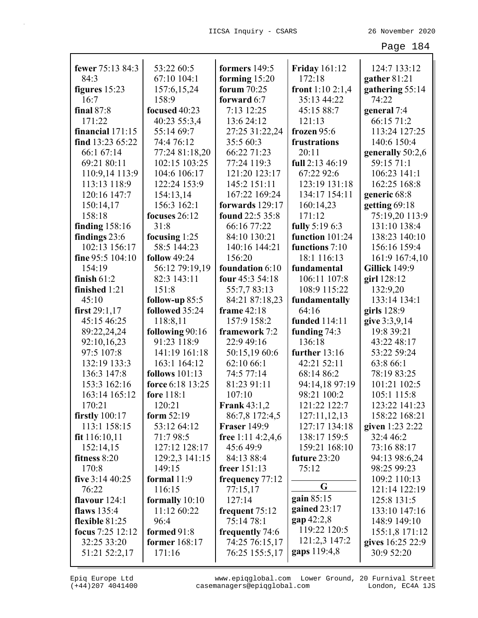| fewer 75:13 84:3   | 53:22 60:5            | formers $149:5$      | <b>Friday 161:12</b> | 124:7 133:12                   |
|--------------------|-----------------------|----------------------|----------------------|--------------------------------|
| 84:3               | 67:10 104:1           | forming $15:20$      | 172:18               | gather 81:21                   |
| figures $15:23$    | 157:6, 15, 24         | forum $70:25$        | front $1:102:1,4$    | gathering 55:14                |
| 16:7               | 158:9                 | forward 6:7          | 35:13 44:22          | 74:22                          |
| final 87:8         | focused 40:23         | 7:13 12:25           | 45:15 88:7           | general 7:4                    |
| 171:22             | 40:23 55:3,4          | 13:6 24:12           | 121:13               | 66:15 71:2                     |
| financial $171:15$ | 55:14 69:7            | 27:25 31:22,24       | frozen 95:6          | 113:24 127:25                  |
| find 13:23 65:22   | 74:4 76:12            | 35:5 60:3            | frustrations         | 140:6 150:4                    |
| 66:1 67:14         | 77:24 81:18,20        | 66:22 71:23          | 20:11                | generally 50:2,6               |
| 69:21 80:11        | 102:15 103:25         | 77:24 119:3          | full 2:13 46:19      | 59:15 71:1                     |
| 110:9,14 113:9     | 104:6 106:17          | 121:20 123:17        | 67:22 92:6           | 106:23 141:1                   |
| 113:13 118:9       | 122:24 153:9          | 145:2 151:11         | 123:19 131:18        | 162:25 168:8                   |
| 120:16 147:7       | 154:13,14             | 167:22 169:24        | 134:17 154:11        | generic 68:8                   |
| 150:14,17          | 156:3 162:1           | forwards 129:17      | 160:14,23            | getting 69:18                  |
| 158:18             | focuses 26:12         | found 22:5 35:8      | 171:12               | 75:19,20 113:9                 |
| finding $158:16$   | 31:8                  | 66:16 77:22          | fully 5:19 6:3       | 131:10 138:4                   |
| findings 23:6      | focusing 1:25         | 84:10 130:21         | function 101:24      | 138:23 140:10                  |
| 102:13 156:17      | 58:5 144:23           | 140:16 144:21        | functions 7:10       | 156:16 159:4                   |
| fine 95:5 104:10   | <b>follow</b> 49:24   | 156:20               | 18:1 116:13          | 161:9 167:4,10                 |
| 154:19             | 56:12 79:19,19        | foundation 6:10      | fundamental          | <b>Gillick 149:9</b>           |
| finish $61:2$      | 82:3 143:11           | four 45:3 54:18      | 106:11 107:8         | girl 128:12                    |
| finished 1:21      | 151:8                 | 55:7,7 83:13         | 108:9 115:22         | 132:9,20                       |
| 45:10              | follow-up 85:5        | 84:21 87:18,23       | fundamentally        | 133:14 134:1                   |
| first $29:1,17$    | followed 35:24        | frame 42:18          | 64:16                | girls $128:9$                  |
| 45:15 46:25        | 118:8,11              | 157:9 158:2          | <b>funded</b> 114:11 | give 3:3,9,14                  |
| 89:22,24,24        | following 90:16       | framework 7:2        | funding 74:3         | 19:8 39:21                     |
| 92:10,16,23        | 91:23 118:9           | 22:9 49:16           | 136:18               | 43:22 48:17                    |
| 97:5 107:8         | 141:19 161:18         | 50:15,1960:6         | further 13:16        | 53:22 59:24                    |
| 132:19 133:3       | 163:1 164:12          | 62:10 66:1           | 42:21 52:11          | 63:8 66:1                      |
| 136:3 147:8        | <b>follows</b> 101:13 | 74:5 77:14           | 68:14 86:2           | 78:19 83:25                    |
| 153:3 162:16       | force 6:18 13:25      | 81:23 91:11          | 94:14,18 97:19       | 101:21 102:5                   |
| 163:14 165:12      | fore 118:1            | 107:10               | 98:21 100:2          | 105:1 115:8                    |
| 170:21             | 120:21                | <b>Frank 43:1,2</b>  | 121:22 122:7         | 123:22 141:23                  |
| firstly $100:17$   | form $52:19$          | 86:7,8 172:4,5       | 127:11,12,13         | 158:22 168:21                  |
| 113:1 158:15       | 53:12 64:12           | <b>Fraser</b> 149:9  | 127:17 134:18        | given 1:23 2:22                |
| fit 116:10,11      | 71:798:5              | free $1:11\,4:2,4,6$ | 138:17 159:5         | 32:4 46:2                      |
| 152:14,15          | 127:12 128:17         | 45:649:9             | 159:21 168:10        | 73:16 88:17                    |
| fitness 8:20       | 129:2,3 141:15        | 84:13 88:4           | future 23:20         | 94:13 98:6,24                  |
| 170:8              | 149:15                | freer $151:13$       | 75:12                | 98:25 99:23                    |
| five $3:14\,40:25$ | formal $11:9$         | frequency 77:12      | G                    | 109:2 110:13                   |
| 76:22              | 116:15                | 77:15,17             | gain 85:15           | 121:14 122:19                  |
| flavour 124:1      | formally $10:10$      | 127:14               | gained $23:17$       | 125:8 131:5                    |
| flaws 135:4        | 11:12 60:22           | frequent $75:12$     | $gap\,42:2,8$        | 133:10 147:16                  |
| flexible $81:25$   | 96:4                  | 75:14 78:1           | 119:22 120:5         | 148:9 149:10                   |
| focus 7:25 12:12   | formed 91:8           | frequently 74:6      | 121:2,3 147:2        | 155:1,8 171:12                 |
| 32:25 33:20        | <b>former</b> 168:17  | 74:25 76:15,17       | gaps 119:4,8         | gives 16:25 22:9<br>30:9 52:20 |
| 51:21 52:2,17      | 171:16                | 76:25 155:5,17       |                      |                                |

(+44)207 4041400 casemanagers@epiqglobal.com London, EC4A 1JS www.epiqglobal.com Lower Ground, 20 Furnival Street

┚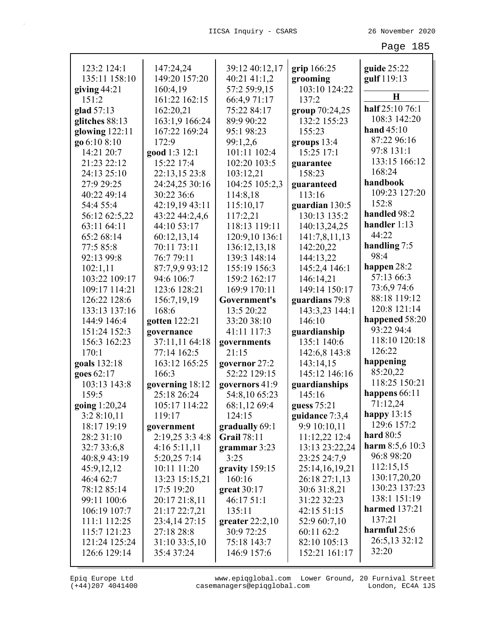| 123:2 124:1      | 147:24,24       | 39:12 40:12,17     | grip $166:25$  | guide $25:22$        |
|------------------|-----------------|--------------------|----------------|----------------------|
| 135:11 158:10    | 149:20 157:20   | 40:21 41:1,2       | grooming       | gulf 119:13          |
| giving $44:21$   | 160:4,19        | 57:2 59:9,15       | 103:10 124:22  | $\bf H$              |
| 151:2            | 161:22 162:15   | 66:4,971:17        | 137:2          | half 25:10 76:1      |
| glad 57:13       | 162:20,21       | 75:22 84:17        | group 70:24,25 |                      |
| glitches 88:13   | 163:1,9 166:24  | 89:9 90:22         | 132:2 155:23   | 108:3 142:20         |
| glowing $122:11$ | 167:22 169:24   | 95:1 98:23         | 155:23         | hand $45:10$         |
| go 6:10 8:10     | 172:9           | 99:1,2,6           | groups $13:4$  | 87:22 96:16          |
| 14:21 20:7       | good 1:3 12:1   | 101:11 102:4       | 15:25 17:1     | 97:8 131:1           |
| 21:23 22:12      | 15:22 17:4      | 102:20 103:5       | guarantee      | 133:15 166:12        |
| 24:13 25:10      | 22:13,15 23:8   | 103:12,21          | 158:23         | 168:24               |
| 27:9 29:25       | 24:24,25 30:16  | 104:25 105:2,3     | guaranteed     | handbook             |
| 40:22 49:14      | 30:22 36:6      | 114:8,18           | 113:16         | 109:23 127:20        |
| 54:4 55:4        | 42:19,19 43:11  | 115:10,17          | guardian 130:5 | 152:8                |
| 56:12 62:5,22    | 43:22 44:2,4,6  | 117:2,21           | 130:13 135:2   | handled 98:2         |
| 63:11 64:11      | 44:10 53:17     | 118:13 119:11      | 140:13,24,25   | handler $1:13$       |
| 65:2 68:14       | 60:12,13,14     | 120:9,10 136:1     | 141:7,8,11,13  | 44:22                |
| 77:5 85:8        | 70:11 73:11     | 136:12,13,18       | 142:20,22      | handling 7:5         |
| 92:13 99:8       | 76:7 79:11      | 139:3 148:14       | 144:13,22      | 98:4                 |
| 102:1,11         | 87:7,9,9 93:12  | 155:19 156:3       | 145:2,4 146:1  | happen 28:2          |
| 103:22 109:17    | 94:6 106:7      | 159:2 162:17       | 146:14,21      | 57:13 66:3           |
| 109:17 114:21    | 123:6 128:21    | 169:9 170:11       | 149:14 150:17  | 73:6,974:6           |
| 126:22 128:6     | 156:7,19,19     | Government's       | guardians 79:8 | 88:18 119:12         |
| 133:13 137:16    | 168:6           | 13:5 20:22         | 143:3,23 144:1 | 120:8 121:14         |
| 144:9 146:4      | gotten 122:21   | 33:20 38:10        | 146:10         | happened 58:20       |
| 151:24 152:3     | governance      | 41:11 117:3        | guardianship   | 93:22 94:4           |
| 156:3 162:23     | 37:11,11 64:18  | governments        | 135:1 140:6    | 118:10 120:18        |
| 170:1            | 77:14 162:5     | 21:15              | 142:6,8 143:8  | 126:22               |
| goals 132:18     | 163:12 165:25   | governor 27:2      | 143:14,15      | happening            |
| goes 62:17       | 166:3           | 52:22 129:15       | 145:12 146:16  | 85:20,22             |
| 103:13 143:8     | governing 18:12 | governors 41:9     | guardianships  | 118:25 150:21        |
| 159:5            | 25:18 26:24     | 54:8,10 65:23      | 145:16         | happens $66:11$      |
| going 1:20,24    | 105:17 114:22   | 68:1,12 69:4       | guess 75:21    | 71:12,24             |
| 3:28:10,11       | 119:17          | 124:15             | guidance 7:3,4 | happy $13:15$        |
| 18:17 19:19      | government      | gradually 69:1     | 9:9 10:10,11   | 129:6 157:2          |
| 28:2 31:10       | 2:19,25 3:3 4:8 | <b>Grail 78:11</b> | 11:12,22 12:4  | hard $80:5$          |
| 32:7 33:6,8      | 4:165:11,11     | grammar $3:23$     | 13:13 23:22,24 | harm $8:5,6$ 10:3    |
| 40:8,9 43:19     | 5:20,25 7:14    | 3:25               | 23:25 24:7,9   | 96:8 98:20           |
| 45:9,12,12       | 10:11 11:20     | gravity $159:15$   | 25:14,16,19,21 | 112:15,15            |
| 46:4 62:7        | 13:23 15:15,21  | 160:16             | 26:18 27:1,13  | 130:17,20,20         |
| 78:12 85:14      | 17:5 19:20      | great $30:17$      | 30:6 31:8,21   | 130:23 137:23        |
| 99:11 100:6      | 20:17 21:8,11   | 46:1751:1          | 31:22 32:23    | 138:1 151:19         |
| 106:19 107:7     | 21:17 22:7,21   | 135:11             | 42:15 51:15    | <b>harmed</b> 137:21 |
| 111:1 112:25     | 23:4,14 27:15   | greater $22:2,10$  | 52:9 60:7,10   | 137:21               |
| 115:7 121:23     | 27:18 28:8      | 30:9 72:25         | 60:11 62:2     | harmful 25:6         |
| 121:24 125:24    | 31:10 33:5,10   | 75:18 143:7        | 82:10 105:13   | 26:5,13 32:12        |
| 126:6 129:14     | 35:4 37:24      | 146:9 157:6        | 152:21 161:17  | 32:20                |
|                  |                 |                    |                |                      |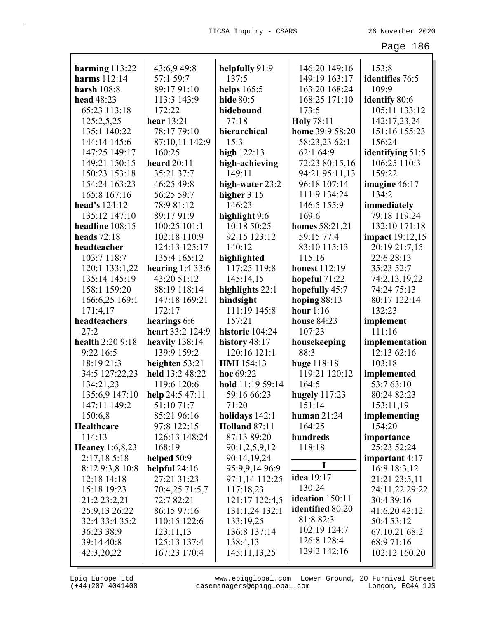|                                       | 43:6,9 49:8       |                                  | 146:20 149:16          | 153:8                      |
|---------------------------------------|-------------------|----------------------------------|------------------------|----------------------------|
| harming $113:22$<br>harms 112:14      | 57:1 59:7         | helpfully 91:9<br>137:5          | 149:19 163:17          | identifies 76:5            |
| harsh $108:8$                         | 89:17 91:10       |                                  | 163:20 168:24          | 109:9                      |
| head 48:23                            |                   | helps $165:5$                    | 168:25 171:10          |                            |
|                                       | 113:3 143:9       | <b>hide</b> 80:5                 |                        | identify 80:6              |
| 65:23 113:18                          | 172:22            | hidebound                        | 173:5                  | 105:11 133:12              |
| 125:2,5,25                            | hear 13:21        | 77:18                            | <b>Holy</b> 78:11      | 142:17,23,24               |
| 135:1 140:22                          | 78:17 79:10       | hierarchical                     | home 39:9 58:20        | 151:16 155:23              |
| 144:14 145:6                          | 87:10,11 142:9    | 15:3                             | 58:23,23 62:1          | 156:24                     |
| 147:25 149:17                         | 160:25            | high $122:13$                    | 62:1 64:9              | identifying 51:5           |
| 149:21 150:15                         | heard $20:11$     | high-achieving                   | 72:23 80:15,16         | 106:25 110:3               |
| 150:23 153:18                         | 35:21 37:7        | 149:11                           | 94:21 95:11,13         | 159:22                     |
| 154:24 163:23                         | 46:25 49:8        | high-water 23:2                  | 96:18 107:14           | imagine $46:17$            |
| 165:8 167:16                          | 56:25 59:7        | higher $3:15$                    | 111:9 134:24           | 134:2                      |
| head's 124:12                         | 78:9 81:12        | 146:23                           | 146:5 155:9            | immediately                |
| 135:12 147:10                         | 89:17 91:9        | highlight 9:6                    | 169:6                  | 79:18 119:24               |
| headline 108:15                       | 100:25 101:1      | 10:18 50:25                      | homes 58:21,21         | 132:10 171:18              |
| heads $72:18$                         | 102:18 110:9      | 92:15 123:12                     | 59:15 77:4             | <b>impact</b> 19:12,15     |
| headteacher                           | 124:13 125:17     | 140:12                           | 83:10 115:13           | 20:19 21:7,15              |
| 103:7 118:7                           | 135:4 165:12      | highlighted                      | 115:16                 | 22:6 28:13                 |
| 120:1 133:1,22                        | hearing $1:433:6$ | 117:25 119:8                     | <b>honest</b> 112:19   | 35:23 52:7                 |
| 135:14 145:19                         | 43:20 51:12       | 145:14,15                        | hopeful 71:22          | 74:2,13,19,22              |
| 158:1 159:20                          | 88:19 118:14      | highlights 22:1                  | hopefully 45:7         | 74:24 75:13                |
| 166:6,25 169:1                        | 147:18 169:21     | hindsight                        | hoping $88:13$         | 80:17 122:14               |
| 171:4,17                              | 172:17            | 111:19 145:8                     | hour $1:16$            | 132:23                     |
| headteachers                          | hearings 6:6      | 157:21                           | <b>house 84:23</b>     | implement                  |
| 27:2                                  | heart 33:2 124:9  | historic 104:24                  | 107:23                 | 111:16                     |
| health 2:20 9:18                      | heavily 138:14    | history 48:17                    | housekeeping           | implementation             |
| 9:22 16:5                             | 139:9 159:2       | 120:16 121:1                     | 88:3                   | 12:13 62:16                |
| 18:19 21:3                            | heighten 53:21    | <b>HMI</b> 154:13                | huge 118:18            | 103:18                     |
| 34:5 127:22,23                        | held 13:2 48:22   | hoc 69:22                        | 119:21 120:12          | implemented                |
| 134:21,23                             | 119:6 120:6       | hold 11:19 59:14                 | 164:5                  | 53:7 63:10<br>80:24 82:23  |
| 135:6,9 147:10                        | help $24:547:11$  | 59:16 66:23                      | hugely $117:23$        |                            |
| 147:11 149:2                          | 51:10 71:7        | 71:20                            | 151:14                 | 153:11,19                  |
| 150:6,8                               | 85:21 96:16       | holidays $142:1$                 | human $21:24$          | implementing               |
| Healthcare<br>114:13                  | 97:8 122:15       | <b>Holland 87:11</b>             | 164:25<br>hundreds     | 154:20                     |
|                                       | 126:13 148:24     | 87:13 89:20                      |                        | importance                 |
| <b>Heaney</b> 1:6,8,23<br>2:17,185:18 | 168:19            | 90:1,2,5,9,12                    | 118:18                 | 25:23 52:24                |
|                                       | helped 50:9       | 90:14,19,24                      | I                      | important 4:17             |
| 8:12 9:3,8 10:8                       | helpful $24:16$   | 95:9,9,14 96:9<br>97:1,14 112:25 | <b>idea</b> 19:17      | 16:8 18:3,12               |
| 12:18 14:18<br>15:18 19:23            | 27:21 31:23       |                                  | 130:24                 | 21:21 23:5,11              |
|                                       | 70:4,25 71:5,7    | 117:18,23                        | <b>ideation</b> 150:11 | 24:11,22 29:22             |
| 21:2 23:2,21                          | 72:7 82:21        | 121:17 122:4,5                   | identified 80:20       | 30:4 39:16                 |
| 25:9,13 26:22                         | 86:15 97:16       | 131:1,24 132:1                   | 81:8 82:3              | 41:6,20 42:12              |
| 32:4 33:4 35:2                        | 110:15 122:6      | 133:19,25                        | 102:19 124:7           | 50:4 53:12                 |
| 36:23 38:9                            | 123:11,13         | 136:8 137:14                     | 126:8 128:4            | 67:10,21 68:2              |
| 39:14 40:8                            | 125:13 137:4      | 138:4,13                         | 129:2 142:16           | 68:971:16<br>102:12 160:20 |
| 42:3,20,22                            | 167:23 170:4      | 145:11,13,25                     |                        |                            |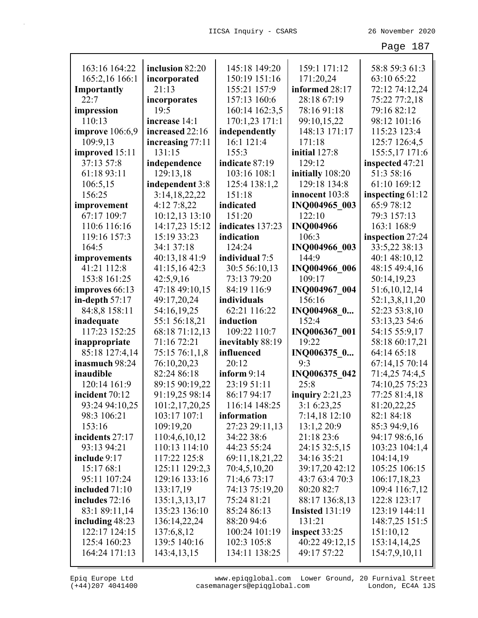| 163:16 164:22          | inclusion 82:20  | 145:18 149:20    | 159:1 171:12           | 58:8 59:3 61:3     |
|------------------------|------------------|------------------|------------------------|--------------------|
| 165:2,16 166:1         | incorporated     | 150:19 151:16    | 171:20,24              | 63:10 65:22        |
| Importantly            | 21:13            | 155:21 157:9     | informed 28:17         | 72:12 74:12,24     |
| 22:7                   | incorporates     | 157:13 160:6     | 28:18 67:19            | 75:22 77:2,18      |
| impression             | 19:5             | 160:14 162:3,5   | 78:16 91:18            | 79:16 82:12        |
| 110:13                 | increase 14:1    | 170:1,23 171:1   | 99:10,15,22            | 98:12 101:16       |
| <b>improve</b> 106:6,9 | increased 22:16  | independently    | 148:13 171:17          | 115:23 123:4       |
| 109:9,13               | increasing 77:11 | 16:1 121:4       | 171:18                 | 125:7 126:4,5      |
| improved 15:11         | 131:15           | 155:3            | initial 127:8          | 155:5,17 171:6     |
| 37:13 57:8             | independence     | indicate 87:19   | 129:12                 | inspected 47:21    |
| 61:18 93:11            | 129:13,18        | 103:16 108:1     | initially 108:20       | 51:3 58:16         |
| 106:5,15               | independent 3:8  | 125:4 138:1,2    | 129:18 134:8           | 61:10 169:12       |
| 156:25                 | 3:14,18,22,22    | 151:18           | innocent 103:8         | inspecting $61:12$ |
| improvement            | 4:12 7:8,22      | indicated        | INQ004965 003          | 65:9 78:12         |
| 67:17 109:7            | 10:12,13 13:10   | 151:20           | 122:10                 | 79:3 157:13        |
| 110:6 116:16           | 14:17,23 15:12   | indicates 137:23 | <b>INQ004966</b>       | 163:1 168:9        |
| 119:16 157:3           | 15:19 33:23      | indication       | 106:3                  | inspection 27:24   |
| 164:5                  | 34:1 37:18       | 124:24           | INQ004966 003          | 33:5,22 38:13      |
| improvements           | 40:13,18 41:9    | individual 7:5   | 144:9                  | 40:1 48:10,12      |
| 41:21 112:8            | 41:15,16 42:3    | 30:5 56:10,13    | INQ004966 006          | 48:15 49:4,16      |
| 153:8 161:25           | 42:5,9,16        | 73:13 79:20      | 109:17                 | 50:14,19,23        |
| improves 66:13         | 47:18 49:10,15   | 84:19 116:9      | INQ004967 004          | 51:6,10,12,14      |
| in-depth $57:17$       | 49:17,20,24      | individuals      | 156:16                 | 52:1,3,8,11,20     |
| 84:8,8 158:11          | 54:16,19,25      | 62:21 116:22     | INQ004968 0            | 52:23 53:8,10      |
| inadequate             | 55:1 56:18,21    | induction        | 152:4                  | 53:13,23 54:6      |
| 117:23 152:25          | 68:18 71:12,13   | 109:22 110:7     | INQ006367 001          | 54:15 55:9,17      |
| inappropriate          | 71:16 72:21      | inevitably 88:19 | 19:22                  | 58:18 60:17,21     |
| 85:18 127:4,14         | 75:15 76:1,1,8   | influenced       | INQ006375_0            | 64:14 65:18        |
| inasmuch 98:24         | 76:10,20,23      | 20:12            | 9:3                    | 67:14,15 70:14     |
| inaudible              | 82:24 86:18      | inform $9:14$    | INQ006375_042          | 71:4,25 74:4,5     |
| 120:14 161:9           | 89:15 90:19,22   | 23:19 51:11      | 25:8                   | 74:10,25 75:23     |
| incident 70:12         | 91:19,25 98:14   | 86:17 94:17      | inquiry $2:21,23$      | 77:25 81:4,18      |
| 93:24 94:10,25         | 101:2,17,20,25   | 116:14 148:25    | 3:1 6:23,25            | 81:20,22,25        |
| 98:3 106:21            | 103:17 107:1     | information      | 7:14,18 12:10          | 82:1 84:18         |
| 153:16                 | 109:19,20        | 27:23 29:11,13   | 13:1,2 20:9            | 85:3 94:9,16       |
| incidents 27:17        | 110:4,6,10,12    | 34:22 38:6       | 21:18 23:6             | 94:17 98:6,16      |
| 93:13 94:21            | 110:13 114:10    | 44:23 55:24      | 24:15 32:5,15          | 103:23 104:1,4     |
| include 9:17           | 117:22 125:8     | 69:11,18,21,22   | 34:16 35:21            | 104:14,19          |
| 15:17 68:1             | 125:11 129:2,3   | 70:4,5,10,20     | 39:17,20 42:12         | 105:25 106:15      |
| 95:11 107:24           | 129:16 133:16    | 71:4,6 73:17     | 43:7 63:4 70:3         | 106:17,18,23       |
| included $71:10$       | 133:17,19        | 74:13 75:19,20   | 80:20 82:7             | 109:4 116:7,12     |
| includes 72:16         | 135:1,3,13,17    | 75:24 81:21      | 88:17 136:8,13         | 122:8 123:17       |
| 83:1 89:11,14          | 135:23 136:10    | 85:24 86:13      | <b>Insisted</b> 131:19 | 123:19 144:11      |
| including 48:23        | 136:14,22,24     | 88:20 94:6       | 131:21                 | 148:7,25 151:5     |
| 122:17 124:15          | 137:6,8,12       | 100:24 101:19    | inspect $33:25$        | 151:10,12          |
| 125:4 160:23           | 139:5 140:16     | 102:3 105:8      | 40:22 49:12,15         | 153:14,14,25       |
| 164:24 171:13          | 143:4,13,15      | 134:11 138:25    | 49:17 57:22            | 154:7,9,10,11      |
|                        |                  |                  |                        |                    |

(+44)207 4041400 casemanagers@epiqglobal.com London, EC4A 1JS www.epiqglobal.com Lower Ground, 20 Furnival Street

J.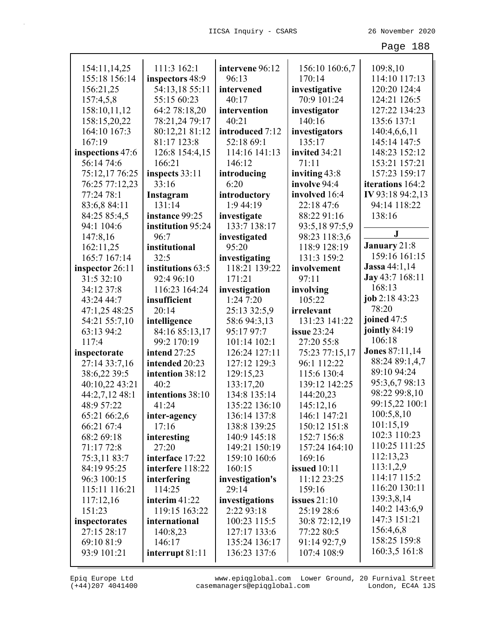| 154:11,14,25              | 111:3 162:1         | intervene 96:12 | 156:10 160:6,7 | 109:8,10               |
|---------------------------|---------------------|-----------------|----------------|------------------------|
| 155:18 156:14             | inspectors 48:9     | 96:13           | 170:14         | 114:10 117:13          |
| 156:21,25                 | 54:13,18 55:11      | intervened      | investigative  | 120:20 124:4           |
|                           | 55:15 60:23         | 40:17           | 70:9 101:24    | 124:21 126:5           |
| 157:4,5,8<br>158:10,11,12 |                     |                 |                | 127:22 134:23          |
|                           | 64:2 78:18,20       | intervention    | investigator   |                        |
| 158:15,20,22              | 78:21,24 79:17      | 40:21           | 140:16         | 135:6 137:1            |
| 164:10 167:3              | 80:12,21 81:12      | introduced 7:12 | investigators  | 140:4,6,6,11           |
| 167:19                    | 81:17 123:8         | 52:18 69:1      | 135:17         | 145:14 147:5           |
| inspections 47:6          | 126:8 154:4,15      | 114:16 141:13   | invited 34:21  | 148:23 152:12          |
| 56:14 74:6                | 166:21              | 146:12          | 71:11          | 153:21 157:21          |
| 75:12,17 76:25            | inspects 33:11      | introducing     | inviting 43:8  | 157:23 159:17          |
| 76:25 77:12,23            | 33:16               | 6:20            | involve 94:4   | iterations 164:2       |
| 77:24 78:1                | Instagram           | introductory    | involved 16:4  | IV 93:18 94:2,13       |
| 83:6,8 84:11              | 131:14              | 1:944:19        | 22:18 47:6     | 94:14 118:22           |
| 84:25 85:4,5              | instance 99:25      | investigate     | 88:22 91:16    | 138:16                 |
| 94:1 104:6                | institution 95:24   | 133:7 138:17    | 93:5,18 97:5,9 | $\bf J$                |
| 147:8,16                  | 96:7                | investigated    | 98:23 118:3,6  |                        |
| 162:11,25                 | institutional       | 95:20           | 118:9 128:19   | January 21:8           |
| 165:7 167:14              | 32:5                | investigating   | 131:3 159:2    | 159:16 161:15          |
| inspector 26:11           | institutions 63:5   | 118:21 139:22   | involvement    | <b>Jassa</b> 44:1,14   |
| 31:5 32:10                | 92:4 96:10          | 171:21          | 97:11          | <b>Jay</b> 43:7 168:11 |
| 34:12 37:8                | 116:23 164:24       | investigation   | involving      | 168:13                 |
| 43:24 44:7                | insufficient        | 1:247:20        | 105:22         | job 2:18 43:23         |
| 47:1,25 48:25             | 20:14               | 25:13 32:5,9    | irrelevant     | 78:20                  |
| 54:21 55:7,10             | intelligence        | 58:6 94:3,13    | 131:23 141:22  | joined 47:5            |
| 63:13 94:2                | 84:16 85:13,17      | 95:17 97:7      | issue $23:24$  | jointly 84:19          |
| 117:4                     | 99:2 170:19         | 101:14 102:1    | 27:20 55:8     | 106:18                 |
| inspectorate              | <b>intend</b> 27:25 | 126:24 127:11   | 75:23 77:15,17 | <b>Jones 87:11,14</b>  |
| 27:14 33:7,16             | intended 20:23      | 127:12 129:3    | 96:1 112:22    | 88:24 89:1,4,7         |
| 38:6,22 39:5              | intention 38:12     | 129:15,23       | 115:6 130:4    | 89:10 94:24            |
| 40:10,22 43:21            | 40:2                | 133:17,20       | 139:12 142:25  | 95:3,6,7 98:13         |
| 44:2,7,12 48:1            | intentions 38:10    | 134:8 135:14    | 144:20,23      | 98:22 99:8,10          |
| 48:9 57:22                | 41:24               | 135:22 136:10   | 145:12,16      | 99:15,22 100:1         |
| 65:21 66:2,6              |                     |                 |                |                        |
|                           | inter-agency        | 136:14 137:8    | 146:1 147:21   | 100:5,8,10             |
| 66:21 67:4                | 17:16               | 138:8 139:25    | 150:12 151:8   | 101:15,19              |
| 68:2 69:18                | interesting         | 140:9 145:18    | 152:7 156:8    | 102:3 110:23           |
| 71:17 72:8                | 27:20               | 149:21 150:19   | 157:24 164:10  | 110:25 111:25          |
| 75:3,11 83:7              | interface 17:22     | 159:10 160:6    | 169:16         | 112:13,23              |
| 84:19 95:25               | interfere 118:22    | 160:15          | issued 10:11   | 113:1,2,9              |
| 96:3 100:15               | interfering         | investigation's | 11:12 23:25    | 114:17 115:2           |
| 115:11 116:21             | 114:25              | 29:14           | 159:16         | 116:20 130:11          |
| 117:12,16                 | interim $41:22$     | investigations  | issues $21:10$ | 139:3,8,14             |
| 151:23                    | 119:15 163:22       | 2:22 93:18      | 25:19 28:6     | 140:2 143:6,9          |
| inspectorates             | international       | 100:23 115:5    | 30:8 72:12,19  | 147:3 151:21           |
| 27:15 28:17               | 140:8,23            | 127:17 133:6    | 77:22 80:5     | 156:4,6,8              |
| 69:10 81:9                | 146:17              | 135:24 136:17   | 91:14 92:7,9   | 158:25 159:8           |
| 93:9 101:21               | interrupt $81:11$   | 136:23 137:6    | 107:4 108:9    | 160:3,5 161:8          |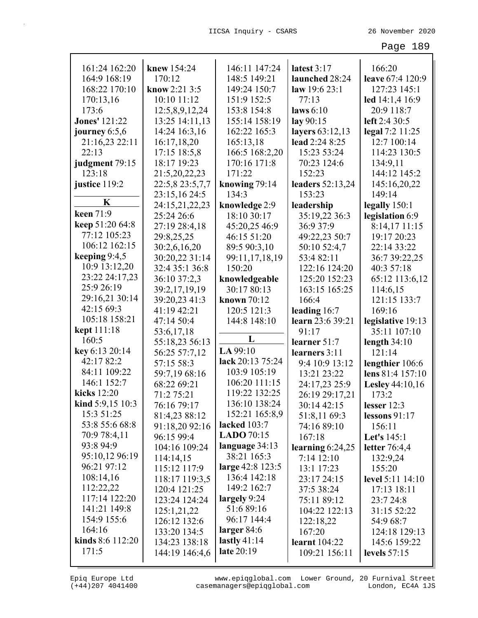| 161:24 162:20               | knew 154:24     | 146:11 147:24     | latest 3:17          | 166:20                 |
|-----------------------------|-----------------|-------------------|----------------------|------------------------|
| 164:9 168:19                | 170:12          | 148:5 149:21      | launched 28:24       | leave 67:4 120:9       |
| 168:22 170:10               | know $2:213:5$  | 149:24 150:7      | law 19:6 23:1        | 127:23 145:1           |
| 170:13,16                   | 10:10 11:12     | 151:9 152:5       | 77:13                | led 14:1,4 16:9        |
| 173:6                       | 12:5,8,9,12,24  | 153:8 154:8       | laws $6:10$          | 20:9 118:7             |
| <b>Jones' 121:22</b>        | 13:25 14:11,13  | 155:14 158:19     | lay 90:15            | left 2:4 30:5          |
| journey $6:5,6$             | 14:24 16:3,16   | 162:22 165:3      | layers 63:12,13      | legal 7:2 11:25        |
| 21:16,23 22:11              | 16:17,18,20     | 165:13,18         | lead 2:24 8:25       | 12:7 100:14            |
| 22:13                       | 17:15 18:5,8    | 166:5 168:2,20    | 15:23 53:24          | 114:23 130:5           |
| judgment 79:15              | 18:17 19:23     | 170:16 171:8      | 70:23 124:6          | 134:9,11               |
| 123:18                      | 21:5,20,22,23   | 171:22            | 152:23               | 144:12 145:2           |
| justice 119:2               | 22:5,8 23:5,7,7 | knowing 79:14     | leaders 52:13,24     | 145:16,20,22           |
|                             | 23:15,16 24:5   | 134:3             | 153:23               | 149:14                 |
| K                           | 24:15,21,22,23  | knowledge 2:9     | leadership           | legally 150:1          |
| keen 71:9                   | 25:24 26:6      | 18:10 30:17       | 35:19,22 36:3        | legislation 6:9        |
| keep 51:20 64:8             | 27:19 28:4,18   | 45:20,25 46:9     | 36:9 37:9            | 8:14,17 11:15          |
| 77:12 105:23                | 29:8,25,25      | 46:15 51:20       | 49:22,23 50:7        | 19:17 20:23            |
| 106:12 162:15               | 30:2,6,16,20    | 89:5 90:3,10      | 50:10 52:4,7         | 22:14 33:22            |
| keeping $9:4,5$             | 30:20,22 31:14  | 99:11,17,18,19    | 53:4 82:11           | 36:7 39:22,25          |
| 10:9 13:12,20               | 32:4 35:1 36:8  | 150:20            | 122:16 124:20        | 40:3 57:18             |
| 23:22 24:17,23              | 36:10 37:2,3    | knowledgeable     | 125:20 152:23        | 65:12 113:6,12         |
| 25:9 26:19                  | 39:2,17,19,19   | 30:17 80:13       | 163:15 165:25        | 114:6,15               |
| 29:16,21 30:14              | 39:20,23 41:3   | known $70:12$     | 166:4                | 121:15 133:7           |
| 42:15 69:3                  | 41:19 42:21     | 120:5 121:3       | leading $16:7$       | 169:16                 |
| 105:18 158:21               | 47:14 50:4      | 144:8 148:10      | learn 23:6 39:21     | legislative 19:13      |
| <b>kept</b> 111:18          | 53:6,17,18      |                   | 91:17                | 35:11 107:10           |
| 160:5                       | 55:18,23 56:13  | L                 | learner $51:7$       | length $34:10$         |
| key 6:13 20:14              | 56:25 57:7,12   | LA 99:10          | learners 3:11        | 121:14                 |
| 42:17 82:2                  | 57:15 58:3      | lack 20:13 75:24  | 9:4 10:9 13:12       | lengthier 106:6        |
| 84:11 109:22                | 59:7,19 68:16   | 103:9 105:19      | 13:21 23:22          | lens 81:4 157:10       |
| 146:1 152:7                 | 68:22 69:21     | 106:20 111:15     | 24:17,23 25:9        | <b>Lesley</b> 44:10,16 |
| kicks 12:20                 | 71:2 75:21      | 119:22 132:25     | 26:19 29:17,21       | 173:2                  |
| <b>kind</b> $5:9,15$ $10:3$ | 76:16 79:17     | 136:10 138:24     | 30:14 42:15          | lesser $12:3$          |
| 15:3 51:25                  | 81:4,23 88:12   | 152:21 165:8,9    | 51:8,11 69:3         | lessons $91:17$        |
| 53:8 55:6 68:8              | 91:18,20 92:16  | lacked $103:7$    | 74:16 89:10          | 156:11                 |
| 70:9 78:4,11                | 96:15 99:4      | <b>LADO</b> 70:15 | 167:18               | <b>Let's</b> 145:1     |
| 93:8 94:9                   | 104:16 109:24   | language 34:13    | learning $6:24,25$   | letter $76:4,4$        |
| 95:10,12 96:19              | 114:14,15       | 38:21 165:3       | 7:14 12:10           | 132:9,24               |
| 96:21 97:12                 | 115:12 117:9    | large 42:8 123:5  | 13:1 17:23           | 155:20                 |
| 108:14,16                   | 118:17 119:3,5  | 136:4 142:18      | 23:17 24:15          | level 5:11 14:10       |
| 112:22,22                   | 120:4 121:25    | 149:2 162:7       | 37:5 38:24           | 17:13 18:11            |
| 117:14 122:20               | 123:24 124:24   | largely 9:24      | 75:11 89:12          | 23:7 24:8              |
| 141:21 149:8                | 125:1,21,22     | 51:689:16         | 104:22 122:13        | 31:15 52:22            |
| 154:9 155:6                 | 126:12 132:6    | 96:17 144:4       | 122:18,22            | 54:9 68:7              |
| 164:16                      | 133:20 134:5    | larger $84:6$     | 167:20               | 124:18 129:13          |
| <b>kinds</b> $8:6$ 112:20   | 134:23 138:18   | lastly $41:14$    | <b>learnt</b> 104:22 | 145:6 159:22           |
| 171:5                       |                 |                   |                      |                        |
|                             | 144:19 146:4,6  | late 20:19        | 109:21 156:11        | levels $57:15$         |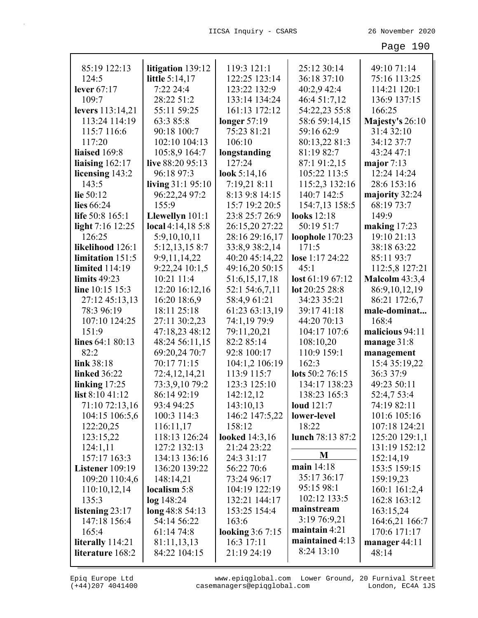| 85:19 122:13          | litigation 139:12  | 119:3 121:1             | 25:12 30:14      | 49:10 71:14           |
|-----------------------|--------------------|-------------------------|------------------|-----------------------|
| 124:5                 | little 5:14,17     | 122:25 123:14           | 36:18 37:10      | 75:16 113:25          |
| lever $67:17$         | 7:22 24:4          | 123:22 132:9            | 40:2,9 42:4      | 114:21 120:1          |
| 109:7                 | 28:22 51:2         | 133:14 134:24           | 46:4 51:7,12     | 136:9 137:15          |
| levers 113:14,21      | 55:11 59:25        | 161:13 172:12           | 54:22,23 55:8    | 166:25                |
| 113:24 114:19         | 63:3 85:8          | longer $57:19$          | 58:6 59:14,15    | Majesty's 26:10       |
| 115:7 116:6           | 90:18 100:7        | 75:23 81:21             | 59:16 62:9       | 31:4 32:10            |
| 117:20                | 102:10 104:13      | 106:10                  | 80:13,22 81:3    | 34:12 37:7            |
| liaised 169:8         | 105:8,9 164:7      | longstanding            | 81:19 82:7       | 43:24 47:1            |
| liaising $162:17$     | live 88:20 95:13   | 127:24                  | 87:1 91:2,15     | major $7:13$          |
| licensing 143:2       | 96:18 97:3         | look $5:14,16$          | 105:22 113:5     | 12:24 14:24           |
| 143:5                 | living $31:195:10$ | 7:19,21 8:11            | 115:2,3 132:16   | 28:6 153:16           |
| lie 50:12             | 96:22,24 97:2      | 8:13 9:8 14:15          | 140:7 142:5      | majority 32:24        |
| lies 66:24            | 155:9              | 15:7 19:2 20:5          | 154:7,13 158:5   | 68:19 73:7            |
| life 50:8 165:1       | Llewellyn 101:1    | 23:8 25:7 26:9          | looks 12:18      | 149:9                 |
| light 7:16 12:25      | local 4:14,18 5:8  | 26:15,20 27:22          | 50:19 51:7       | making $17:23$        |
| 126:25                | 5:9,10,10,11       | 28:16 29:16,17          | loophole 170:23  | 19:10 21:13           |
| likelihood 126:1      | 5:12,13,15 8:7     | 33:8,9 38:2,14          | 171:5            | 38:18 63:22           |
| limitation 151:5      | 9:9,11,14,22       | 40:20 45:14,22          | lose 1:17 24:22  | 85:11 93:7            |
| <b>limited</b> 114:19 | 9:22,24 10:1,5     | 49:16,20 50:15          | 45:1             | 112:5,8 127:21        |
| limits $49:23$        | 10:21 11:4         | 51:6,15,17,18           | lost 61:1967:12  | <b>Malcolm 43:3,4</b> |
| line 10:15 15:3       | 12:20 16:12,16     | 52:1 54:6,7,11          | lot 20:25 28:8   | 86:9,10,12,19         |
| 27:12 45:13,13        | 16:20 18:6,9       | 58:4,9 61:21            | 34:23 35:21      | 86:21 172:6,7         |
| 78:3 96:19            | 18:11 25:18        | 61:23 63:13,19          | 39:17 41:18      | male-dominat          |
| 107:10 124:25         | 27:11 30:2,23      | 74:1,19 79:9            | 44:20 70:13      | 168:4                 |
| 151:9                 | 47:18,23 48:12     | 79:11,20,21             | 104:17 107:6     | malicious 94:11       |
| lines 64:1 80:13      | 48:24 56:11,15     | 82:2 85:14              | 108:10,20        | manage $31:8$         |
| 82:2                  | 69:20,24 70:7      | 92:8 100:17             | 110:9 159:1      | management            |
| link 38:18            | 70:17 71:15        | 104:1,2 106:19          | 162:3            | 15:4 35:19,22         |
| <b>linked</b> 36:22   | 72:4,12,14,21      | 113:9 115:7             | lots 50:2 76:15  | 36:3 37:9             |
| linking $17:25$       | 73:3,9,10 79:2     | 123:3 125:10            | 134:17 138:23    | 49:23 50:11           |
| list 8:10 41:12       | 86:14 92:19        | 142:12,12               | 138:23 165:3     | 52:4,7 53:4           |
| 71:10 72:13,16        | 93:4 94:25         | 143:10,13               | loud $121:7$     | 74:19 82:11           |
| 104:15 106:5,6        | 100:3 114:3        | 146:2 147:5,22          | lower-level      | 101:6 105:16          |
| 122:20,25             | 116:11,17          | 158:12                  | 18:22            | 107:18 124:21         |
| 123:15,22             | 118:13 126:24      | <b>looked</b> 14:3,16   | lunch 78:13 87:2 | 125:20 129:1,1        |
| 124:1,11              | 127:2 132:13       | 21:24 23:22             |                  | 131:19 152:12         |
| 157:17 163:3          | 134:13 136:16      | 24:3 31:17              | M                | 152:14,19             |
| Listener 109:19       | 136:20 139:22      | 56:22 70:6              | main 14:18       | 153:5 159:15          |
| 109:20 110:4,6        | 148:14,21          | 73:24 96:17             | 35:17 36:17      | 159:19,23             |
| 110:10,12,14          | localism 5:8       | 104:19 122:19           | 95:15 98:1       | 160:1 161:2,4         |
| 135:3                 | $log$ 148:24       | 132:21 144:17           | 102:12 133:5     | 162:8 163:12          |
| listening $23:17$     | $\log 48:854:13$   | 153:25 154:4            | mainstream       | 163:15,24             |
| 147:18 156:4          | 54:14 56:22        | 163:6                   | 3:19 76:9,21     | 164:6,21 166:7        |
| 165:4                 | 61:14 74:8         | <b>looking 3:6 7:15</b> | maintain 4:21    | 170:6 171:17          |
| literally 114:21      | 81:11,13,13        | 16:3 17:11              | maintained 4:13  | manager 44:11         |
| literature 168:2      | 84:22 104:15       | 21:19 24:19             | 8:24 13:10       | 48:14                 |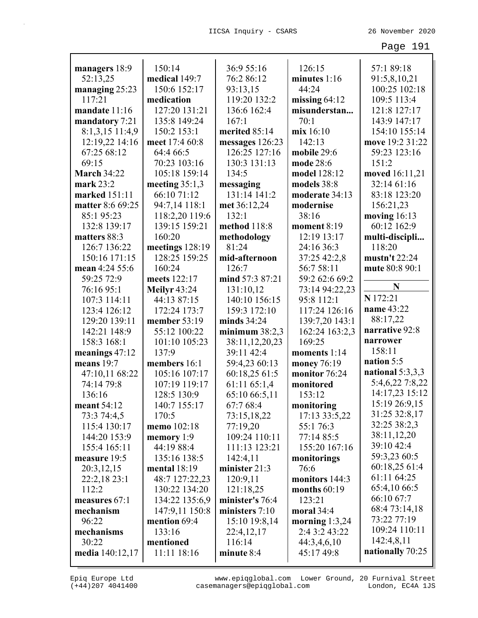| managers 18:9      | 150:14              | 36:9 55:16       | 126:15           | 57:1 89:18       |
|--------------------|---------------------|------------------|------------------|------------------|
| 52:13,25           | medical 149:7       | 76:2 86:12       | minutes 1:16     | 91:5,8,10,21     |
| managing 25:23     | 150:6 152:17        | 93:13,15         | 44:24            | 100:25 102:18    |
| 117:21             | medication          | 119:20 132:2     | missing $64:12$  | 109:5 113:4      |
| mandate 11:16      | 127:20 131:21       | 136:6 162:4      | misunderstan     | 121:8 127:17     |
| mandatory 7:21     | 135:8 149:24        | 167:1            | 70:1             | 143:9 147:17     |
| 8:1,3,15 11:4,9    | 150:2 153:1         | merited 85:14    | mix 16:10        | 154:10 155:14    |
| 12:19,22 14:16     | meet 17:4 60:8      | messages 126:23  | 142:13           | move 19:2 31:22  |
| 67:25 68:12        | 64:4 66:5           | 126:25 127:16    | mobile 29:6      | 59:23 123:16     |
| 69:15              | 70:23 103:16        | 130:3 131:13     | mode 28:6        | 151:2            |
| <b>March 34:22</b> | 105:18 159:14       | 134:5            | model 128:12     | moved 16:11,21   |
| mark $23:2$        | meeting $35:1,3$    | messaging        | models 38:8      | 32:14 61:16      |
| marked 151:11      | 66:10 71:12         | 131:14 141:2     | moderate 34:13   | 83:18 123:20     |
| matter 8:6 69:25   | 94:7,14 118:1       | met 36:12,24     | modernise        | 156:21,23        |
| 85:195:23          | 118:2,20 119:6      | 132:1            | 38:16            | moving $16:13$   |
| 132:8 139:17       | 139:15 159:21       | method 118:8     | moment 8:19      | 60:12 162:9      |
| matters 88:3       | 160:20              | methodology      | 12:19 13:17      | multi-discipli   |
| 126:7 136:22       | meetings 128:19     | 81:24            | 24:16 36:3       | 118:20           |
| 150:16 171:15      | 128:25 159:25       | mid-afternoon    | 37:25 42:2,8     | mustn't 22:24    |
| mean 4:24 55:6     | 160:24              | 126:7            | 56:7 58:11       | mute 80:8 90:1   |
| 59:25 72:9         | meets 122:17        | mind 57:3 87:21  | 59:2 62:6 69:2   |                  |
| 76:16 95:1         | <b>Meilyr 43:24</b> | 131:10,12        | 73:14 94:22,23   | N                |
| 107:3 114:11       | 44:13 87:15         | 140:10 156:15    | 95:8 112:1       | N 172:21         |
| 123:4 126:12       | 172:24 173:7        | 159:3 172:10     | 117:24 126:16    | name 43:22       |
| 129:20 139:11      | member 53:19        | minds $34:24$    | 139:7,20 143:1   | 88:17,22         |
| 142:21 148:9       | 55:12 100:22        | minimum $38:2,3$ | 162:24 163:2,3   | narrative 92:8   |
| 158:3 168:1        | 101:10 105:23       | 38:11,12,20,23   | 169:25           | narrower         |
| meanings $47:12$   | 137:9               | 39:11 42:4       | moments 1:14     | 158:11           |
| means 19:7         | members 16:1        | 59:4,23 60:13    | money 76:19      | nation 5:5       |
| 47:10,11 68:22     | 105:16 107:17       | 60:18,25 61:5    | monitor 76:24    | national 5:3,3,3 |
| 74:14 79:8         | 107:19 119:17       | 61:11 65:1,4     | monitored        | 5:4,6,22 7:8,22  |
| 136:16             | 128:5 130:9         | 65:10 66:5,11    | 153:12           | 14:17,23 15:12   |
| meant 54:12        | 140:7 155:17        | 67:7 68:4        | monitoring       | 15:19 26:9,15    |
| 73:3 74:4,5        | 170:5               | 73:15,18,22      | 17:13 33:5,22    | 31:25 32:8,17    |
| 115:4 130:17       | memo 102:18         | 77:19,20         | 55:1 76:3        | 32:25 38:2,3     |
| 144:20 153:9       | memory 1:9          | 109:24 110:11    | 77:14 85:5       | 38:11,12,20      |
| 155:4 165:11       | 44:19 88:4          | 111:13 123:21    | 155:20 167:16    | 39:10 42:4       |
| measure 19:5       | 135:16 138:5        | 142:4,11         | monitorings      | 59:3,23 60:5     |
| 20:3,12,15         | mental $18:19$      | minister 21:3    | 76:6             | 60:18,25 61:4    |
| 22:2,18 23:1       | 48:7 127:22,23      | 120:9,11         | monitors 144:3   | 61:11 64:25      |
| 112:2              | 130:22 134:20       | 121:18,25        | months $60:19$   | 65:4,10 66:5     |
| measures 67:1      | 134:22 135:6,9      | minister's 76:4  | 123:21           | 66:10 67:7       |
| mechanism          | 147:9,11 150:8      | ministers $7:10$ | moral 34:4       | 68:4 73:14,18    |
| 96:22              | mention 69:4        | 15:10 19:8,14    | morning $1:3,24$ | 73:22 77:19      |
| mechanisms         | 133:16              | 22:4,12,17       | 2:4 3:2 43:22    | 109:24 110:11    |
| 30:22              | mentioned           | 116:14           | 44:3,4,6,10      | 142:4,8,11       |
| media 140:12,17    | 11:11 18:16         | minute 8:4       | 45:17 49:8       | nationally 70:25 |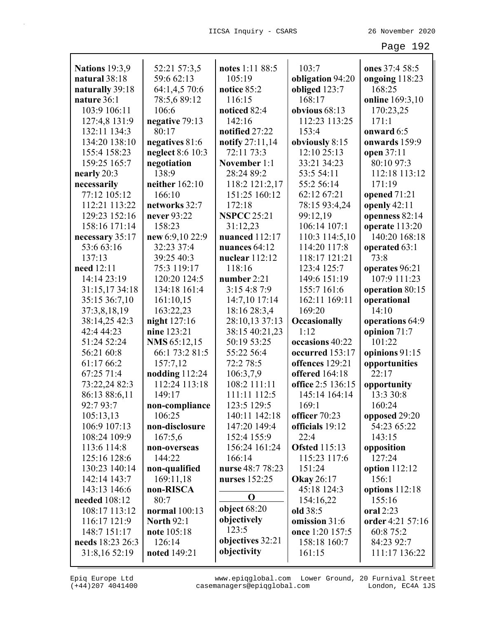| <b>Nations</b> 19:3,9         | 52:21 57:3,5<br>59:6 62:13         | notes 1:11 88:5                   | 103:7                         | ones 37:4 58:5           |
|-------------------------------|------------------------------------|-----------------------------------|-------------------------------|--------------------------|
| natural 38:18                 |                                    | 105:19                            | obligation 94:20              | ongoing 118:23<br>168:25 |
| naturally 39:18               | 64:1,4,5 70:6<br>78:5,6 89:12      | notice 85:2                       | obliged 123:7<br>168:17       |                          |
| nature 36:1                   |                                    | 116:15                            |                               | online 169:3,10          |
| 103:9 106:11                  | 106:6                              | noticed 82:4<br>142:16            | obvious 68:13                 | 170:23,25                |
| 127:4,8 131:9                 | negative 79:13<br>80:17            |                                   | 112:23 113:25<br>153:4        | 171:1<br>onward 6:5      |
| 132:11 134:3<br>134:20 138:10 |                                    | notified 27:22<br>notify 27:11,14 |                               | onwards 159:9            |
| 155:4 158:23                  | negatives 81:6<br>neglect 8:6 10:3 | 72:11 73:3                        | obviously 8:15<br>12:10 25:13 | open 37:11               |
| 159:25 165:7                  | negotiation                        | November 1:1                      | 33:21 34:23                   | 80:10 97:3               |
| nearly 20:3                   | 138:9                              | 28:24 89:2                        | 53:5 54:11                    | 112:18 113:12            |
| necessarily                   | neither 162:10                     | 118:2 121:2,17                    | 55:2 56:14                    | 171:19                   |
| 77:12 105:12                  | 166:10                             | 151:25 160:12                     | 62:12 67:21                   | opened 71:21             |
| 112:21 113:22                 | networks 32:7                      | 172:18                            | 78:15 93:4,24                 | openly $42:11$           |
| 129:23 152:16                 | never 93:22                        | <b>NSPCC 25:21</b>                | 99:12,19                      | openness 82:14           |
| 158:16 171:14                 | 158:23                             | 31:12,23                          | 106:14 107:1                  | operate 113:20           |
| necessary 35:17               | new 6:9,10 22:9                    | nuanced 112:17                    | 110:3 114:5,10                | 140:20 168:18            |
| 53:6 63:16                    | 32:23 37:4                         | nuances 64:12                     | 114:20 117:8                  | operated 63:1            |
| 137:13                        | 39:25 40:3                         | nuclear $112:12$                  | 118:17 121:21                 | 73:8                     |
| need 12:11                    | 75:3 119:17                        | 118:16                            | 123:4 125:7                   | operates 96:21           |
| 14:14 23:19                   | 120:20 124:5                       | number $2:21$                     | 149:6 151:19                  | 107:9 111:23             |
| 31:15,17 34:18                | 134:18 161:4                       | 3:15 4:8 7:9                      | 155:7 161:6                   | operation 80:15          |
| 35:15 36:7,10                 | 161:10,15                          | 14:7,10 17:14                     | 162:11 169:11                 | operational              |
| 37:3,8,18,19                  | 163:22,23                          | 18:16 28:3,4                      | 169:20                        | 14:10                    |
| 38:14,25 42:3                 | night 127:16                       | 28:10,13 37:13                    | Occasionally                  | operations 64:9          |
| 42:4 44:23                    | nine 123:21                        | 38:15 40:21,23                    | 1:12                          | opinion 71:7             |
| 51:24 52:24                   | NMS 65:12,15                       | 50:19 53:25                       | occasions 40:22               | 101:22                   |
| 56:21 60:8                    | 66:1 73:2 81:5                     | 55:22 56:4                        | occurred 153:17               | opinions 91:15           |
| 61:17 66:2                    | 157:7,12                           | 72:2 78:5                         | offences 129:21               | opportunities            |
| 67:25 71:4                    | nodding $112:24$                   | 106:3,7,9                         | offered 164:18                | 22:17                    |
| 73:22,24 82:3                 | 112:24 113:18                      | 108:2 111:11                      | office 2:5 136:15             | opportunity              |
| 86:13 88:6,11                 | 149:17                             | 111:11 112:5                      | 145:14 164:14                 | 13:3 30:8                |
| 92:7 93:7                     | non-compliance                     | 123:5 129:5                       | 169:1                         | 160:24                   |
| 105:13,13                     | 106:25                             | 140:11 142:18                     | officer 70:23                 | opposed 29:20            |
| 106:9 107:13                  | non-disclosure                     | 147:20 149:4                      | officials 19:12               | 54:23 65:22              |
| 108:24 109:9                  | 167:5,6                            | 152:4 155:9                       | 22:4                          | 143:15                   |
| 113:6 114:8                   | non-overseas                       | 156:24 161:24                     | <b>Ofsted 115:13</b>          | opposition               |
| 125:16 128:6                  | 144:22                             | 166:14                            | 115:23 117:6                  | 127:24                   |
| 130:23 140:14                 | non-qualified                      | nurse 48:7 78:23                  | 151:24                        | option 112:12            |
| 142:14 143:7                  | 169:11,18                          | nurses 152:25                     | <b>Okay</b> 26:17             | 156:1                    |
| 143:13 146:6                  | non-RISCA                          |                                   | 45:18 124:3                   | options 112:18           |
| needed 108:12                 | 80:7                               | $\mathbf 0$                       | 154:16,22                     | 155:16                   |
| 108:17 113:12                 | normal 100:13                      | object $68:20$                    | old 38:5                      | oral 2:23                |
| 116:17 121:9                  | <b>North 92:1</b>                  | objectively                       | omission 31:6                 | order 4:21 57:16         |
| 148:7 151:17                  | note 105:18                        | 123:5                             | once 1:20 157:5               | 60:8 75:2                |
| needs 18:23 26:3              | 126:14                             | objectives 32:21                  | 158:18 160:7                  | 84:23 92:7               |
| 31:8,16 52:19                 | noted 149:21                       | objectivity                       | 161:15                        | 111:17 136:22            |
|                               |                                    |                                   |                               |                          |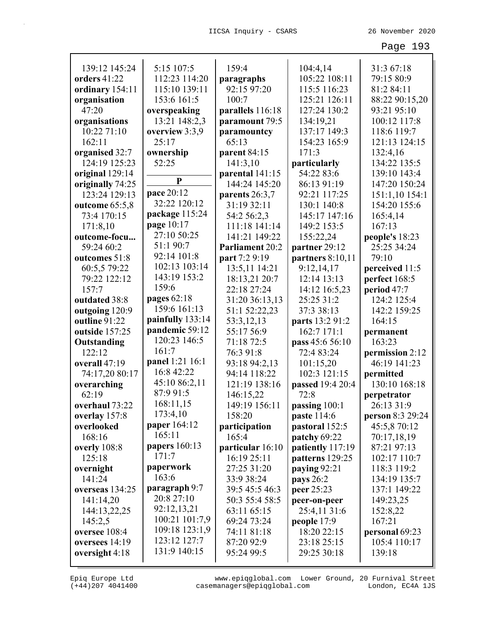| 139:12 145:24    | 5:15 107:5       | 159:4            | 104:4,14           | 31:3 67:18       |
|------------------|------------------|------------------|--------------------|------------------|
| orders 41:22     | 112:23 114:20    | paragraphs       | 105:22 108:11      | 79:15 80:9       |
| ordinary 154:11  | 115:10 139:11    | 92:15 97:20      | 115:5 116:23       | 81:2 84:11       |
| organisation     | 153:6 161:5      | 100:7            | 125:21 126:11      | 88:22 90:15,20   |
| 47:20            | overspeaking     | parallels 116:18 | 127:24 130:2       | 93:21 95:10      |
| organisations    | 13:21 148:2,3    | paramount 79:5   | 134:19,21          | 100:12 117:8     |
| 10:22 71:10      | overview 3:3,9   | paramountcy      | 137:17 149:3       | 118:6 119:7      |
| 162:11           | 25:17            | 65:13            | 154:23 165:9       | 121:13 124:15    |
| organised 32:7   | ownership        | parent 84:15     | 171:3              | 132:4,16         |
| 124:19 125:23    | 52:25            | 141:3,10         | particularly       | 134:22 135:5     |
| original 129:14  |                  | parental 141:15  | 54:22 83:6         | 139:10 143:4     |
| originally 74:25 | ${\bf P}$        | 144:24 145:20    | 86:13 91:19        | 147:20 150:24    |
| 123:24 129:13    | pace 20:12       | parents 26:3,7   | 92:21 117:25       | 151:1,10 154:1   |
| outcome 65:5,8   | 32:22 120:12     | 31:19 32:11      | 130:1 140:8        | 154:20 155:6     |
| 73:4 170:15      | package 115:24   | 54:2 56:2,3      | 145:17 147:16      | 165:4,14         |
| 171:8,10         | page 10:17       | 111:18 141:14    | 149:2 153:5        | 167:13           |
| outcome-focu     | 27:10 50:25      | 141:21 149:22    | 155:22,24          | people's 18:23   |
| 59:24 60:2       | 51:1 90:7        | Parliament 20:2  | partner 29:12      | 25:25 34:24      |
| outcomes 51:8    | 92:14 101:8      | part 7:2 9:19    | partners $8:10,11$ | 79:10            |
| 60:5,5 79:22     | 102:13 103:14    | 13:5,11 14:21    | 9:12,14,17         | perceived 11:5   |
| 79:22 122:12     | 143:19 153:2     | 18:13,21 20:7    | 12:14 13:13        | perfect 168:5    |
| 157:7            | 159:6            | 22:18 27:24      | 14:12 16:5,23      | period 47:7      |
| outdated 38:8    | pages $62:18$    | 31:20 36:13,13   | 25:25 31:2         | 124:2 125:4      |
| outgoing 120:9   | 159:6 161:13     | 51:1 52:22,23    | 37:3 38:13         | 142:2 159:25     |
| outline 91:22    | painfully 133:14 | 53:3,12,13       | parts 13:2 91:2    | 164:15           |
| outside 157:25   | pandemic 59:12   | 55:17 56:9       | 162:7 171:1        | permanent        |
| Outstanding      | 120:23 146:5     | 71:18 72:5       | pass 45:6 56:10    | 163:23           |
| 122:12           | 161:7            | 76:3 91:8        | 72:4 83:24         | permission 2:12  |
| overall 47:19    | panel 1:21 16:1  | 93:18 94:2,13    | 101:15,20          | 46:19 141:23     |
| 74:17,20 80:17   | 16:8 42:22       | 94:14 118:22     | 102:3 121:15       | permitted        |
| overarching      | 45:10 86:2,11    | 121:19 138:16    | passed 19:4 20:4   | 130:10 168:18    |
| 62:19            | 87:9 91:5        | 146:15,22        | 72:8               | perpetrator      |
| overhaul 73:22   | 168:11,15        | 149:19 156:11    | passing 100:1      | 26:13 31:9       |
| overlay 157:8    | 173:4,10         | 158:20           | <b>paste</b> 114:6 | person 8:3 29:24 |
| overlooked       | paper 164:12     | participation    | pastoral 152:5     | 45:5,8 70:12     |
| 168:16           | 165:11           | 165:4            | patchy 69:22       | 70:17,18,19      |
| overly 108:8     | papers 160:13    | particular 16:10 | patiently 117:19   | 87:21 97:13      |
| 125:18           | 171:7            | 16:19 25:11      | patterns 129:25    | 102:17 110:7     |
| overnight        | paperwork        | 27:25 31:20      | paying 92:21       | 118:3 119:2      |
| 141:24           | 163:6            | 33:9 38:24       | pays 26:2          | 134:19 135:7     |
| overseas 134:25  | paragraph 9:7    | 39:5 45:5 46:3   | peer 25:23         | 137:1 149:22     |
| 141:14,20        | 20:8 27:10       | 50:3 55:4 58:5   | peer-on-peer       | 149:23,25        |
| 144:13,22,25     | 92:12,13,21      | 63:11 65:15      | 25:4,11 31:6       | 152:8,22         |
| 145:2,5          | 100:21 101:7,9   | 69:24 73:24      | people 17:9        | 167:21           |
| oversee 108:4    | 109:18 123:1,9   | 74:11 81:18      | 18:20 22:15        | personal 69:23   |
| oversees 14:19   | 123:12 127:7     | 87:20 92:9       | 23:18 25:15        | 105:4 110:17     |
|                  |                  |                  |                    |                  |
| oversight 4:18   | 131:9 140:15     | 95:24 99:5       | 29:25 30:18        | 139:18           |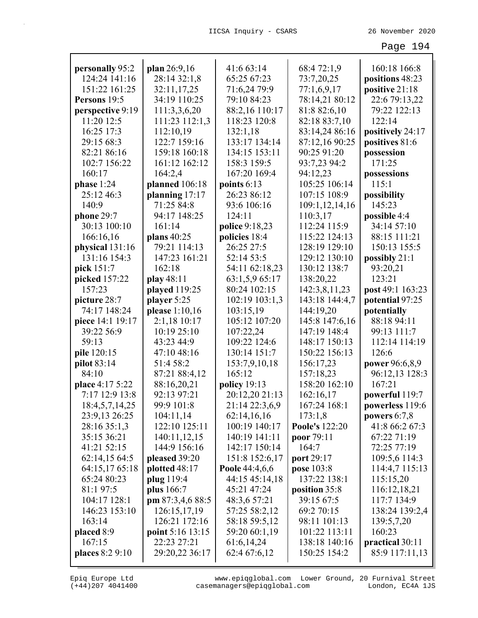| personally 95:2  | plan 26:9,16            | 41:6 63:14     | 68:4 72:1,9    | 160:18 166:8         |
|------------------|-------------------------|----------------|----------------|----------------------|
| 124:24 141:16    | 28:14 32:1,8            | 65:25 67:23    | 73:7,20,25     | positions 48:23      |
| 151:22 161:25    | 32:11,17,25             | 71:6,24 79:9   | 77:1,6,9,17    | positive 21:18       |
| Persons 19:5     | 34:19 110:25            | 79:10 84:23    | 78:14,21 80:12 | 22:6 79:13,22        |
| perspective 9:19 | 111:3,3,6,20            | 88:2,16 110:17 | 81:8 82:6,10   | 79:22 122:13         |
| 11:20 12:5       | 111:23 112:1,3          | 118:23 120:8   | 82:18 83:7,10  | 122:14               |
| 16:25 17:3       | 112:10,19               | 132:1,18       | 83:14,24 86:16 | positively 24:17     |
| 29:15 68:3       | 122:7 159:16            | 133:17 134:14  | 87:12,16 90:25 | positives 81:6       |
| 82:21 86:16      | 159:18 160:18           | 134:15 153:11  | 90:25 91:20    | possession           |
| 102:7 156:22     | 161:12 162:12           | 158:3 159:5    | 93:7,23 94:2   | 171:25               |
| 160:17           | 164:2,4                 | 167:20 169:4   | 94:12,23       |                      |
| phase $1:24$     |                         | points $6:13$  | 105:25 106:14  | possessions<br>115:1 |
|                  | planned 106:18          |                | 107:15 108:9   |                      |
| 25:12 46:3       | planning 17:17          | 26:23 86:12    |                | possibility          |
| 140:9            | 71:25 84:8              | 93:6 106:16    | 109:1,12,14,16 | 145:23               |
| phone 29:7       | 94:17 148:25            | 124:11         | 110:3,17       | possible 4:4         |
| 30:13 100:10     | 161:14                  | police 9:18,23 | 112:24 115:9   | 34:14 57:10          |
| 166:16,16        | plans 40:25             | policies 18:4  | 115:22 124:13  | 88:15 111:21         |
| physical 131:16  | 79:21 114:13            | 26:25 27:5     | 128:19 129:10  | 150:13 155:5         |
| 131:16 154:3     | 147:23 161:21           | 52:14 53:5     | 129:12 130:10  | possibly 21:1        |
| pick 151:7       | 162:18                  | 54:11 62:18,23 | 130:12 138:7   | 93:20,21             |
| picked 157:22    | play 48:11              | 63:1,5,9 65:17 | 138:20,22      | 123:21               |
| 157:23           | played 119:25           | 80:24 102:15   | 142:3,8,11,23  | post 49:1 163:23     |
| picture 28:7     | player 5:25             | 102:19 103:1,3 | 143:18 144:4,7 | potential 97:25      |
| 74:17 148:24     | please 1:10,16          | 103:15,19      | 144:19,20      | potentially          |
| piece 14:1 19:17 | 2:1,18 10:17            | 105:12 107:20  | 145:8 147:6,16 | 88:18 94:11          |
| 39:22 56:9       | 10:19 25:10             | 107:22,24      | 147:19 148:4   | 99:13 111:7          |
| 59:13            | 43:23 44:9              | 109:22 124:6   | 148:17 150:13  | 112:14 114:19        |
| pile 120:15      | 47:10 48:16             | 130:14 151:7   | 150:22 156:13  | 126:6                |
| pilot 83:14      | 51:4 58:2               | 153:7,9,10,18  | 156:17,23      | power 96:6,8,9       |
| 84:10            | 87:21 88:4,12           | 165:12         | 157:18,23      | 96:12,13 128:3       |
| place 4:17 5:22  | 88:16,20,21             | policy 19:13   | 158:20 162:10  | 167:21               |
| 7:17 12:9 13:8   | 92:13 97:21             | 20:12,20 21:13 | 162:16,17      | powerful 119:7       |
| 18:4,5,7,14,25   | 99:9 101:8              | 21:14 22:3,6,9 | 167:24 168:1   | powerless 119:6      |
| 23:9,13 26:25    | 104:11,14               | 62:14,16,16    | 173:1,8        | powers $6:7,8$       |
| 28:16 35:1,3     | 122:10 125:11           | 100:19 140:17  | Poole's 122:20 | 41:8 66:2 67:3       |
| 35:15 36:21      | 140:11,12,15            | 140:19 141:11  | poor 79:11     | 67:22 71:19          |
| 41:21 52:15      | 144:9 156:16            | 142:17 150:14  | 164:7          | 72:25 77:19          |
| 62:14,15 64:5    | pleased 39:20           | 151:8 152:6,17 | port 29:17     | 109:5,6 114:3        |
| 64:15,17 65:18   | plotted 48:17           | Poole 44:4,6,6 | pose 103:8     | 114:4,7 115:13       |
| 65:24 80:23      | plug 119:4              | 44:15 45:14,18 | 137:22 138:1   | 115:15,20            |
| 81:1 97:5        | plus 166:7              | 45:21 47:24    | position 35:8  | 116:12,18,21         |
| 104:17 128:1     | pm 87:3,4,6 88:5        | 48:3,6 57:21   | 39:15 67:5     | 117:7 134:9          |
| 146:23 153:10    | 126:15,17,19            | 57:25 58:2,12  | 69:2 70:15     | 138:24 139:2,4       |
| 163:14           | 126:21 172:16           | 58:18 59:5,12  | 98:11 101:13   | 139:5,7,20           |
| placed 8:9       | <b>point</b> 5:16 13:15 | 59:20 60:1,19  | 101:22 113:11  | 160:23               |
| 167:15           | 22:23 27:21             | 61:6,14,24     | 138:18 140:16  | practical 30:11      |
| places 8:2 9:10  | 29:20,22 36:17          | 62:4 67:6,12   | 150:25 154:2   | 85:9 117:11,13       |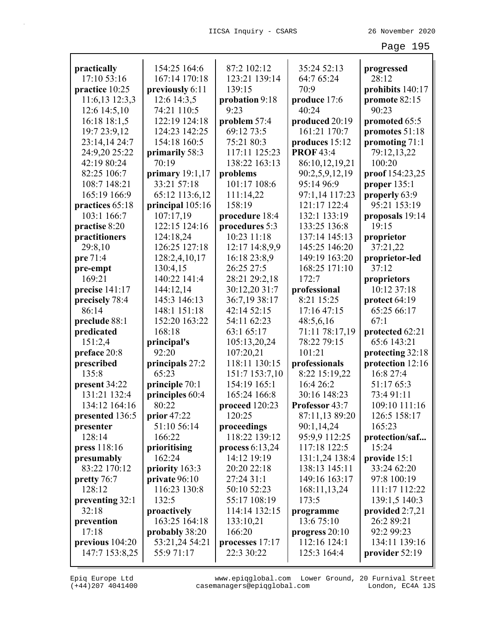| practically                  | 154:25 164:6            | 87:2 102:12                    | 35:24 52:13                        | progressed              |
|------------------------------|-------------------------|--------------------------------|------------------------------------|-------------------------|
| 17:10 53:16                  | 167:14 170:18           | 123:21 139:14                  | 64:7 65:24                         | 28:12                   |
| practice 10:25               | previously 6:11         | 139:15                         | 70:9                               | prohibits 140:17        |
| 11:6,13 12:3,3               | 12:6 14:3,5             | probation 9:18                 | produce 17:6                       | promote 82:15           |
| 12:6 14:5,10                 | 74:21 110:5             | 9:23                           | 40:24                              | 90:23                   |
| 16:18 18:1,5                 | 122:19 124:18           | problem 57:4                   | produced 20:19                     | promoted 65:5           |
| 19:7 23:9,12                 | 124:23 142:25           | 69:12 73:5                     | 161:21 170:7                       | promotes 51:18          |
| 23:14,14 24:7                | 154:18 160:5            | 75:21 80:3                     | produces 15:12<br><b>PROF 43:4</b> | promoting 71:1          |
| 24:9,20 25:22<br>42:19 80:24 | primarily 58:3<br>70:19 | 117:11 125:23<br>138:22 163:13 | 86:10,12,19,21                     | 79:12,13,22<br>100:20   |
| 82:25 106:7                  | primary $19:1,17$       | problems                       | 90:2,5,9,12,19                     | proof 154:23,25         |
| 108:7 148:21                 | 33:21 57:18             | 101:17 108:6                   | 95:14 96:9                         | proper $135:1$          |
| 165:19 166:9                 | 65:12 113:6,12          | 111:14,22                      | 97:1,14 117:23                     | properly 63:9           |
| practices 65:18              | principal 105:16        | 158:19                         | 121:17 122:4                       | 95:21 153:19            |
| 103:1 166:7                  | 107:17,19               | procedure 18:4                 | 132:1 133:19                       | proposals 19:14         |
| practise 8:20                | 122:15 124:16           | procedures 5:3                 | 133:25 136:8                       | 19:15                   |
| practitioners                | 124:18,24               | 10:23 11:18                    | 137:14 145:13                      | proprietor              |
| 29:8,10                      | 126:25 127:18           | 12:17 14:8,9,9                 | 145:25 146:20                      | 37:21,22                |
| pre 71:4                     | 128:2,4,10,17           | 16:18 23:8,9                   | 149:19 163:20                      | proprietor-led          |
| pre-empt                     | 130:4,15                | 26:25 27:5                     | 168:25 171:10                      | 37:12                   |
| 169:21                       | 140:22 141:4            | 28:21 29:2,18                  | 172:7                              | proprietors             |
| precise 141:17               | 144:12,14               | 30:12,20 31:7                  | professional                       | 10:12 37:18             |
| precisely 78:4               | 145:3 146:13            | 36:7,19 38:17                  | 8:21 15:25                         | protect 64:19           |
| 86:14                        | 148:1 151:18            | 42:14 52:15                    | 17:16 47:15                        | 65:25 66:17             |
| preclude 88:1                | 152:20 163:22           | 54:11 62:23                    | 48:5,6,16                          | 67:1                    |
| predicated                   | 168:18                  | 63:1 65:17                     | 71:11 78:17,19                     | protected 62:21         |
| 151:2,4                      | principal's             | 105:13,20,24                   | 78:22 79:15                        | 65:6 143:21             |
| preface 20:8                 | 92:20                   | 107:20,21                      | 101:21                             | protecting 32:18        |
| prescribed                   | principals 27:2         | 118:11 130:15                  | professionals                      | protection 12:16        |
| 135:8                        | 65:23                   | 151:7 153:7,10                 | 8:22 15:19,22                      | 16:8 27:4               |
| present 34:22                | principle 70:1          | 154:19 165:1                   | 16:4 26:2                          | 51:17 65:3              |
| 131:21 132:4                 | principles 60:4         | 165:24 166:8                   | 30:16 148:23                       | 73:4 91:11              |
| 134:12 164:16                | 80:22                   | proceed 120:23                 | Professor 43:7                     | 109:10 111:16           |
| presented 136:5              | prior $47:22$           | 120:25                         | 87:11,13 89:20                     | 126:5 158:17            |
| presenter<br>128:14          | 51:10 56:14<br>166:22   | proceedings<br>118:22 139:12   | 90:1,14,24                         | 165:23                  |
| press 118:16                 |                         | process $6:13,24$              | 95:9,9 112:25<br>117:18 122:5      | protection/saf<br>15:24 |
| presumably                   | prioritising<br>162:24  | 14:12 19:19                    | 131:1,24 138:4                     | provide 15:1            |
| 83:22 170:12                 | priority 163:3          | 20:20 22:18                    | 138:13 145:11                      | 33:24 62:20             |
| pretty 76:7                  | private 96:10           | 27:24 31:1                     | 149:16 163:17                      | 97:8 100:19             |
| 128:12                       | 116:23 130:8            | 50:10 52:23                    | 168:11,13,24                       | 111:17 112:22           |
| preventing 32:1              | 132:5                   | 55:17 108:19                   | 173:5                              | 139:1,5 140:3           |
| 32:18                        | proactively             | 114:14 132:15                  | programme                          | provided $2:7,21$       |
| prevention                   | 163:25 164:18           | 133:10,21                      | 13:6 75:10                         | 26:2 89:21              |
| 17:18                        | probably 38:20          | 166:20                         | progress $20:10$                   | 92:2 99:23              |
| previous 104:20              | 53:21,24 54:21          | processes 17:17                | 112:16 124:1                       | 134:11 139:16           |
| 147:7 153:8,25               | 55:971:17               | 22:3 30:22                     | 125:3 164:4                        | provider 52:19          |
|                              |                         |                                |                                    |                         |

(+44)207 4041400 casemanagers@epiqglobal.com London, EC4A 1JS www.epiqglobal.com Lower Ground, 20 Furnival Street

Л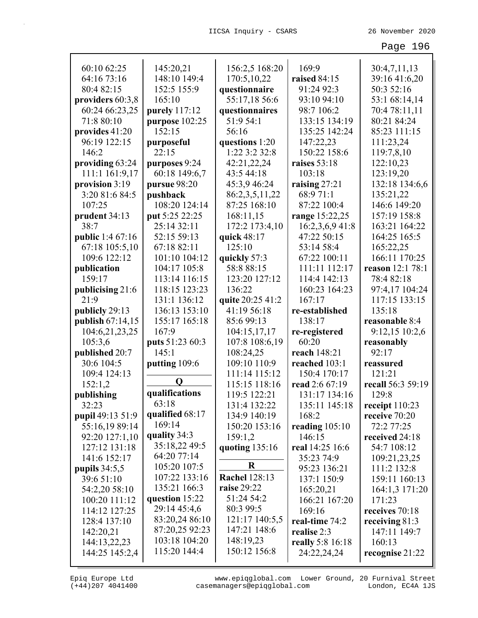| 60:10 62:25      | 145:20,21       | 156:2,5 168:20       | 169:9            | 30:4,7,11,13            |
|------------------|-----------------|----------------------|------------------|-------------------------|
| 64:16 73:16      | 148:10 149:4    | 170:5,10,22          | raised 84:15     | 39:16 41:6,20           |
| 80:4 82:15       | 152:5 155:9     | questionnaire        | 91:24 92:3       | 50:3 52:16              |
| providers 60:3,8 | 165:10          | 55:17,18 56:6        | 93:10 94:10      | 53:1 68:14,14           |
| 60:24 66:23,25   | purely 117:12   | questionnaires       | 98:7 106:2       | 70:4 78:11,11           |
| 71:8 80:10       | purpose 102:25  | 51:9 54:1            | 133:15 134:19    | 80:21 84:24             |
| provides 41:20   | 152:15          | 56:16                | 135:25 142:24    | 85:23 111:15            |
| 96:19 122:15     | purposeful      | questions 1:20       | 147:22,23        | 111:23,24               |
| 146:2            | 22:15           | $1:22$ 3:2 32:8      | 150:22 158:6     | 119:7,8,10              |
| providing 63:24  | purposes 9:24   | 42:21,22,24          | raises 53:18     | 122:10,23               |
| 111:1 161:9,17   | 60:18 149:6,7   | 43:5 44:18           | 103:18           | 123:19,20               |
| provision 3:19   | pursue 98:20    | 45:3,9 46:24         | raising $27:21$  | 132:18 134:6,6          |
| 3:20 81:6 84:5   | pushback        | 86:2,3,5,11,22       | 68:971:1         | 135:21,22               |
| 107:25           | 108:20 124:14   | 87:25 168:10         | 87:22 100:4      | 146:6 149:20            |
| prudent 34:13    | put 5:25 22:25  | 168:11,15            | range 15:22,25   | 157:19 158:8            |
| 38:7             | 25:14 32:11     | 172:2 173:4,10       | 16:2,3,6,9 41:8  | 163:21 164:22           |
| public 1:4 67:16 | 52:15 59:13     | quick 48:17          | 47:22 50:15      | 164:25 165:5            |
| 67:18 105:5,10   | 67:18 82:11     | 125:10               | 53:14 58:4       | 165:22,25               |
| 109:6 122:12     | 101:10 104:12   | quickly 57:3         | 67:22 100:11     | 166:11 170:25           |
| publication      | 104:17 105:8    | 58:888:15            | 111:11 112:17    | <b>reason</b> 12:1 78:1 |
| 159:17           | 113:14 116:15   | 123:20 127:12        | 114:4 142:13     | 78:482:18               |
| publicising 21:6 | 118:15 123:23   | 136:22               | 160:23 164:23    | 97:4,17 104:24          |
| 21:9             | 131:1 136:12    | quite 20:25 41:2     | 167:17           | 117:15 133:15           |
| publicly 29:13   | 136:13 153:10   | 41:19 56:18          | re-established   | 135:18                  |
| publish 67:14,15 | 155:17 165:18   | 85:699:13            | 138:17           | reasonable 8:4          |
| 104:6,21,23,25   | 167:9           | 104:15,17,17         | re-registered    | 9:12,15 10:2,6          |
| 105:3,6          | puts 51:23 60:3 | 107:8 108:6,19       | 60:20            | reasonably              |
| published 20:7   | 145:1           | 108:24,25            | reach 148:21     | 92:17                   |
| 30:6 104:5       | putting 109:6   | 109:10 110:9         | reached 103:1    | reassured               |
| 109:4 124:13     |                 | 111:14 115:12        | 150:4 170:17     | 121:21                  |
| 152:1,2          | O               | 115:15 118:16        | read 2:6 67:19   | recall 56:3 59:19       |
| publishing       | qualifications  | 119:5 122:21         | 131:17 134:16    | 129:8                   |
| 32:23            | 63:18           | 131:4 132:22         | 135:11 145:18    | receipt 110:23          |
| pupil 49:13 51:9 | qualified 68:17 | 134:9 140:19         | 168:2            | receive 70:20           |
| 55:16,19 89:14   | 169:14          | 150:20 153:16        | reading $105:10$ | 72:2 77:25              |
| 92:20 127:1,10   | quality 34:3    | 159:1,2              | 146:15           | received 24:18          |
| 127:12 131:18    | 35:18,22 49:5   | quoting $135:16$     | real 14:25 16:6  | 54:7 108:12             |
| 141:6 152:17     | 64:20 77:14     |                      | 35:23 74:9       | 109:21,23,25            |
| pupils $34:5,5$  | 105:20 107:5    | $\bf R$              | 95:23 136:21     | 111:2 132:8             |
| 39:6 51:10       | 107:22 133:16   | <b>Rachel 128:13</b> | 137:1 150:9      | 159:11 160:13           |
| 54:2,20 58:10    | 135:21 166:3    | raise 29:22          | 165:20,21        | 164:1,3 171:20          |
| 100:20 111:12    | question 15:22  | 51:24 54:2           | 166:21 167:20    | 171:23                  |
| 114:12 127:25    | 29:14 45:4,6    | 80:3 99:5            | 169:16           | receives 70:18          |
| 128:4 137:10     | 83:20,24 86:10  | 121:17 140:5,5       | real-time 74:2   | receiving $81:3$        |
| 142:20,21        | 87:20,25 92:23  | 147:21 148:6         | realise 2:3      | 147:11 149:7            |
| 144:13,22,23     | 103:18 104:20   | 148:19,23            | really 5:8 16:18 | 160:13                  |
| 144:25 145:2,4   |                 |                      |                  |                         |
|                  | 115:20 144:4    | 150:12 156:8         | 24:22,24,24      | recognise 21:22         |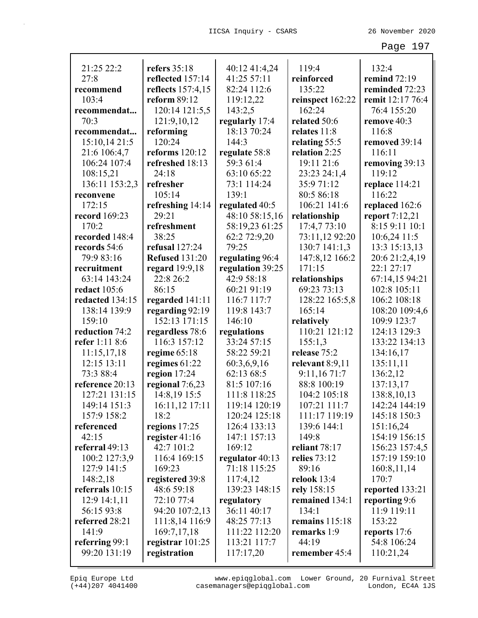| 21:25 22:2      | refers $35:18$        | 40:12 41:4,24    | 119:4             | 132:4                 |
|-----------------|-----------------------|------------------|-------------------|-----------------------|
| 27:8            | reflected 157:14      | 41:25 57:11      | reinforced        | remind 72:19          |
| recommend       | reflects 157:4,15     | 82:24 112:6      | 135:22            | reminded 72:23        |
| 103:4           | reform 89:12          | 119:12,22        | reinspect 162:22  | remit 12:17 76:4      |
| recommendat     | 120:14 121:5,5        | 143:2,5          | 162:24            | 76:4 155:20           |
| 70:3            | 121:9,10,12           | regularly 17:4   | related 50:6      | remove 40:3           |
| recommendat     | reforming             | 18:13 70:24      | relates 11:8      | 116:8                 |
| 15:10,14 21:5   | 120:24                | 144:3            | relating 55:5     | removed 39:14         |
| 21:6 106:4,7    | reforms $120:12$      | regulate 58:8    | relation 2:25     | 116:11                |
| 106:24 107:4    | refreshed 18:13       | 59:3 61:4        | 19:11 21:6        | removing 39:13        |
| 108:15,21       | 24:18                 | 63:10 65:22      | 23:23 24:1,4      | 119:12                |
| 136:11 153:2,3  | refresher             | 73:1 114:24      | 35:971:12         | replace 114:21        |
| reconvene       | 105:14                | 139:1            | 80:5 86:18        | 116:22                |
| 172:15          | refreshing 14:14      | regulated 40:5   | 106:21 141:6      | replaced 162:6        |
| record 169:23   | 29:21                 | 48:10 58:15,16   | relationship      | <b>report</b> 7:12,21 |
| 170:2           | refreshment           | 58:19,23 61:25   | 17:4,773:10       | 8:15 9:11 10:1        |
| recorded 148:4  | 38:25                 | 62:2 72:9,20     | 73:11,12 92:20    | 10:6,24 11:5          |
| records 54:6    | refusal 127:24        | 79:25            | $130:7$ $141:1,3$ | 13:3 15:13,13         |
| 79:9 83:16      | <b>Refused 131:20</b> | regulating 96:4  | 147:8,12 166:2    | 20:6 21:2,4,19        |
| recruitment     | regard 19:9,18        | regulation 39:25 | 171:15            | 22:1 27:17            |
| 63:14 143:24    | 22:8 26:2             | 42:9 58:18       | relationships     | 67:14,15 94:21        |
| redact 105:6    | 86:15                 | 60:21 91:19      | 69:23 73:13       | 102:8 105:11          |
| redacted 134:15 | regarded 141:11       | 116:7 117:7      | 128:22 165:5,8    | 106:2 108:18          |
| 138:14 139:9    | regarding 92:19       | 119:8 143:7      | 165:14            | 108:20 109:4,6        |
| 159:10          | 152:13 171:15         | 146:10           | relatively        | 109:9 123:7           |
| reduction 74:2  | regardless 78:6       | regulations      | 110:21 121:12     | 124:13 129:3          |
| refer 1:11 8:6  | 116:3 157:12          | 33:24 57:15      | 155:1,3           | 133:22 134:13         |
| 11:15,17,18     | regime 65:18          | 58:22 59:21      | release 75:2      | 134:16,17             |
| 12:15 13:11     | regimes 61:22         | 60:3,6,9,16      | relevant 8:9,11   | 135:11,11             |
| 73:3 88:4       | region $17:24$        | 62:13 68:5       | 9:11,1671:7       | 136:2,12              |
| reference 20:13 | regional 7:6,23       | 81:5 107:16      | 88:8 100:19       | 137:13,17             |
| 127:21 131:15   | 14:8,19 15:5          | 111:8 118:25     | 104:2 105:18      | 138:8,10,13           |
| 149:14 151:3    | 16:11,12 17:11        | 119:14 120:19    | 107:21 111:7      | 142:24 144:19         |
| 157:9 158:2     | 18:2                  | 120:24 125:18    | 111:17 119:19     | 145:18 150:3          |
| referenced      | regions 17:25         | 126:4 133:13     | 139:6 144:1       | 151:16,24             |
| 42:15           | register 41:16        | 147:1 157:13     | 149:8             | 154:19 156:15         |
| referral 49:13  | 42:7 101:2            | 169:12           | reliant 78:17     | 156:23 157:4,5        |
| 100:2 127:3,9   | 116:4 169:15          | regulator 40:13  | relies 73:12      | 157:19 159:10         |
| 127:9 141:5     | 169:23                | 71:18 115:25     | 89:16             | 160:8,11,14           |
| 148:2,18        | registered 39:8       | 117:4,12         | relook $13:4$     | 170:7                 |
| referrals 10:15 | 48:6 59:18            | 139:23 148:15    | rely 158:15       | reported 133:21       |
| 12:9 14:1,11    | 72:10 77:4            | regulatory       | remained 134:1    | reporting 9:6         |
| 56:15 93:8      | 94:20 107:2,13        | 36:11 40:17      | 134:1             | 11:9 119:11           |
| referred 28:21  | 111:8,14 116:9        | 48:25 77:13      | remains $115:18$  | 153:22                |
| 141:9           | 169:7,17,18           | 111:22 112:20    | remarks 1:9       | reports 17:6          |
| referring 99:1  | registrar $101:25$    | 113:21 117:7     | 44:19             | 54:8 106:24           |
| 99:20 131:19    | registration          | 117:17,20        | remember 45:4     | 110:21,24             |
|                 |                       |                  |                   |                       |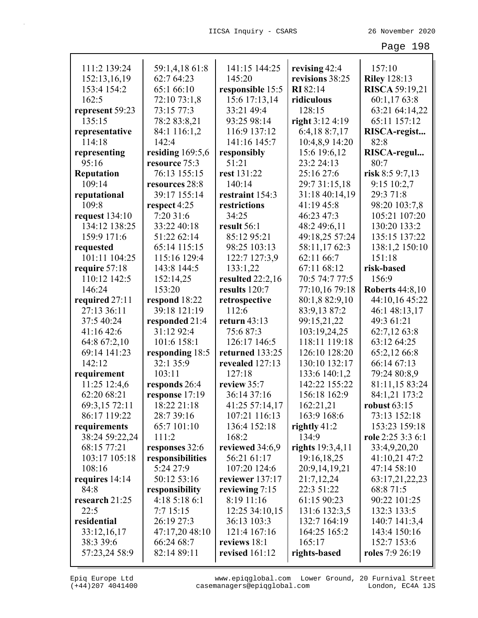|                   |                    | 141:15 144:25    |                                  | 157:10                 |
|-------------------|--------------------|------------------|----------------------------------|------------------------|
| 111:2 139:24      | 59:1,4,18 61:8     |                  | revising 42:4<br>revisions 38:25 |                        |
| 152:13,16,19      | 62:7 64:23         | 145:20           |                                  | <b>Riley 128:13</b>    |
| 153:4 154:2       | 65:1 66:10         | responsible 15:5 | <b>RI</b> 82:14                  | <b>RISCA 59:19,21</b>  |
| 162:5             | 72:10 73:1,8       | 15:6 17:13,14    | ridiculous                       | 60:1,17 63:8           |
| represent 59:23   | 73:15 77:3         | 33:21 49:4       | 128:15                           | 63:21 64:14,22         |
| 135:15            | 78:2 83:8,21       | 93:25 98:14      | right 3:12 4:19                  | 65:11 157:12           |
| representative    | 84:1 116:1,2       | 116:9 137:12     | 6:4,18 8:7,17                    | RISCA-regist           |
| 114:18            | 142:4              | 141:16 145:7     | 10:4,8,9 14:20                   | 82:8                   |
| representing      | residing $169:5,6$ | responsibly      | 15:6 19:6,12                     | RISCA-regul            |
| 95:16             | resource 75:3      | 51:21            | 23:2 24:13                       | 80:7                   |
| <b>Reputation</b> | 76:13 155:15       | rest 131:22      | 25:16 27:6                       | risk 8:5 9:7,13        |
| 109:14            | resources 28:8     | 140:14           | 29:7 31:15,18                    | 9:15 10:2,7            |
| reputational      | 39:17 155:14       | restraint 154:3  | 31:18 40:14,19                   | 29:3 71:8              |
| 109:8             | respect 4:25       | restrictions     | 41:19 45:8                       | 98:20 103:7,8          |
| request 134:10    | 7:20 31:6          | 34:25            | 46:23 47:3                       | 105:21 107:20          |
| 134:12 138:25     | 33:22 40:18        | result 56:1      | 48:2 49:6,11                     | 130:20 133:2           |
| 159:9 171:6       | 51:22 62:14        | 85:12 95:21      | 49:18,25 57:24                   | 135:15 137:22          |
| requested         | 65:14 115:15       | 98:25 103:13     | 58:11,1762:3                     | 138:1,2 150:10         |
| 101:11 104:25     | 115:16 129:4       | 122:7 127:3,9    | 62:11 66:7                       | 151:18                 |
| require 57:18     | 143:8 144:5        | 133:1,22         | 67:11 68:12                      | risk-based             |
| 110:12 142:5      | 152:14,25          | resulted 22:2,16 | 70:5 74:7 77:5                   | 156:9                  |
| 146:24            | 153:20             | results 120:7    | 77:10,16 79:18                   | <b>Roberts 44:8,10</b> |
| required 27:11    | respond 18:22      | retrospective    | 80:1,8 82:9,10                   | 44:10,16 45:22         |
| 27:13 36:11       | 39:18 121:19       | 112:6            | 83:9,13 87:2                     | 46:1 48:13,17          |
| 37:5 40:24        | responded 21:4     | return $43:13$   | 99:15,21,22                      | 49:3 61:21             |
| 41:16 42:6        | 31:12 92:4         | 75:687:3         | 103:19,24,25                     | 62:7,12 63:8           |
| 64:8 67:2,10      | 101:6 158:1        | 126:17 146:5     | 118:11 119:18                    | 63:12 64:25            |
| 69:14 141:23      | responding 18:5    | returned 133:25  | 126:10 128:20                    | 65:2,12 66:8           |
| 142:12            | 32:1 35:9          | revealed 127:13  | 130:10 132:17                    | 66:14 67:13            |
| requirement       | 103:11             | 127:18           | 133:6 140:1,2                    | 79:24 80:8,9           |
| 11:25 12:4,6      | responds 26:4      | review 35:7      | 142:22 155:22                    | 81:11,15 83:24         |
| 62:20 68:21       | response 17:19     | 36:14 37:16      | 156:18 162:9                     | 84:1,21 173:2          |
| 69:3,15 72:11     | 18:22 21:18        | 41:25 57:14,17   | 162:21,21                        | robust 63:15           |
| 86:17 119:22      | 28:7 39:16         | 107:21 116:13    | 163:9 168:6                      | 73:13 152:18           |
| requirements      | 65:7 101:10        | 136:4 152:18     | rightly $41:2$                   | 153:23 159:18          |
| 38:24 59:22,24    | 111:2              | 168:2            | 134:9                            | role 2:25 3:3 6:1      |
| 68:15 77:21       | responses 32:6     | reviewed 34:6,9  | rights $19:3,4,11$               | 33:4,9,20,20           |
| 103:17 105:18     | responsibilities   | 56:21 61:17      | 19:16,18,25                      | 41:10,21 47:2          |
| 108:16            | 5:24 27:9          | 107:20 124:6     | 20:9,14,19,21                    | 47:14 58:10            |
| requires 14:14    | 50:12 53:16        | reviewer 137:17  | 21:7,12,24                       | 63:17,21,22,23         |
| 84:8              | responsibility     | reviewing 7:15   | 22:3 51:22                       | 68:8 71:5              |
| research 21:25    | 4:185:186:1        | 8:19 11:16       | 61:15 90:23                      | 90:22 101:25           |
| 22:5              | 7:715:15           | 12:25 34:10,15   | 131:6 132:3,5                    | 132:3 133:5            |
| residential       | 26:19 27:3         | 36:13 103:3      | 132:7 164:19                     | 140:7 141:3,4          |
| 33:12,16,17       | 47:17,20 48:10     | 121:4 167:16     | 164:25 165:2                     | 143:4 150:16           |
| 38:3 39:6         | 66:24 68:7         | reviews 18:1     | 165:17                           | 152:7 153:6            |
| 57:23,24 58:9     | 82:14 89:11        | revised $161:12$ | rights-based                     | roles 7:9 26:19        |
|                   |                    |                  |                                  |                        |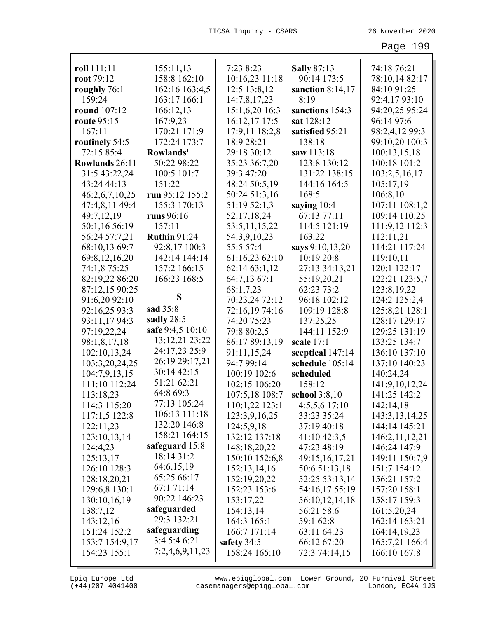| roll 111:11    | 155:11,13           | 7:23 8:23      | <b>Sally 87:13</b> | 74:18 76:21       |
|----------------|---------------------|----------------|--------------------|-------------------|
| root 79:12     | 158:8 162:10        | 10:16,23 11:18 | 90:14 173:5        | 78:10,14 82:17    |
| roughly 76:1   | 162:16 163:4,5      | 12:5 13:8,12   | sanction 8:14,17   | 84:10 91:25       |
| 159:24         | 163:17 166:1        | 14:7,8,17,23   | 8:19               | 92:4,17 93:10     |
| round 107:12   | 166:12,13           | 15:1,6,20 16:3 | sanctions 154:3    | 94:20,25 95:24    |
| route 95:15    | 167:9,23            | 16:12,17 17:5  | sat 128:12         | 96:14 97:6        |
| 167:11         | 170:21 171:9        | 17:9,11 18:2,8 | satisfied 95:21    | 98:2,4,12 99:3    |
| routinely 54:5 | 172:24 173:7        | 18:9 28:21     | 138:18             | 99:10,20 100:3    |
| 72:15 85:4     | Rowlands'           | 29:18 30:12    | saw 113:18         | 100:13,15,18      |
| Rowlands 26:11 | 50:22 98:22         | 35:23 36:7,20  | 123:8 130:12       | 100:18 101:2      |
| 31:5 43:22,24  | 100:5 101:7         | 39:3 47:20     | 131:22 138:15      | 103:2,5,16,17     |
| 43:24 44:13    | 151:22              | 48:24 50:5,19  | 144:16 164:5       | 105:17,19         |
| 46:2,6,7,10,25 | run 95:12 155:2     | 50:24 51:3,16  | 168:5              | 106:8,10          |
| 47:4,8,11 49:4 | 155:3 170:13        | 51:19 52:1,3   | saying 10:4        | 107:11 108:1,2    |
| 49:7,12,19     | runs 96:16          | 52:17,18,24    | 67:13 77:11        | 109:14 110:25     |
| 50:1,16 56:19  | 157:11              | 53:5,11,15,22  | 114:5 121:19       | 111:9,12 112:3    |
| 56:24 57:7,21  | <b>Ruthin 91:24</b> | 54:3,9,10,23   | 163:22             | 112:11,21         |
| 68:10,13 69:7  | 92:8,17 100:3       | 55:5 57:4      | says 9:10,13,20    | 114:21 117:24     |
| 69:8,12,16,20  | 142:14 144:14       | 61:16,23 62:10 | 10:19 20:8         | 119:10,11         |
| 74:1,8 75:25   | 157:2 166:15        | 62:14 63:1,12  | 27:13 34:13,21     | 120:1 122:17      |
| 82:19,22 86:20 | 166:23 168:5        | 64:7,13 67:1   | 55:19,20,21        | 122:21 123:5,7    |
| 87:12,15 90:25 |                     | 68:1,7,23      | 62:23 73:2         | 123:8, 19, 22     |
| 91:6,20 92:10  | S                   | 70:23,24 72:12 | 96:18 102:12       | 124:2 125:2,4     |
| 92:16,25 93:3  | sad 35:8            | 72:16,19 74:16 | 109:19 128:8       | 125:8,21 128:1    |
| 93:11,17 94:3  | sadly 28:5          | 74:20 75:23    | 137:25,25          | 128:17 129:17     |
| 97:19,22,24    | safe 9:4,5 10:10    | 79:8 80:2,5    | 144:11 152:9       | 129:25 131:19     |
| 98:1,8,17,18   | 13:12,21 23:22      | 86:17 89:13,19 | scale 17:1         | 133:25 134:7      |
| 102:10,13,24   | 24:17,23 25:9       | 91:11,15,24    | sceptical 147:14   | 136:10 137:10     |
| 103:3,20,24,25 | 26:19 29:17,21      | 94:7 99:14     | schedule 105:14    | 137:10 140:23     |
| 104:7,9,13,15  | 30:14 42:15         | 100:19 102:6   | scheduled          | 140:24,24         |
| 111:10 112:24  | 51:21 62:21         | 102:15 106:20  | 158:12             | 141:9,10,12,24    |
| 113:18,23      | 64:8 69:3           | 107:5,18 108:7 | school $3:8,10$    | 141:25 142:2      |
| 114:3 115:20   | 77:13 105:24        | 110:1,22 123:1 | $4:5,5,6$ 17:10    | 142:14,18         |
| 117:1,5 122:8  | 106:13 111:18       | 123:3,9,16,25  | 33:23 35:24        | 143:3, 13, 14, 25 |
| 122:11,23      | 132:20 146:8        | 124:5,9,18     | 37:19 40:18        | 144:14 145:21     |
| 123:10,13,14   | 158:21 164:15       | 132:12 137:18  | 41:10 42:3,5       | 146:2,11,12,21    |
| 124:4,23       | safeguard 15:8      | 148:18,20,22   | 47:23 48:19        | 146:24 147:9      |
| 125:13,17      | 18:14 31:2          | 150:10 152:6,8 | 49:15,16,17,21     | 149:11 150:7,9    |
| 126:10 128:3   | 64:6,15,19          | 152:13,14,16   | 50:6 51:13,18      | 151:7 154:12      |
| 128:18,20,21   | 65:25 66:17         | 152:19,20,22   | 52:25 53:13,14     | 156:21 157:2      |
| 129:6,8 130:1  | 67:1 71:14          | 152:23 153:6   | 54:16,17 55:19     | 157:20 158:1      |
| 130:10,16,19   | 90:22 146:23        | 153:17,22      | 56:10,12,14,18     | 158:17 159:3      |
| 138:7,12       | safeguarded         | 154:13,14      | 56:21 58:6         | 161:5,20,24       |
| 143:12,16      | 29:3 132:21         | 164:3 165:1    | 59:1 62:8          | 162:14 163:21     |
| 151:24 152:2   | safeguarding        | 166:7 171:14   | 63:11 64:23        | 164:14,19,23      |
| 153:7 154:9,17 | 3:4 5:4 6:21        | safety 34:5    | 66:12 67:20        | 165:7,21 166:4    |
| 154:23 155:1   | 7:2,4,6,9,11,23     | 158:24 165:10  | 72:3 74:14,15      | 166:10 167:8      |
|                |                     |                |                    |                   |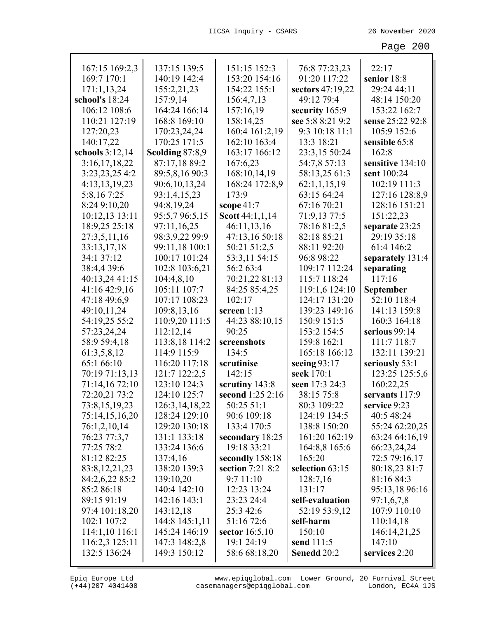| 167:15 169:2,3   | 137:15 139:5      | 151:15 152:3     | 76:8 77:23,23    | 22:17            |
|------------------|-------------------|------------------|------------------|------------------|
| 169:7 170:1      | 140:19 142:4      | 153:20 154:16    | 91:20 117:22     | senior 18:8      |
| 171:1,13,24      | 155:2,21,23       | 154:22 155:1     | sectors 47:19,22 | 29:24 44:11      |
| school's 18:24   | 157:9,14          | 156:4,7,13       | 49:12 79:4       | 48:14 150:20     |
| 106:12 108:6     | 164:24 166:14     | 157:16,19        | security 165:9   | 153:22 162:7     |
| 110:21 127:19    | 168:8 169:10      | 158:14,25        | see 5:8 8:21 9:2 | sense 25:22 92:8 |
| 127:20,23        | 170:23,24,24      | 160:4 161:2,19   | 9:3 10:18 11:1   | 105:9 152:6      |
| 140:17,22        | 170:25 171:5      | 162:10 163:4     | 13:3 18:21       | sensible 65:8    |
| schools 3:12,14  | Scolding 87:8,9   | 163:17 166:12    | 23:3,15 50:24    | 162:8            |
| 3:16,17,18,22    | 87:17,18 89:2     | 167:6,23         | 54:7,8 57:13     | sensitive 134:10 |
| 3:23,23,25 4:2   | 89:5,8,16 90:3    | 168:10,14,19     | 58:13,25 61:3    | sent 100:24      |
| 4:13,13,19,23    | 90:6,10,13,24     | 168:24 172:8,9   | 62:1,1,15,19     | 102:19 111:3     |
| 5:8,167:25       | 93:1,4,15,23      | 173:9            | 63:15 64:24      | 127:16 128:8,9   |
| 8:24 9:10,20     | 94:8,19,24        | scope $41:7$     | 67:16 70:21      | 128:16 151:21    |
| 10:12,13 13:11   | 95:5,7 96:5,15    | Scott 44:1,1,14  | 71:9,13 77:5     | 151:22,23        |
| 18:9,25 25:18    | 97:11,16,25       | 46:11,13,16      | 78:16 81:2,5     | separate 23:25   |
| 27:3,5,11,16     | 98:3,9,22 99:9    | 47:13,16 50:18   | 82:18 85:21      | 29:19 35:18      |
| 33:13,17,18      | 99:11,18 100:1    | 50:21 51:2,5     | 88:11 92:20      | 61:4 146:2       |
| 34:1 37:12       | 100:17 101:24     | 53:3,11 54:15    | 96:8 98:22       | separately 131:4 |
| 38:4,4 39:6      | 102:8 103:6,21    | 56:2 63:4        | 109:17 112:24    | separating       |
| 40:13,24 41:15   | 104:4,8,10        | 70:21,22 81:13   | 115:7 118:24     | 117:16           |
| 41:16 42:9,16    | 105:11 107:7      | 84:25 85:4,25    | 119:1,6 124:10   | September        |
| 47:18 49:6,9     | 107:17 108:23     | 102:17           | 124:17 131:20    | 52:10 118:4      |
| 49:10,11,24      | 109:8,13,16       | screen 1:13      | 139:23 149:16    | 141:13 159:8     |
| 54:19,25 55:2    | 110:9,20 111:5    | 44:23 88:10,15   | 150:9 151:5      | 160:3 164:18     |
| 57:23,24,24      | 112:12,14         | 90:25            | 153:2 154:5      | serious 99:14    |
| 58:9 59:4,18     | 113:8,18 114:2    | screenshots      | 159:8 162:1      | 111:7 118:7      |
| 61:3,5,8,12      | 114:9 115:9       | 134:5            | 165:18 166:12    | 132:11 139:21    |
| 65:1 66:10       | 116:20 117:18     | scrutinise       | seeing $93:17$   | seriously 53:1   |
| 70:19 71:13,13   | 121:7 122:2,5     | 142:15           | seek 170:1       | 123:25 125:5,6   |
| 71:14,16 72:10   | 123:10 124:3      | scrutiny 143:8   | seen 17:3 24:3   | 160:22,25        |
| 72:20,21 73:2    | 124:10 125:7      | second 1:25 2:16 | 38:15 75:8       | servants 117:9   |
| 73:8,15,19,23    | 126:3, 14, 18, 22 | 50:25 51:1       | 80:3 109:22      | service 9:23     |
| 75:14,15,16,20   | 128:24 129:10     | 90:6 109:18      | 124:19 134:5     | 40:5 48:24       |
| 76:1,2,10,14     | 129:20 130:18     | 133:4 170:5      | 138:8 150:20     | 55:24 62:20,25   |
| 76:23 77:3,7     | 131:1 133:18      | secondary 18:25  | 161:20 162:19    | 63:24 64:16,19   |
| 77:25 78:2       | 133:24 136:6      | 19:18 33:21      | 164:8,8 165:6    | 66:23,24,24      |
| 81:12 82:25      | 137:4,16          | secondly 158:18  | 165:20           | 72:5 79:16,17    |
| 83:8, 12, 21, 23 | 138:20 139:3      | section 7:21 8:2 | selection 63:15  | 80:18,23 81:7    |
| 84:2,6,22 85:2   | 139:10,20         | 9:7 11:10        | 128:7,16         | 81:16 84:3       |
| 85:2 86:18       | 140:4 142:10      | 12:23 13:24      | 131:17           | 95:13,18 96:16   |
| 89:15 91:19      | 142:16 143:1      | 23:23 24:4       | self-evaluation  | 97:1,6,7,8       |
| 97:4 101:18,20   | 143:12,18         | 25:3 42:6        | 52:19 53:9,12    | 107:9 110:10     |
| 102:1 107:2      | 144:8 145:1,11    | 51:16 72:6       | self-harm        | 110:14,18        |
| 114:1,10 116:1   | 145:24 146:19     | sector $16:5,10$ | 150:10           | 146:14,21,25     |
| 116:2,3 125:11   | 147:3 148:2,8     | 19:1 24:19       | send 111:5       | 147:10           |
| 132:5 136:24     | 149:3 150:12      | 58:6 68:18,20    | Senedd 20:2      | services 2:20    |

(+44)207 4041400 casemanagers@epiqglobal.com London, EC4A 1JS www.epiqglobal.com Lower Ground, 20 Furnival Street

┚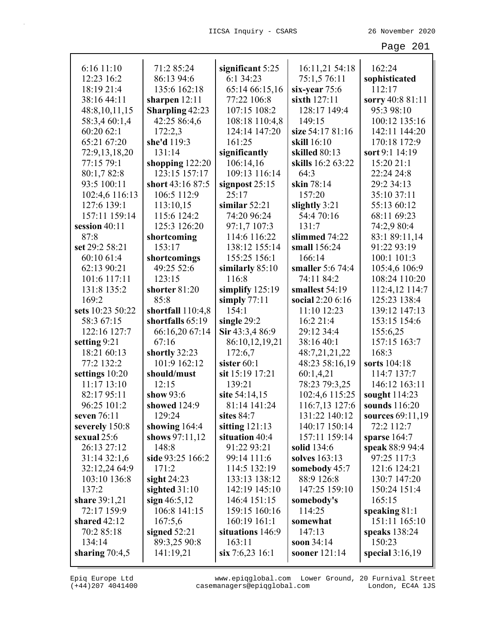| 6:16 11:10       | 71:2 85:24             | significant 5:25   | 16:11,21 54:18    | 162:24            |
|------------------|------------------------|--------------------|-------------------|-------------------|
| 12:23 16:2       | 86:13 94:6             | 6:1 34:23          | 75:1,5 76:11      | sophisticated     |
| 18:19 21:4       | 135:6 162:18           | 65:14 66:15,16     | six-year 75:6     | 112:17            |
| 38:16 44:11      | sharpen $12:11$        | 77:22 106:8        | sixth $127:11$    | sorry 40:8 81:11  |
| 48:8,10,11,15    | <b>Sharpling 42:23</b> | 107:15 108:2       | 128:17 149:4      | 95:3 98:10        |
| 58:3,4 60:1,4    | 42:25 86:4,6           | 108:18 110:4,8     | 149:15            | 100:12 135:16     |
| 60:20 62:1       | 172:2,3                | 124:14 147:20      | size 54:17 81:16  | 142:11 144:20     |
| 65:21 67:20      | she'd 119:3            | 161:25             | skill 16:10       | 170:18 172:9      |
| 72:9,13,18,20    | 131:14                 | significantly      | skilled 80:13     | sort 9:1 14:19    |
| 77:15 79:1       | shopping 122:20        | 106:14,16          | skills 16:2 63:22 | 15:20 21:1        |
| 80:1,782:8       | 123:15 157:17          | 109:13 116:14      | 64:3              | 22:24 24:8        |
| 93:5 100:11      | short 43:16 87:5       | signpost $25:15$   | skin 78:14        | 29:2 34:13        |
| 102:4,6 116:13   | 106:5 112:9            | 25:17              | 157:20            | 35:10 37:11       |
| 127:6 139:1      | 113:10,15              | similar $52:21$    | slightly 3:21     | 55:13 60:12       |
| 157:11 159:14    | 115:6 124:2            | 74:20 96:24        | 54:4 70:16        | 68:11 69:23       |
| session 40:11    | 125:3 126:20           | 97:1,7 107:3       | 131:7             | 74:2,9 80:4       |
| 87:8             | shortcoming            | 114:6 116:22       | slimmed 74:22     | 83:1 89:11,14     |
| set 29:2 58:21   | 153:17                 | 138:12 155:14      | small 156:24      | 91:22 93:19       |
| 60:10 61:4       | shortcomings           | 155:25 156:1       | 166:14            | 100:1 101:3       |
| 62:13 90:21      | 49:25 52:6             | similarly $85:10$  | smaller 5:6 74:4  | 105:4,6 106:9     |
| 101:6 117:11     | 123:15                 | 116:8              | 74:11 84:2        | 108:24 110:20     |
| 131:8 135:2      | shorter 81:20          | simplify $125:19$  | smallest 54:19    | 112:4,12 114:7    |
| 169:2            | 85:8                   | simply $77:11$     | social 2:20 6:16  | 125:23 138:4      |
| sets 10:23 50:22 | shortfall 110:4,8      | 154:1              | 11:10 12:23       | 139:12 147:13     |
| 58:3 67:15       | shortfalls 65:19       | single 29:2        | 16:2 21:4         | 153:15 154:6      |
| 122:16 127:7     | 66:16,20 67:14         | Sir 43:3,4 86:9    | 29:12 34:4        | 155:6,25          |
| setting 9:21     | 67:16                  | 86:10,12,19,21     | 38:16 40:1        | 157:15 163:7      |
| 18:21 60:13      | shortly 32:23          | 172:6,7            | 48:7,21,21,22     | 168:3             |
| 77:2 132:2       | 101:9 162:12           | sister 60:1        | 48:23 58:16,19    | sorts 104:18      |
| settings 10:20   | should/must            | sit 15:19 17:21    | 60:1,4,21         | 114:7 137:7       |
| 11:17 13:10      | 12:15                  | 139:21             | 78:23 79:3,25     | 146:12 163:11     |
| 82:17 95:11      | show $93:6$            | site 54:14,15      | 102:4,6 115:25    | sought $114:23$   |
| 96:25 101:2      | showed 124:9           | 81:14 141:24       | 116:7,13 127:6    | sounds 116:20     |
| seven $76:11$    | 129:24                 | sites 84:7         | 131:22 140:12     | sources 69:11,19  |
| severely 150:8   | showing $164:4$        | sitting $121:13$   | 140:17 150:14     | 72:2 112:7        |
| sexual $25:6$    | shows $97:11,12$       | situation 40:4     | 157:11 159:14     | sparse $164:7$    |
| 26:13 27:12      | 148:8                  | 91:22 93:21        | solid 134:6       | speak 88:9 94:4   |
| 31:1432:1,6      | side 93:25 166:2       | 99:14 111:6        | solves 163:13     | 97:25 117:3       |
| 32:12,24 64:9    | 171:2                  | 114:5 132:19       | somebody 45:7     | 121:6 124:21      |
| 103:10 136:8     | sight $24:23$          | 133:13 138:12      | 88:9 126:8        | 130:7 147:20      |
| 137:2            | sighted $31:10$        | 142:19 145:10      | 147:25 159:10     | 150:24 151:4      |
| share 39:1,21    | sign $46:5,12$         | 146:4 151:15       | somebody's        | 165:15            |
| 72:17 159:9      | 106:8 141:15           | 159:15 160:16      | 114:25            | speaking $81:1$   |
| shared $42:12$   | 167:5,6                | $160:19$ $161:1$   | somewhat          | 151:11 165:10     |
| 70:2 85:18       | signed $52:21$         | situations 146:9   | 147:13            | speaks $138:24$   |
| 134:14           | 89:3,25 90:8           | 163:11             | soon 34:14        | 150:23            |
| sharing $70:4,5$ | 141:19,21              | $\sin 7:6,23$ 16:1 | sooner 121:14     | special $3:16,19$ |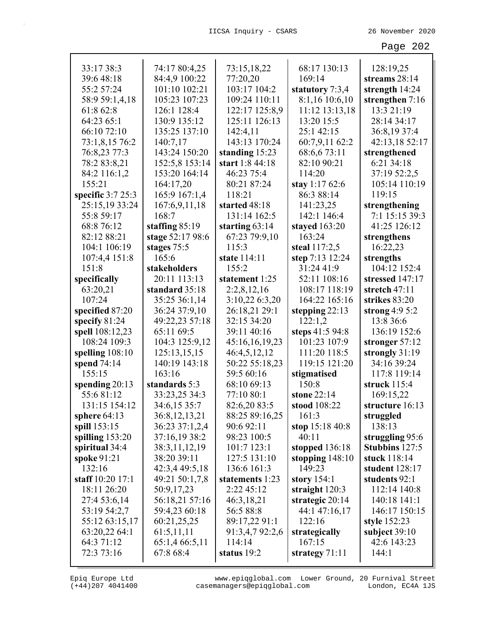| 33:17 38:3         | 74:17 80:4,25    | 73:15,18,22      | 68:17 130:13      | 128:19,25        |
|--------------------|------------------|------------------|-------------------|------------------|
| 39:6 48:18         | 84:4,9 100:22    | 77:20,20         | 169:14            | streams 28:14    |
| 55:2 57:24         | 101:10 102:21    | 103:17 104:2     | statutory 7:3,4   | strength 14:24   |
| 58:9 59:1,4,18     | 105:23 107:23    | 109:24 110:11    | 8:1,16 10:6,10    | strengthen 7:16  |
| 61:8 62:8          | 126:1 128:4      | 122:17 125:8,9   | 11:12 13:13,18    | 13:3 21:19       |
| 64:23 65:1         | 130:9 135:12     | 125:11 126:13    | 13:20 15:5        | 28:14 34:17      |
| 66:10 72:10        | 135:25 137:10    | 142:4,11         | 25:1 42:15        | 36:8,19 37:4     |
| 73:1,8,15 76:2     | 140:7,17         | 143:13 170:24    | 60:7,9,11 62:2    | 42:13,18 52:17   |
| 76:8,23 77:3       | 143:24 150:20    | standing 15:23   | 68:6,673:11       | strengthened     |
| 78:283:8,21        | 152:5,8 153:14   | start 1:8 44:18  | 82:10 90:21       | 6:21 34:18       |
| 84:2 116:1,2       | 153:20 164:14    | 46:23 75:4       | 114:20            | 37:19 52:2,5     |
| 155:21             | 164:17,20        | 80:21 87:24      | stay 1:17 $62:6$  | 105:14 110:19    |
| specific $3:725:3$ | 165:9 167:1,4    | 118:21           | 86:3 88:14        | 119:15           |
| 25:15,19 33:24     | 167:6,9,11,18    | started 48:18    | 141:23,25         | strengthening    |
| 55:8 59:17         | 168:7            | 131:14 162:5     | 142:1 146:4       | 7:1 15:15 39:3   |
| 68:8 76:12         | staffing $85:19$ | starting $63:14$ | stayed 163:20     | 41:25 126:12     |
| 82:12 88:21        | stage 52:17 98:6 | 67:23 79:9,10    | 163:24            | strengthens      |
| 104:1 106:19       | stages 75:5      | 115:3            | steal 117:2,5     | 16:22,23         |
| 107:4,4 151:8      | 165:6            | state 114:11     | step 7:13 12:24   | strengths        |
| 151:8              | stakeholders     | 155:2            | 31:24 41:9        | 104:12 152:4     |
| specifically       | 20:11 113:13     | statement 1:25   | 52:11 108:16      | stressed 147:17  |
| 63:20,21           | standard 35:18   | 2:2,8,12,16      | 108:17 118:19     | stretch 47:11    |
| 107:24             | 35:25 36:1,14    | 3:10,22 6:3,20   | 164:22 165:16     | strikes 83:20    |
| specified 87:20    | 36:24 37:9,10    | 26:18,21 29:1    | stepping $22:13$  | strong $4:95:2$  |
| specify 81:24      | 49:22,23 57:18   | 32:15 34:20      | 122:1,2           | 13:8 36:6        |
| spell 108:12,23    | 65:11 69:5       | 39:11 40:16      | steps 41:5 94:8   | 136:19 152:6     |
| 108:24 109:3       | 104:3 125:9,12   | 45:16,16,19,23   | 101:23 107:9      | stronger $57:12$ |
| spelling $108:10$  | 125:13,15,15     | 46:4,5,12,12     | 111:20 118:5      | strongly 31:19   |
| spend 74:14        | 140:19 143:18    | 50:22 55:18,23   | 119:15 121:20     | 34:16 39:24      |
| 155:15             | 163:16           | 59:5 60:16       | stigmatised       | 117:8 119:14     |
| spending $20:13$   | standards 5:3    | 68:10 69:13      | 150:8             | struck $115:4$   |
| 55:681:12          | 33:23,25 34:3    | 77:10 80:1       | stone 22:14       | 169:15,22        |
| 131:15 154:12      | 34:6,15 35:7     | 82:6,20 83:5     | stood 108:22      | structure 16:13  |
| sphere $64:13$     | 36:8, 12, 13, 21 | 88:25 89:16,25   | 161:3             | struggled        |
| spill 153:15       | 36:23 37:1,2,4   | 90:6 92:11       | stop $15:1840:8$  | 138:13           |
| spilling 153:20    | 37:16,19 38:2    | 98:23 100:5      | 40:11             | struggling 95:6  |
| spiritual 34:4     | 38:3,11,12,19    | 101:7 123:1      | stopped 136:18    | Stubbins 127:5   |
| spoke 91:21        | 38:20 39:11      | 127:5 131:10     | stopping $148:10$ | stuck 118:14     |
| 132:16             | 42:3,4 49:5,18   | 136:6 161:3      | 149:23            | student 128:17   |
| staff 10:20 17:1   | 49:21 50:1,7,8   | statements 1:23  | story $154:1$     | students 92:1    |
| 18:11 26:20        | 50:9,17,23       | 2:22 45:12       | straight $120:3$  | 112:14 140:8     |
| 27:4 53:6,14       | 56:18,21 57:16   | 46:3,18,21       | strategic 20:14   | 140:18 141:1     |
| 53:19 54:2,7       | 59:4,23 60:18    | 56:5 88:8        | 44:1 47:16,17     | 146:17 150:15    |
| 55:12 63:15,17     | 60:21,25,25      | 89:17,22 91:1    | 122:16            | style 152:23     |
| 63:20,22 64:1      | 61:5,11,11       | 91:3,4,7 92:2,6  | strategically     | subject $39:10$  |
| 64:3 71:12         | 65:1,4 66:5,11   | 114:14           | 167:15            | 42:6 143:23      |
| 72:3 73:16         | 67:8 68:4        | status 19:2      | strategy $71:11$  | 144:1            |
|                    |                  |                  |                   |                  |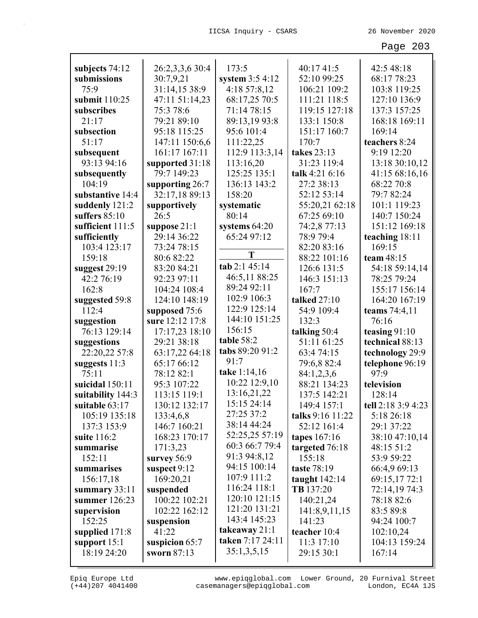| subjects 74:12    | 26:2,3,3,6 30:4 | 173:5            | 40:17 41:5       | 42:5 48:18         |
|-------------------|-----------------|------------------|------------------|--------------------|
| submissions       | 30:7,9,21       | system $3:54:12$ | 52:10 99:25      | 68:17 78:23        |
| 75:9              | 31:14,15 38:9   | 4:18 57:8,12     | 106:21 109:2     | 103:8 119:25       |
| submit 110:25     | 47:11 51:14,23  | 68:17,25 70:5    | 111:21 118:5     | 127:10 136:9       |
| subscribes        | 75:3 78:6       | 71:14 78:15      | 119:15 127:18    | 137:3 157:25       |
| 21:17             | 79:21 89:10     | 89:13,19 93:8    | 133:1 150:8      | 168:18 169:11      |
| subsection        | 95:18 115:25    | 95:6 101:4       | 151:17 160:7     | 169:14             |
| 51:17             | 147:11 150:6,6  | 111:22,25        | 170:7            | teachers 8:24      |
| subsequent        | 161:17 167:11   | 112:9 113:3,14   | takes 23:13      | 9:19 12:20         |
| 93:13 94:16       | supported 31:18 | 113:16,20        | 31:23 119:4      | 13:18 30:10,12     |
| subsequently      | 79:7 149:23     | 125:25 135:1     | talk 4:21 6:16   | 41:15 68:16,16     |
| 104:19            | supporting 26:7 | 136:13 143:2     | 27:2 38:13       | 68:22 70:8         |
| substantive 14:4  | 32:17,18 89:13  | 158:20           | 52:12 53:14      | 79:7 82:24         |
| suddenly 121:2    | supportively    | systematic       | 55:20,21 62:18   | 101:1 119:23       |
| suffers $85:10$   | 26:5            | 80:14            | 67:25 69:10      | 140:7 150:24       |
| sufficient 111:5  | suppose $21:1$  | systems 64:20    | 74:2,8 77:13     | 151:12 169:18      |
| sufficiently      | 29:14 36:22     | 65:24 97:12      | 78:9 79:4        | teaching 18:11     |
| 103:4 123:17      | 73:24 78:15     |                  | 82:20 83:16      | 169:15             |
| 159:18            | 80:6 82:22      | T                | 88:22 101:16     | team 48:15         |
| suggest 29:19     | 83:20 84:21     | tab 2:1 45:14    | 126:6 131:5      | 54:18 59:14,14     |
| 42:2 76:19        | 92:23 97:11     | 46:5,11 88:25    | 146:3 151:13     | 78:25 79:24        |
| 162:8             | 104:24 108:4    | 89:24 92:11      | 167:7            | 155:17 156:14      |
| suggested 59:8    | 124:10 148:19   | 102:9 106:3      | talked 27:10     | 164:20 167:19      |
| 112:4             | supposed 75:6   | 122:9 125:14     | 54:9 109:4       | teams 74:4,11      |
| suggestion        | sure 12:12 17:8 | 144:10 151:25    | 132:3            | 76:16              |
| 76:13 129:14      | 17:17,23 18:10  | 156:15           | talking 50:4     | teasing $91:10$    |
| suggestions       | 29:21 38:18     | table 58:2       | 51:11 61:25      | technical 88:13    |
| 22:20,22 57:8     | 63:17,22 64:18  | tabs 89:20 91:2  | 63:474:15        | technology 29:9    |
| suggests 11:3     | 65:17 66:12     | 91:7             | 79:6,882:4       | telephone 96:19    |
| 75:11             | 78:12 82:1      | take 1:14,16     | 84:1,2,3,6       | 97:9               |
| suicidal 150:11   | 95:3 107:22     | 10:22 12:9,10    | 88:21 134:23     | television         |
| suitability 144:3 | 113:15 119:1    | 13:16,21,22      | 137:5 142:21     | 128:14             |
| suitable 63:17    | 130:12 132:17   | 15:15 24:14      | 149:4 157:1      | tell 2:18 3:9 4:23 |
| 105:19 135:18     | 133:4,6,8       | 27:25 37:2       | talks 9:16 11:22 | 5:18 26:18         |
| 137:3 153:9       | 146:7 160:21    | 38:14 44:24      | 52:12 161:4      | 29:1 37:22         |
| suite 116:2       | 168:23 170:17   | 52:25,25 57:19   | tapes $167:16$   | 38:10 47:10,14     |
| summarise         | 171:3,23        | 60:3 66:7 79:4   | targeted 76:18   | 48:15 51:2         |
| 152:11            | survey $56:9$   | 91:3 94:8,12     | 155:18           | 53:9 59:22         |
| summarises        | suspect 9:12    | 94:15 100:14     | taste 78:19      | 66:4,9 69:13       |
| 156:17,18         | 169:20,21       | 107:9 111:2      | taught $142:14$  | 69:15,1772:1       |
| summary 33:11     | suspended       | 116:24 118:1     | TB 137:20        | 72:14,19 74:3      |
| summer 126:23     | 100:22 102:21   | 120:10 121:15    | 140:21,24        | 78:18 82:6         |
| supervision       | 102:22 162:12   | 121:20 131:21    | 141:8,9,11,15    | 83:5 89:8          |
| 152:25            | suspension      | 143:4 145:23     | 141:23           | 94:24 100:7        |
| supplied 171:8    | 41:22           | takeaway $21:1$  | teacher 10:4     | 102:10,24          |
| support $15:1$    | suspicion 65:7  | taken 7:17 24:11 | 11:3 17:10       | 104:13 159:24      |
| 18:19 24:20       | sworn 87:13     | 35:1,3,5,15      | 29:15 30:1       | 167:14             |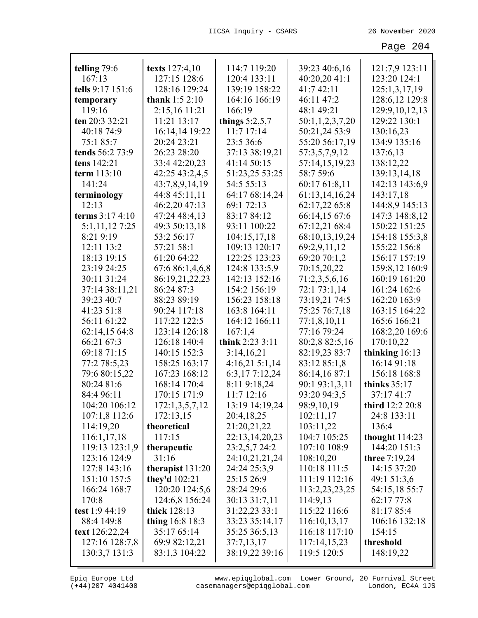| telling 79:6     | texts 127:4,10     | 114:7 119:20     | 39:23 40:6,16   | 121:7,9 123:11    |
|------------------|--------------------|------------------|-----------------|-------------------|
| 167:13           | 127:15 128:6       | 120:4 133:11     | 40:20,20 41:1   | 123:20 124:1      |
| tells 9:17 151:6 | 128:16 129:24      | 139:19 158:22    | 41:7 42:11      | 125:1,3,17,19     |
| temporary        | thank $1:52:10$    | 164:16 166:19    | 46:11 47:2      | 128:6,12 129:8    |
| 119:16           | 2:15,16 11:21      | 166:19           | 48:1 49:21      | 129:9, 10, 12, 13 |
| ten 20:3 32:21   | 11:21 13:17        | things $5:2,5,7$ | 50:1,1,2,3,7,20 | 129:22 130:1      |
| 40:18 74:9       | 16:14,14 19:22     | $11:7$ 17:14     | 50:21,24 53:9   | 130:16,23         |
| 75:1 85:7        | 20:24 23:21        | 23:5 36:6        | 55:20 56:17,19  | 134:9 135:16      |
| tends 56:2 73:9  | 26:23 28:20        | 37:13 38:19,21   | 57:3,5,7,9,12   | 137:6,13          |
| tens 142:21      | 33:4 42:20,23      | 41:14 50:15      | 57:14,15,19,23  | 138:12,22         |
| term 113:10      | 42:25 43:2,4,5     | 51:23,25 53:25   | 58:7 59:6       | 139:13,14,18      |
| 141:24           | 43:7,8,9,14,19     | 54:5 55:13       | 60:17 61:8,11   | 142:13 143:6,9    |
| terminology      | 44:8 45:11,11      | 64:17 68:14,24   | 61:13,14,16,24  | 143:17,18         |
| 12:13            | 46:2,20 47:13      | 69:1 72:13       | 62:17,22 65:8   | 144:8,9 145:13    |
| terms $3:174:10$ | 47:24 48:4,13      | 83:17 84:12      | 66:14,15 67:6   | 147:3 148:8,12    |
| 5:1,11,12 7:25   | 49:3 50:13,18      | 93:11 100:22     | 67:12,21 68:4   | 150:22 151:25     |
| 8:21 9:19        | 53:2 56:17         | 104:15,17,18     | 68:10,13,19,24  | 154:18 155:3,8    |
| 12:11 13:2       | 57:21 58:1         | 109:13 120:17    | 69:2,9,11,12    | 155:22 156:8      |
| 18:13 19:15      | 61:20 64:22        | 122:25 123:23    | 69:20 70:1,2    | 156:17 157:19     |
| 23:19 24:25      | 67:6 86:1,4,6,8    | 124:8 133:5,9    | 70:15,20,22     | 159:8,12 160:9    |
| 30:11 31:24      | 86:19,21,22,23     | 142:13 152:16    | 71:2,3,5,6,16   | 160:19 161:20     |
| 37:14 38:11,21   | 86:24 87:3         | 154:2 156:19     | 72:1 73:1,14    | 161:24 162:6      |
| 39:23 40:7       | 88:23 89:19        | 156:23 158:18    | 73:19,21 74:5   | 162:20 163:9      |
| 41:23 51:8       | 90:24 117:18       | 163:8 164:11     | 75:25 76:7,18   | 163:15 164:22     |
| 56:11 61:22      | 117:22 122:5       | 164:12 166:11    | 77:1,8,10,11    | 165:6 166:21      |
| 62:14,15 64:8    | 123:14 126:18      | 167:1,4          | 77:16 79:24     | 168:2,20 169:6    |
| 66:21 67:3       | 126:18 140:4       | think 2:23 3:11  | 80:2,8 82:5,16  | 170:10,22         |
| 69:18 71:15      | 140:15 152:3       | 3:14,16,21       | 82:19,23 83:7   | thinking 16:13    |
| 77:2 78:5,23     | 158:25 163:17      | 4:16,215:1,14    | 83:12 85:1,8    | 16:14 91:18       |
| 79:6 80:15,22    | 167:23 168:12      | 6:3,177:12,24    | 86:14,16 87:1   | 156:18 168:8      |
| 80:24 81:6       | 168:14 170:4       | 8:11 9:18,24     | 90:1 93:1,3,11  | thinks $35:17$    |
| 84:4 96:11       | 170:15 171:9       | 11:7 12:16       | 93:20 94:3,5    | 37:17 41:7        |
| 104:20 106:12    | 172:1,3,5,7,12     | 13:19 14:19,24   | 98:9,10,19      | third $12:2 20:8$ |
| 107:1,8 112:6    | 172:13,15          | 20:4,18,25       | 102:11,17       | 24:8 133:11       |
| 114:19,20        | theoretical        | 21:20,21,22      | 103:11,22       | 136:4             |
| 116:1,17,18      | 117:15             | 22:13,14,20,23   | 104:7 105:25    | thought $114:23$  |
| 119:13 123:1,9   | therapeutic        | 23:2,5,7 24:2    | 107:10 108:9    | 144:20 151:3      |
| 123:16 124:9     | 31:16              | 24:10,21,21,24   | 108:10,20       | three 7:19,24     |
| 127:8 143:16     | therapist $131:20$ | 24:24 25:3,9     | 110:18 111:5    | 14:15 37:20       |
| 151:10 157:5     | they'd 102:21      | 25:15 26:9       | 111:19 112:16   | 49:1 51:3,6       |
| 166:24 168:7     | 120:20 124:5,6     | 28:24 29:6       | 113:2,23,23,25  | 54:15,18 55:7     |
| 170:8            | 124:6,8 156:24     | 30:13 31:7,11    | 114:9,13        | 62:17 77:8        |
| test 1:9 44:19   | thick 128:13       | 31:22,23 33:1    | 115:22 116:6    | 81:17 85:4        |
| 88:4 149:8       | thing 16:8 18:3    | 33:23 35:14,17   | 116:10,13,17    | 106:16 132:18     |
| text 126:22,24   | 35:17 65:14        | 35:25 36:5,13    | 116:18 117:10   | 154:15            |
| 127:16 128:7,8   | 69:9 82:12,21      | 37:7,13,17       | 117:14,15,23    | threshold         |
| 130:3,7 131:3    | 83:1,3 104:22      | 38:19,22 39:16   | 119:5 120:5     | 148:19,22         |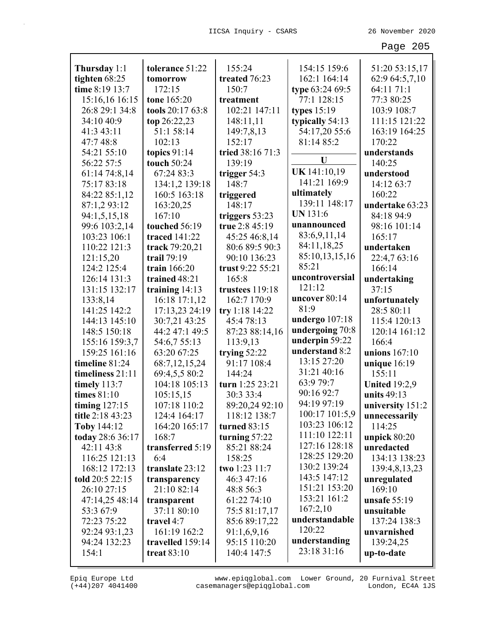| Thursday 1:1     | tolerance 51:22      | 155:24           | 154:15 159:6     | 51:20 53:15,17       |
|------------------|----------------------|------------------|------------------|----------------------|
| tighten 68:25    | tomorrow             | treated 76:23    | 162:1 164:14     | 62:9 64:5,7,10       |
| time 8:19 13:7   | 172:15               | 150:7            | type 63:24 69:5  | 64:11 71:1           |
| 15:16,16 16:15   | tone 165:20          | treatment        | 77:1 128:15      | 77:3 80:25           |
| 26:8 29:1 34:8   | tools 20:17 63:8     | 102:21 147:11    | types $15:19$    | 103:9 108:7          |
| 34:10 40:9       | top 26:22,23         | 148:11,11        | typically 54:13  | 111:15 121:22        |
| 41:3 43:11       | 51:1 58:14           | 149:7,8,13       | 54:17,20 55:6    | 163:19 164:25        |
| 47:7 48:8        | 102:13               | 152:17           | 81:14 85:2       | 170:22               |
| 54:21 55:10      | topics $91:14$       | tried 38:16 71:3 |                  | understands          |
| 56:22 57:5       | touch 50:24          | 139:19           | U                | 140:25               |
| 61:14 74:8,14    | 67:24 83:3           | trigger 54:3     | UK 141:10,19     | understood           |
| 75:17 83:18      | 134:1,2 139:18       | 148:7            | 141:21 169:9     | 14:12 63:7           |
| 84:22 85:1,12    | 160:5 163:18         | triggered        | ultimately       | 160:22               |
| 87:1,293:12      | 163:20,25            | 148:17           | 139:11 148:17    | undertake 63:23      |
| 94:1,5,15,18     | 167:10               | triggers 53:23   | <b>UN</b> 131:6  | 84:18 94:9           |
| 99:6 103:2,14    | touched 56:19        | true 2:8 45:19   | unannounced      | 98:16 101:14         |
| 103:23 106:1     | <b>traced</b> 141:22 | 45:25 46:8,14    | 83:6,9,11,14     | 165:17               |
| 110:22 121:3     | track 79:20,21       | 80:6 89:5 90:3   | 84:11,18,25      | undertaken           |
| 121:15,20        | trail 79:19          | 90:10 136:23     | 85:10,13,15,16   | 22:4,7 63:16         |
| 124:2 125:4      | train 166:20         | trust 9:22 55:21 | 85:21            | 166:14               |
| 126:14 131:3     | trained 48:21        | 165:8            | uncontroversial  | undertaking          |
| 131:15 132:17    | training $14:13$     | trustees 119:18  | 121:12           | 37:15                |
| 133:8,14         | 16:18 17:1,12        | 162:7 170:9      | uncover 80:14    | unfortunately        |
| 141:25 142:2     | 17:13,23 24:19       | try 1:18 14:22   | 81:9             | 28:5 80:11           |
| 144:13 145:10    | 30:7,21 43:25        | 45:478:13        | undergo $107:18$ | 115:4 120:13         |
| 148:5 150:18     | 44:2 47:1 49:5       | 87:23 88:14,16   | undergoing 70:8  | 120:14 161:12        |
| 155:16 159:3,7   | 54:6,7 55:13         | 113:9,13         | underpin 59:22   | 166:4                |
| 159:25 161:16    | 63:20 67:25          | trying $52:22$   | understand 8:2   | unions 167:10        |
| timeline 81:24   | 68:7,12,15,24        | 91:17 108:4      | 13:15 27:20      | unique $16:19$       |
| timeliness 21:11 | 69:4,5,5 80:2        | 144:24           | 31:21 40:16      | 155:11               |
| timely $113:7$   | 104:18 105:13        | turn 1:25 23:21  | 63:9 79:7        | <b>United 19:2,9</b> |
| times 81:10      | 105:15,15            | 30:3 33:4        | 90:16 92:7       | units 49:13          |
| timing $127:15$  | 107:18 110:2         | 89:20,24 92:10   | 94:19 97:19      | university 151:2     |
| title 2:18 43:23 | 124:4 164:17         | 118:12 138:7     | 100:17 101:5,9   | unnecessarily        |
| Toby 144:12      | 164:20 165:17        | turned 83:15     | 103:23 106:12    | 114:25               |
| today 28:6 36:17 | 168:7                | turning 57:22    | 111:10 122:11    | unpick $80:20$       |
| 42:11 43:8       | transferred 5:19     | 85:21 88:24      | 127:16 128:18    | unredacted           |
| 116:25 121:13    | 6:4                  | 158:25           | 128:25 129:20    | 134:13 138:23        |
| 168:12 172:13    | translate 23:12      | two 1:23 11:7    | 130:2 139:24     | 139:4,8,13,23        |
| told 20:5 22:15  | transparency         | 46:3 47:16       | 143:5 147:12     | unregulated          |
| 26:10 27:15      | 21:10 82:14          | 48:8 56:3        | 151:21 153:20    | 169:10               |
| 47:14,25 48:14   | transparent          | 61:22 74:10      | 153:21 161:2     | unsafe $55:19$       |
| 53:3 67:9        | 37:11 80:10          | 75:5 81:17,17    | 167:2,10         | unsuitable           |
| 72:23 75:22      | travel 4:7           | 85:6 89:17,22    | understandable   | 137:24 138:3         |
| 92:24 93:1,23    | 161:19 162:2         | 91:1,6,9,16      | 120:22           | unvarnished          |
| 94:24 132:23     | travelled 159:14     | 95:15 110:20     | understanding    | 139:24,25            |
| 154:1            | <b>treat 83:10</b>   | 140:4 147:5      | 23:18 31:16      | up-to-date           |
|                  |                      |                  |                  |                      |

L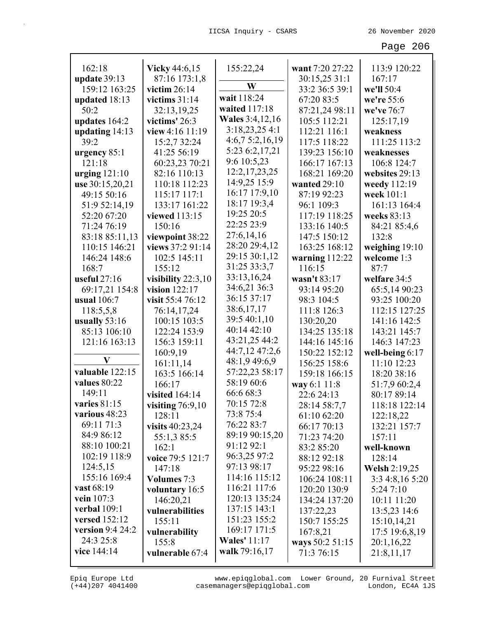| 162:18                          | <b>Vicky</b> 44:6,15                  | 155:22,24              | want 7:20 27:22           | 113:9 120:22                  |
|---------------------------------|---------------------------------------|------------------------|---------------------------|-------------------------------|
| update $39:13$                  | 87:16 173:1,8                         | W                      | 30:15,25 31:1             | 167:17                        |
| 159:12 163:25                   | victim $26:14$                        | wait 118:24            | 33:2 36:5 39:1            | we'll 50:4                    |
| updated 18:13                   | victims $31:14$                       | waited 117:18          | 67:20 83:5                | we're 55:6                    |
| 50:2                            | 32:13,19,25                           | <b>Wales</b> 3:4,12,16 | 87:21,24 98:11            | we've 76:7                    |
| updates 164:2                   | victims' 26:3                         | 3:18,23,254:1          | 105:5 112:21              | 125:17,19                     |
| updating $14:13$                | view 4:16 11:19                       | 4:6,7 5:2,16,19        | 112:21 116:1              | weakness                      |
| 39:2                            | 15:2,7 32:24                          | 5:23 6:2,17,21         | 117:5 118:22              | 111:25 113:2                  |
| urgency $85:1$                  | 41:25 56:19                           | 9:6 10:5,23            | 139:23 156:10             | weaknesses                    |
| 121:18                          | 60:23,23 70:21                        | 12:2, 17, 23, 25       | 166:17 167:13             | 106:8 124:7                   |
| urging $121:10$                 | 82:16 110:13                          | 14:9,25 15:9           | 168:21 169:20             | websites 29:13                |
| use 30:15,20,21                 | 110:18 112:23                         | 16:17 17:9,10          | wanted $29:10$            | weedy 112:19                  |
| 49:15 50:16                     | 115:17 117:1                          | 18:17 19:3,4           | 87:19 92:23               | week 101:1                    |
| 51:9 52:14,19                   | 133:17 161:22                         | 19:25 20:5             | 96:1 109:3                | 161:13 164:4                  |
| 52:20 67:20                     | viewed 113:15                         | 22:25 23:9             | 117:19 118:25             | weeks 83:13                   |
| 71:24 76:19                     | 150:16                                | 27:6,14,16             | 133:16 140:5              | 84:21 85:4,6                  |
| 83:18 85:11,13<br>110:15 146:21 | viewpoint 38:22<br>views 37:2 91:14   | 28:20 29:4,12          | 147:5 150:12              | 132:8                         |
|                                 |                                       | 29:15 30:1,12          | 163:25 168:12             | weighing $19:10$              |
| 146:24 148:6                    | 102:5 145:11                          | 31:25 33:3,7           | warning 112:22            | welcome 1:3<br>87:7           |
| 168:7<br>useful $27:16$         | 155:12                                | 33:13,16,24            | 116:15                    |                               |
|                                 | visibility $22:3,10$<br>vision 122:17 | 34:6,21 36:3           | wasn't 83:17              | welfare 34:5                  |
| 69:17,21 154:8<br>usual 106:7   | visit 55:4 76:12                      | 36:15 37:17            | 93:14 95:20<br>98:3 104:5 | 65:5,14 90:23<br>93:25 100:20 |
|                                 | 76:14,17,24                           | 38:6,17,17             | 111:8 126:3               | 112:15 127:25                 |
| 118:5,5,8<br>usually $53:16$    | 100:15 103:5                          | 39:5 40:1,10           | 130:20,20                 | 141:16 142:5                  |
| 85:13 106:10                    | 122:24 153:9                          | 40:14 42:10            | 134:25 135:18             | 143:21 145:7                  |
| 121:16 163:13                   | 156:3 159:11                          | 43:21,25 44:2          | 144:16 145:16             | 146:3 147:23                  |
|                                 | 160:9,19                              | 44:7,12 47:2,6         | 150:22 152:12             | well-being 6:17               |
| V                               | 161:11,14                             | 48:1,9 49:6,9          | 156:25 158:6              | 11:10 12:23                   |
| valuable 122:15                 | 163:5 166:14                          | 57:22,23 58:17         | 159:18 166:15             | 18:20 38:16                   |
| values 80:22                    | 166:17                                | 58:19 60:6             | way 6:1 11:8              | 51:7,9 60:2,4                 |
| 149:11                          | visited 164:14                        | 66:6 68:3              | 22:6 24:13                | 80:17 89:14                   |
| varies $81:15$                  | visiting $76:9,10$                    | 70:15 72:8             | 28:14 58:7,7              | 118:18 122:14                 |
| various 48:23                   | 128:11                                | 73:8 75:4              | 61:10 62:20               | 122:18,22                     |
| 69:11 71:3                      | visits $40:23,24$                     | 76:22 83:7             | 66:17 70:13               | 132:21 157:7                  |
| 84:9 86:12                      | 55:1,385:5                            | 89:19 90:15,20         | 71:23 74:20               | 157:11                        |
| 88:10 100:21                    | 162:1                                 | 91:12 92:1             | 83:2 85:20                | well-known                    |
| 102:19 118:9                    | voice 79:5 121:7                      | 96:3,25 97:2           | 88:12 92:18               | 128:14                        |
| 124:5,15                        | 147:18                                | 97:13 98:17            | 95:22 98:16               | Welsh 2:19,25                 |
| 155:16 169:4                    | <b>Volumes</b> 7:3                    | 114:16 115:12          | 106:24 108:11             | 3:3 4:8,16 5:20               |
| vast 68:19                      | voluntary 16:5                        | 116:21 117:6           | 120:20 130:9              | 5:24 7:10                     |
| vein 107:3                      | 146:20,21                             | 120:13 135:24          | 134:24 137:20             | 10:11 11:20                   |
| verbal 109:1                    | vulnerabilities                       | 137:15 143:1           | 137:22,23                 | 13:5,23 14:6                  |
| versed 152:12                   | 155:11                                | 151:23 155:2           | 150:7 155:25              | 15:10,14,21                   |
| version 9:4 24:2                | vulnerability                         | 169:17 171:5           | 167:8,21                  | 17:5 19:6,8,19                |
| 24:3 25:8                       | 155:8                                 | <b>Wales'</b> 11:17    | ways 50:2 51:15           | 20:1,16,22                    |
| vice 144:14                     | vulnerable 67:4                       | walk 79:16,17          | 71:3 76:15                | 21:8,11,17                    |
|                                 |                                       |                        |                           |                               |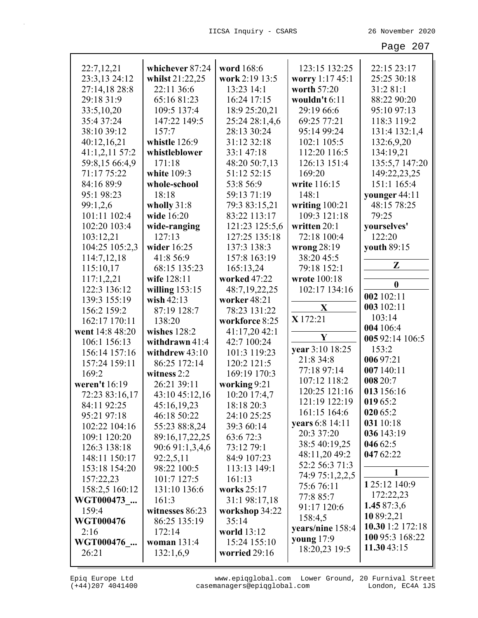| 22:7,12,21      | whichever 87:24  | word 168:6     | 123:15 132:25     | 22:15 23:17      |
|-----------------|------------------|----------------|-------------------|------------------|
| 23:3,13 24:12   | whilst 21:22,25  | work 2:19 13:5 | worry 1:17 45:1   | 25:25 30:18      |
| 27:14,18 28:8   | 22:11 36:6       | 13:23 14:1     | worth 57:20       | 31:2 81:1        |
| 29:18 31:9      | 65:16 81:23      | 16:24 17:15    | wouldn't 6:11     | 88:22 90:20      |
| 33:5,10,20      | 109:5 137:4      | 18:9 25:20,21  | 29:19 66:6        | 95:10 97:13      |
| 35:4 37:24      | 147:22 149:5     | 25:24 28:1,4,6 | 69:25 77:21       | 118:3 119:2      |
| 38:10 39:12     | 157:7            | 28:13 30:24    | 95:14 99:24       | 131:4 132:1,4    |
| 40:12,16,21     | whistle 126:9    | 31:12 32:18    | 102:1 105:5       | 132:6,9,20       |
| 41:1,2,11 57:2  | whistleblower    | 33:1 47:18     | 112:20 116:5      | 134:19,21        |
| 59:8,15 66:4,9  | 171:18           | 48:20 50:7,13  | 126:13 151:4      | 135:5,7 147:20   |
| 71:17 75:22     | white 109:3      | 51:12 52:15    | 169:20            | 149:22,23,25     |
| 84:16 89:9      | whole-school     | 53:8 56:9      | write 116:15      | 151:1 165:4      |
| 95:1 98:23      | 18:18            | 59:13 71:19    | 148:1             | younger 44:11    |
| 99:1,2,6        | wholly 31:8      | 79:3 83:15,21  | writing $100:21$  | 48:15 78:25      |
| 101:11 102:4    | wide 16:20       | 83:22 113:17   | 109:3 121:18      | 79:25            |
| 102:20 103:4    | wide-ranging     | 121:23 125:5,6 | written 20:1      | yourselves'      |
| 103:12,21       | 127:13           | 127:25 135:18  | 72:18 100:4       | 122:20           |
| 104:25 105:2,3  | wider 16:25      | 137:3 138:3    | wrong $28:19$     | youth 89:15      |
| 114:7,12,18     | 41:8 56:9        | 157:8 163:19   | 38:20 45:5        |                  |
| 115:10,17       | 68:15 135:23     | 165:13,24      | 79:18 152:1       | $\mathbf{Z}$     |
| 117:1,2,21      | wife 128:11      | worked 47:22   | wrote 100:18      |                  |
| 122:3 136:12    | willing $153:15$ | 48:7,19,22,25  | 102:17 134:16     | $\bf{0}$         |
| 139:3 155:19    | wish $42:13$     | worker 48:21   |                   | 002 102:11       |
| 156:2 159:2     | 87:19 128:7      | 78:23 131:22   | $\mathbf X$       | 003 102:11       |
| 162:17 170:11   | 138:20           | workforce 8:25 | X 172:21          | 103:14           |
| went 14:8 48:20 | wishes $128:2$   | 41:17,20 42:1  |                   | 004 106:4        |
| 106:1 156:13    | withdrawn 41:4   | 42:7 100:24    | Y                 | 005 92:14 106:5  |
| 156:14 157:16   | withdrew 43:10   | 101:3 119:23   | year 3:10 18:25   | 153:2            |
| 157:24 159:11   | 86:25 172:14     | 120:2 121:5    | 21:8 34:8         | 00697:21         |
| 169:2           | witness 2:2      | 169:19 170:3   | 77:18 97:14       | 007 140:11       |
| weren't 16:19   | 26:21 39:11      | working 9:21   | 107:12 118:2      | 008 20:7         |
| 72:23 83:16,17  | 43:10 45:12,16   | 10:20 17:4,7   | 120:25 121:16     | 013 156:16       |
| 84:11 92:25     | 45:16,19,23      | 18:18 20:3     | 121:19 122:19     | 019 65:2         |
| 95:21 97:18     | 46:18 50:22      | 24:10 25:25    | 161:15 164:6      | 020 65:2         |
| 102:22 104:16   | 55:23 88:8,24    | 39:3 60:14     | years 6:8 14:11   | 031 10:18        |
| 109:1 120:20    | 89:16,17,22,25   | 63:6 72:3      | 20:3 37:20        | 036 143:19       |
| 126:3 138:18    | 90:6 91:1,3,4,6  | 73:12 79:1     | 38:5 40:19,25     | 046 62:5         |
| 148:11 150:17   | 92:2,5,11        | 84:9 107:23    | 48:11,20 49:2     | 047 62:22        |
| 153:18 154:20   | 98:22 100:5      | 113:13 149:1   | 52:2 56:3 71:3    |                  |
| 157:22,23       | 101:7 127:5      | 161:13         | 74:9 75:1,2,2,5   |                  |
| 158:2,5 160:12  | 131:10 136:6     | works 25:17    | 75:6 76:11        | 125:12 140:9     |
| WGT000473       | 161:3            | 31:1 98:17,18  | 77:8 85:7         | 172:22,23        |
| 159:4           | witnesses 86:23  | workshop 34:22 | 91:17 120:6       | 1.45 87:3,6      |
| WGT000476       | 86:25 135:19     | 35:14          | 158:4,5           | 1089:2,21        |
| 2:16            | 172:14           | world 13:12    | years/nine 158:4  | 10.30 1:2 172:18 |
| WGT000476       | woman $131:4$    | 15:24 155:10   | <b>young</b> 17:9 | 100 95:3 168:22  |
| 26:21           | 132:1,6,9        | worried 29:16  | 18:20,23 19:5     | 11.3043:15       |
|                 |                  |                |                   |                  |